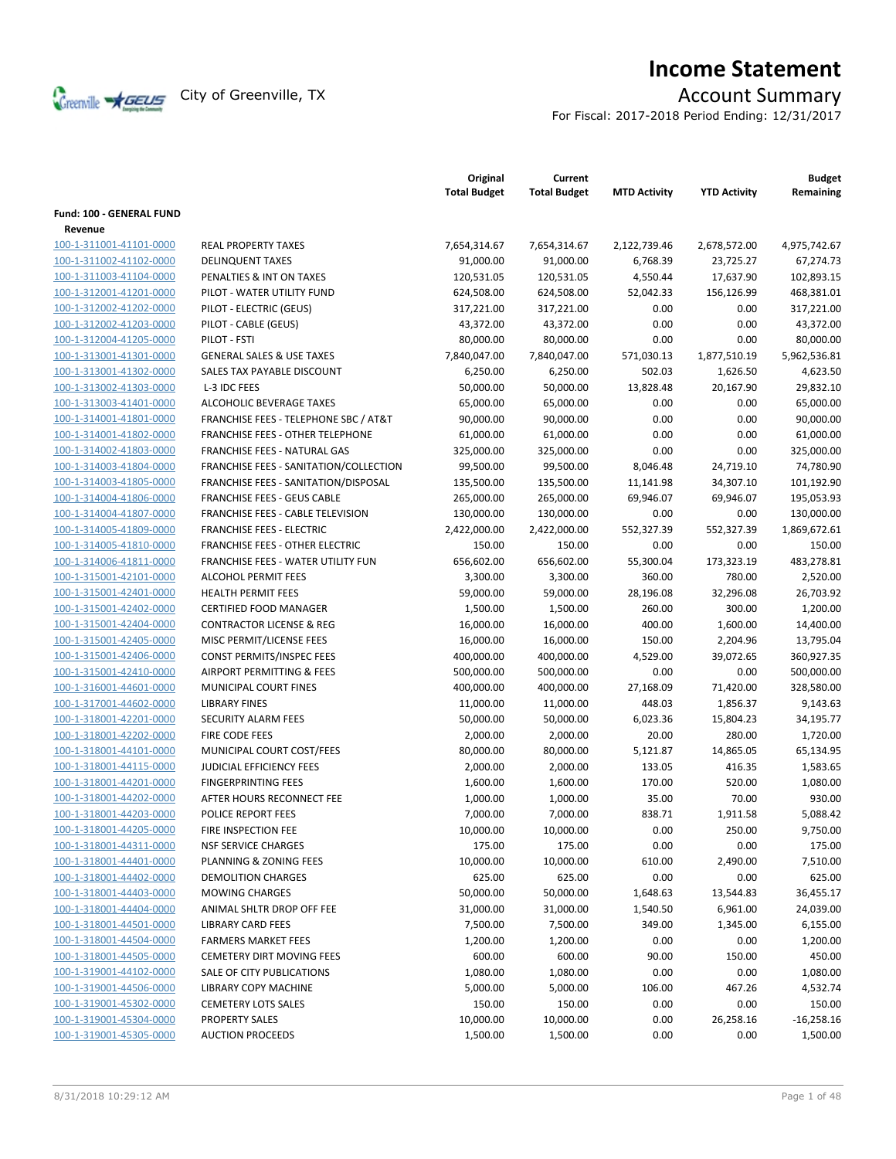

# **Income Statement**

For Fiscal: 2017-2018 Period Ending: 12/31/2017

|                                            |                                                  | Original<br><b>Total Budget</b> | Current<br><b>Total Budget</b> | <b>MTD Activity</b> | <b>YTD Activity</b> | <b>Budget</b><br>Remaining |
|--------------------------------------------|--------------------------------------------------|---------------------------------|--------------------------------|---------------------|---------------------|----------------------------|
| <b>Fund: 100 - GENERAL FUND</b><br>Revenue |                                                  |                                 |                                |                     |                     |                            |
| 100-1-311001-41101-0000                    | <b>REAL PROPERTY TAXES</b>                       | 7,654,314.67                    | 7,654,314.67                   | 2,122,739.46        | 2,678,572.00        | 4,975,742.67               |
| 100-1-311002-41102-0000                    | <b>DELINQUENT TAXES</b>                          | 91,000.00                       | 91,000.00                      | 6,768.39            | 23,725.27           | 67,274.73                  |
| 100-1-311003-41104-0000                    | PENALTIES & INT ON TAXES                         | 120,531.05                      | 120,531.05                     | 4,550.44            | 17,637.90           | 102,893.15                 |
| 100-1-312001-41201-0000                    | PILOT - WATER UTILITY FUND                       | 624,508.00                      | 624,508.00                     | 52,042.33           | 156,126.99          | 468,381.01                 |
| 100-1-312002-41202-0000                    | PILOT - ELECTRIC (GEUS)                          | 317,221.00                      | 317,221.00                     | 0.00                | 0.00                | 317,221.00                 |
| 100-1-312002-41203-0000                    |                                                  |                                 |                                |                     |                     |                            |
|                                            | PILOT - CABLE (GEUS)                             | 43,372.00                       | 43,372.00                      | 0.00                | 0.00                | 43,372.00                  |
| 100-1-312004-41205-0000                    | PILOT - FSTI                                     | 80,000.00                       | 80,000.00                      | 0.00                | 0.00                | 80,000.00                  |
| 100-1-313001-41301-0000                    | <b>GENERAL SALES &amp; USE TAXES</b>             | 7,840,047.00                    | 7,840,047.00                   | 571,030.13          | 1,877,510.19        | 5,962,536.81               |
| 100-1-313001-41302-0000                    | SALES TAX PAYABLE DISCOUNT                       | 6,250.00                        | 6,250.00                       | 502.03              | 1,626.50            | 4,623.50                   |
| 100-1-313002-41303-0000                    | L-3 IDC FEES                                     | 50,000.00                       | 50,000.00                      | 13,828.48           | 20,167.90           | 29,832.10                  |
| 100-1-313003-41401-0000                    | ALCOHOLIC BEVERAGE TAXES                         | 65,000.00                       | 65,000.00                      | 0.00                | 0.00                | 65,000.00                  |
| 100-1-314001-41801-0000                    | <b>FRANCHISE FEES - TELEPHONE SBC / AT&amp;T</b> | 90,000.00                       | 90,000.00                      | 0.00                | 0.00                | 90,000.00                  |
| 100-1-314001-41802-0000                    | <b>FRANCHISE FEES - OTHER TELEPHONE</b>          | 61,000.00                       | 61,000.00                      | 0.00                | 0.00                | 61,000.00                  |
| 100-1-314002-41803-0000                    | FRANCHISE FEES - NATURAL GAS                     | 325,000.00                      | 325,000.00                     | 0.00                | 0.00                | 325,000.00                 |
| 100-1-314003-41804-0000                    | FRANCHISE FEES - SANITATION/COLLECTION           | 99,500.00                       | 99,500.00                      | 8,046.48            | 24,719.10           | 74,780.90                  |
| 100-1-314003-41805-0000                    | FRANCHISE FEES - SANITATION/DISPOSAL             | 135,500.00                      | 135,500.00                     | 11,141.98           | 34,307.10           | 101,192.90                 |
| 100-1-314004-41806-0000                    | <b>FRANCHISE FEES - GEUS CABLE</b>               | 265,000.00                      | 265,000.00                     | 69,946.07           | 69,946.07           | 195,053.93                 |
| 100-1-314004-41807-0000                    | <b>FRANCHISE FEES - CABLE TELEVISION</b>         | 130,000.00                      | 130,000.00                     | 0.00                | 0.00                | 130,000.00                 |
| 100-1-314005-41809-0000                    | <b>FRANCHISE FEES - ELECTRIC</b>                 | 2,422,000.00                    | 2,422,000.00                   | 552,327.39          | 552,327.39          | 1,869,672.61               |
| 100-1-314005-41810-0000                    | <b>FRANCHISE FEES - OTHER ELECTRIC</b>           | 150.00                          | 150.00                         | 0.00                | 0.00                | 150.00                     |
| 100-1-314006-41811-0000                    | FRANCHISE FEES - WATER UTILITY FUN               | 656,602.00                      | 656,602.00                     | 55,300.04           | 173,323.19          | 483,278.81                 |
| 100-1-315001-42101-0000                    | <b>ALCOHOL PERMIT FEES</b>                       | 3,300.00                        | 3,300.00                       | 360.00              | 780.00              | 2,520.00                   |
| 100-1-315001-42401-0000                    | <b>HEALTH PERMIT FEES</b>                        | 59,000.00                       | 59,000.00                      | 28,196.08           | 32,296.08           | 26,703.92                  |
| 100-1-315001-42402-0000                    | <b>CERTIFIED FOOD MANAGER</b>                    | 1,500.00                        | 1,500.00                       | 260.00              | 300.00              | 1,200.00                   |
| 100-1-315001-42404-0000                    | <b>CONTRACTOR LICENSE &amp; REG</b>              | 16,000.00                       | 16,000.00                      | 400.00              | 1,600.00            | 14,400.00                  |
| 100-1-315001-42405-0000                    | MISC PERMIT/LICENSE FEES                         | 16,000.00                       | 16,000.00                      | 150.00              | 2,204.96            | 13,795.04                  |
| 100-1-315001-42406-0000                    | CONST PERMITS/INSPEC FEES                        | 400,000.00                      | 400,000.00                     | 4,529.00            | 39,072.65           | 360,927.35                 |
| 100-1-315001-42410-0000                    | AIRPORT PERMITTING & FEES                        | 500,000.00                      | 500,000.00                     | 0.00                | 0.00                | 500,000.00                 |
| 100-1-316001-44601-0000                    | MUNICIPAL COURT FINES                            | 400,000.00                      | 400,000.00                     | 27,168.09           | 71,420.00           | 328,580.00                 |
| 100-1-317001-44602-0000                    | <b>LIBRARY FINES</b>                             | 11,000.00                       | 11,000.00                      | 448.03              | 1,856.37            | 9,143.63                   |
| 100-1-318001-42201-0000                    | SECURITY ALARM FEES                              | 50,000.00                       | 50,000.00                      | 6,023.36            | 15,804.23           | 34,195.77                  |
| 100-1-318001-42202-0000                    | FIRE CODE FEES                                   | 2,000.00                        | 2,000.00                       | 20.00               | 280.00              | 1,720.00                   |
| 100-1-318001-44101-0000                    | MUNICIPAL COURT COST/FEES                        | 80,000.00                       | 80,000.00                      | 5,121.87            | 14,865.05           | 65,134.95                  |
| 100-1-318001-44115-0000                    | JUDICIAL EFFICIENCY FEES                         | 2,000.00                        | 2,000.00                       | 133.05              | 416.35              | 1,583.65                   |
| 100-1-318001-44201-0000                    | <b>FINGERPRINTING FEES</b>                       | 1,600.00                        | 1,600.00                       | 170.00              | 520.00              | 1,080.00                   |
| 100-1-318001-44202-0000                    | AFTER HOURS RECONNECT FEE                        | 1,000.00                        | 1,000.00                       | 35.00               | 70.00               | 930.00                     |
| 100-1-318001-44203-0000                    | POLICE REPORT FEES                               | 7,000.00                        | 7,000.00                       | 838.71              | 1,911.58            | 5,088.42                   |
| 100-1-318001-44205-0000                    | FIRE INSPECTION FEE                              | 10,000.00                       | 10,000.00                      | 0.00                | 250.00              | 9,750.00                   |
| 100-1-318001-44311-0000                    | <b>NSF SERVICE CHARGES</b>                       | 175.00                          | 175.00                         | 0.00                | 0.00                | 175.00                     |
| 100-1-318001-44401-0000                    | PLANNING & ZONING FEES                           | 10,000.00                       | 10,000.00                      | 610.00              | 2,490.00            | 7,510.00                   |
| 100-1-318001-44402-0000                    | <b>DEMOLITION CHARGES</b>                        | 625.00                          | 625.00                         | 0.00                | 0.00                | 625.00                     |
| 100-1-318001-44403-0000                    | <b>MOWING CHARGES</b>                            | 50,000.00                       | 50,000.00                      | 1,648.63            | 13,544.83           | 36,455.17                  |
| 100-1-318001-44404-0000                    | ANIMAL SHLTR DROP OFF FEE                        | 31,000.00                       | 31,000.00                      | 1,540.50            | 6,961.00            | 24,039.00                  |
| 100-1-318001-44501-0000                    | <b>LIBRARY CARD FEES</b>                         | 7,500.00                        | 7,500.00                       | 349.00              | 1,345.00            | 6,155.00                   |
| 100-1-318001-44504-0000                    | <b>FARMERS MARKET FEES</b>                       | 1,200.00                        | 1,200.00                       | 0.00                | 0.00                | 1,200.00                   |
| 100-1-318001-44505-0000                    | <b>CEMETERY DIRT MOVING FEES</b>                 | 600.00                          | 600.00                         | 90.00               | 150.00              | 450.00                     |
| 100-1-319001-44102-0000                    | SALE OF CITY PUBLICATIONS                        | 1,080.00                        | 1,080.00                       | 0.00                | 0.00                | 1,080.00                   |
| 100-1-319001-44506-0000                    | <b>LIBRARY COPY MACHINE</b>                      | 5,000.00                        | 5,000.00                       | 106.00              | 467.26              | 4,532.74                   |
| 100-1-319001-45302-0000                    | <b>CEMETERY LOTS SALES</b>                       | 150.00                          | 150.00                         | 0.00                | 0.00                | 150.00                     |
| 100-1-319001-45304-0000                    | PROPERTY SALES                                   | 10,000.00                       | 10,000.00                      | 0.00                | 26,258.16           | $-16,258.16$               |
| 100-1-319001-45305-0000                    | <b>AUCTION PROCEEDS</b>                          | 1,500.00                        | 1,500.00                       | 0.00                | 0.00                | 1,500.00                   |
|                                            |                                                  |                                 |                                |                     |                     |                            |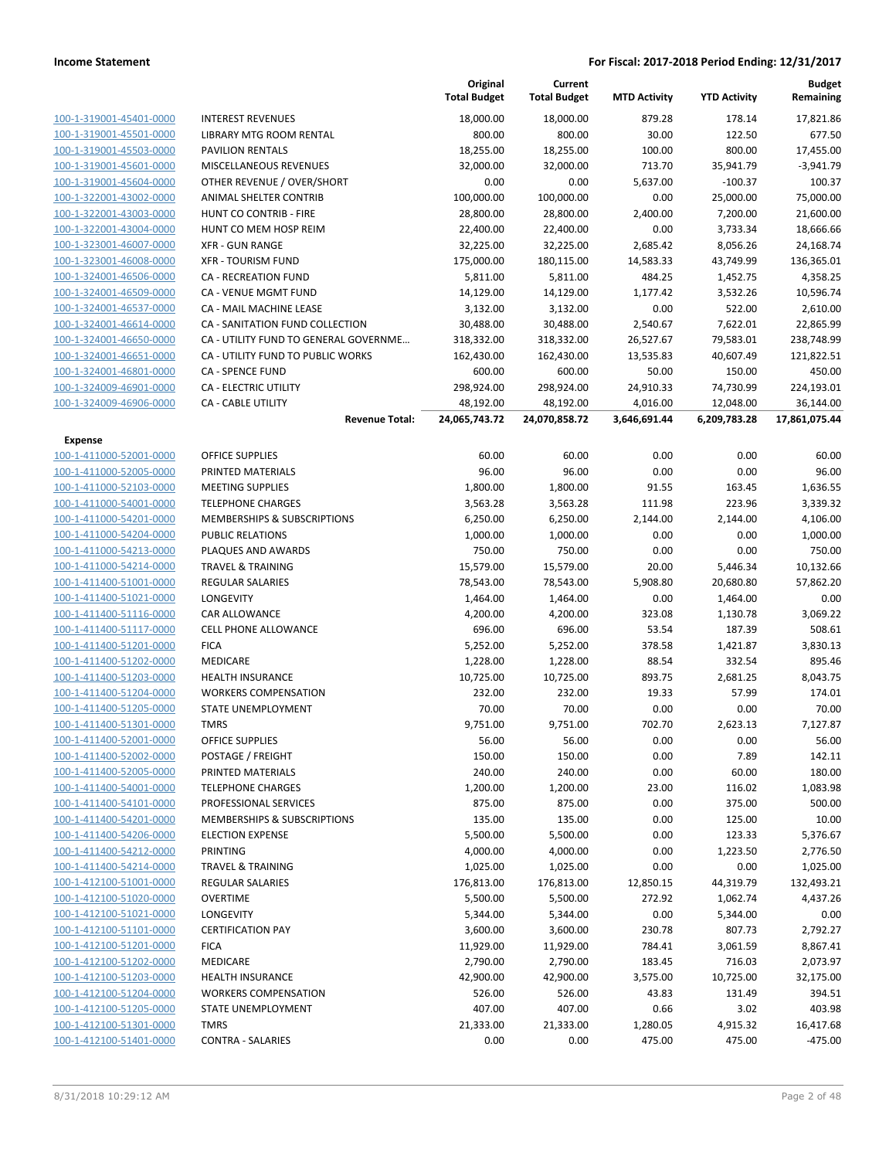|                         |                                       | Original<br><b>Total Budget</b> | Current<br><b>Total Budget</b> | <b>MTD Activity</b> | <b>YTD Activity</b> | <b>Budget</b><br>Remaining |
|-------------------------|---------------------------------------|---------------------------------|--------------------------------|---------------------|---------------------|----------------------------|
| 100-1-319001-45401-0000 | <b>INTEREST REVENUES</b>              | 18,000.00                       | 18,000.00                      | 879.28              | 178.14              | 17,821.86                  |
| 100-1-319001-45501-0000 | LIBRARY MTG ROOM RENTAL               | 800.00                          | 800.00                         | 30.00               | 122.50              | 677.50                     |
| 100-1-319001-45503-0000 | <b>PAVILION RENTALS</b>               | 18,255.00                       | 18,255.00                      | 100.00              | 800.00              | 17,455.00                  |
| 100-1-319001-45601-0000 | <b>MISCELLANEOUS REVENUES</b>         | 32,000.00                       | 32,000.00                      | 713.70              | 35,941.79           | $-3,941.79$                |
| 100-1-319001-45604-0000 | OTHER REVENUE / OVER/SHORT            | 0.00                            | 0.00                           | 5,637.00            | $-100.37$           | 100.37                     |
| 100-1-322001-43002-0000 | ANIMAL SHELTER CONTRIB                | 100,000.00                      | 100,000.00                     | 0.00                | 25,000.00           | 75,000.00                  |
| 100-1-322001-43003-0000 | HUNT CO CONTRIB - FIRE                | 28,800.00                       | 28,800.00                      | 2,400.00            | 7,200.00            | 21,600.00                  |
| 100-1-322001-43004-0000 | HUNT CO MEM HOSP REIM                 | 22,400.00                       | 22,400.00                      | 0.00                | 3,733.34            | 18,666.66                  |
| 100-1-323001-46007-0000 | <b>XFR - GUN RANGE</b>                | 32,225.00                       | 32,225.00                      | 2,685.42            | 8,056.26            | 24,168.74                  |
| 100-1-323001-46008-0000 | <b>XFR - TOURISM FUND</b>             | 175,000.00                      | 180,115.00                     | 14,583.33           | 43,749.99           | 136,365.01                 |
| 100-1-324001-46506-0000 | CA - RECREATION FUND                  | 5,811.00                        | 5,811.00                       | 484.25              | 1,452.75            | 4,358.25                   |
| 100-1-324001-46509-0000 | CA - VENUE MGMT FUND                  | 14,129.00                       | 14,129.00                      | 1,177.42            | 3,532.26            | 10,596.74                  |
| 100-1-324001-46537-0000 | CA - MAIL MACHINE LEASE               | 3,132.00                        | 3,132.00                       | 0.00                | 522.00              | 2,610.00                   |
| 100-1-324001-46614-0000 | CA - SANITATION FUND COLLECTION       | 30,488.00                       | 30,488.00                      | 2,540.67            | 7,622.01            | 22,865.99                  |
| 100-1-324001-46650-0000 | CA - UTILITY FUND TO GENERAL GOVERNME | 318,332.00                      | 318,332.00                     | 26,527.67           | 79,583.01           | 238,748.99                 |
| 100-1-324001-46651-0000 | CA - UTILITY FUND TO PUBLIC WORKS     | 162,430.00                      | 162,430.00                     | 13,535.83           | 40,607.49           | 121,822.51                 |
| 100-1-324001-46801-0000 | <b>CA - SPENCE FUND</b>               | 600.00                          | 600.00                         | 50.00               | 150.00              | 450.00                     |
| 100-1-324009-46901-0000 | <b>CA - ELECTRIC UTILITY</b>          | 298,924.00                      | 298,924.00                     | 24,910.33           | 74,730.99           | 224,193.01                 |
| 100-1-324009-46906-0000 | <b>CA - CABLE UTILITY</b>             | 48,192.00                       | 48,192.00                      | 4,016.00            | 12,048.00           | 36,144.00                  |
|                         | <b>Revenue Total:</b>                 | 24,065,743.72                   | 24,070,858.72                  | 3,646,691.44        | 6,209,783.28        | 17,861,075.44              |
| Expense                 |                                       |                                 |                                |                     |                     |                            |
| 100-1-411000-52001-0000 | <b>OFFICE SUPPLIES</b>                | 60.00                           | 60.00                          | 0.00                | 0.00                | 60.00                      |
| 100-1-411000-52005-0000 | PRINTED MATERIALS                     | 96.00                           | 96.00                          | 0.00                | 0.00                | 96.00                      |
| 100-1-411000-52103-0000 | <b>MEETING SUPPLIES</b>               | 1,800.00                        | 1,800.00                       | 91.55               | 163.45              | 1,636.55                   |
| 100-1-411000-54001-0000 | <b>TELEPHONE CHARGES</b>              | 3,563.28                        | 3,563.28                       | 111.98              | 223.96              | 3,339.32                   |
| 100-1-411000-54201-0000 | MEMBERSHIPS & SUBSCRIPTIONS           | 6,250.00                        | 6,250.00                       | 2,144.00            | 2,144.00            | 4,106.00                   |
| 100-1-411000-54204-0000 | <b>PUBLIC RELATIONS</b>               | 1,000.00                        | 1,000.00                       | 0.00                | 0.00                | 1,000.00                   |
| 100-1-411000-54213-0000 | PLAQUES AND AWARDS                    | 750.00                          | 750.00                         | 0.00                | 0.00                | 750.00                     |
| 100-1-411000-54214-0000 | <b>TRAVEL &amp; TRAINING</b>          | 15,579.00                       | 15,579.00                      | 20.00               | 5,446.34            | 10,132.66                  |
| 100-1-411400-51001-0000 | <b>REGULAR SALARIES</b>               | 78,543.00                       | 78,543.00                      | 5,908.80            | 20,680.80           | 57,862.20                  |
| 100-1-411400-51021-0000 | LONGEVITY                             | 1,464.00                        | 1,464.00                       | 0.00                | 1,464.00            | 0.00                       |
| 100-1-411400-51116-0000 | <b>CAR ALLOWANCE</b>                  | 4,200.00                        | 4,200.00                       | 323.08              | 1,130.78            | 3,069.22                   |
| 100-1-411400-51117-0000 | <b>CELL PHONE ALLOWANCE</b>           | 696.00                          | 696.00                         | 53.54               | 187.39              | 508.61                     |
| 100-1-411400-51201-0000 | <b>FICA</b>                           | 5,252.00                        | 5,252.00                       | 378.58              | 1,421.87            | 3,830.13                   |
| 100-1-411400-51202-0000 | MEDICARE                              | 1,228.00                        | 1,228.00                       | 88.54               | 332.54              | 895.46                     |
| 100-1-411400-51203-0000 | <b>HEALTH INSURANCE</b>               | 10,725.00                       | 10,725.00                      | 893.75              | 2,681.25            | 8,043.75                   |
| 100-1-411400-51204-0000 | <b>WORKERS COMPENSATION</b>           | 232.00                          | 232.00                         | 19.33               | 57.99               | 174.01                     |
| 100-1-411400-51205-0000 | STATE UNEMPLOYMENT                    | 70.00                           | 70.00                          | 0.00                | 0.00                | 70.00                      |
| 100-1-411400-51301-0000 | <b>TMRS</b>                           | 9,751.00                        | 9,751.00                       | 702.70              | 2,623.13            | 7,127.87                   |
| 100-1-411400-52001-0000 | <b>OFFICE SUPPLIES</b>                | 56.00                           | 56.00                          | 0.00                | 0.00                | 56.00                      |
| 100-1-411400-52002-0000 | POSTAGE / FREIGHT                     | 150.00                          | 150.00                         | 0.00                | 7.89                | 142.11                     |
| 100-1-411400-52005-0000 | PRINTED MATERIALS                     | 240.00                          | 240.00                         | 0.00                | 60.00               | 180.00                     |
| 100-1-411400-54001-0000 | <b>TELEPHONE CHARGES</b>              | 1,200.00                        | 1,200.00                       | 23.00               | 116.02              | 1,083.98                   |
| 100-1-411400-54101-0000 | PROFESSIONAL SERVICES                 | 875.00                          | 875.00                         | 0.00                | 375.00              | 500.00                     |
| 100-1-411400-54201-0000 | MEMBERSHIPS & SUBSCRIPTIONS           | 135.00                          | 135.00                         | 0.00                | 125.00              | 10.00                      |
| 100-1-411400-54206-0000 | <b>ELECTION EXPENSE</b>               | 5,500.00                        | 5,500.00                       | 0.00                | 123.33              | 5,376.67                   |
| 100-1-411400-54212-0000 | PRINTING                              | 4,000.00                        | 4,000.00                       | 0.00                | 1,223.50            | 2,776.50                   |
| 100-1-411400-54214-0000 | <b>TRAVEL &amp; TRAINING</b>          | 1,025.00                        | 1,025.00                       | 0.00                | 0.00                | 1,025.00                   |
| 100-1-412100-51001-0000 | <b>REGULAR SALARIES</b>               | 176,813.00                      | 176,813.00                     | 12,850.15           | 44,319.79           | 132,493.21                 |
| 100-1-412100-51020-0000 | <b>OVERTIME</b>                       | 5,500.00                        | 5,500.00                       | 272.92              | 1,062.74            | 4,437.26                   |
| 100-1-412100-51021-0000 | <b>LONGEVITY</b>                      | 5,344.00                        | 5,344.00                       | 0.00                | 5,344.00            | 0.00                       |
| 100-1-412100-51101-0000 | <b>CERTIFICATION PAY</b>              | 3,600.00                        | 3,600.00                       | 230.78              | 807.73              | 2,792.27                   |
| 100-1-412100-51201-0000 | <b>FICA</b>                           | 11,929.00                       | 11,929.00                      | 784.41              | 3,061.59            | 8,867.41                   |
| 100-1-412100-51202-0000 | MEDICARE                              | 2,790.00                        | 2,790.00                       | 183.45              | 716.03              | 2,073.97                   |
| 100-1-412100-51203-0000 | <b>HEALTH INSURANCE</b>               | 42,900.00                       | 42,900.00                      | 3,575.00            | 10,725.00           | 32,175.00                  |
| 100-1-412100-51204-0000 | <b>WORKERS COMPENSATION</b>           | 526.00                          | 526.00                         | 43.83               | 131.49              | 394.51                     |
| 100-1-412100-51205-0000 | STATE UNEMPLOYMENT                    | 407.00                          | 407.00                         | 0.66                | 3.02                | 403.98                     |
| 100-1-412100-51301-0000 | <b>TMRS</b>                           | 21,333.00                       | 21,333.00                      | 1,280.05            | 4,915.32            | 16,417.68                  |
| 100-1-412100-51401-0000 | <b>CONTRA - SALARIES</b>              | 0.00                            | 0.00                           | 475.00              | 475.00              | $-475.00$                  |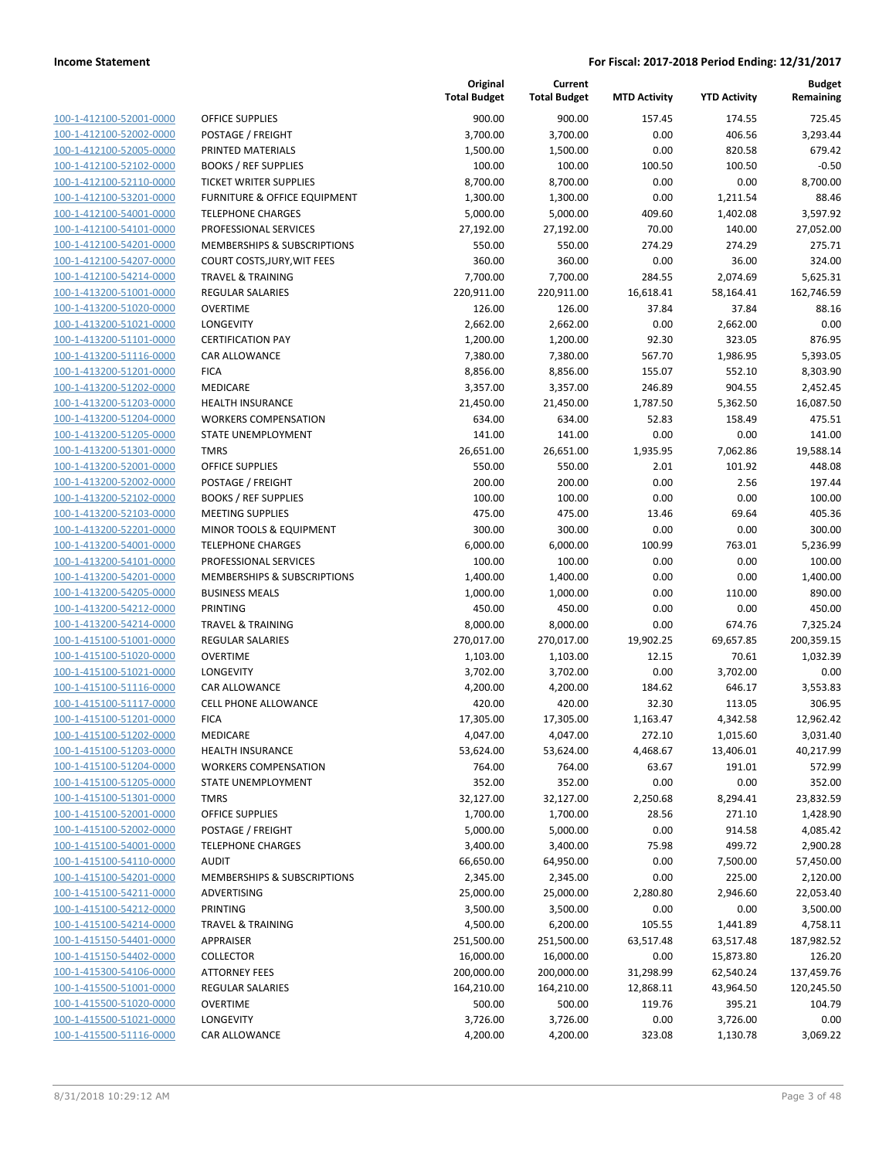| 100-1-412100-52001-0000        |
|--------------------------------|
| 100-1-412100-52002-0000        |
| 100-1-412100-52005-0000        |
| 100-1-412100-52102-0000        |
| 100-1-412100-52110-0000        |
| 100-1-412100-53201-0000        |
| 100-1-412100-54001-0000        |
| 100-1-412100-54101-0000        |
| 100-1-412100-54201-0000        |
| 100-1-412100-54207-0000        |
| 100-1-412100-54214-0000        |
| 100-1-413200-51001-0000        |
| 100-1-413200-51020-0000        |
| 100-1-413200-51021-0000        |
| 100-1-413200-51101-0000        |
| 100-1-413200-51116-0000        |
| 100-1-413200-51201-0000        |
| 100-1-413200-51202-0000        |
| 100-1-413200-51203-0000        |
| 100-1-413200-51204-0000        |
| 100-1-413200-51205-0000        |
|                                |
| 100-1-413200-51301-0000        |
| 100-1-413200-52001-0000        |
| 100-1-413200-52002-0000        |
| 100-1-413200-52102-0000        |
| 100-1-413200-52103-0000        |
| 100-1-413200-52201-0000        |
| 100-1-413200-54001-0000        |
| 100-1-413200-54101-0000        |
| 100-1-413200-54201-0000        |
| 100-1-413200-54205-0000        |
| 100-1-413200-54212-0000        |
| 100-1-413200-54214-0000        |
| 100-1-415100-51001-0000        |
| 100-1-415100-51020-0000        |
| 100-1-415100-51021-0000        |
| 100-1-415100-51116-0000        |
| 100-1-415100-51117-0000        |
| 100-1-415100-51201-0000        |
| 100-1-415100-51202-0000        |
| 100-1-415100-51203-0000        |
| <u>100-1-415100-51204-0000</u> |
| 100-1-415100-51205-0000        |
| 100-1-415100-51301-0000        |
| 100-1-415100-52001-0000        |
|                                |
| <u>100-1-415100-52002-0000</u> |
| <u>100-1-415100-54001-0000</u> |
| 100-1-415100-54110-0000        |
| 100-1-415100-54201-0000        |
| <u>100-1-415100-54211-0000</u> |
| <u>100-1-415100-54212-0000</u> |
| 100-1-415100-54214-0000        |
| 100-1-415150-54401-0000        |
| 100-1-415150-54402-0000        |
| 100-1-415300-54106-0000        |
| <u>100-1-415500-51001-0000</u> |
| 100-1-415500-51020-0000        |
| <u>100-1-415500-51021-0000</u> |
| 100-1-415500-51116-0000        |
|                                |

|                         |                               | Original<br><b>Total Budget</b> | Current<br><b>Total Budget</b> | <b>MTD Activity</b> | <b>YTD Activity</b> | <b>Budget</b><br>Remaining |
|-------------------------|-------------------------------|---------------------------------|--------------------------------|---------------------|---------------------|----------------------------|
| 100-1-412100-52001-0000 | OFFICE SUPPLIES               | 900.00                          | 900.00                         | 157.45              | 174.55              | 725.45                     |
| 100-1-412100-52002-0000 | POSTAGE / FREIGHT             | 3,700.00                        | 3,700.00                       | 0.00                | 406.56              | 3,293.44                   |
| 100-1-412100-52005-0000 | PRINTED MATERIALS             | 1,500.00                        | 1,500.00                       | 0.00                | 820.58              | 679.42                     |
| 100-1-412100-52102-0000 | <b>BOOKS / REF SUPPLIES</b>   | 100.00                          | 100.00                         | 100.50              | 100.50              | $-0.50$                    |
| 100-1-412100-52110-0000 | <b>TICKET WRITER SUPPLIES</b> | 8,700.00                        | 8,700.00                       | 0.00                | 0.00                | 8,700.00                   |
| 100-1-412100-53201-0000 | FURNITURE & OFFICE EQUIPMENT  | 1,300.00                        | 1,300.00                       | 0.00                | 1,211.54            | 88.46                      |
| 100-1-412100-54001-0000 | <b>TELEPHONE CHARGES</b>      | 5,000.00                        | 5,000.00                       | 409.60              | 1,402.08            | 3,597.92                   |
| 100-1-412100-54101-0000 | PROFESSIONAL SERVICES         | 27,192.00                       | 27,192.00                      | 70.00               | 140.00              | 27,052.00                  |
| 100-1-412100-54201-0000 | MEMBERSHIPS & SUBSCRIPTIONS   | 550.00                          | 550.00                         | 274.29              | 274.29              | 275.71                     |
| 100-1-412100-54207-0000 | COURT COSTS, JURY, WIT FEES   | 360.00                          | 360.00                         | 0.00                | 36.00               | 324.00                     |
| 100-1-412100-54214-0000 | <b>TRAVEL &amp; TRAINING</b>  | 7,700.00                        | 7,700.00                       | 284.55              | 2,074.69            | 5,625.31                   |
| 100-1-413200-51001-0000 | REGULAR SALARIES              | 220,911.00                      | 220,911.00                     | 16,618.41           | 58,164.41           | 162,746.59                 |
| 100-1-413200-51020-0000 | <b>OVERTIME</b>               | 126.00                          | 126.00                         | 37.84               | 37.84               | 88.16                      |
| 100-1-413200-51021-0000 | LONGEVITY                     | 2,662.00                        | 2,662.00                       | 0.00                | 2,662.00            | 0.00                       |
| 100-1-413200-51101-0000 | <b>CERTIFICATION PAY</b>      | 1,200.00                        | 1,200.00                       | 92.30               | 323.05              | 876.95                     |
| 100-1-413200-51116-0000 | CAR ALLOWANCE                 | 7,380.00                        | 7,380.00                       | 567.70              | 1,986.95            | 5,393.05                   |
| 100-1-413200-51201-0000 | <b>FICA</b>                   | 8,856.00                        | 8,856.00                       | 155.07              | 552.10              | 8,303.90                   |
| 100-1-413200-51202-0000 | MEDICARE                      | 3,357.00                        | 3,357.00                       | 246.89              | 904.55              | 2,452.45                   |
| 100-1-413200-51203-0000 | <b>HEALTH INSURANCE</b>       | 21,450.00                       | 21,450.00                      | 1,787.50            | 5,362.50            | 16,087.50                  |
| 100-1-413200-51204-0000 | <b>WORKERS COMPENSATION</b>   | 634.00                          | 634.00                         | 52.83               | 158.49              | 475.51                     |
| 100-1-413200-51205-0000 | STATE UNEMPLOYMENT            | 141.00                          | 141.00                         | 0.00                | 0.00                | 141.00                     |
| 100-1-413200-51301-0000 | <b>TMRS</b>                   | 26,651.00                       | 26,651.00                      | 1,935.95            | 7,062.86            | 19,588.14                  |
| 100-1-413200-52001-0000 | <b>OFFICE SUPPLIES</b>        | 550.00                          | 550.00                         | 2.01                | 101.92              | 448.08                     |
| 100-1-413200-52002-0000 | POSTAGE / FREIGHT             | 200.00                          | 200.00                         | 0.00                | 2.56                | 197.44                     |
| 100-1-413200-52102-0000 | <b>BOOKS / REF SUPPLIES</b>   | 100.00                          | 100.00                         | 0.00                | 0.00                | 100.00                     |
| 100-1-413200-52103-0000 | <b>MEETING SUPPLIES</b>       | 475.00                          | 475.00                         | 13.46               | 69.64               | 405.36                     |
| 100-1-413200-52201-0000 | MINOR TOOLS & EQUIPMENT       | 300.00                          | 300.00                         | 0.00                | 0.00                | 300.00                     |
| 100-1-413200-54001-0000 | <b>TELEPHONE CHARGES</b>      | 6,000.00                        | 6,000.00                       | 100.99              | 763.01              | 5,236.99                   |
| 100-1-413200-54101-0000 | PROFESSIONAL SERVICES         | 100.00                          | 100.00                         | 0.00                | 0.00                | 100.00                     |
| 100-1-413200-54201-0000 | MEMBERSHIPS & SUBSCRIPTIONS   | 1,400.00                        | 1,400.00                       | 0.00                | 0.00                | 1,400.00                   |
| 100-1-413200-54205-0000 | <b>BUSINESS MEALS</b>         | 1,000.00                        | 1,000.00                       | 0.00                | 110.00              | 890.00                     |
| 100-1-413200-54212-0000 | PRINTING                      | 450.00                          | 450.00                         | 0.00                | 0.00                | 450.00                     |
| 100-1-413200-54214-0000 | <b>TRAVEL &amp; TRAINING</b>  | 8,000.00                        | 8,000.00                       | 0.00                | 674.76              | 7,325.24                   |
| 100-1-415100-51001-0000 | <b>REGULAR SALARIES</b>       | 270,017.00                      | 270,017.00                     | 19,902.25           | 69,657.85           | 200,359.15                 |
| 100-1-415100-51020-0000 | <b>OVERTIME</b>               | 1,103.00                        | 1,103.00                       | 12.15               | 70.61               | 1,032.39                   |
| 100-1-415100-51021-0000 | LONGEVITY                     | 3,702.00                        | 3,702.00                       | 0.00                | 3,702.00            | 0.00                       |
| 100-1-415100-51116-0000 | CAR ALLOWANCE                 | 4,200.00                        | 4,200.00                       | 184.62              | 646.17              | 3,553.83                   |
| 100-1-415100-51117-0000 | <b>CELL PHONE ALLOWANCE</b>   | 420.00                          | 420.00                         | 32.30               | 113.05              | 306.95                     |
| 100-1-415100-51201-0000 | <b>FICA</b>                   | 17,305.00                       | 17,305.00                      | 1,163.47            | 4,342.58            | 12,962.42                  |
| 100-1-415100-51202-0000 | <b>MEDICARE</b>               | 4,047.00                        | 4,047.00                       | 272.10              | 1,015.60            | 3,031.40                   |
| 100-1-415100-51203-0000 | <b>HEALTH INSURANCE</b>       | 53,624.00                       | 53,624.00                      | 4,468.67            | 13,406.01           | 40,217.99                  |
| 100-1-415100-51204-0000 | <b>WORKERS COMPENSATION</b>   | 764.00                          | 764.00                         | 63.67               | 191.01              | 572.99                     |
| 100-1-415100-51205-0000 | STATE UNEMPLOYMENT            | 352.00                          | 352.00                         | 0.00                | 0.00                | 352.00                     |
| 100-1-415100-51301-0000 | <b>TMRS</b>                   | 32,127.00                       | 32,127.00                      | 2,250.68            | 8,294.41            | 23,832.59                  |
| 100-1-415100-52001-0000 | <b>OFFICE SUPPLIES</b>        | 1,700.00                        | 1,700.00                       | 28.56               | 271.10              | 1,428.90                   |
| 100-1-415100-52002-0000 | POSTAGE / FREIGHT             | 5,000.00                        | 5,000.00                       | 0.00                | 914.58              | 4,085.42                   |
| 100-1-415100-54001-0000 | <b>TELEPHONE CHARGES</b>      | 3,400.00                        | 3,400.00                       | 75.98               | 499.72              | 2,900.28                   |
| 100-1-415100-54110-0000 | <b>AUDIT</b>                  | 66,650.00                       | 64,950.00                      | 0.00                | 7,500.00            | 57,450.00                  |
| 100-1-415100-54201-0000 | MEMBERSHIPS & SUBSCRIPTIONS   | 2,345.00                        | 2,345.00                       | 0.00                | 225.00              | 2,120.00                   |
| 100-1-415100-54211-0000 | ADVERTISING                   | 25,000.00                       | 25,000.00                      | 2,280.80            | 2,946.60            | 22,053.40                  |
| 100-1-415100-54212-0000 | PRINTING                      | 3,500.00                        | 3,500.00                       | 0.00                | 0.00                | 3,500.00                   |
| 100-1-415100-54214-0000 | <b>TRAVEL &amp; TRAINING</b>  | 4,500.00                        | 6,200.00                       | 105.55              | 1,441.89            | 4,758.11                   |
| 100-1-415150-54401-0000 | <b>APPRAISER</b>              | 251,500.00                      | 251,500.00                     | 63,517.48           | 63,517.48           | 187,982.52                 |
| 100-1-415150-54402-0000 | <b>COLLECTOR</b>              | 16,000.00                       | 16,000.00                      | 0.00                | 15,873.80           | 126.20                     |
| 100-1-415300-54106-0000 | <b>ATTORNEY FEES</b>          | 200,000.00                      | 200,000.00                     | 31,298.99           | 62,540.24           | 137,459.76                 |
| 100-1-415500-51001-0000 | REGULAR SALARIES              | 164,210.00                      | 164,210.00                     | 12,868.11           | 43,964.50           | 120,245.50                 |
| 100-1-415500-51020-0000 | <b>OVERTIME</b>               | 500.00                          | 500.00                         | 119.76              | 395.21              | 104.79                     |
| 100-1-415500-51021-0000 | LONGEVITY                     | 3,726.00                        | 3,726.00                       | 0.00                | 3,726.00            | 0.00                       |
| 100-1-415500-51116-0000 | CAR ALLOWANCE                 | 4,200.00                        | 4,200.00                       | 323.08              | 1,130.78            | 3,069.22                   |
|                         |                               |                                 |                                |                     |                     |                            |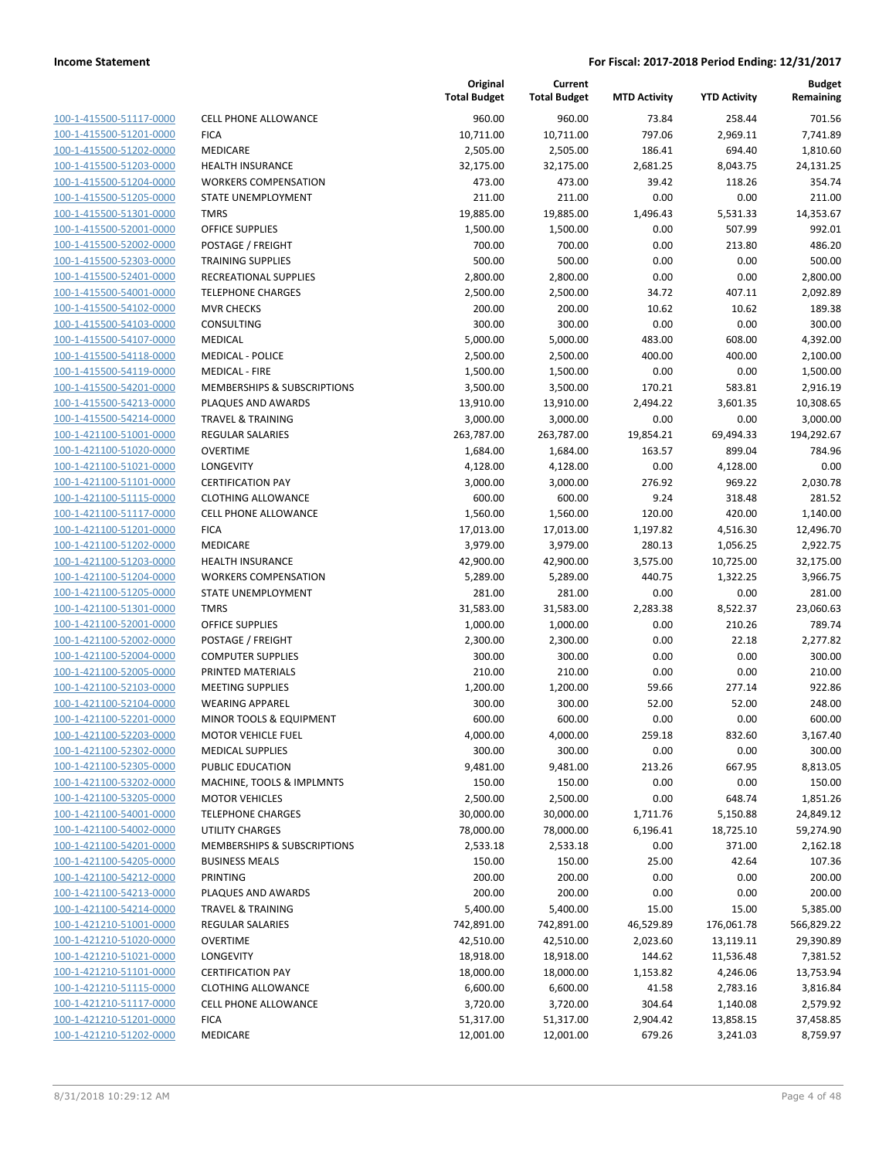| 100-1-415500-51117-0000        |
|--------------------------------|
| 100-1-415500-51201-0000        |
| 100-1-415500-51202-0000        |
| <u>100-1-415500-51203-0000</u> |
| 100-1-415500-51204-0000        |
| 100-1-415500-51205-0000        |
| 100-1-415500-51301-0000        |
| 100-1-415500-52001-0000        |
| 100-1-415500-52002-0000        |
| 100-1-415500-52303-0000        |
| 100-1-415500-52401-0000        |
| 100-1-415500-54001-0000        |
| 100-1-415500-54102-0000        |
| <u>100-1-415500-54103-0000</u> |
| 100-1-415500-54107-0000        |
| 100-1-415500-54118-0000        |
| 100-1-415500-54119-0000        |
| 100-1-415500-54201-0000        |
| 100-1-415500-54213-0000        |
| 100-1-415500-54214-0000        |
| 100-1-421100-51001-0000        |
| 100-1-421100-51020-0000        |
| 100-1-421100-51021-0000        |
|                                |
| <u>100-1-421100-51101-0000</u> |
| 100-1-421100-51115-0000        |
| 100-1-421100-51117-0000        |
| 100-1-421100-51201-0000        |
| 100-1-421100-51202-0000        |
| 100-1-421100-51203-0000        |
| 100-1-421100-51204-0000        |
| 100-1-421100-51205-0000        |
| 100-1-421100-51301-0000        |
| 100-1-421100-52001-0000        |
| <u>100-1-421100-52002-0000</u> |
| 100-1-421100-52004-0000        |
| 100-1-421100-52005-0000        |
| 100-1-421100-52103-0000        |
| 100-1-421100-52104-0000        |
| 100-1-421100-52201-0000        |
| 100-1-421100-52203-0000        |
| 100-1-421100-52302-0000        |
| <u>100-1-421100-52305-0000</u> |
| 100-1-421100-53202-0000        |
| 100-1-421100-53205-0000        |
| <u>100-1-421100-54001-0000</u> |
| <u>100-1-421100-54002-0000</u> |
| 100-1-421100-54201-0000        |
| 100-1-421100-54205-0000        |
| 100-1-421100-54212-0000        |
|                                |
| <u>100-1-421100-54213-0000</u> |
| <u>100-1-421100-54214-0000</u> |
| 100-1-421210-51001-0000        |
| 100-1-421210-51020-0000        |
| 100-1-421210-51021-0000        |
| <u>100-1-421210-51101-0000</u> |
| <u>100-1-421210-51115-0000</u> |
| <u>100-1-421210-51117-0000</u> |
| 100-1-421210-51201-0000        |
| <u>100-1-421210-51202-0000</u> |
|                                |

| CELL PHONE ALLOWANCE        |
|-----------------------------|
| FICA                        |
| MEDICARE                    |
| HEALTH INSURANCE            |
| WORKERS COMPENSATION        |
| STATE UNEMPLOYMENT          |
| TMRS                        |
| OFFICE SUPPLIES             |
| POSTAGE / FREIGHT           |
| TRAINING SUPPLIES           |
| RECREATIONAL SUPPLIES       |
| <b>TELEPHONE CHARGES</b>    |
| MVR CHECKS<br>CONSULTING    |
| MEDICAL                     |
| MEDICAL - POLICE            |
| MEDICAL - FIRE              |
| MEMBERSHIPS & SUBSCRIPTIONS |
| PLAQUES AND AWARDS          |
| TRAVEL & TRAINING           |
| REGULAR SALARIES            |
| OVERTIME                    |
| LONGEVITY                   |
| CERTIFICATION PAY           |
| CLOTHING ALLOWANCE          |
| CELL PHONE ALLOWANCE        |
| FICA                        |
| MEDICARE                    |
| HEALTH INSURANCE            |
| WORKERS COMPENSATION        |
| STATE UNEMPLOYMENT          |
| TMRS<br>OFFICE SUPPLIES     |
| POSTAGE / FREIGHT           |
| COMPUTER SUPPLIES           |
| PRINTED MATERIALS           |
| MEETING SUPPLIES            |
| WEARING APPAREL             |
| MINOR TOOLS & EQUIPMENT     |
| MOTOR VEHICLE FUEL          |
| <b>MEDICAL SUPPLIES</b>     |
| PUBLIC EDUCATION            |
| MACHINE, TOOLS & IMPLMNTS   |
| <b>MOTOR VEHICLES</b>       |
| <b>TELEPHONE CHARGES</b>    |
| UTILITY CHARGES             |
| MEMBERSHIPS & SUBSCRIPTIONS |
| <b>BUSINESS MEALS</b>       |
| PRINTING                    |
| PLAQUES AND AWARDS          |
| TRAVEL & TRAINING           |
| REGULAR SALARIES            |
| OVERTIME<br>LONGEVITY       |
| <b>CERTIFICATION PAY</b>    |
| CLOTHING ALLOWANCE          |
| CELL PHONE ALLOWANCE        |
| FICA                        |
| MEDICARE                    |

|                                                    |                                        | Original<br><b>Total Budget</b> | Current<br><b>Total Budget</b> | <b>MTD Activity</b> | <b>YTD Activity</b> | <b>Budget</b><br>Remaining |
|----------------------------------------------------|----------------------------------------|---------------------------------|--------------------------------|---------------------|---------------------|----------------------------|
| 100-1-415500-51117-0000                            | <b>CELL PHONE ALLOWANCE</b>            | 960.00                          | 960.00                         | 73.84               | 258.44              | 701.56                     |
| 100-1-415500-51201-0000                            | <b>FICA</b>                            | 10,711.00                       | 10,711.00                      | 797.06              | 2,969.11            | 7,741.89                   |
| 100-1-415500-51202-0000                            | MEDICARE                               | 2,505.00                        | 2,505.00                       | 186.41              | 694.40              | 1,810.60                   |
| 100-1-415500-51203-0000                            | <b>HEALTH INSURANCE</b>                | 32,175.00                       | 32,175.00                      | 2,681.25            | 8,043.75            | 24,131.25                  |
| 100-1-415500-51204-0000                            | <b>WORKERS COMPENSATION</b>            | 473.00                          | 473.00                         | 39.42               | 118.26              | 354.74                     |
| 100-1-415500-51205-0000                            | STATE UNEMPLOYMENT                     | 211.00                          | 211.00                         | 0.00                | 0.00                | 211.00                     |
| 100-1-415500-51301-0000                            | <b>TMRS</b>                            | 19,885.00                       | 19,885.00                      | 1,496.43            | 5,531.33            | 14,353.67                  |
| 100-1-415500-52001-0000                            | <b>OFFICE SUPPLIES</b>                 | 1,500.00                        | 1,500.00                       | 0.00                | 507.99              | 992.01                     |
| 100-1-415500-52002-0000                            | POSTAGE / FREIGHT                      | 700.00                          | 700.00                         | 0.00                | 213.80              | 486.20                     |
| 100-1-415500-52303-0000                            | <b>TRAINING SUPPLIES</b>               | 500.00                          | 500.00                         | 0.00                | 0.00                | 500.00                     |
| 100-1-415500-52401-0000                            | <b>RECREATIONAL SUPPLIES</b>           | 2,800.00                        | 2,800.00                       | 0.00                | 0.00                | 2,800.00                   |
| 100-1-415500-54001-0000                            | <b>TELEPHONE CHARGES</b>               | 2,500.00                        | 2,500.00                       | 34.72               | 407.11              | 2,092.89                   |
| 100-1-415500-54102-0000                            | <b>MVR CHECKS</b>                      | 200.00                          | 200.00                         | 10.62               | 10.62               | 189.38                     |
| 100-1-415500-54103-0000                            | CONSULTING                             | 300.00                          | 300.00                         | 0.00                | 0.00                | 300.00                     |
| 100-1-415500-54107-0000                            | <b>MEDICAL</b>                         | 5,000.00                        | 5,000.00                       | 483.00              | 608.00              | 4,392.00                   |
| 100-1-415500-54118-0000                            | <b>MEDICAL - POLICE</b>                | 2,500.00                        | 2,500.00                       | 400.00              | 400.00              | 2,100.00                   |
| 100-1-415500-54119-0000                            | <b>MEDICAL - FIRE</b>                  | 1,500.00                        | 1,500.00                       | 0.00                | 0.00                | 1,500.00                   |
| 100-1-415500-54201-0000                            | <b>MEMBERSHIPS &amp; SUBSCRIPTIONS</b> | 3,500.00                        | 3,500.00                       | 170.21              | 583.81              | 2,916.19                   |
| 100-1-415500-54213-0000                            | PLAQUES AND AWARDS                     | 13,910.00                       | 13,910.00                      | 2,494.22            | 3,601.35            | 10,308.65                  |
| 100-1-415500-54214-0000                            | <b>TRAVEL &amp; TRAINING</b>           | 3,000.00                        | 3,000.00                       | 0.00                | 0.00                | 3,000.00                   |
| 100-1-421100-51001-0000                            | <b>REGULAR SALARIES</b>                | 263,787.00                      | 263,787.00                     | 19,854.21           | 69,494.33           | 194,292.67                 |
| 100-1-421100-51020-0000<br>100-1-421100-51021-0000 | <b>OVERTIME</b><br>LONGEVITY           | 1,684.00                        | 1,684.00                       | 163.57<br>0.00      | 899.04              | 784.96                     |
| 100-1-421100-51101-0000                            | <b>CERTIFICATION PAY</b>               | 4,128.00                        | 4,128.00                       | 276.92              | 4,128.00<br>969.22  | 0.00<br>2,030.78           |
| 100-1-421100-51115-0000                            | <b>CLOTHING ALLOWANCE</b>              | 3,000.00<br>600.00              | 3,000.00<br>600.00             | 9.24                | 318.48              | 281.52                     |
| 100-1-421100-51117-0000                            | <b>CELL PHONE ALLOWANCE</b>            | 1,560.00                        | 1,560.00                       | 120.00              | 420.00              | 1,140.00                   |
| 100-1-421100-51201-0000                            | <b>FICA</b>                            | 17,013.00                       | 17,013.00                      | 1,197.82            | 4,516.30            | 12,496.70                  |
| 100-1-421100-51202-0000                            | MEDICARE                               | 3,979.00                        | 3,979.00                       | 280.13              | 1,056.25            | 2,922.75                   |
| 100-1-421100-51203-0000                            | <b>HEALTH INSURANCE</b>                | 42,900.00                       | 42,900.00                      | 3,575.00            | 10,725.00           | 32,175.00                  |
| 100-1-421100-51204-0000                            | <b>WORKERS COMPENSATION</b>            | 5,289.00                        | 5,289.00                       | 440.75              | 1,322.25            | 3,966.75                   |
| 100-1-421100-51205-0000                            | STATE UNEMPLOYMENT                     | 281.00                          | 281.00                         | 0.00                | 0.00                | 281.00                     |
| 100-1-421100-51301-0000                            | <b>TMRS</b>                            | 31,583.00                       | 31,583.00                      | 2,283.38            | 8,522.37            | 23,060.63                  |
| 100-1-421100-52001-0000                            | <b>OFFICE SUPPLIES</b>                 | 1,000.00                        | 1,000.00                       | 0.00                | 210.26              | 789.74                     |
| 100-1-421100-52002-0000                            | POSTAGE / FREIGHT                      | 2,300.00                        | 2,300.00                       | 0.00                | 22.18               | 2,277.82                   |
| 100-1-421100-52004-0000                            | <b>COMPUTER SUPPLIES</b>               | 300.00                          | 300.00                         | 0.00                | 0.00                | 300.00                     |
| 100-1-421100-52005-0000                            | PRINTED MATERIALS                      | 210.00                          | 210.00                         | 0.00                | 0.00                | 210.00                     |
| 100-1-421100-52103-0000                            | <b>MEETING SUPPLIES</b>                | 1,200.00                        | 1,200.00                       | 59.66               | 277.14              | 922.86                     |
| 100-1-421100-52104-0000                            | <b>WEARING APPAREL</b>                 | 300.00                          | 300.00                         | 52.00               | 52.00               | 248.00                     |
| 100-1-421100-52201-0000                            | MINOR TOOLS & EQUIPMENT                | 600.00                          | 600.00                         | 0.00                | 0.00                | 600.00                     |
| 100-1-421100-52203-0000                            | <b>MOTOR VEHICLE FUEL</b>              | 4,000.00                        | 4,000.00                       | 259.18              | 832.60              | 3,167.40                   |
| 100-1-421100-52302-0000                            | <b>MEDICAL SUPPLIES</b>                | 300.00                          | 300.00                         | 0.00                | 0.00                | 300.00                     |
| 100-1-421100-52305-0000                            | PUBLIC EDUCATION                       | 9,481.00                        | 9,481.00                       | 213.26              | 667.95              | 8,813.05                   |
| 100-1-421100-53202-0000                            | MACHINE, TOOLS & IMPLMNTS              | 150.00                          | 150.00                         | 0.00                | 0.00                | 150.00                     |
| 100-1-421100-53205-0000                            | <b>MOTOR VEHICLES</b>                  | 2,500.00                        | 2,500.00                       | 0.00                | 648.74              | 1,851.26                   |
| 100-1-421100-54001-0000                            | <b>TELEPHONE CHARGES</b>               | 30,000.00                       | 30,000.00                      | 1,711.76            | 5,150.88            | 24,849.12                  |
| 100-1-421100-54002-0000                            | UTILITY CHARGES                        | 78,000.00                       | 78,000.00                      | 6,196.41            | 18,725.10           | 59,274.90                  |
| 100-1-421100-54201-0000                            | MEMBERSHIPS & SUBSCRIPTIONS            | 2,533.18                        | 2,533.18                       | 0.00                | 371.00              | 2,162.18                   |
| 100-1-421100-54205-0000                            | <b>BUSINESS MEALS</b>                  | 150.00                          | 150.00                         | 25.00               | 42.64               | 107.36                     |
| 100-1-421100-54212-0000                            | PRINTING                               | 200.00                          | 200.00                         | 0.00                | 0.00                | 200.00                     |
| 100-1-421100-54213-0000                            | PLAQUES AND AWARDS                     | 200.00                          | 200.00                         | 0.00                | 0.00                | 200.00                     |
| 100-1-421100-54214-0000                            | <b>TRAVEL &amp; TRAINING</b>           | 5,400.00                        | 5,400.00                       | 15.00               | 15.00               | 5,385.00                   |
| 100-1-421210-51001-0000                            | <b>REGULAR SALARIES</b>                | 742,891.00                      | 742,891.00                     | 46,529.89           | 176,061.78          | 566,829.22                 |
| 100-1-421210-51020-0000                            | OVERTIME                               | 42,510.00                       | 42,510.00                      | 2,023.60            | 13,119.11           | 29,390.89                  |
| 100-1-421210-51021-0000                            | <b>LONGEVITY</b>                       | 18,918.00                       | 18,918.00                      | 144.62              | 11,536.48           | 7,381.52                   |
| 100-1-421210-51101-0000                            | <b>CERTIFICATION PAY</b>               | 18,000.00                       | 18,000.00                      | 1,153.82            | 4,246.06            | 13,753.94                  |
| 100-1-421210-51115-0000                            | <b>CLOTHING ALLOWANCE</b>              | 6,600.00                        | 6,600.00                       | 41.58               | 2,783.16            | 3,816.84                   |
| 100-1-421210-51117-0000                            | CELL PHONE ALLOWANCE                   | 3,720.00                        | 3,720.00                       | 304.64              | 1,140.08            | 2,579.92                   |
| 100-1-421210-51201-0000                            | <b>FICA</b>                            | 51,317.00                       | 51,317.00                      | 2,904.42            | 13,858.15           | 37,458.85                  |
| 100-1-421210-51202-0000                            | MEDICARE                               | 12,001.00                       | 12,001.00                      | 679.26              | 3,241.03            | 8,759.97                   |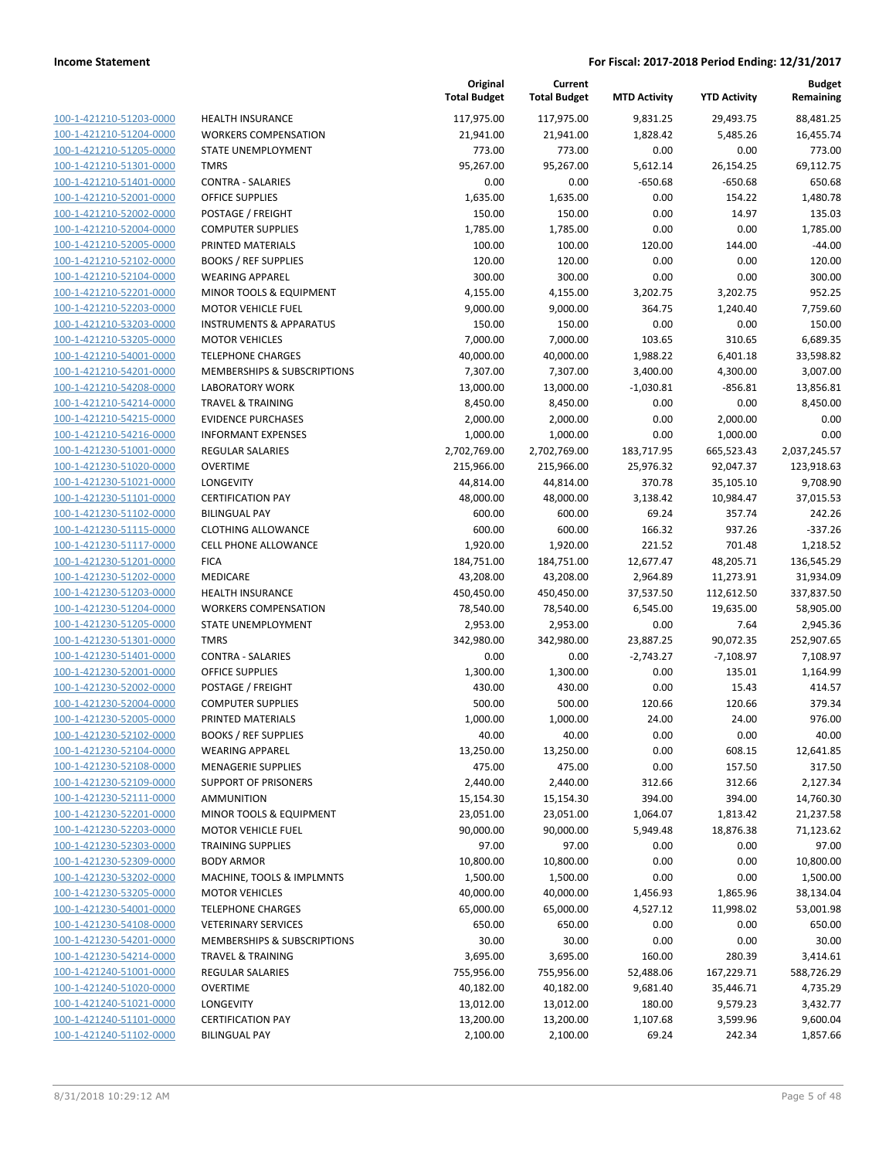| 100-1-421210-51203-0000        |
|--------------------------------|
| 100-1-421210-51204-0000        |
| 100-1-421210-51205-0000        |
| <u>100-1-421210-51301-0000</u> |
| 100-1-421210-51401-0000        |
| 100-1-421210-52001-0000        |
| 100-1-421210-52002-0000        |
|                                |
| 100-1-421210-52004-0000        |
| 100-1-421210-52005-0000        |
| 100-1-421210-52102-0000        |
| 100-1-421210-52104-0000        |
| 100-1-421210-52201-0000        |
| 100-1-421210-52203-0000        |
| <u>100-1-421210-53203-0000</u> |
| 100-1-421210-53205-0000        |
| 100-1-421210-54001-0000        |
| 100-1-421210-54201-0000        |
| 100-1-421210-54208-0000        |
|                                |
| <u>100-1-421210-54214-0000</u> |
| 100-1-421210-54215-0000        |
| 100-1-421210-54216-0000        |
| 100-1-421230-51001-0000        |
| 100-1-421230-51020-0000        |
| <u>100-1-421230-51021-0000</u> |
| 100-1-421230-51101-0000        |
| 100-1-421230-51102-0000        |
| 100-1-421230-51115-0000        |
| 100-1-421230-51117-0000        |
| <u>100-1-421230-51201-0000</u> |
|                                |
| 100-1-421230-51202-0000        |
| 100-1-421230-51203-0000        |
| 100-1-421230-51204-0000        |
| 100-1-421230-51205-0000        |
| <u>100-1-421230-51301-0000</u> |
| 100-1-421230-51401-0000        |
| 100-1-421230-52001-0000        |
| 100-1-421230-52002-0000        |
| 100-1-421230-52004-0000        |
| 100-1-421230-52005-0000        |
| 100-1-421230-52102-0000        |
| 100-1-421230-52104-0000        |
| 100-1-421230-52108-0000        |
|                                |
| 100-1-421230-52109-0000        |
| 100-1-421230-52111-0000        |
| <u>100-1-421230-52201-0000</u> |
| 100-1-421230-52203-0000        |
| 100-1-421230-52303-0000        |
| 100-1-421230-52309-0000        |
| 100-1-421230-53202-0000        |
| <u>100-1-421230-53205-0000</u> |
| 100-1-421230-54001-0000        |
| 100-1-421230-54108-0000        |
| 100-1-421230-54201-0000        |
|                                |
| 100-1-421230-54214-0000        |
| <u>100-1-421240-51001-0000</u> |
| <u>100-1-421240-51020-0000</u> |
| <u>100-1-421240-51021-0000</u> |
| 100-1-421240-51101-0000        |
| <u>100-1-421240-51102-0000</u> |
|                                |

|                         |                                        | Original<br><b>Total Budget</b> | Current<br><b>Total Budget</b> | <b>MTD Activity</b> | <b>YTD Activity</b> | <b>Budget</b><br>Remaining |
|-------------------------|----------------------------------------|---------------------------------|--------------------------------|---------------------|---------------------|----------------------------|
| 100-1-421210-51203-0000 | <b>HEALTH INSURANCE</b>                | 117,975.00                      | 117,975.00                     | 9,831.25            | 29,493.75           | 88,481.25                  |
| 100-1-421210-51204-0000 | <b>WORKERS COMPENSATION</b>            | 21,941.00                       | 21,941.00                      | 1,828.42            | 5,485.26            | 16,455.74                  |
| 100-1-421210-51205-0000 | STATE UNEMPLOYMENT                     | 773.00                          | 773.00                         | 0.00                | 0.00                | 773.00                     |
| 100-1-421210-51301-0000 | <b>TMRS</b>                            | 95,267.00                       | 95,267.00                      | 5,612.14            | 26,154.25           | 69,112.75                  |
| 100-1-421210-51401-0000 | <b>CONTRA - SALARIES</b>               | 0.00                            | 0.00                           | $-650.68$           | $-650.68$           | 650.68                     |
| 100-1-421210-52001-0000 | <b>OFFICE SUPPLIES</b>                 | 1,635.00                        | 1,635.00                       | 0.00                | 154.22              | 1,480.78                   |
| 100-1-421210-52002-0000 | POSTAGE / FREIGHT                      | 150.00                          | 150.00                         | 0.00                | 14.97               | 135.03                     |
| 100-1-421210-52004-0000 | <b>COMPUTER SUPPLIES</b>               | 1,785.00                        | 1,785.00                       | 0.00                | 0.00                | 1,785.00                   |
| 100-1-421210-52005-0000 | PRINTED MATERIALS                      | 100.00                          | 100.00                         | 120.00              | 144.00              | $-44.00$                   |
| 100-1-421210-52102-0000 | <b>BOOKS / REF SUPPLIES</b>            | 120.00                          | 120.00                         | 0.00                | 0.00                | 120.00                     |
| 100-1-421210-52104-0000 | <b>WEARING APPAREL</b>                 | 300.00                          | 300.00                         | 0.00                | 0.00                | 300.00                     |
| 100-1-421210-52201-0000 | MINOR TOOLS & EQUIPMENT                | 4,155.00                        | 4,155.00                       | 3,202.75            | 3,202.75            | 952.25                     |
| 100-1-421210-52203-0000 | <b>MOTOR VEHICLE FUEL</b>              | 9,000.00                        | 9,000.00                       | 364.75              | 1,240.40            | 7,759.60                   |
| 100-1-421210-53203-0000 | <b>INSTRUMENTS &amp; APPARATUS</b>     | 150.00                          | 150.00                         | 0.00                | 0.00                | 150.00                     |
| 100-1-421210-53205-0000 | <b>MOTOR VEHICLES</b>                  | 7,000.00                        | 7,000.00                       | 103.65              | 310.65              | 6,689.35                   |
| 100-1-421210-54001-0000 | <b>TELEPHONE CHARGES</b>               | 40,000.00                       | 40,000.00                      | 1,988.22            | 6,401.18            | 33,598.82                  |
| 100-1-421210-54201-0000 | MEMBERSHIPS & SUBSCRIPTIONS            | 7,307.00                        | 7,307.00                       | 3,400.00            | 4,300.00            | 3,007.00                   |
| 100-1-421210-54208-0000 | <b>LABORATORY WORK</b>                 | 13,000.00                       | 13,000.00                      | $-1,030.81$         | $-856.81$           | 13,856.81                  |
| 100-1-421210-54214-0000 | <b>TRAVEL &amp; TRAINING</b>           | 8,450.00                        | 8,450.00                       | 0.00                | 0.00                | 8,450.00                   |
| 100-1-421210-54215-0000 | <b>EVIDENCE PURCHASES</b>              | 2,000.00                        | 2,000.00                       | 0.00                | 2,000.00            | 0.00                       |
| 100-1-421210-54216-0000 | <b>INFORMANT EXPENSES</b>              | 1,000.00                        | 1,000.00                       | 0.00                | 1,000.00            | 0.00                       |
| 100-1-421230-51001-0000 | REGULAR SALARIES                       | 2,702,769.00                    | 2,702,769.00                   | 183,717.95          | 665,523.43          | 2,037,245.57               |
| 100-1-421230-51020-0000 | <b>OVERTIME</b>                        | 215,966.00                      | 215,966.00                     | 25,976.32           | 92,047.37           | 123,918.63                 |
| 100-1-421230-51021-0000 | LONGEVITY                              | 44,814.00                       | 44,814.00                      | 370.78              | 35,105.10           | 9,708.90                   |
| 100-1-421230-51101-0000 | <b>CERTIFICATION PAY</b>               | 48,000.00                       | 48,000.00                      | 3,138.42            | 10,984.47           | 37,015.53                  |
| 100-1-421230-51102-0000 | <b>BILINGUAL PAY</b>                   | 600.00                          | 600.00                         | 69.24               | 357.74              | 242.26                     |
| 100-1-421230-51115-0000 | <b>CLOTHING ALLOWANCE</b>              | 600.00                          | 600.00                         | 166.32              | 937.26              | $-337.26$                  |
| 100-1-421230-51117-0000 | <b>CELL PHONE ALLOWANCE</b>            | 1,920.00                        | 1,920.00                       | 221.52              | 701.48              | 1,218.52                   |
| 100-1-421230-51201-0000 | <b>FICA</b>                            | 184,751.00                      | 184,751.00                     | 12,677.47           | 48,205.71           | 136,545.29                 |
| 100-1-421230-51202-0000 | MEDICARE                               | 43,208.00                       | 43,208.00                      | 2,964.89            | 11,273.91           | 31,934.09                  |
| 100-1-421230-51203-0000 | <b>HEALTH INSURANCE</b>                | 450,450.00                      | 450,450.00                     | 37,537.50           | 112,612.50          | 337,837.50                 |
| 100-1-421230-51204-0000 | <b>WORKERS COMPENSATION</b>            | 78,540.00                       | 78,540.00                      | 6,545.00            | 19,635.00           | 58,905.00                  |
| 100-1-421230-51205-0000 | STATE UNEMPLOYMENT                     | 2,953.00                        | 2,953.00                       | 0.00                | 7.64                | 2,945.36                   |
| 100-1-421230-51301-0000 | <b>TMRS</b>                            | 342,980.00                      | 342,980.00                     | 23,887.25           | 90,072.35           | 252,907.65                 |
| 100-1-421230-51401-0000 | <b>CONTRA - SALARIES</b>               | 0.00                            | 0.00                           | $-2,743.27$         | $-7,108.97$         | 7,108.97                   |
| 100-1-421230-52001-0000 | <b>OFFICE SUPPLIES</b>                 | 1,300.00                        | 1,300.00                       | 0.00                | 135.01              | 1,164.99                   |
| 100-1-421230-52002-0000 | POSTAGE / FREIGHT                      | 430.00                          | 430.00                         | 0.00                | 15.43               | 414.57                     |
| 100-1-421230-52004-0000 | <b>COMPUTER SUPPLIES</b>               | 500.00                          | 500.00                         | 120.66              | 120.66              | 379.34                     |
| 100-1-421230-52005-0000 | PRINTED MATERIALS                      | 1,000.00                        | 1,000.00                       | 24.00               | 24.00               | 976.00                     |
| 100-1-421230-52102-0000 | <b>BOOKS / REF SUPPLIES</b>            | 40.00                           | 40.00                          | 0.00                | 0.00                | 40.00                      |
| 100-1-421230-52104-0000 | <b>WEARING APPAREL</b>                 | 13,250.00                       | 13,250.00                      | 0.00                | 608.15              | 12,641.85                  |
| 100-1-421230-52108-0000 | <b>MENAGERIE SUPPLIES</b>              | 475.00                          | 475.00                         | 0.00                | 157.50              | 317.50                     |
| 100-1-421230-52109-0000 | <b>SUPPORT OF PRISONERS</b>            | 2,440.00                        | 2,440.00                       | 312.66              | 312.66              | 2,127.34                   |
| 100-1-421230-52111-0000 | <b>AMMUNITION</b>                      | 15,154.30                       | 15,154.30                      | 394.00              | 394.00              | 14,760.30                  |
| 100-1-421230-52201-0000 | MINOR TOOLS & EQUIPMENT                | 23,051.00                       | 23,051.00                      | 1,064.07            | 1,813.42            | 21,237.58                  |
| 100-1-421230-52203-0000 | <b>MOTOR VEHICLE FUEL</b>              | 90,000.00                       | 90,000.00                      | 5,949.48            | 18,876.38           | 71,123.62                  |
| 100-1-421230-52303-0000 | <b>TRAINING SUPPLIES</b>               | 97.00                           | 97.00                          | 0.00                | 0.00                | 97.00                      |
| 100-1-421230-52309-0000 | <b>BODY ARMOR</b>                      | 10,800.00                       | 10,800.00                      | 0.00                | 0.00                | 10,800.00                  |
| 100-1-421230-53202-0000 | MACHINE, TOOLS & IMPLMNTS              | 1,500.00                        | 1,500.00                       | 0.00                | 0.00                | 1,500.00                   |
| 100-1-421230-53205-0000 | <b>MOTOR VEHICLES</b>                  | 40,000.00                       | 40,000.00                      | 1,456.93            | 1,865.96            | 38,134.04                  |
| 100-1-421230-54001-0000 | <b>TELEPHONE CHARGES</b>               | 65,000.00                       | 65,000.00                      | 4,527.12            | 11,998.02           | 53,001.98                  |
| 100-1-421230-54108-0000 | <b>VETERINARY SERVICES</b>             | 650.00                          | 650.00                         | 0.00                | 0.00                | 650.00                     |
| 100-1-421230-54201-0000 | <b>MEMBERSHIPS &amp; SUBSCRIPTIONS</b> | 30.00                           | 30.00                          | 0.00                | 0.00                | 30.00                      |
| 100-1-421230-54214-0000 | <b>TRAVEL &amp; TRAINING</b>           | 3,695.00                        | 3,695.00                       | 160.00              | 280.39              | 3,414.61                   |
| 100-1-421240-51001-0000 | REGULAR SALARIES                       | 755,956.00                      | 755,956.00                     | 52,488.06           | 167,229.71          | 588,726.29                 |
| 100-1-421240-51020-0000 | <b>OVERTIME</b>                        | 40,182.00                       | 40,182.00                      | 9,681.40            | 35,446.71           | 4,735.29                   |
| 100-1-421240-51021-0000 | <b>LONGEVITY</b>                       | 13,012.00                       | 13,012.00                      | 180.00              | 9,579.23            | 3,432.77                   |
| 100-1-421240-51101-0000 | <b>CERTIFICATION PAY</b>               | 13,200.00                       | 13,200.00                      | 1,107.68            | 3,599.96            | 9,600.04                   |
| 100-1-421240-51102-0000 | <b>BILINGUAL PAY</b>                   | 2,100.00                        | 2,100.00                       | 69.24               | 242.34              | 1,857.66                   |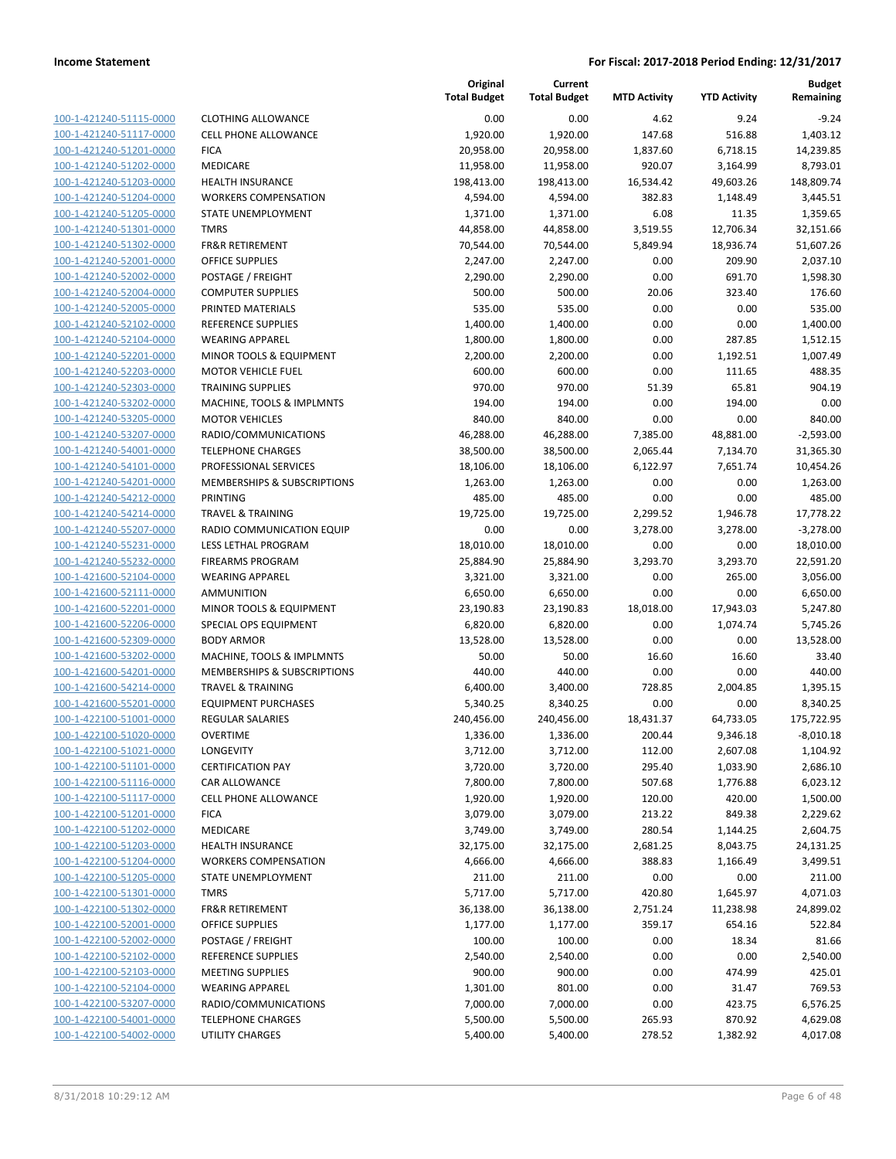| 100-1-421240-51115-0000         |
|---------------------------------|
| 100-1-421240-51117-0000         |
| 100-1-421240-51201-0000         |
| <u>100-1-421240-51202-0000</u>  |
| 100-1-421240-51203-0000         |
| -421240-51204-0000<br>$100 - 1$ |
| 100-1-421240-51205-0000         |
| 100-1-421240-51301-0000         |
| <u>100-1-421240-51302-0000</u>  |
| 100-1-421240-52001-0000         |
| -421240-52002-0000<br>$100 - 1$ |
| 100-1-421240-52004-0000         |
| 100-1-421240-52005-0000         |
| <u>100-1-421240-52102-0000</u>  |
| 100-1-421240-52104-0000         |
| -421240-52201-0000<br>$100 - 1$ |
| 100-1-421240-52203-0000         |
| 100-1-421240-52303-0000         |
| 100-1-421240-53202-0000         |
| 100-1-421240-53205-0000         |
| $100 - 1$<br>-421240-53207-0000 |
| 100-1-421240-54001-0000         |
|                                 |
| <u>100-1-421240-54101-0000</u>  |
| <u>100-1-421240-54201-0000</u>  |
| 100-1-421240-54212-0000         |
| -421240-54214-0000<br>$100 - 1$ |
| 100-1-421240-55207-0000         |
| <u>100-1-421240-55231-0000</u>  |
| <u>100-1-421240-55232-0000</u>  |
| 100-1-421600-52104-0000         |
| $100 - 1$<br>-421600-52111-0000 |
| 100-1-421600-52201-0000         |
| 100-1-421600-52206-0000         |
| <u>100-1-421600-52309-0000</u>  |
| 100-1-421600-53202-0000         |
| $100 - 1$<br>-421600-54201-0000 |
| 100-1-421600-54214-0000         |
| 100-1-421600-55201-0000         |
| <u>100-1-422100-51001-0000</u>  |
| 100-1-422100-51020-0000         |
| $100 - 1$<br>-422100-51021-0000 |
| <u>100-1-422100-51101-0000</u>  |
| <u>100-1-422100-51116-0000</u>  |
| <u>100-1-422100-51117-0000</u>  |
| 100-1-422100-51201-0000         |
| 100-1-422100-51202-0000         |
| 100-1-422100-51203-0000         |
| 100-1-422100-51204-0000         |
| <u>100-1-422100-51205-0000</u>  |
| 100-1-422100-51301-0000         |
| 100-1-422100-51302-0000         |
| 100-1-422100-52001-0000         |
| <u>100-1-422100-52002-0000</u>  |
| <u>100-1-422100-52102-0000</u>  |
| <u>100-1-422100-52103-0000</u>  |
| 100-1-422100-52104-0000         |
|                                 |
| <u>100-1-422100-53207-0000</u>  |
| <u>100-1-422100-54001-0000</u>  |
| <u>100-1-422100-54002-0000</u>  |

| LOTHING ALLOWANCE                      |
|----------------------------------------|
| ELL PHONE ALLOWANCE                    |
| ICA                                    |
| <b>IEDICARE</b>                        |
| <b>EALTH INSURANCE</b>                 |
| VORKERS COMPENSATION                   |
| TATE UNEMPLOYMENT                      |
| MRS                                    |
| R&R RETIREMENT                         |
| <b>FFICE SUPPLIES</b>                  |
| OSTAGE / FREIGHT                       |
| OMPUTER SUPPLIES                       |
| RINTED MATERIALS                       |
| <b>EFERENCE SUPPLIES</b>               |
| VEARING APPAREL                        |
| 1INOR TOOLS & EQUIPMENT                |
| 1OTOR VEHICLE FUEL                     |
| RAINING SUPPLIES                       |
| <b>IACHINE, TOOLS &amp; IMPLMNTS</b>   |
| <b>1OTOR VEHICLES</b>                  |
| ADIO/COMMUNICATIONS                    |
| ELEPHONE CHARGES                       |
| ROFESSIONAL SERVICES                   |
| <b>IEMBERSHIPS &amp; SUBSCRIPTIONS</b> |
| RINTING                                |
| RAVEL & TRAINING                       |
| ADIO COMMUNICATION EQUIP               |
| ESS LETHAL PROGRAM                     |
| IREARMS PROGRAM                        |
| VEARING APPAREL                        |
| <b>MMUNITION</b>                       |
| 1INOR TOOLS & EQUIPMENT                |
| PECIAL OPS EQUIPMENT                   |
| ODY ARMOR                              |
| <b>IACHINE, TOOLS &amp; IMPLMNTS</b>   |
| <b>IEMBERSHIPS &amp; SUBSCRIPTIONS</b> |
| RAVEL & TRAINING                       |
| QUIPMENT PURCHASES                     |
| <b>EGULAR SALARIES</b>                 |
| <b>VERTIME</b>                         |
| ONGEVITY                               |
| ERTIFICATION PAY                       |
| AR ALLOWANCE                           |
| ELL PHONE ALLOWANCE                    |
| <b>ICA</b>                             |
| <b>IEDICARE</b>                        |
| <b>EALTH INSURANCE</b>                 |
| <b>VORKERS COMPENSATION</b>            |
| TATE UNEMPLOYMENT                      |
| <b>MRS</b>                             |
| <b>R&amp;R RETIREMENT</b>              |
| <b>FFICE SUPPLIES</b>                  |
| OSTAGE / FREIGHT                       |
| <b>EFERENCE SUPPLIES</b>               |
| <b>IEETING SUPPLIES</b>                |
| VEARING APPAREL                        |
| ADIO/COMMUNICATIONS                    |
| ELEPHONE CHARGES                       |

|                         |                              | Original<br><b>Total Budget</b> | Current<br><b>Total Budget</b> | <b>MTD Activity</b> | <b>YTD Activity</b> | <b>Budget</b><br>Remaining |
|-------------------------|------------------------------|---------------------------------|--------------------------------|---------------------|---------------------|----------------------------|
| 100-1-421240-51115-0000 | <b>CLOTHING ALLOWANCE</b>    | 0.00                            | 0.00                           | 4.62                | 9.24                | $-9.24$                    |
| 100-1-421240-51117-0000 | <b>CELL PHONE ALLOWANCE</b>  | 1,920.00                        | 1,920.00                       | 147.68              | 516.88              | 1,403.12                   |
| 100-1-421240-51201-0000 | <b>FICA</b>                  | 20,958.00                       | 20,958.00                      | 1,837.60            | 6,718.15            | 14,239.85                  |
| 100-1-421240-51202-0000 | MEDICARE                     | 11,958.00                       | 11,958.00                      | 920.07              | 3,164.99            | 8,793.01                   |
| 100-1-421240-51203-0000 | HEALTH INSURANCE             | 198,413.00                      | 198,413.00                     | 16,534.42           | 49,603.26           | 148,809.74                 |
| 100-1-421240-51204-0000 | <b>WORKERS COMPENSATION</b>  | 4,594.00                        | 4,594.00                       | 382.83              | 1,148.49            | 3,445.51                   |
| 100-1-421240-51205-0000 | STATE UNEMPLOYMENT           | 1,371.00                        | 1,371.00                       | 6.08                | 11.35               | 1,359.65                   |
| 100-1-421240-51301-0000 | <b>TMRS</b>                  | 44,858.00                       | 44,858.00                      | 3,519.55            | 12,706.34           | 32,151.66                  |
| 100-1-421240-51302-0000 | <b>FR&amp;R RETIREMENT</b>   | 70,544.00                       | 70,544.00                      | 5,849.94            | 18,936.74           | 51,607.26                  |
| 100-1-421240-52001-0000 | <b>OFFICE SUPPLIES</b>       | 2,247.00                        | 2,247.00                       | 0.00                | 209.90              | 2,037.10                   |
| 100-1-421240-52002-0000 | POSTAGE / FREIGHT            | 2,290.00                        | 2,290.00                       | 0.00                | 691.70              | 1,598.30                   |
| 100-1-421240-52004-0000 | <b>COMPUTER SUPPLIES</b>     | 500.00                          | 500.00                         | 20.06               | 323.40              | 176.60                     |
| 100-1-421240-52005-0000 | PRINTED MATERIALS            | 535.00                          | 535.00                         | 0.00                | 0.00                | 535.00                     |
| 100-1-421240-52102-0000 | <b>REFERENCE SUPPLIES</b>    | 1,400.00                        | 1,400.00                       | 0.00                | 0.00                | 1,400.00                   |
| 100-1-421240-52104-0000 | <b>WEARING APPAREL</b>       | 1,800.00                        | 1,800.00                       | 0.00                | 287.85              | 1,512.15                   |
| 100-1-421240-52201-0000 | MINOR TOOLS & EQUIPMENT      | 2,200.00                        | 2,200.00                       | 0.00                | 1,192.51            | 1,007.49                   |
| 100-1-421240-52203-0000 | <b>MOTOR VEHICLE FUEL</b>    | 600.00                          | 600.00                         | 0.00                | 111.65              | 488.35                     |
| 100-1-421240-52303-0000 | <b>TRAINING SUPPLIES</b>     | 970.00                          | 970.00                         | 51.39               | 65.81               | 904.19                     |
| 100-1-421240-53202-0000 | MACHINE, TOOLS & IMPLMNTS    | 194.00                          | 194.00                         | 0.00                | 194.00              | 0.00                       |
| 100-1-421240-53205-0000 | <b>MOTOR VEHICLES</b>        | 840.00                          | 840.00                         | 0.00                | 0.00                | 840.00                     |
| 100-1-421240-53207-0000 | RADIO/COMMUNICATIONS         | 46,288.00                       | 46,288.00                      | 7,385.00            | 48,881.00           | $-2,593.00$                |
| 100-1-421240-54001-0000 | <b>TELEPHONE CHARGES</b>     | 38,500.00                       | 38,500.00                      | 2,065.44            | 7,134.70            | 31,365.30                  |
| 100-1-421240-54101-0000 | PROFESSIONAL SERVICES        | 18,106.00                       | 18,106.00                      | 6,122.97            | 7,651.74            | 10,454.26                  |
| 100-1-421240-54201-0000 | MEMBERSHIPS & SUBSCRIPTIONS  | 1,263.00                        | 1,263.00                       | 0.00                | 0.00                | 1,263.00                   |
| 100-1-421240-54212-0000 | PRINTING                     | 485.00                          | 485.00                         | 0.00                | 0.00                | 485.00                     |
| 100-1-421240-54214-0000 | <b>TRAVEL &amp; TRAINING</b> | 19,725.00                       | 19,725.00                      | 2,299.52            | 1,946.78            | 17,778.22                  |
| 100-1-421240-55207-0000 | RADIO COMMUNICATION EQUIP    | 0.00                            | 0.00                           | 3,278.00            | 3,278.00            | $-3,278.00$                |
| 100-1-421240-55231-0000 | LESS LETHAL PROGRAM          | 18,010.00                       | 18,010.00                      | 0.00                | 0.00                | 18,010.00                  |
| 100-1-421240-55232-0000 | <b>FIREARMS PROGRAM</b>      | 25,884.90                       | 25,884.90                      | 3,293.70            | 3,293.70            | 22,591.20                  |
| 100-1-421600-52104-0000 | <b>WEARING APPAREL</b>       | 3,321.00                        | 3,321.00                       | 0.00                | 265.00              | 3,056.00                   |
| 100-1-421600-52111-0000 | <b>AMMUNITION</b>            | 6,650.00                        | 6,650.00                       | 0.00                | 0.00                | 6,650.00                   |
| 100-1-421600-52201-0000 | MINOR TOOLS & EQUIPMENT      | 23,190.83                       | 23,190.83                      | 18,018.00           | 17,943.03           | 5,247.80                   |
| 100-1-421600-52206-0000 | SPECIAL OPS EQUIPMENT        | 6,820.00                        | 6,820.00                       | 0.00                | 1,074.74            | 5,745.26                   |
| 100-1-421600-52309-0000 | <b>BODY ARMOR</b>            | 13,528.00                       | 13,528.00                      | 0.00                | 0.00                | 13,528.00                  |
| 100-1-421600-53202-0000 | MACHINE, TOOLS & IMPLMNTS    | 50.00                           | 50.00                          | 16.60               | 16.60               | 33.40                      |
| 100-1-421600-54201-0000 | MEMBERSHIPS & SUBSCRIPTIONS  | 440.00                          | 440.00                         | 0.00                | 0.00                | 440.00                     |
| 100-1-421600-54214-0000 | <b>TRAVEL &amp; TRAINING</b> | 6,400.00                        | 3,400.00                       | 728.85              | 2,004.85            | 1,395.15                   |
| 100-1-421600-55201-0000 | <b>EQUIPMENT PURCHASES</b>   | 5,340.25                        | 8,340.25                       | 0.00                | 0.00                | 8,340.25                   |
| 100-1-422100-51001-0000 | <b>REGULAR SALARIES</b>      | 240,456.00                      | 240,456.00                     | 18,431.37           | 64,733.05           | 175,722.95                 |
| 100-1-422100-51020-0000 | <b>OVERTIME</b>              | 1,336.00                        | 1,336.00                       | 200.44              | 9,346.18            | $-8,010.18$                |
| 100-1-422100-51021-0000 | LONGEVITY                    | 3,712.00                        | 3,712.00                       | 112.00              | 2,607.08            | 1,104.92                   |
| 100-1-422100-51101-0000 | <b>CERTIFICATION PAY</b>     | 3,720.00                        | 3,720.00                       | 295.40              | 1,033.90            | 2,686.10                   |
| 100-1-422100-51116-0000 | CAR ALLOWANCE                | 7,800.00                        | 7,800.00                       | 507.68              | 1,776.88            | 6,023.12                   |
| 100-1-422100-51117-0000 | <b>CELL PHONE ALLOWANCE</b>  | 1,920.00                        | 1,920.00                       | 120.00              | 420.00              | 1,500.00                   |
| 100-1-422100-51201-0000 | <b>FICA</b>                  | 3,079.00                        | 3,079.00                       | 213.22              | 849.38              | 2,229.62                   |
| 100-1-422100-51202-0000 | MEDICARE                     | 3,749.00                        | 3,749.00                       | 280.54              | 1,144.25            | 2,604.75                   |
| 100-1-422100-51203-0000 | HEALTH INSURANCE             | 32,175.00                       | 32,175.00                      | 2,681.25            | 8,043.75            | 24,131.25                  |
| 100-1-422100-51204-0000 | <b>WORKERS COMPENSATION</b>  | 4,666.00                        | 4,666.00                       | 388.83              | 1,166.49            | 3,499.51                   |
| 100-1-422100-51205-0000 | STATE UNEMPLOYMENT           | 211.00                          | 211.00                         | 0.00                | 0.00                | 211.00                     |
| 100-1-422100-51301-0000 | <b>TMRS</b>                  | 5,717.00                        | 5,717.00                       | 420.80              | 1,645.97            | 4,071.03                   |
| 100-1-422100-51302-0000 | FR&R RETIREMENT              | 36,138.00                       | 36,138.00                      | 2,751.24            | 11,238.98           | 24,899.02                  |
| 100-1-422100-52001-0000 | OFFICE SUPPLIES              | 1,177.00                        | 1,177.00                       | 359.17              | 654.16              | 522.84                     |
| 100-1-422100-52002-0000 | POSTAGE / FREIGHT            | 100.00                          | 100.00                         | 0.00                | 18.34               | 81.66                      |
| 100-1-422100-52102-0000 | REFERENCE SUPPLIES           | 2,540.00                        | 2,540.00                       | 0.00                | 0.00                | 2,540.00                   |
| 100-1-422100-52103-0000 | <b>MEETING SUPPLIES</b>      | 900.00                          | 900.00                         | 0.00                | 474.99              | 425.01                     |
| 100-1-422100-52104-0000 | <b>WEARING APPAREL</b>       | 1,301.00                        | 801.00                         | 0.00                | 31.47               | 769.53                     |
| 100-1-422100-53207-0000 | RADIO/COMMUNICATIONS         | 7,000.00                        | 7,000.00                       | 0.00                | 423.75              | 6,576.25                   |
| 100-1-422100-54001-0000 | <b>TELEPHONE CHARGES</b>     | 5,500.00                        | 5,500.00                       | 265.93              | 870.92              | 4,629.08                   |
| 100-1-422100-54002-0000 | UTILITY CHARGES              | 5,400.00                        | 5,400.00                       | 278.52              | 1,382.92            | 4,017.08                   |
|                         |                              |                                 |                                |                     |                     |                            |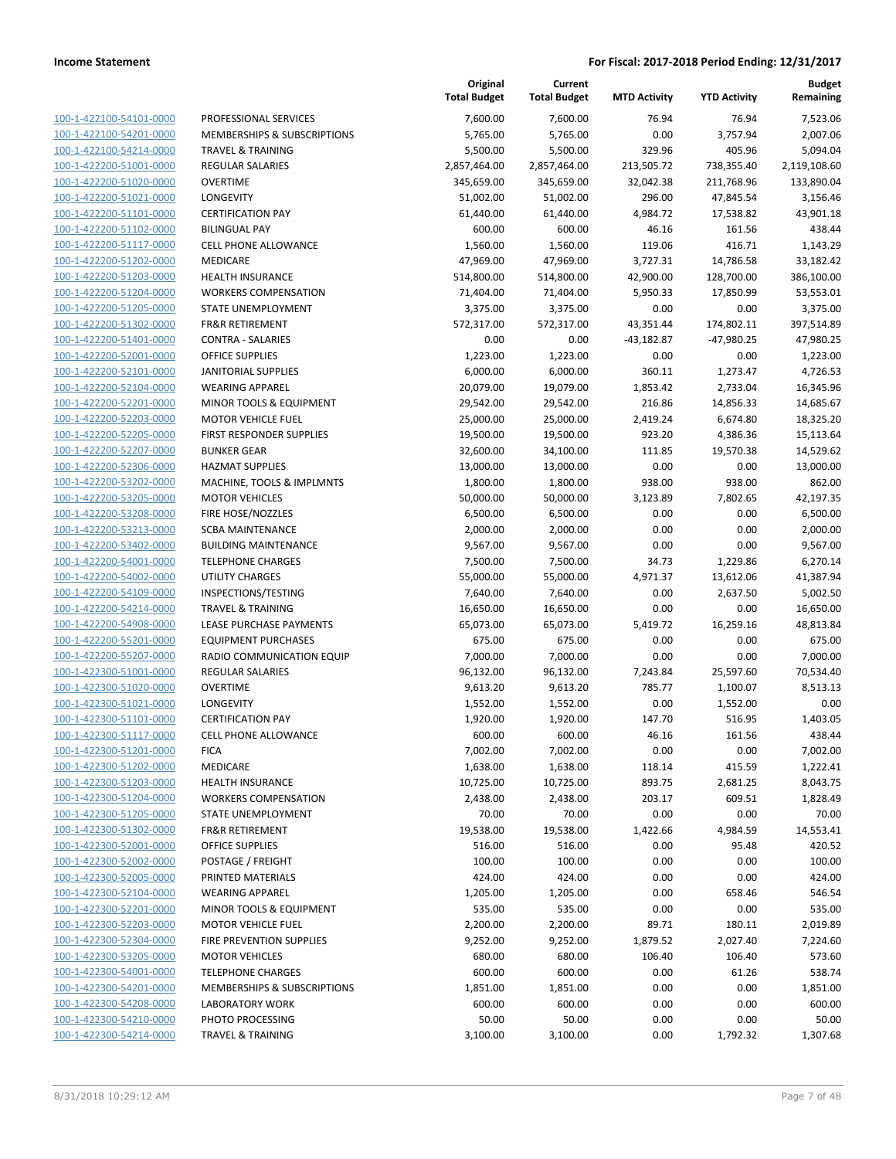|                                                    |                                                        | Original<br><b>Total Budget</b> | Current<br><b>Total Budget</b> | <b>MTD Activity</b> | <b>YTD Activity</b> | Budget<br>Remaining  |
|----------------------------------------------------|--------------------------------------------------------|---------------------------------|--------------------------------|---------------------|---------------------|----------------------|
| 100-1-422100-54101-0000                            | PROFESSIONAL SERVICES                                  | 7,600.00                        | 7,600.00                       | 76.94               | 76.94               | 7,523.06             |
| 100-1-422100-54201-0000                            | MEMBERSHIPS & SUBSCRIPTIONS                            | 5,765.00                        | 5,765.00                       | 0.00                | 3,757.94            | 2,007.06             |
| 100-1-422100-54214-0000                            | <b>TRAVEL &amp; TRAINING</b>                           | 5,500.00                        | 5,500.00                       | 329.96              | 405.96              | 5,094.04             |
| 100-1-422200-51001-0000                            | <b>REGULAR SALARIES</b>                                | 2,857,464.00                    | 2,857,464.00                   | 213,505.72          | 738,355.40          | 2,119,108.60         |
| 100-1-422200-51020-0000                            | <b>OVERTIME</b>                                        | 345,659.00                      | 345,659.00                     | 32,042.38           | 211,768.96          | 133,890.04           |
| 100-1-422200-51021-0000                            | LONGEVITY                                              | 51,002.00                       | 51,002.00                      | 296.00              | 47,845.54           | 3,156.46             |
| 100-1-422200-51101-0000                            | <b>CERTIFICATION PAY</b>                               | 61,440.00                       | 61,440.00                      | 4,984.72            | 17,538.82           | 43,901.18            |
| 100-1-422200-51102-0000                            | <b>BILINGUAL PAY</b>                                   | 600.00                          | 600.00                         | 46.16               | 161.56              | 438.44               |
| 100-1-422200-51117-0000                            | <b>CELL PHONE ALLOWANCE</b>                            | 1,560.00                        | 1,560.00                       | 119.06              | 416.71              | 1,143.29             |
| 100-1-422200-51202-0000                            | MEDICARE                                               | 47,969.00                       | 47,969.00                      | 3,727.31            | 14,786.58           | 33,182.42            |
| 100-1-422200-51203-0000                            | <b>HEALTH INSURANCE</b>                                | 514,800.00                      | 514,800.00                     | 42,900.00           | 128,700.00          | 386,100.00           |
| 100-1-422200-51204-0000                            | <b>WORKERS COMPENSATION</b>                            | 71,404.00                       | 71,404.00                      | 5,950.33            | 17,850.99           | 53,553.01            |
| 100-1-422200-51205-0000                            | STATE UNEMPLOYMENT                                     | 3,375.00                        | 3,375.00                       | 0.00                | 0.00                | 3,375.00             |
| 100-1-422200-51302-0000                            | <b>FR&amp;R RETIREMENT</b>                             | 572,317.00                      | 572,317.00                     | 43,351.44           | 174,802.11          | 397,514.89           |
| 100-1-422200-51401-0000                            | <b>CONTRA - SALARIES</b>                               | 0.00                            | 0.00                           | $-43,182.87$        | $-47,980.25$        | 47,980.25            |
| 100-1-422200-52001-0000                            | <b>OFFICE SUPPLIES</b>                                 | 1,223.00                        | 1,223.00                       | 0.00                | 0.00                | 1,223.00             |
| 100-1-422200-52101-0000                            | <b>JANITORIAL SUPPLIES</b>                             | 6,000.00                        | 6,000.00                       | 360.11              | 1,273.47            | 4,726.53             |
| 100-1-422200-52104-0000                            | <b>WEARING APPAREL</b>                                 | 20,079.00                       | 19,079.00                      | 1,853.42            | 2,733.04            | 16,345.96            |
| 100-1-422200-52201-0000                            | MINOR TOOLS & EQUIPMENT                                | 29,542.00                       | 29,542.00                      | 216.86              | 14,856.33           | 14,685.67            |
| 100-1-422200-52203-0000                            | <b>MOTOR VEHICLE FUEL</b>                              | 25,000.00                       | 25,000.00                      | 2,419.24            | 6,674.80            | 18,325.20            |
| 100-1-422200-52205-0000                            | <b>FIRST RESPONDER SUPPLIES</b>                        | 19,500.00                       | 19,500.00                      | 923.20              | 4,386.36            | 15,113.64            |
| 100-1-422200-52207-0000                            | <b>BUNKER GEAR</b>                                     | 32,600.00                       | 34,100.00                      | 111.85              | 19,570.38           | 14,529.62            |
| 100-1-422200-52306-0000                            | <b>HAZMAT SUPPLIES</b>                                 | 13,000.00                       | 13,000.00                      | 0.00                | 0.00                | 13,000.00            |
| 100-1-422200-53202-0000                            | MACHINE, TOOLS & IMPLMNTS                              | 1,800.00<br>50,000.00           | 1,800.00<br>50,000.00          | 938.00              | 938.00              | 862.00               |
| 100-1-422200-53205-0000<br>100-1-422200-53208-0000 | <b>MOTOR VEHICLES</b>                                  |                                 |                                | 3,123.89            | 7,802.65            | 42,197.35            |
| 100-1-422200-53213-0000                            | FIRE HOSE/NOZZLES                                      | 6,500.00<br>2,000.00            | 6,500.00<br>2,000.00           | 0.00<br>0.00        | 0.00<br>0.00        | 6,500.00<br>2,000.00 |
| 100-1-422200-53402-0000                            | <b>SCBA MAINTENANCE</b><br><b>BUILDING MAINTENANCE</b> | 9,567.00                        | 9,567.00                       | 0.00                | 0.00                | 9,567.00             |
| 100-1-422200-54001-0000                            | <b>TELEPHONE CHARGES</b>                               | 7,500.00                        | 7,500.00                       | 34.73               | 1,229.86            | 6,270.14             |
| 100-1-422200-54002-0000                            | UTILITY CHARGES                                        | 55,000.00                       | 55,000.00                      | 4,971.37            | 13,612.06           | 41,387.94            |
| 100-1-422200-54109-0000                            | INSPECTIONS/TESTING                                    | 7,640.00                        | 7,640.00                       | 0.00                | 2,637.50            | 5,002.50             |
| 100-1-422200-54214-0000                            | <b>TRAVEL &amp; TRAINING</b>                           | 16,650.00                       | 16,650.00                      | 0.00                | 0.00                | 16,650.00            |
| 100-1-422200-54908-0000                            | LEASE PURCHASE PAYMENTS                                | 65,073.00                       | 65,073.00                      | 5,419.72            | 16,259.16           | 48,813.84            |
| 100-1-422200-55201-0000                            | <b>EQUIPMENT PURCHASES</b>                             | 675.00                          | 675.00                         | 0.00                | 0.00                | 675.00               |
| 100-1-422200-55207-0000                            | RADIO COMMUNICATION EQUIP                              | 7,000.00                        | 7,000.00                       | 0.00                | 0.00                | 7,000.00             |
| 100-1-422300-51001-0000                            | <b>REGULAR SALARIES</b>                                | 96,132.00                       | 96,132.00                      | 7,243.84            | 25,597.60           | 70,534.40            |
| 100-1-422300-51020-0000                            | <b>OVERTIME</b>                                        | 9,613.20                        | 9,613.20                       | 785.77              | 1,100.07            | 8,513.13             |
| 100-1-422300-51021-0000                            | LONGEVITY                                              | 1,552.00                        | 1,552.00                       | 0.00                | 1,552.00            | 0.00                 |
| 100-1-422300-51101-0000                            | <b>CERTIFICATION PAY</b>                               | 1,920.00                        | 1,920.00                       | 147.70              | 516.95              | 1,403.05             |
| 100-1-422300-51117-0000                            | <b>CELL PHONE ALLOWANCE</b>                            | 600.00                          | 600.00                         | 46.16               | 161.56              | 438.44               |
| 100-1-422300-51201-0000                            | <b>FICA</b>                                            | 7,002.00                        | 7,002.00                       | 0.00                | 0.00                | 7,002.00             |
| 100-1-422300-51202-0000                            | MEDICARE                                               | 1,638.00                        | 1,638.00                       | 118.14              | 415.59              | 1,222.41             |
| 100-1-422300-51203-0000                            | <b>HEALTH INSURANCE</b>                                | 10,725.00                       | 10,725.00                      | 893.75              | 2,681.25            | 8,043.75             |
| 100-1-422300-51204-0000                            | <b>WORKERS COMPENSATION</b>                            | 2,438.00                        | 2,438.00                       | 203.17              | 609.51              | 1,828.49             |
| 100-1-422300-51205-0000                            | STATE UNEMPLOYMENT                                     | 70.00                           | 70.00                          | 0.00                | 0.00                | 70.00                |
| 100-1-422300-51302-0000                            | <b>FR&amp;R RETIREMENT</b>                             | 19,538.00                       | 19,538.00                      | 1,422.66            | 4,984.59            | 14,553.41            |
| 100-1-422300-52001-0000                            | <b>OFFICE SUPPLIES</b>                                 | 516.00                          | 516.00                         | 0.00                | 95.48               | 420.52               |
| 100-1-422300-52002-0000                            | POSTAGE / FREIGHT                                      | 100.00                          | 100.00                         | 0.00                | 0.00                | 100.00               |
| 100-1-422300-52005-0000                            | PRINTED MATERIALS                                      | 424.00                          | 424.00                         | 0.00                | 0.00                | 424.00               |
| 100-1-422300-52104-0000                            | <b>WEARING APPAREL</b>                                 | 1,205.00                        | 1,205.00                       | 0.00                | 658.46              | 546.54               |
| 100-1-422300-52201-0000                            | <b>MINOR TOOLS &amp; EQUIPMENT</b>                     | 535.00                          | 535.00                         | 0.00                | 0.00                | 535.00               |
| 100-1-422300-52203-0000                            | <b>MOTOR VEHICLE FUEL</b>                              | 2,200.00                        | 2,200.00                       | 89.71               | 180.11              | 2,019.89             |
| 100-1-422300-52304-0000                            | FIRE PREVENTION SUPPLIES                               | 9,252.00                        | 9,252.00                       | 1,879.52            | 2,027.40            | 7,224.60             |
| 100-1-422300-53205-0000                            | <b>MOTOR VEHICLES</b>                                  | 680.00                          | 680.00                         | 106.40              | 106.40              | 573.60               |
| 100-1-422300-54001-0000                            | <b>TELEPHONE CHARGES</b>                               | 600.00                          | 600.00                         | 0.00                | 61.26               | 538.74               |
| 100-1-422300-54201-0000                            | MEMBERSHIPS & SUBSCRIPTIONS                            | 1,851.00                        | 1,851.00                       | 0.00                | 0.00                | 1,851.00             |
| 100-1-422300-54208-0000                            | LABORATORY WORK                                        | 600.00                          | 600.00                         | 0.00                | 0.00                | 600.00               |
| 100-1-422300-54210-0000<br>100-1-422300-54214-0000 | PHOTO PROCESSING                                       | 50.00                           | 50.00                          | 0.00                | 0.00                | 50.00                |
|                                                    | <b>TRAVEL &amp; TRAINING</b>                           | 3,100.00                        | 3,100.00                       | 0.00                | 1,792.32            | 1,307.68             |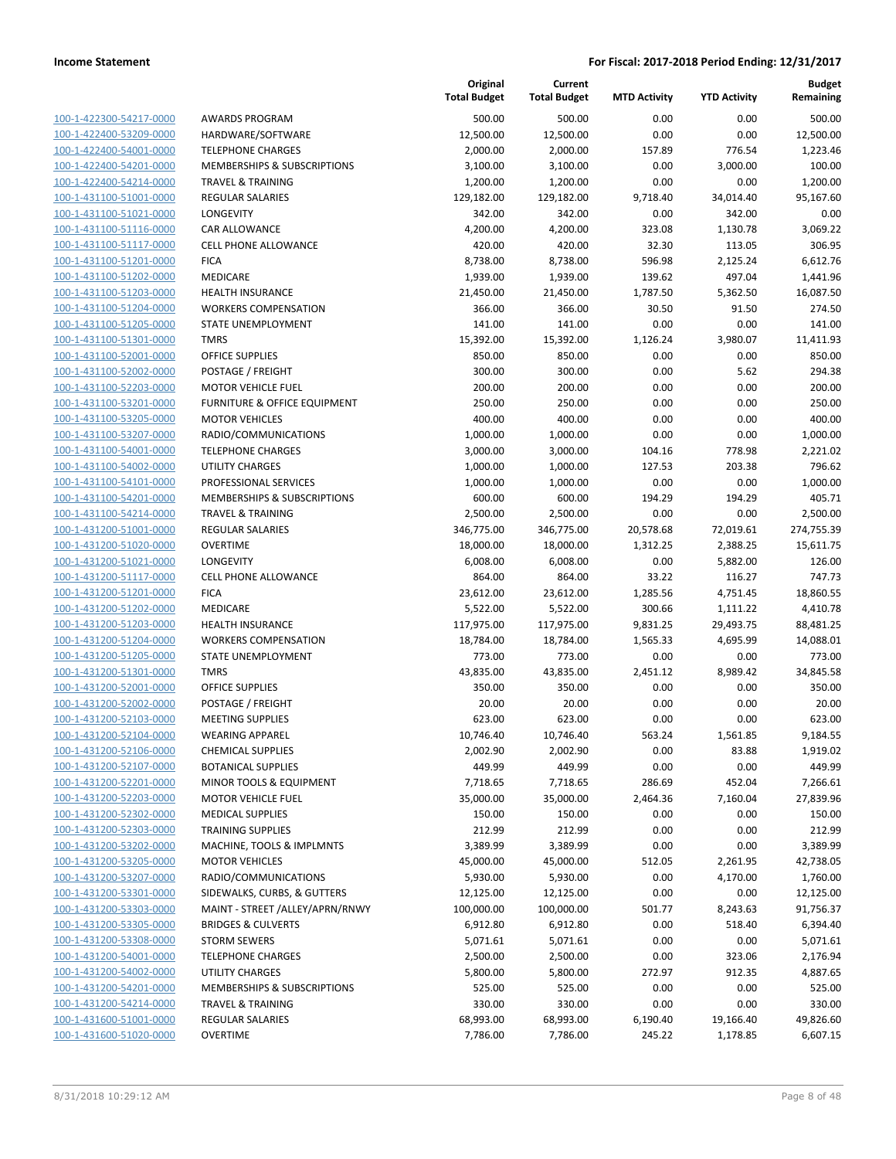| 100-1-422300-54217-0000        |
|--------------------------------|
| 100-1-422400-53209-0000        |
| 100-1-422400-54001-0000        |
| <u>100-1-422400-54201-0000</u> |
| 100-1-422400-54214-0000        |
| 100-1-431100-51001-0000        |
| 100-1-431100-51021-0000        |
| 100-1-431100-51116-0000        |
| 100-1-431100-51117-0000        |
| 100-1-431100-51201-0000        |
|                                |
| 100-1-431100-51202-0000        |
| 100-1-431100-51203-0000        |
| 100-1-431100-51204-0000        |
| <u>100-1-431100-51205-0000</u> |
| 100-1-431100-51301-0000        |
| 100-1-431100-52001-0000        |
| 100-1-431100-52002-0000        |
| 100-1-431100-52203-0000        |
| 100-1-431100-53201-0000        |
| 100-1-431100-53205-0000        |
| 100-1-431100-53207-0000        |
| 100-1-431100-54001-0000        |
|                                |
| 100-1-431100-54002-0000        |
| <u>100-1-431100-54101-0000</u> |
| 100-1-431100-54201-0000        |
| 100-1-431100-54214-0000        |
| 100-1-431200-51001-0000        |
| <u>100-1-431200-51020-0000</u> |
| 100-1-431200-51021-0000        |
| 100-1-431200-51117-0000        |
| 100-1-431200-51201-0000        |
| 100-1-431200-51202-0000        |
| 100-1-431200-51203-0000        |
| 100-1-431200-51204-0000        |
| 100-1-431200-51205-0000        |
|                                |
| 100-1-431200-51301-0000        |
| 100-1-431200-52001-0000        |
| 100-1-431200-52002-0000        |
| 100-1-431200-52103-0000        |
| 100-1-431200-52104-0000        |
| 100-1-431200-52106-0000        |
| 100-1-431200-52107-0000        |
| 100-1-431200-52201-0000        |
| 100-1-431200-52203-0000        |
| <u>100-1-431200-52302-0000</u> |
| 100-1-431200-52303-0000        |
| 100-1-431200-53202-0000        |
| 100-1-431200-53205-0000        |
|                                |
| <u>100-1-431200-53207-0000</u> |
| <u>100-1-431200-53301-0000</u> |
| 100-1-431200-53303-0000        |
| 100-1-431200-53305-0000        |
| <u>100-1-431200-53308-0000</u> |
| <u>100-1-431200-54001-0000</u> |
| <u>100-1-431200-54002-0000</u> |
| <u>100-1-431200-54201-0000</u> |
| 100-1-431200-54214-0000        |
| <u>100-1-431600-51001-0000</u> |
| <u>100-1-431600-51020-0000</u> |
|                                |

|                         |                                  | Original<br><b>Total Budget</b> | Current<br><b>Total Budget</b> | <b>MTD Activity</b> | <b>YTD Activity</b> | <b>Budget</b><br>Remaining |
|-------------------------|----------------------------------|---------------------------------|--------------------------------|---------------------|---------------------|----------------------------|
| 100-1-422300-54217-0000 | <b>AWARDS PROGRAM</b>            | 500.00                          | 500.00                         | 0.00                | 0.00                | 500.00                     |
| 100-1-422400-53209-0000 | HARDWARE/SOFTWARE                | 12,500.00                       | 12,500.00                      | 0.00                | 0.00                | 12,500.00                  |
| 100-1-422400-54001-0000 | <b>TELEPHONE CHARGES</b>         | 2,000.00                        | 2,000.00                       | 157.89              | 776.54              | 1,223.46                   |
| 100-1-422400-54201-0000 | MEMBERSHIPS & SUBSCRIPTIONS      | 3,100.00                        | 3,100.00                       | 0.00                | 3,000.00            | 100.00                     |
| 100-1-422400-54214-0000 | <b>TRAVEL &amp; TRAINING</b>     | 1,200.00                        | 1,200.00                       | 0.00                | 0.00                | 1,200.00                   |
| 100-1-431100-51001-0000 | REGULAR SALARIES                 | 129,182.00                      | 129,182.00                     | 9,718.40            | 34,014.40           | 95,167.60                  |
| 100-1-431100-51021-0000 | LONGEVITY                        | 342.00                          | 342.00                         | 0.00                | 342.00              | 0.00                       |
| 100-1-431100-51116-0000 | CAR ALLOWANCE                    | 4,200.00                        | 4,200.00                       | 323.08              | 1,130.78            | 3,069.22                   |
| 100-1-431100-51117-0000 | <b>CELL PHONE ALLOWANCE</b>      | 420.00                          | 420.00                         | 32.30               | 113.05              | 306.95                     |
| 100-1-431100-51201-0000 | <b>FICA</b>                      | 8,738.00                        | 8,738.00                       | 596.98              | 2,125.24            | 6,612.76                   |
| 100-1-431100-51202-0000 | MEDICARE                         | 1,939.00                        | 1,939.00                       | 139.62              | 497.04              | 1,441.96                   |
| 100-1-431100-51203-0000 | HEALTH INSURANCE                 | 21,450.00                       | 21,450.00                      | 1,787.50            | 5,362.50            | 16,087.50                  |
| 100-1-431100-51204-0000 | <b>WORKERS COMPENSATION</b>      | 366.00                          | 366.00                         | 30.50               | 91.50               | 274.50                     |
| 100-1-431100-51205-0000 | STATE UNEMPLOYMENT               | 141.00                          | 141.00                         | 0.00                | 0.00                | 141.00                     |
| 100-1-431100-51301-0000 | <b>TMRS</b>                      | 15,392.00                       | 15,392.00                      | 1,126.24            | 3,980.07            | 11,411.93                  |
| 100-1-431100-52001-0000 | <b>OFFICE SUPPLIES</b>           | 850.00                          | 850.00                         | 0.00                | 0.00                | 850.00                     |
| 100-1-431100-52002-0000 | POSTAGE / FREIGHT                | 300.00                          | 300.00                         | 0.00                | 5.62                | 294.38                     |
| 100-1-431100-52203-0000 | <b>MOTOR VEHICLE FUEL</b>        | 200.00                          | 200.00                         | 0.00                | 0.00                | 200.00                     |
| 100-1-431100-53201-0000 | FURNITURE & OFFICE EQUIPMENT     | 250.00                          | 250.00                         | 0.00                | 0.00                | 250.00                     |
| 100-1-431100-53205-0000 | <b>MOTOR VEHICLES</b>            | 400.00                          | 400.00                         | 0.00                | 0.00                | 400.00                     |
| 100-1-431100-53207-0000 | RADIO/COMMUNICATIONS             | 1,000.00                        | 1,000.00                       | 0.00                | 0.00                | 1,000.00                   |
| 100-1-431100-54001-0000 | <b>TELEPHONE CHARGES</b>         | 3,000.00                        | 3,000.00                       | 104.16              | 778.98              | 2,221.02                   |
| 100-1-431100-54002-0000 | UTILITY CHARGES                  | 1,000.00                        | 1,000.00                       | 127.53              | 203.38              | 796.62                     |
| 100-1-431100-54101-0000 | PROFESSIONAL SERVICES            | 1,000.00                        | 1,000.00                       | 0.00                | 0.00                | 1,000.00                   |
| 100-1-431100-54201-0000 | MEMBERSHIPS & SUBSCRIPTIONS      | 600.00                          | 600.00                         | 194.29              | 194.29              | 405.71                     |
| 100-1-431100-54214-0000 | <b>TRAVEL &amp; TRAINING</b>     | 2,500.00                        | 2,500.00                       | 0.00                | 0.00                | 2,500.00                   |
| 100-1-431200-51001-0000 | REGULAR SALARIES                 | 346,775.00                      | 346,775.00                     | 20,578.68           | 72,019.61           | 274,755.39                 |
| 100-1-431200-51020-0000 | <b>OVERTIME</b>                  | 18,000.00                       | 18,000.00                      | 1,312.25            | 2,388.25            | 15,611.75                  |
| 100-1-431200-51021-0000 | LONGEVITY                        | 6,008.00                        | 6,008.00                       | 0.00                | 5,882.00            | 126.00                     |
| 100-1-431200-51117-0000 | <b>CELL PHONE ALLOWANCE</b>      | 864.00                          | 864.00                         | 33.22               | 116.27              | 747.73                     |
| 100-1-431200-51201-0000 | <b>FICA</b>                      | 23,612.00                       | 23,612.00                      | 1,285.56            | 4,751.45            | 18,860.55                  |
| 100-1-431200-51202-0000 | MEDICARE                         | 5,522.00                        | 5,522.00                       | 300.66              | 1,111.22            | 4,410.78                   |
| 100-1-431200-51203-0000 | <b>HEALTH INSURANCE</b>          | 117,975.00                      | 117,975.00                     | 9,831.25            | 29,493.75           | 88,481.25                  |
| 100-1-431200-51204-0000 | <b>WORKERS COMPENSATION</b>      | 18,784.00                       | 18,784.00                      | 1,565.33            | 4,695.99            | 14,088.01                  |
| 100-1-431200-51205-0000 | <b>STATE UNEMPLOYMENT</b>        | 773.00                          | 773.00                         | 0.00                | 0.00                | 773.00                     |
| 100-1-431200-51301-0000 | <b>TMRS</b>                      | 43,835.00                       | 43,835.00                      | 2,451.12            | 8,989.42            | 34,845.58                  |
| 100-1-431200-52001-0000 | <b>OFFICE SUPPLIES</b>           | 350.00                          | 350.00                         | 0.00                | 0.00                | 350.00                     |
| 100-1-431200-52002-0000 | POSTAGE / FREIGHT                | 20.00                           | 20.00                          | 0.00                | 0.00                | 20.00                      |
| 100-1-431200-52103-0000 | <b>MEETING SUPPLIES</b>          | 623.00                          | 623.00                         | 0.00                | 0.00                | 623.00                     |
| 100-1-431200-52104-0000 | <b>WEARING APPAREL</b>           | 10,746.40                       | 10,746.40                      | 563.24              | 1,561.85            | 9,184.55                   |
| 100-1-431200-52106-0000 | <b>CHEMICAL SUPPLIES</b>         | 2,002.90                        | 2,002.90                       | 0.00                | 83.88               | 1,919.02                   |
| 100-1-431200-52107-0000 | <b>BOTANICAL SUPPLIES</b>        | 449.99                          | 449.99                         | 0.00                | 0.00                | 449.99                     |
| 100-1-431200-52201-0000 | MINOR TOOLS & EQUIPMENT          | 7,718.65                        | 7,718.65                       | 286.69              | 452.04              | 7,266.61                   |
| 100-1-431200-52203-0000 | <b>MOTOR VEHICLE FUEL</b>        | 35,000.00                       | 35,000.00                      | 2,464.36            | 7,160.04            | 27,839.96                  |
| 100-1-431200-52302-0000 | <b>MEDICAL SUPPLIES</b>          | 150.00                          | 150.00                         | 0.00                | 0.00                | 150.00                     |
| 100-1-431200-52303-0000 | <b>TRAINING SUPPLIES</b>         | 212.99                          | 212.99                         | 0.00                | 0.00                | 212.99                     |
| 100-1-431200-53202-0000 | MACHINE, TOOLS & IMPLMNTS        | 3,389.99                        | 3,389.99                       | 0.00                | 0.00                | 3,389.99                   |
| 100-1-431200-53205-0000 | <b>MOTOR VEHICLES</b>            | 45,000.00                       | 45,000.00                      | 512.05              | 2,261.95            | 42,738.05                  |
| 100-1-431200-53207-0000 | RADIO/COMMUNICATIONS             | 5,930.00                        | 5,930.00                       | 0.00                | 4,170.00            | 1,760.00                   |
| 100-1-431200-53301-0000 | SIDEWALKS, CURBS, & GUTTERS      | 12,125.00                       | 12,125.00                      | 0.00                | 0.00                | 12,125.00                  |
| 100-1-431200-53303-0000 | MAINT - STREET / ALLEY/APRN/RNWY | 100,000.00                      | 100,000.00                     | 501.77              | 8,243.63            | 91,756.37                  |
| 100-1-431200-53305-0000 | <b>BRIDGES &amp; CULVERTS</b>    | 6,912.80                        | 6,912.80                       | 0.00                | 518.40              | 6,394.40                   |
| 100-1-431200-53308-0000 | <b>STORM SEWERS</b>              | 5,071.61                        | 5,071.61                       | 0.00                | 0.00                | 5,071.61                   |
| 100-1-431200-54001-0000 | <b>TELEPHONE CHARGES</b>         | 2,500.00                        | 2,500.00                       | 0.00                | 323.06              | 2,176.94                   |
| 100-1-431200-54002-0000 | UTILITY CHARGES                  | 5,800.00                        | 5,800.00                       | 272.97              | 912.35              | 4,887.65                   |
| 100-1-431200-54201-0000 | MEMBERSHIPS & SUBSCRIPTIONS      | 525.00                          | 525.00                         | 0.00                | 0.00                | 525.00                     |
| 100-1-431200-54214-0000 | <b>TRAVEL &amp; TRAINING</b>     | 330.00                          | 330.00                         | 0.00                | 0.00                | 330.00                     |
|                         |                                  |                                 |                                |                     |                     |                            |
| 100-1-431600-51001-0000 | REGULAR SALARIES                 | 68,993.00                       | 68,993.00                      | 6,190.40            | 19,166.40           | 49,826.60                  |
| 100-1-431600-51020-0000 | <b>OVERTIME</b>                  | 7,786.00                        | 7,786.00                       | 245.22              | 1,178.85            | 6,607.15                   |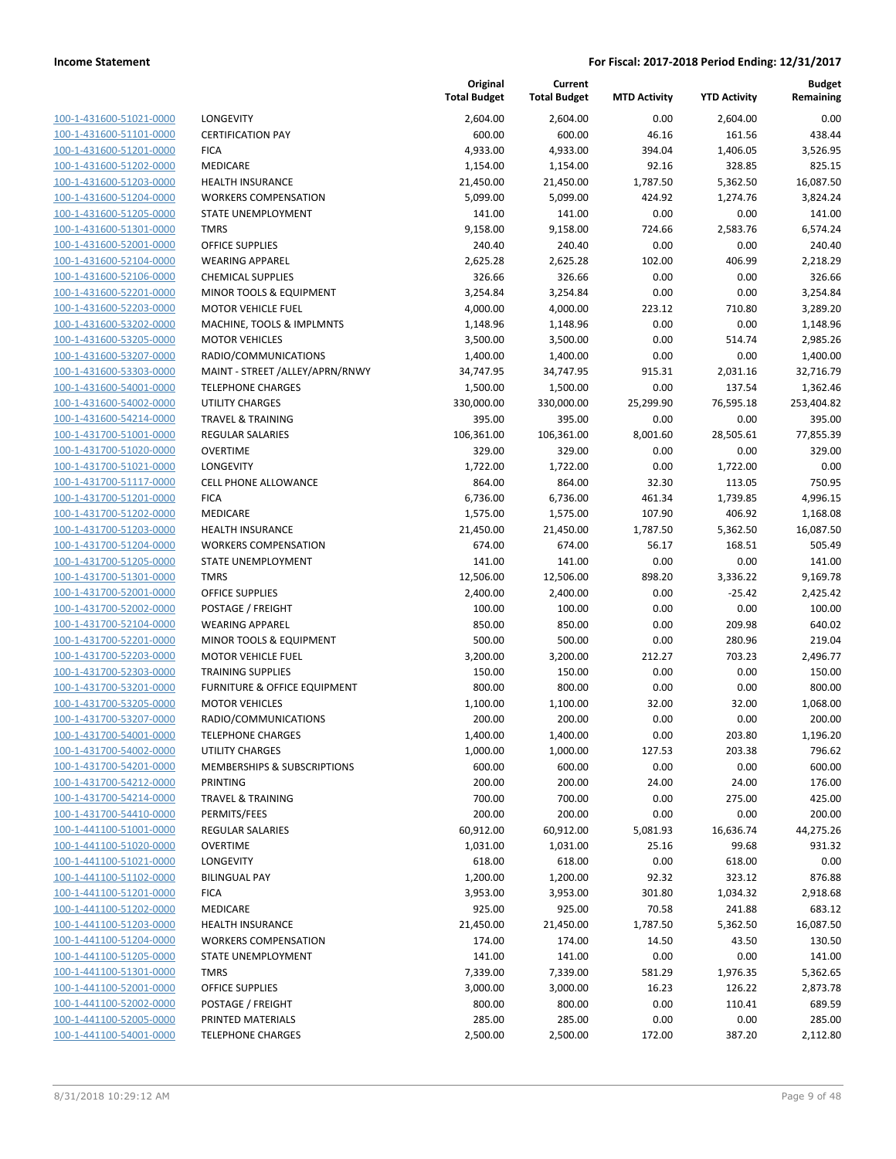| 100-1-431600-51021-0000                                          |
|------------------------------------------------------------------|
| 100-1-431600-51101-0000                                          |
| 100-1-431600-51201-0000                                          |
| 100-1-431600-51202-0000                                          |
| 100-1-431600-51203-0000                                          |
| 100-1-431600-51204-0000                                          |
| 100-1-431600-51205-0000                                          |
| 100-1-431600-51301-0000                                          |
| 100-1-431600-52001-0000                                          |
| 100-1-431600-52104-0000                                          |
| 100-1-431600-52106-0000                                          |
| 100-1-431600-52201-0000                                          |
| 100-1-431600-52203-0000                                          |
| 100-1-431600-53202-0000                                          |
| 100-1-431600-53205-0000                                          |
| 100-1-431600-53207-0000                                          |
| 100-1-431600-53303-0000                                          |
| 100-1-431600-54001-0000                                          |
| 100-1-431600-54002-0000                                          |
| 100-1-431600-54214-0000                                          |
| 100-1-431700-51001-0000                                          |
| 100-1-431700-51020-0000                                          |
| 100-1-431700-51021-0000                                          |
| 100-1-431700-51117-0000                                          |
| 100-1-431700-51201-0000                                          |
| 100-1-431700-51202-0000                                          |
| 100-1-431700-51203-0000                                          |
| 100-1-431700-51204-0000                                          |
| 100-1-431700-51205-0000                                          |
| 100-1-431700-51301-0000                                          |
| 100-1-431700-52001-0000                                          |
| 100-1-431700-52002-0000                                          |
| 100-1-431700-52104-0000                                          |
| 100-1-431700-52201-0000                                          |
| 100-1-431700-52203-0000                                          |
| 100-1-431700-52303-0000                                          |
| 100-1-431700-53201-0000                                          |
| 100-1-431700-53205-0000                                          |
| 100-1-431700-53207-0000                                          |
| 100-1-431700-54001-0000                                          |
| 100-1-431700-54002-0000                                          |
| <u>100-1-431700-54201-0000</u>                                   |
| <u>100-1-431700-54212-0000</u>                                   |
| 100-1-431700-54214-0000                                          |
| 100-1-431700-54410-0000                                          |
| <u>100-1-441100-51001-0000</u>                                   |
| <u>100-1-441100-51020-0000</u>                                   |
| 100-1-441100-51021-0000                                          |
| 100-1-441100-51102-0000                                          |
| 100-1-441100-51201-0000                                          |
| <u>100-1-441100-51202-0000</u>                                   |
| <u>100-1-441100-51203-0000</u>                                   |
| <u>100-1-441100-51204-0000</u>                                   |
|                                                                  |
| 100-1-441100-51205-0000<br>100-1-441100-51301-0000               |
|                                                                  |
| <u>100-1-441100-52001-0000</u><br><u>100-1-441100-52002-0000</u> |
| <u>100-1-441100-52005-0000</u>                                   |
|                                                                  |
| 100-1-441100-54001-0000                                          |

|                                                    |                                                        | Original<br><b>Total Budget</b> | Current<br><b>Total Budget</b> | <b>MTD Activity</b> | <b>YTD Activity</b> | <b>Budget</b><br>Remaining |
|----------------------------------------------------|--------------------------------------------------------|---------------------------------|--------------------------------|---------------------|---------------------|----------------------------|
| 100-1-431600-51021-0000                            | LONGEVITY                                              | 2,604.00                        | 2,604.00                       | 0.00                | 2,604.00            | 0.00                       |
| 100-1-431600-51101-0000                            | <b>CERTIFICATION PAY</b>                               | 600.00                          | 600.00                         | 46.16               | 161.56              | 438.44                     |
| 100-1-431600-51201-0000                            | <b>FICA</b>                                            | 4,933.00                        | 4,933.00                       | 394.04              | 1,406.05            | 3,526.95                   |
| 100-1-431600-51202-0000                            | <b>MEDICARE</b>                                        | 1,154.00                        | 1,154.00                       | 92.16               | 328.85              | 825.15                     |
| 100-1-431600-51203-0000                            | <b>HEALTH INSURANCE</b>                                | 21,450.00                       | 21,450.00                      | 1,787.50            | 5,362.50            | 16,087.50                  |
| 100-1-431600-51204-0000                            | <b>WORKERS COMPENSATION</b>                            | 5,099.00                        | 5,099.00                       | 424.92              | 1,274.76            | 3,824.24                   |
| 100-1-431600-51205-0000                            | STATE UNEMPLOYMENT                                     | 141.00                          | 141.00                         | 0.00                | 0.00                | 141.00                     |
| 100-1-431600-51301-0000                            | <b>TMRS</b>                                            | 9,158.00                        | 9,158.00                       | 724.66              | 2,583.76            | 6,574.24                   |
| 100-1-431600-52001-0000                            | <b>OFFICE SUPPLIES</b>                                 | 240.40                          | 240.40                         | 0.00                | 0.00                | 240.40                     |
| 100-1-431600-52104-0000                            | <b>WEARING APPAREL</b>                                 | 2,625.28                        | 2,625.28                       | 102.00              | 406.99              | 2,218.29                   |
| 100-1-431600-52106-0000                            | <b>CHEMICAL SUPPLIES</b>                               | 326.66                          | 326.66                         | 0.00                | 0.00                | 326.66                     |
| 100-1-431600-52201-0000                            | MINOR TOOLS & EQUIPMENT                                | 3,254.84                        | 3,254.84                       | 0.00                | 0.00                | 3,254.84                   |
| 100-1-431600-52203-0000                            | <b>MOTOR VEHICLE FUEL</b>                              | 4,000.00                        | 4,000.00                       | 223.12              | 710.80              | 3,289.20                   |
| 100-1-431600-53202-0000                            | MACHINE, TOOLS & IMPLMNTS                              | 1,148.96                        | 1,148.96                       | 0.00                | 0.00                | 1,148.96                   |
| 100-1-431600-53205-0000                            | <b>MOTOR VEHICLES</b>                                  | 3,500.00                        | 3,500.00                       | 0.00                | 514.74              | 2,985.26                   |
| 100-1-431600-53207-0000                            | RADIO/COMMUNICATIONS                                   | 1,400.00                        | 1,400.00                       | 0.00                | 0.00                | 1,400.00                   |
| 100-1-431600-53303-0000                            | MAINT - STREET /ALLEY/APRN/RNWY                        | 34,747.95                       | 34,747.95                      | 915.31              | 2,031.16            | 32,716.79                  |
| 100-1-431600-54001-0000<br>100-1-431600-54002-0000 | <b>TELEPHONE CHARGES</b>                               | 1,500.00                        | 1,500.00                       | 0.00                | 137.54              | 1,362.46                   |
|                                                    | <b>UTILITY CHARGES</b><br><b>TRAVEL &amp; TRAINING</b> | 330,000.00<br>395.00            | 330,000.00<br>395.00           | 25,299.90<br>0.00   | 76,595.18<br>0.00   | 253,404.82<br>395.00       |
| 100-1-431600-54214-0000<br>100-1-431700-51001-0000 | <b>REGULAR SALARIES</b>                                | 106,361.00                      | 106,361.00                     | 8,001.60            | 28,505.61           | 77,855.39                  |
| 100-1-431700-51020-0000                            | <b>OVERTIME</b>                                        | 329.00                          | 329.00                         | 0.00                | 0.00                | 329.00                     |
| 100-1-431700-51021-0000                            | LONGEVITY                                              | 1,722.00                        | 1,722.00                       | 0.00                | 1,722.00            | 0.00                       |
| 100-1-431700-51117-0000                            | <b>CELL PHONE ALLOWANCE</b>                            | 864.00                          | 864.00                         | 32.30               | 113.05              | 750.95                     |
| 100-1-431700-51201-0000                            | <b>FICA</b>                                            | 6,736.00                        | 6,736.00                       | 461.34              | 1,739.85            | 4,996.15                   |
| 100-1-431700-51202-0000                            | MEDICARE                                               | 1,575.00                        | 1,575.00                       | 107.90              | 406.92              | 1,168.08                   |
| 100-1-431700-51203-0000                            | <b>HEALTH INSURANCE</b>                                | 21,450.00                       | 21,450.00                      | 1,787.50            | 5,362.50            | 16,087.50                  |
| 100-1-431700-51204-0000                            | <b>WORKERS COMPENSATION</b>                            | 674.00                          | 674.00                         | 56.17               | 168.51              | 505.49                     |
| 100-1-431700-51205-0000                            | STATE UNEMPLOYMENT                                     | 141.00                          | 141.00                         | 0.00                | 0.00                | 141.00                     |
| 100-1-431700-51301-0000                            | <b>TMRS</b>                                            | 12,506.00                       | 12,506.00                      | 898.20              | 3,336.22            | 9,169.78                   |
| 100-1-431700-52001-0000                            | <b>OFFICE SUPPLIES</b>                                 | 2,400.00                        | 2,400.00                       | 0.00                | $-25.42$            | 2,425.42                   |
| 100-1-431700-52002-0000                            | POSTAGE / FREIGHT                                      | 100.00                          | 100.00                         | 0.00                | 0.00                | 100.00                     |
| 100-1-431700-52104-0000                            | <b>WEARING APPAREL</b>                                 | 850.00                          | 850.00                         | 0.00                | 209.98              | 640.02                     |
| 100-1-431700-52201-0000                            | MINOR TOOLS & EQUIPMENT                                | 500.00                          | 500.00                         | 0.00                | 280.96              | 219.04                     |
| 100-1-431700-52203-0000                            | <b>MOTOR VEHICLE FUEL</b>                              | 3,200.00                        | 3,200.00                       | 212.27              | 703.23              | 2,496.77                   |
| 100-1-431700-52303-0000                            | <b>TRAINING SUPPLIES</b>                               | 150.00                          | 150.00                         | 0.00                | 0.00                | 150.00                     |
| 100-1-431700-53201-0000                            | FURNITURE & OFFICE EQUIPMENT                           | 800.00                          | 800.00                         | 0.00                | 0.00                | 800.00                     |
| 100-1-431700-53205-0000                            | <b>MOTOR VEHICLES</b>                                  | 1,100.00                        | 1,100.00                       | 32.00               | 32.00               | 1,068.00                   |
| 100-1-431700-53207-0000                            | RADIO/COMMUNICATIONS                                   | 200.00                          | 200.00                         | 0.00                | 0.00                | 200.00                     |
| 100-1-431700-54001-0000                            | <b>TELEPHONE CHARGES</b>                               | 1,400.00                        | 1,400.00                       | 0.00                | 203.80              | 1,196.20                   |
| 100-1-431700-54002-0000                            | <b>UTILITY CHARGES</b>                                 | 1,000.00                        | 1,000.00                       | 127.53              | 203.38              | 796.62                     |
| 100-1-431700-54201-0000                            | MEMBERSHIPS & SUBSCRIPTIONS                            | 600.00                          | 600.00                         | 0.00                | 0.00                | 600.00                     |
| 100-1-431700-54212-0000                            | PRINTING                                               | 200.00                          | 200.00                         | 24.00               | 24.00               | 176.00                     |
| 100-1-431700-54214-0000                            | <b>TRAVEL &amp; TRAINING</b>                           | 700.00                          | 700.00                         | 0.00                | 275.00              | 425.00                     |
| 100-1-431700-54410-0000                            | PERMITS/FEES                                           | 200.00                          | 200.00                         | 0.00                | 0.00                | 200.00                     |
| 100-1-441100-51001-0000                            | <b>REGULAR SALARIES</b>                                | 60,912.00                       | 60,912.00                      | 5,081.93            | 16,636.74           | 44,275.26                  |
| 100-1-441100-51020-0000                            | <b>OVERTIME</b>                                        | 1,031.00                        | 1,031.00                       | 25.16               | 99.68               | 931.32                     |
| 100-1-441100-51021-0000                            | LONGEVITY                                              | 618.00                          | 618.00                         | 0.00                | 618.00              | 0.00                       |
| 100-1-441100-51102-0000                            | <b>BILINGUAL PAY</b>                                   | 1,200.00                        | 1,200.00                       | 92.32               | 323.12              | 876.88                     |
| 100-1-441100-51201-0000                            | <b>FICA</b>                                            | 3,953.00                        | 3,953.00                       | 301.80              | 1,034.32            | 2,918.68                   |
| 100-1-441100-51202-0000                            | MEDICARE                                               | 925.00                          | 925.00                         | 70.58               | 241.88              | 683.12                     |
| 100-1-441100-51203-0000                            | <b>HEALTH INSURANCE</b>                                | 21,450.00                       | 21,450.00                      | 1,787.50            | 5,362.50            | 16,087.50                  |
| 100-1-441100-51204-0000                            | <b>WORKERS COMPENSATION</b>                            | 174.00                          | 174.00                         | 14.50               | 43.50               | 130.50                     |
| 100-1-441100-51205-0000                            | STATE UNEMPLOYMENT                                     | 141.00                          | 141.00                         | 0.00                | 0.00                | 141.00                     |
| 100-1-441100-51301-0000                            | <b>TMRS</b>                                            | 7,339.00                        | 7,339.00                       | 581.29              | 1,976.35            | 5,362.65                   |
| 100-1-441100-52001-0000                            | <b>OFFICE SUPPLIES</b>                                 | 3,000.00                        | 3,000.00                       | 16.23               | 126.22              | 2,873.78                   |
| 100-1-441100-52002-0000                            | POSTAGE / FREIGHT                                      | 800.00                          | 800.00                         | 0.00                | 110.41              | 689.59                     |
| 100-1-441100-52005-0000                            | PRINTED MATERIALS                                      | 285.00                          | 285.00                         | 0.00                | 0.00                | 285.00                     |
| 100-1-441100-54001-0000                            | <b>TELEPHONE CHARGES</b>                               | 2,500.00                        | 2,500.00                       | 172.00              | 387.20              | 2,112.80                   |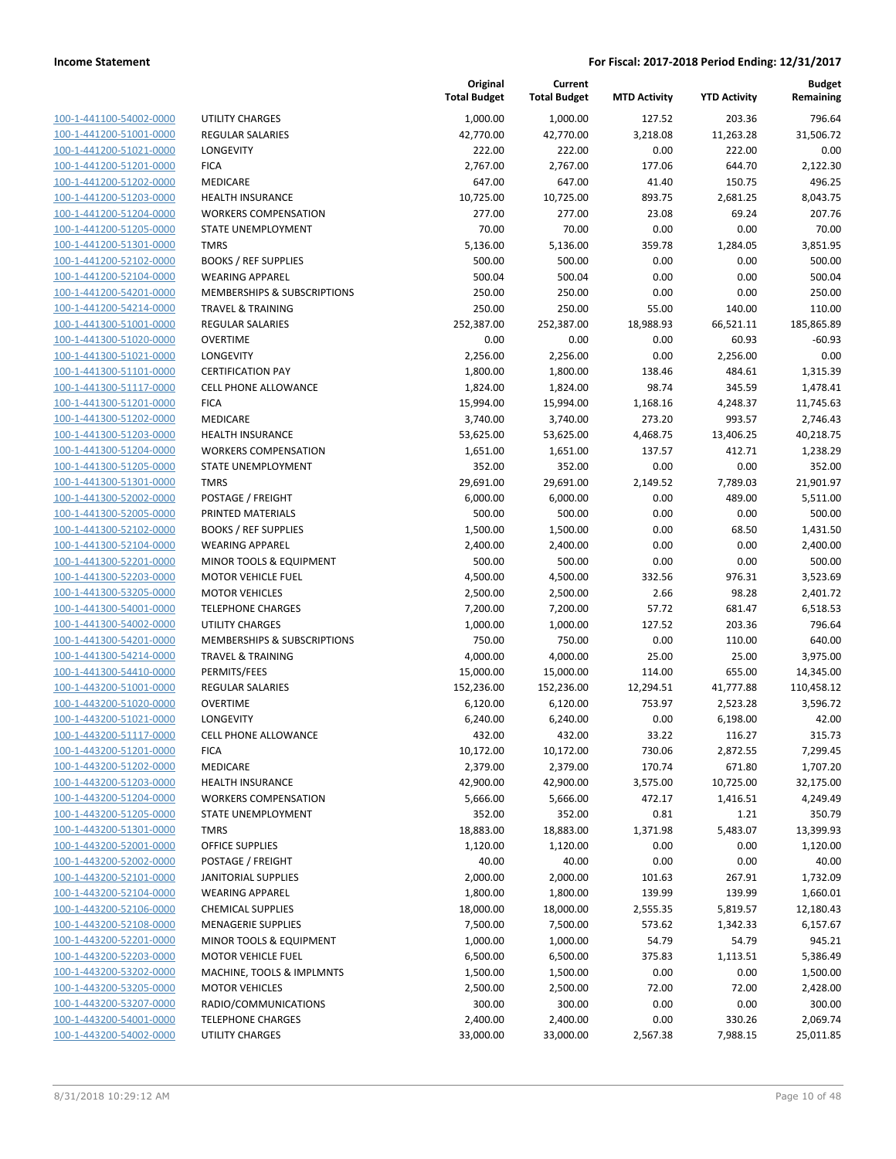| 100-1-441100-54002-0000        |
|--------------------------------|
| 100-1-441200-51001-0000        |
| 100-1-441200-51021-0000        |
| <u>100-1-441200-51201-0000</u> |
| 100-1-441200-51202-0000        |
| 100-1-441200-51203-0000        |
| 100-1-441200-51204-0000        |
| 100-1-441200-51205-0000        |
| <u>100-1-441200-51301-0000</u> |
| 100-1-441200-52102-0000        |
| 100-1-441200-52104-0000        |
| 100-1-441200-54201-0000        |
| 100-1-441200-54214-0000        |
| 100-1-441300-51001-0000        |
|                                |
| <u>100-1-441300-51020-0000</u> |
| 100-1-441300-51021-0000        |
| 100-1-441300-51101-0000        |
| 100-1-441300-51117-0000        |
| <u>100-1-441300-51201-0000</u> |
| 100-1-441300-51202-0000        |
| 100-1-441300-51203-0000        |
| 100-1-441300-51204-0000        |
| 100-1-441300-51205-0000        |
| <u>100-1-441300-51301-0000</u> |
| <u>100-1-441300-52002-0000</u> |
| 100-1-441300-52005-0000        |
| 100-1-441300-52102-0000        |
| 100-1-441300-52104-0000        |
| 100-1-441300-52201-0000        |
| 100-1-441300-52203-0000        |
| 100-1-441300-53205-0000        |
| 100-1-441300-54001-0000        |
| 100-1-441300-54002-0000        |
| <u>100-1-441300-54201-0000</u> |
| 100-1-441300-54214-0000        |
| 100-1-441300-54410-0000        |
| 100-1-443200-51001-0000        |
|                                |
| 100-1-443200-51020-0000        |
| 100-1-443200-51021-0000        |
| 100-1-443200-51117-0000        |
| 100-1-443200-51201-0000        |
| 100-1-443200-51202-0000        |
| 100-1-443200-51203-0000        |
| 100-1-443200-51204-0000        |
| <u>100-1-443200-51205-0000</u> |
| <u>100-1-443200-51301-0000</u> |
| 100-1-443200-52001-0000        |
| 100-1-443200-52002-0000        |
| 100-1-443200-52101-0000        |
| <u>100-1-443200-52104-0000</u> |
| <u>100-1-443200-52106-0000</u> |
| 100-1-443200-52108-0000        |
| 100-1-443200-52201-0000        |
| 100-1-443200-52203-0000        |
|                                |
| <u>100-1-443200-53202-0000</u> |
| <u>100-1-443200-53205-0000</u> |
| 100-1-443200-53207-0000        |
| 100-1-443200-54001-0000        |
| 100-1-443200-54002-0000        |

|                                                    |                                   | Original<br><b>Total Budget</b> | Current<br><b>Total Budget</b> | <b>MTD Activity</b> | <b>YTD Activity</b> | <b>Budget</b><br>Remaining |
|----------------------------------------------------|-----------------------------------|---------------------------------|--------------------------------|---------------------|---------------------|----------------------------|
| 100-1-441100-54002-0000                            | <b>UTILITY CHARGES</b>            | 1,000.00                        | 1,000.00                       | 127.52              | 203.36              | 796.64                     |
| 100-1-441200-51001-0000                            | <b>REGULAR SALARIES</b>           | 42,770.00                       | 42,770.00                      | 3,218.08            | 11,263.28           | 31,506.72                  |
| 100-1-441200-51021-0000                            | LONGEVITY                         | 222.00                          | 222.00                         | 0.00                | 222.00              | 0.00                       |
| 100-1-441200-51201-0000                            | <b>FICA</b>                       | 2,767.00                        | 2,767.00                       | 177.06              | 644.70              | 2,122.30                   |
| 100-1-441200-51202-0000                            | <b>MEDICARE</b>                   | 647.00                          | 647.00                         | 41.40               | 150.75              | 496.25                     |
| 100-1-441200-51203-0000                            | <b>HEALTH INSURANCE</b>           | 10,725.00                       | 10,725.00                      | 893.75              | 2,681.25            | 8,043.75                   |
| 100-1-441200-51204-0000                            | <b>WORKERS COMPENSATION</b>       | 277.00                          | 277.00                         | 23.08               | 69.24               | 207.76                     |
| 100-1-441200-51205-0000                            | STATE UNEMPLOYMENT                | 70.00                           | 70.00                          | 0.00                | 0.00                | 70.00                      |
| 100-1-441200-51301-0000                            | <b>TMRS</b>                       | 5,136.00                        | 5,136.00                       | 359.78              | 1,284.05            | 3,851.95                   |
| 100-1-441200-52102-0000                            | <b>BOOKS / REF SUPPLIES</b>       | 500.00                          | 500.00                         | 0.00                | 0.00                | 500.00                     |
| 100-1-441200-52104-0000                            | <b>WEARING APPAREL</b>            | 500.04                          | 500.04                         | 0.00                | 0.00                | 500.04                     |
| 100-1-441200-54201-0000                            | MEMBERSHIPS & SUBSCRIPTIONS       | 250.00                          | 250.00                         | 0.00                | 0.00                | 250.00                     |
| 100-1-441200-54214-0000                            | <b>TRAVEL &amp; TRAINING</b>      | 250.00                          | 250.00                         | 55.00               | 140.00              | 110.00                     |
| 100-1-441300-51001-0000                            | <b>REGULAR SALARIES</b>           | 252,387.00                      | 252,387.00                     | 18,988.93           | 66,521.11           | 185,865.89                 |
| 100-1-441300-51020-0000                            | <b>OVERTIME</b>                   | 0.00                            | 0.00                           | 0.00                | 60.93               | $-60.93$                   |
| 100-1-441300-51021-0000                            | LONGEVITY                         | 2,256.00                        | 2,256.00                       | 0.00                | 2,256.00            | 0.00                       |
| 100-1-441300-51101-0000                            | <b>CERTIFICATION PAY</b>          | 1,800.00                        | 1,800.00                       | 138.46              | 484.61              | 1,315.39                   |
| 100-1-441300-51117-0000                            | <b>CELL PHONE ALLOWANCE</b>       | 1,824.00                        | 1,824.00                       | 98.74               | 345.59              | 1,478.41                   |
| 100-1-441300-51201-0000                            | <b>FICA</b>                       | 15,994.00                       | 15,994.00                      | 1,168.16            | 4,248.37            | 11,745.63                  |
| 100-1-441300-51202-0000                            | MEDICARE                          | 3,740.00                        | 3,740.00                       | 273.20              | 993.57              | 2,746.43                   |
| 100-1-441300-51203-0000                            | <b>HEALTH INSURANCE</b>           | 53,625.00                       | 53,625.00                      | 4,468.75            | 13,406.25           | 40,218.75                  |
| 100-1-441300-51204-0000                            | <b>WORKERS COMPENSATION</b>       | 1,651.00                        | 1,651.00                       | 137.57              | 412.71              | 1,238.29                   |
| 100-1-441300-51205-0000                            | STATE UNEMPLOYMENT                | 352.00                          | 352.00                         | 0.00                | 0.00                | 352.00                     |
| 100-1-441300-51301-0000                            | <b>TMRS</b>                       | 29,691.00                       | 29,691.00                      | 2,149.52            | 7,789.03            | 21,901.97                  |
| 100-1-441300-52002-0000                            | POSTAGE / FREIGHT                 | 6,000.00                        | 6,000.00                       | 0.00                | 489.00              | 5,511.00                   |
| 100-1-441300-52005-0000                            | PRINTED MATERIALS                 | 500.00                          | 500.00                         | 0.00                | 0.00                | 500.00                     |
| 100-1-441300-52102-0000                            | <b>BOOKS / REF SUPPLIES</b>       | 1,500.00                        | 1,500.00                       | 0.00                | 68.50               | 1,431.50                   |
| 100-1-441300-52104-0000                            | <b>WEARING APPAREL</b>            | 2,400.00                        | 2,400.00                       | 0.00                | 0.00                | 2,400.00                   |
| 100-1-441300-52201-0000                            | MINOR TOOLS & EQUIPMENT           | 500.00                          | 500.00                         | 0.00                | 0.00                | 500.00                     |
| 100-1-441300-52203-0000                            | <b>MOTOR VEHICLE FUEL</b>         | 4,500.00                        | 4,500.00                       | 332.56              | 976.31              | 3,523.69                   |
| 100-1-441300-53205-0000                            | <b>MOTOR VEHICLES</b>             | 2,500.00                        | 2,500.00                       | 2.66                | 98.28               | 2,401.72                   |
| 100-1-441300-54001-0000                            | <b>TELEPHONE CHARGES</b>          | 7,200.00                        | 7,200.00                       | 57.72               | 681.47              | 6,518.53                   |
| 100-1-441300-54002-0000                            | <b>UTILITY CHARGES</b>            | 1,000.00                        | 1,000.00                       | 127.52              | 203.36              | 796.64                     |
| 100-1-441300-54201-0000                            | MEMBERSHIPS & SUBSCRIPTIONS       | 750.00                          | 750.00                         | 0.00                | 110.00              | 640.00                     |
| 100-1-441300-54214-0000                            | <b>TRAVEL &amp; TRAINING</b>      | 4,000.00                        | 4,000.00                       | 25.00               | 25.00               | 3,975.00                   |
| 100-1-441300-54410-0000                            | PERMITS/FEES                      | 15,000.00                       | 15,000.00                      | 114.00              | 655.00              | 14,345.00                  |
| 100-1-443200-51001-0000                            | <b>REGULAR SALARIES</b>           | 152,236.00                      | 152,236.00                     | 12,294.51           | 41,777.88           | 110,458.12                 |
| 100-1-443200-51020-0000<br>100-1-443200-51021-0000 | OVERTIME                          | 6,120.00                        | 6,120.00                       | 753.97              | 2,523.28            | 3,596.72                   |
| 100-1-443200-51117-0000                            | LONGEVITY<br>CELL PHONE ALLOWANCE | 6,240.00<br>432.00              | 6,240.00                       | 0.00<br>33.22       | 6,198.00<br>116.27  | 42.00<br>315.73            |
| 100-1-443200-51201-0000                            | <b>FICA</b>                       | 10,172.00                       | 432.00                         | 730.06              | 2,872.55            | 7,299.45                   |
| 100-1-443200-51202-0000                            | MEDICARE                          | 2,379.00                        | 10,172.00<br>2,379.00          | 170.74              | 671.80              | 1,707.20                   |
| 100-1-443200-51203-0000                            | <b>HEALTH INSURANCE</b>           | 42,900.00                       | 42,900.00                      | 3,575.00            | 10,725.00           | 32,175.00                  |
| 100-1-443200-51204-0000                            | <b>WORKERS COMPENSATION</b>       | 5,666.00                        | 5,666.00                       | 472.17              | 1,416.51            | 4,249.49                   |
| 100-1-443200-51205-0000                            | STATE UNEMPLOYMENT                | 352.00                          | 352.00                         | 0.81                | 1.21                | 350.79                     |
| 100-1-443200-51301-0000                            | <b>TMRS</b>                       | 18,883.00                       | 18,883.00                      | 1,371.98            | 5,483.07            | 13,399.93                  |
| 100-1-443200-52001-0000                            | <b>OFFICE SUPPLIES</b>            | 1,120.00                        | 1,120.00                       | 0.00                | 0.00                | 1,120.00                   |
| 100-1-443200-52002-0000                            | POSTAGE / FREIGHT                 | 40.00                           | 40.00                          | 0.00                | 0.00                | 40.00                      |
| 100-1-443200-52101-0000                            | <b>JANITORIAL SUPPLIES</b>        | 2,000.00                        | 2,000.00                       | 101.63              | 267.91              | 1,732.09                   |
| 100-1-443200-52104-0000                            | <b>WEARING APPAREL</b>            | 1,800.00                        | 1,800.00                       | 139.99              | 139.99              | 1,660.01                   |
| 100-1-443200-52106-0000                            | <b>CHEMICAL SUPPLIES</b>          | 18,000.00                       | 18,000.00                      | 2,555.35            | 5,819.57            | 12,180.43                  |
| 100-1-443200-52108-0000                            | <b>MENAGERIE SUPPLIES</b>         | 7,500.00                        | 7,500.00                       | 573.62              | 1,342.33            | 6,157.67                   |
| 100-1-443200-52201-0000                            | MINOR TOOLS & EQUIPMENT           | 1,000.00                        | 1,000.00                       | 54.79               | 54.79               | 945.21                     |
| 100-1-443200-52203-0000                            | <b>MOTOR VEHICLE FUEL</b>         | 6,500.00                        | 6,500.00                       | 375.83              | 1,113.51            | 5,386.49                   |
| 100-1-443200-53202-0000                            | MACHINE, TOOLS & IMPLMNTS         | 1,500.00                        | 1,500.00                       | 0.00                | 0.00                | 1,500.00                   |
| 100-1-443200-53205-0000                            | <b>MOTOR VEHICLES</b>             | 2,500.00                        | 2,500.00                       | 72.00               | 72.00               | 2,428.00                   |
| 100-1-443200-53207-0000                            | RADIO/COMMUNICATIONS              | 300.00                          | 300.00                         | 0.00                | 0.00                | 300.00                     |
| 100-1-443200-54001-0000                            | <b>TELEPHONE CHARGES</b>          | 2,400.00                        | 2,400.00                       | 0.00                | 330.26              | 2,069.74                   |
| 100-1-443200-54002-0000                            | UTILITY CHARGES                   | 33,000.00                       | 33,000.00                      | 2,567.38            | 7,988.15            | 25,011.85                  |
|                                                    |                                   |                                 |                                |                     |                     |                            |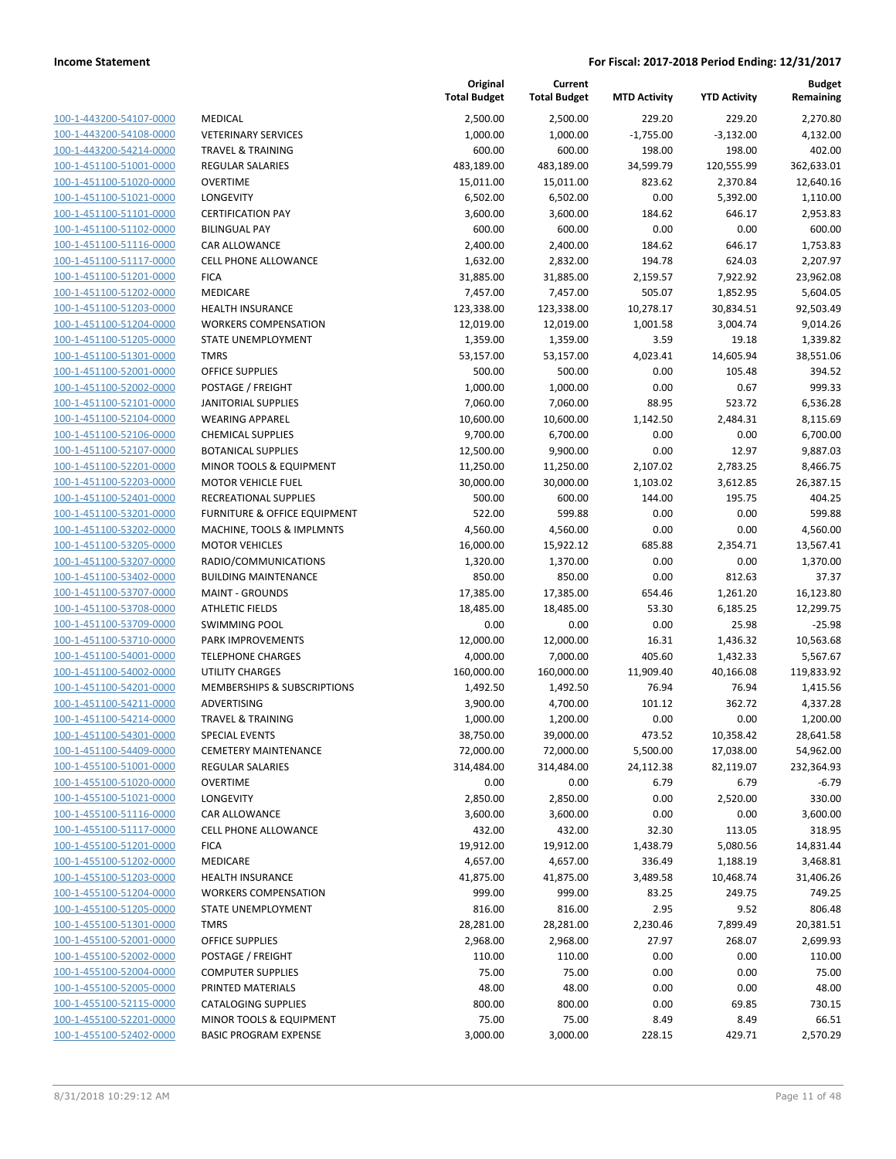| 100-1-443200-54107-0000        | Ν  |
|--------------------------------|----|
| 100-1-443200-54108-0000        | ٧  |
| 100-1-443200-54214-0000        | T  |
| 100-1-451100-51001-0000        | R  |
| 100-1-451100-51020-0000        | C  |
| 100-1-451100-51021-0000        | L  |
| 100-1-451100-51101-0000        | c  |
| 100-1-451100-51102-0000        | B  |
|                                |    |
| 100-1-451100-51116-0000        | C  |
| 100-1-451100-51117-0000        | c  |
| 100-1-451100-51201-0000        | F  |
| 100-1-451100-51202-0000        | Ν  |
| 100-1-451100-51203-0000        | ۲  |
| 100-1-451100-51204-0000        | V  |
| <u>100-1-451100-51205-0000</u> | S  |
| 100-1-451100-51301-0000        | T  |
| 100-1-451100-52001-0000        | C  |
| 100-1-451100-52002-0000        | P  |
| 100-1-451100-52101-0000        | J, |
| <u>100-1-451100-52104-0000</u> | ٧  |
| 100-1-451100-52106-0000        | C  |
| 100-1-451100-52107-0000        | B  |
| 100-1-451100-52201-0000        | Λ  |
| 100-1-451100-52203-0000        | Ν  |
| <u>100-1-451100-52401-0000</u> | R  |
| 100-1-451100-53201-0000        | F  |
| 100-1-451100-53202-0000        | Ν  |
| 100-1-451100-53205-0000        | Λ  |
| 100-1-451100-53207-0000        | R  |
| 100-1-451100-53402-0000        | B  |
| 100-1-451100-53707-0000        | Ν  |
| 100-1-451100-53708-0000        | A  |
| 100-1-451100-53709-0000        | S  |
| 100-1-451100-53710-0000        | P  |
| <u>100-1-451100-54001-0000</u> | T  |
| 100-1-451100-54002-0000        | ι  |
| 100-1-451100-54201-0000        | Λ  |
| 100-1-451100-54211-0000        | A  |
| 100-1-451100-54214-0000        | T  |
| 100-1-451100-54301-0000        | S  |
| 100-1-451100-54409-0000        | C  |
| 100-1-455100-51001-0000        | R  |
| 100-1-455100-51020-0000        | c  |
| <u>100-1-455100-51021-0000</u> | L  |
| <u>100-1-455100-51116-0000</u> | c  |
| 100-1-455100-51117-0000        | c  |
|                                | F  |
| 100-1-455100-51201-0000        |    |
| 100-1-455100-51202-0000        | N  |
| 100-1-455100-51203-0000        | ۲  |
| <u>100-1-455100-51204-0000</u> | ٧  |
| 100-1-455100-51205-0000        | S  |
| 100-1-455100-51301-0000        | Т  |
| 100-1-455100-52001-0000        | c  |
| 100-1-455100-52002-0000        | P  |
| <u>100-1-455100-52004-0000</u> | c  |
| 100-1-455100-52005-0000        | P  |
| 100-1-455100-52115-0000        | c  |
| 100-1-455100-52201-0000        | Ŋ  |
| <u>100-1-455100-52402-0000</u> | e  |
|                                |    |

|                                                    |                                     | Original<br><b>Total Budget</b> | Current<br><b>Total Budget</b> | <b>MTD Activity</b> | <b>YTD Activity</b> | <b>Budget</b><br>Remaining |
|----------------------------------------------------|-------------------------------------|---------------------------------|--------------------------------|---------------------|---------------------|----------------------------|
| 100-1-443200-54107-0000                            | MEDICAL                             | 2,500.00                        | 2,500.00                       | 229.20              | 229.20              | 2,270.80                   |
| 100-1-443200-54108-0000                            | <b>VETERINARY SERVICES</b>          | 1,000.00                        | 1,000.00                       | $-1,755.00$         | $-3,132.00$         | 4,132.00                   |
| 100-1-443200-54214-0000                            | <b>TRAVEL &amp; TRAINING</b>        | 600.00                          | 600.00                         | 198.00              | 198.00              | 402.00                     |
| 100-1-451100-51001-0000                            | <b>REGULAR SALARIES</b>             | 483,189.00                      | 483,189.00                     | 34,599.79           | 120,555.99          | 362,633.01                 |
| 100-1-451100-51020-0000                            | <b>OVERTIME</b>                     | 15,011.00                       | 15,011.00                      | 823.62              | 2,370.84            | 12,640.16                  |
| 100-1-451100-51021-0000                            | <b>LONGEVITY</b>                    | 6,502.00                        | 6,502.00                       | 0.00                | 5,392.00            | 1,110.00                   |
| 100-1-451100-51101-0000                            | <b>CERTIFICATION PAY</b>            | 3,600.00                        | 3,600.00                       | 184.62              | 646.17              | 2,953.83                   |
| 100-1-451100-51102-0000                            | <b>BILINGUAL PAY</b>                | 600.00                          | 600.00                         | 0.00                | 0.00                | 600.00                     |
| 100-1-451100-51116-0000                            | CAR ALLOWANCE                       | 2,400.00                        | 2,400.00                       | 184.62              | 646.17              | 1,753.83                   |
| 100-1-451100-51117-0000                            | <b>CELL PHONE ALLOWANCE</b>         | 1,632.00                        | 2,832.00                       | 194.78              | 624.03              | 2,207.97                   |
| 100-1-451100-51201-0000                            | <b>FICA</b>                         | 31,885.00                       | 31,885.00                      | 2,159.57            | 7,922.92            | 23,962.08                  |
| 100-1-451100-51202-0000                            | MEDICARE                            | 7,457.00                        | 7,457.00                       | 505.07              | 1,852.95            | 5,604.05                   |
| 100-1-451100-51203-0000                            | <b>HEALTH INSURANCE</b>             | 123,338.00                      | 123,338.00                     | 10,278.17           | 30,834.51           | 92,503.49                  |
| 100-1-451100-51204-0000                            | <b>WORKERS COMPENSATION</b>         | 12,019.00                       | 12,019.00                      | 1,001.58            | 3,004.74            | 9,014.26                   |
| 100-1-451100-51205-0000                            | STATE UNEMPLOYMENT                  | 1,359.00                        | 1,359.00                       | 3.59                | 19.18               | 1,339.82                   |
| 100-1-451100-51301-0000<br>100-1-451100-52001-0000 | TMRS<br><b>OFFICE SUPPLIES</b>      | 53,157.00<br>500.00             | 53,157.00<br>500.00            | 4,023.41<br>0.00    | 14,605.94<br>105.48 | 38,551.06<br>394.52        |
| 100-1-451100-52002-0000                            | POSTAGE / FREIGHT                   | 1,000.00                        | 1,000.00                       | 0.00                | 0.67                | 999.33                     |
| 100-1-451100-52101-0000                            | <b>JANITORIAL SUPPLIES</b>          | 7,060.00                        | 7,060.00                       | 88.95               | 523.72              | 6,536.28                   |
| 100-1-451100-52104-0000                            | <b>WEARING APPAREL</b>              | 10,600.00                       | 10,600.00                      | 1,142.50            | 2,484.31            | 8,115.69                   |
| 100-1-451100-52106-0000                            | <b>CHEMICAL SUPPLIES</b>            | 9,700.00                        | 6,700.00                       | 0.00                | 0.00                | 6,700.00                   |
| 100-1-451100-52107-0000                            | <b>BOTANICAL SUPPLIES</b>           | 12,500.00                       | 9,900.00                       | 0.00                | 12.97               | 9,887.03                   |
| 100-1-451100-52201-0000                            | MINOR TOOLS & EQUIPMENT             | 11,250.00                       | 11,250.00                      | 2,107.02            | 2,783.25            | 8,466.75                   |
| 100-1-451100-52203-0000                            | <b>MOTOR VEHICLE FUEL</b>           | 30,000.00                       | 30,000.00                      | 1,103.02            | 3,612.85            | 26,387.15                  |
| 100-1-451100-52401-0000                            | RECREATIONAL SUPPLIES               | 500.00                          | 600.00                         | 144.00              | 195.75              | 404.25                     |
| 100-1-451100-53201-0000                            | FURNITURE & OFFICE EQUIPMENT        | 522.00                          | 599.88                         | 0.00                | 0.00                | 599.88                     |
| 100-1-451100-53202-0000                            | MACHINE, TOOLS & IMPLMNTS           | 4,560.00                        | 4,560.00                       | 0.00                | 0.00                | 4,560.00                   |
| 100-1-451100-53205-0000                            | <b>MOTOR VEHICLES</b>               | 16,000.00                       | 15,922.12                      | 685.88              | 2,354.71            | 13,567.41                  |
| 100-1-451100-53207-0000                            | RADIO/COMMUNICATIONS                | 1,320.00                        | 1,370.00                       | 0.00                | 0.00                | 1,370.00                   |
| 100-1-451100-53402-0000                            | <b>BUILDING MAINTENANCE</b>         | 850.00                          | 850.00                         | 0.00                | 812.63              | 37.37                      |
| 100-1-451100-53707-0000                            | <b>MAINT - GROUNDS</b>              | 17,385.00                       | 17,385.00                      | 654.46              | 1,261.20            | 16,123.80                  |
| 100-1-451100-53708-0000                            | <b>ATHLETIC FIELDS</b>              | 18,485.00                       | 18,485.00                      | 53.30               | 6,185.25            | 12,299.75                  |
| 100-1-451100-53709-0000                            | <b>SWIMMING POOL</b>                | 0.00                            | 0.00                           | 0.00                | 25.98               | $-25.98$                   |
| 100-1-451100-53710-0000                            | PARK IMPROVEMENTS                   | 12,000.00                       | 12,000.00                      | 16.31               | 1,436.32            | 10,563.68                  |
| 100-1-451100-54001-0000                            | <b>TELEPHONE CHARGES</b>            | 4,000.00                        | 7,000.00                       | 405.60              | 1,432.33            | 5,567.67                   |
| 100-1-451100-54002-0000                            | <b>UTILITY CHARGES</b>              | 160,000.00                      | 160,000.00                     | 11,909.40           | 40,166.08           | 119,833.92                 |
| 100-1-451100-54201-0000                            | MEMBERSHIPS & SUBSCRIPTIONS         | 1,492.50                        | 1,492.50                       | 76.94               | 76.94               | 1,415.56                   |
| 100-1-451100-54211-0000                            | ADVERTISING                         | 3,900.00                        | 4,700.00                       | 101.12              | 362.72              | 4,337.28                   |
| 100-1-451100-54214-0000                            | <b>TRAVEL &amp; TRAINING</b>        | 1,000.00                        | 1,200.00                       | 0.00                | 0.00                | 1,200.00                   |
| 100-1-451100-54301-0000                            | <b>SPECIAL EVENTS</b>               | 38,750.00                       | 39,000.00                      | 473.52              | 10,358.42           | 28,641.58                  |
| 100-1-451100-54409-0000                            | <b>CEMETERY MAINTENANCE</b>         | 72,000.00                       | 72,000.00                      | 5,500.00            | 17,038.00           | 54,962.00                  |
| 100-1-455100-51001-0000                            | REGULAR SALARIES                    | 314,484.00                      | 314,484.00                     | 24,112.38           | 82,119.07           | 232,364.93                 |
| 100-1-455100-51020-0000<br>100-1-455100-51021-0000 | <b>OVERTIME</b><br><b>LONGEVITY</b> | 0.00                            | 0.00                           | 6.79                | 6.79                | $-6.79$                    |
| 100-1-455100-51116-0000                            | CAR ALLOWANCE                       | 2,850.00                        | 2,850.00                       | 0.00<br>0.00        | 2,520.00<br>0.00    | 330.00<br>3,600.00         |
| 100-1-455100-51117-0000                            | <b>CELL PHONE ALLOWANCE</b>         | 3,600.00<br>432.00              | 3,600.00<br>432.00             | 32.30               | 113.05              | 318.95                     |
| 100-1-455100-51201-0000                            | <b>FICA</b>                         | 19,912.00                       | 19,912.00                      | 1,438.79            | 5,080.56            | 14,831.44                  |
| 100-1-455100-51202-0000                            | MEDICARE                            | 4,657.00                        | 4,657.00                       | 336.49              | 1,188.19            | 3,468.81                   |
| 100-1-455100-51203-0000                            | <b>HEALTH INSURANCE</b>             | 41,875.00                       | 41,875.00                      | 3,489.58            | 10,468.74           | 31,406.26                  |
| 100-1-455100-51204-0000                            | <b>WORKERS COMPENSATION</b>         | 999.00                          | 999.00                         | 83.25               | 249.75              | 749.25                     |
| 100-1-455100-51205-0000                            | <b>STATE UNEMPLOYMENT</b>           | 816.00                          | 816.00                         | 2.95                | 9.52                | 806.48                     |
| 100-1-455100-51301-0000                            | <b>TMRS</b>                         | 28,281.00                       | 28,281.00                      | 2,230.46            | 7,899.49            | 20,381.51                  |
| 100-1-455100-52001-0000                            | <b>OFFICE SUPPLIES</b>              | 2,968.00                        | 2,968.00                       | 27.97               | 268.07              | 2,699.93                   |
| 100-1-455100-52002-0000                            | POSTAGE / FREIGHT                   | 110.00                          | 110.00                         | 0.00                | 0.00                | 110.00                     |
| 100-1-455100-52004-0000                            | <b>COMPUTER SUPPLIES</b>            | 75.00                           | 75.00                          | 0.00                | 0.00                | 75.00                      |
| 100-1-455100-52005-0000                            | PRINTED MATERIALS                   | 48.00                           | 48.00                          | 0.00                | 0.00                | 48.00                      |
| 100-1-455100-52115-0000                            | <b>CATALOGING SUPPLIES</b>          | 800.00                          | 800.00                         | 0.00                | 69.85               | 730.15                     |
| 100-1-455100-52201-0000                            | MINOR TOOLS & EQUIPMENT             | 75.00                           | 75.00                          | 8.49                | 8.49                | 66.51                      |
| 100-1-455100-52402-0000                            | <b>BASIC PROGRAM EXPENSE</b>        | 3,000.00                        | 3,000.00                       | 228.15              | 429.71              | 2,570.29                   |
|                                                    |                                     |                                 |                                |                     |                     |                            |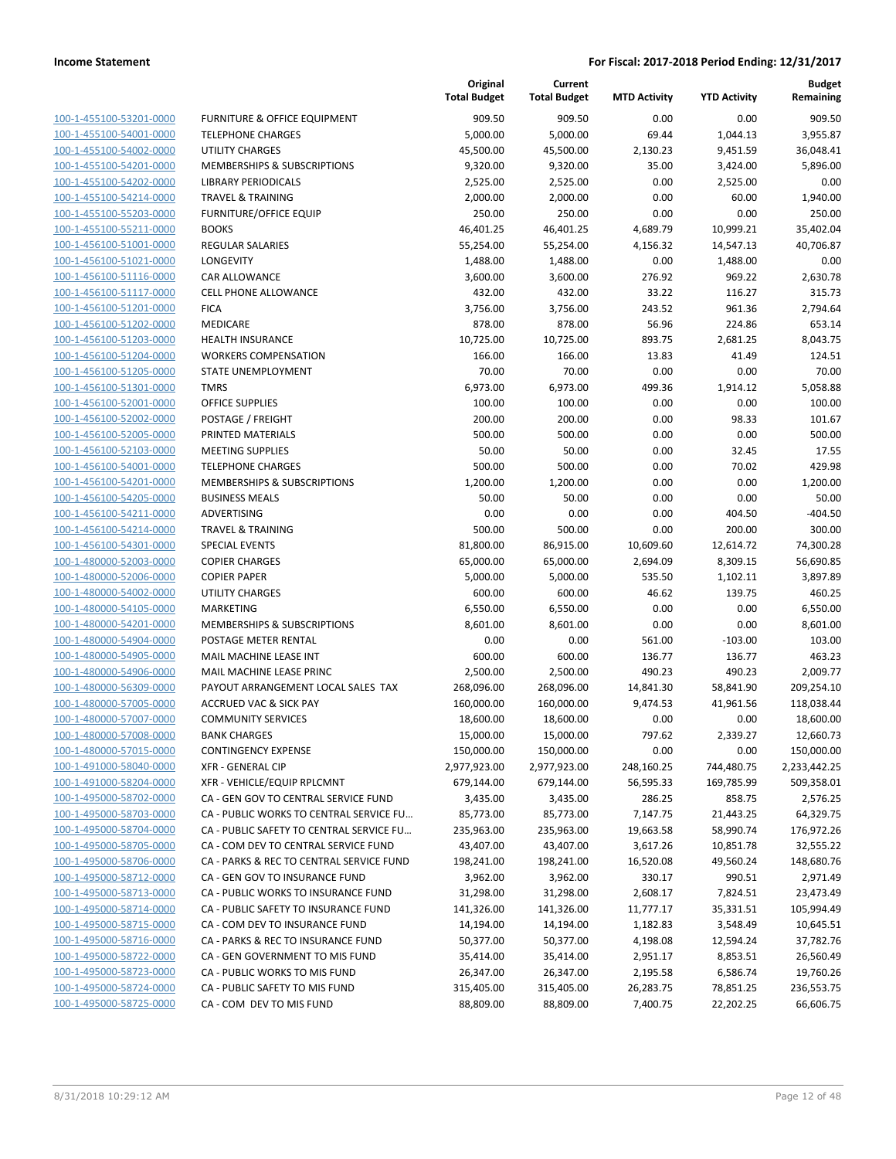| 100-1-455100-53201-0000         |
|---------------------------------|
| 100-1-455100-54001-0000         |
| 100-1-455100-54002-0000         |
| 100-1-455100-54201-0000         |
| 100-1-455100-54202-0000         |
| 100-1-455100-54214-0000         |
| 100-1-455100-55203-0000         |
| 100-1-455100-55211-0000         |
| 100-1-456100-51001-0000         |
| 100-1-456100-51021-0000         |
| 100-1-456100-51116-0000         |
| 100-1-456100-51117-0000         |
| 100-1-456100-51201-0000         |
| 100-1-456100-51202-0000         |
| -456100-51203-0000<br>$100 - 1$ |
| 100-1-456100-51204-0000         |
| 100-1-456100-51205-0000         |
| 100-1-456100-51301-0000         |
| 100-1-456100-52001-0000         |
| $100 - 1$<br>-456100-52002-0000 |
| 100-1-456100-52005-0000         |
| 100-1-456100-52103-0000         |
| 100-1-456100-54001-0000         |
| 100-1-456100-54201-0000         |
| $100 - 1$<br>-456100-54205-0000 |
| 100-1-456100-54211-0000         |
| 100-1-456100-54214-0000         |
| 100-1-456100-54301-0000         |
| 100-1-480000-52003-0000         |
| 100-1-480000-52006-0000         |
| 100-1-480000-54002-0000         |
| 100-1-480000-54105-0000         |
| 100-1-480000-54201-0000         |
| 100-1-480000-54904-0000         |
| 100-1-480000-54905-0000         |
| 100-1-480000-54906-0000         |
| 100-1-480000-56309-0000         |
| 100-1-480000-57005-0000         |
| 100-1-480000-57007-0000         |
| -480000-57008-0000<br>$100 - 1$ |
| 100-1-480000-57015-0000         |
| 100-1-491000-58040-0000         |
| <u>100-1-491000-58204-0000</u>  |
| 100-1-495000-58702-0000         |
| 100-1-495000-58703-0000         |
| 100-1-495000-58704-0000         |
|                                 |
| 100-1-495000-58705-0000         |
| 100-1-495000-58706-0000         |
| <u>100-1-495000-58712-0000</u>  |
| 100-1-495000-58713-0000         |
| 100-1-495000-58714-0000         |
| 100-1-495000-58715-0000         |
| 100-1-495000-58716-0000         |
| <u>100-1-495000-58722-0000</u>  |
| 100-1-495000-58723-0000         |
| 100-1-495000-58724-0000         |
| <u>100-1-495000-58725-0000</u>  |

|                         |                                          | Original<br><b>Total Budget</b> | Current<br><b>Total Budget</b> | <b>MTD Activity</b> | <b>YTD Activity</b> | <b>Budget</b><br>Remaining |
|-------------------------|------------------------------------------|---------------------------------|--------------------------------|---------------------|---------------------|----------------------------|
| 100-1-455100-53201-0000 | FURNITURE & OFFICE EQUIPMENT             | 909.50                          | 909.50                         | 0.00                | 0.00                | 909.50                     |
| 100-1-455100-54001-0000 | <b>TELEPHONE CHARGES</b>                 | 5,000.00                        | 5,000.00                       | 69.44               | 1,044.13            | 3,955.87                   |
| 100-1-455100-54002-0000 | <b>UTILITY CHARGES</b>                   | 45,500.00                       | 45,500.00                      | 2,130.23            | 9,451.59            | 36,048.41                  |
| 100-1-455100-54201-0000 | <b>MEMBERSHIPS &amp; SUBSCRIPTIONS</b>   | 9,320.00                        | 9,320.00                       | 35.00               | 3,424.00            | 5,896.00                   |
| 100-1-455100-54202-0000 | <b>LIBRARY PERIODICALS</b>               | 2,525.00                        | 2,525.00                       | 0.00                | 2,525.00            | 0.00                       |
| 100-1-455100-54214-0000 | <b>TRAVEL &amp; TRAINING</b>             | 2,000.00                        | 2,000.00                       | 0.00                | 60.00               | 1,940.00                   |
| 100-1-455100-55203-0000 | <b>FURNITURE/OFFICE EQUIP</b>            | 250.00                          | 250.00                         | 0.00                | 0.00                | 250.00                     |
| 100-1-455100-55211-0000 | <b>BOOKS</b>                             | 46,401.25                       | 46,401.25                      | 4,689.79            | 10,999.21           | 35,402.04                  |
| 100-1-456100-51001-0000 | REGULAR SALARIES                         | 55,254.00                       | 55,254.00                      | 4,156.32            | 14,547.13           | 40.706.87                  |
| 100-1-456100-51021-0000 | LONGEVITY                                | 1,488.00                        | 1,488.00                       | 0.00                | 1,488.00            | 0.00                       |
| 100-1-456100-51116-0000 | CAR ALLOWANCE                            | 3,600.00                        | 3,600.00                       | 276.92              | 969.22              | 2,630.78                   |
| 100-1-456100-51117-0000 | <b>CELL PHONE ALLOWANCE</b>              | 432.00                          | 432.00                         | 33.22               | 116.27              | 315.73                     |
| 100-1-456100-51201-0000 | <b>FICA</b>                              | 3,756.00                        | 3,756.00                       | 243.52              | 961.36              | 2,794.64                   |
| 100-1-456100-51202-0000 | MEDICARE                                 | 878.00                          | 878.00                         | 56.96               | 224.86              | 653.14                     |
| 100-1-456100-51203-0000 | HEALTH INSURANCE                         | 10,725.00                       | 10,725.00                      | 893.75              | 2,681.25            | 8,043.75                   |
| 100-1-456100-51204-0000 | <b>WORKERS COMPENSATION</b>              | 166.00                          | 166.00                         | 13.83               | 41.49               | 124.51                     |
| 100-1-456100-51205-0000 | STATE UNEMPLOYMENT                       | 70.00                           | 70.00                          | 0.00                | 0.00                | 70.00                      |
| 100-1-456100-51301-0000 | <b>TMRS</b>                              | 6,973.00                        | 6,973.00                       | 499.36              | 1,914.12            | 5,058.88                   |
| 100-1-456100-52001-0000 | <b>OFFICE SUPPLIES</b>                   | 100.00                          | 100.00                         | 0.00                | 0.00                | 100.00                     |
| 100-1-456100-52002-0000 | POSTAGE / FREIGHT                        | 200.00                          | 200.00                         | 0.00                | 98.33               | 101.67                     |
| 100-1-456100-52005-0000 | PRINTED MATERIALS                        | 500.00                          | 500.00                         | 0.00                | 0.00                | 500.00                     |
| 100-1-456100-52103-0000 | <b>MEETING SUPPLIES</b>                  | 50.00                           | 50.00                          | 0.00                | 32.45               | 17.55                      |
| 100-1-456100-54001-0000 | <b>TELEPHONE CHARGES</b>                 | 500.00                          | 500.00                         | 0.00                | 70.02               | 429.98                     |
| 100-1-456100-54201-0000 | <b>MEMBERSHIPS &amp; SUBSCRIPTIONS</b>   | 1,200.00                        | 1,200.00                       | 0.00                | 0.00                | 1,200.00                   |
| 100-1-456100-54205-0000 | <b>BUSINESS MEALS</b>                    | 50.00                           | 50.00                          | 0.00                | 0.00                | 50.00                      |
| 100-1-456100-54211-0000 | ADVERTISING                              | 0.00                            | 0.00                           | 0.00                | 404.50              | $-404.50$                  |
| 100-1-456100-54214-0000 | <b>TRAVEL &amp; TRAINING</b>             | 500.00                          | 500.00                         | 0.00                | 200.00              | 300.00                     |
| 100-1-456100-54301-0000 | <b>SPECIAL EVENTS</b>                    | 81,800.00                       | 86,915.00                      | 10,609.60           | 12,614.72           | 74,300.28                  |
| 100-1-480000-52003-0000 | <b>COPIER CHARGES</b>                    | 65,000.00                       | 65,000.00                      | 2,694.09            | 8,309.15            | 56,690.85                  |
| 100-1-480000-52006-0000 | <b>COPIER PAPER</b>                      | 5,000.00                        | 5,000.00                       | 535.50              | 1,102.11            | 3,897.89                   |
| 100-1-480000-54002-0000 | <b>UTILITY CHARGES</b>                   | 600.00                          | 600.00                         | 46.62               | 139.75              | 460.25                     |
| 100-1-480000-54105-0000 | <b>MARKETING</b>                         | 6,550.00                        | 6,550.00                       | 0.00                | 0.00                | 6,550.00                   |
| 100-1-480000-54201-0000 | MEMBERSHIPS & SUBSCRIPTIONS              | 8,601.00                        | 8,601.00                       | 0.00                | 0.00                | 8,601.00                   |
| 100-1-480000-54904-0000 | POSTAGE METER RENTAL                     | 0.00                            | 0.00                           | 561.00              | $-103.00$           | 103.00                     |
| 100-1-480000-54905-0000 | MAIL MACHINE LEASE INT                   | 600.00                          | 600.00                         | 136.77              | 136.77              | 463.23                     |
| 100-1-480000-54906-0000 | MAIL MACHINE LEASE PRINC                 | 2,500.00                        | 2,500.00                       | 490.23              | 490.23              | 2,009.77                   |
| 100-1-480000-56309-0000 | PAYOUT ARRANGEMENT LOCAL SALES TAX       | 268,096.00                      | 268,096.00                     | 14,841.30           | 58,841.90           | 209,254.10                 |
| 100-1-480000-57005-0000 | <b>ACCRUED VAC &amp; SICK PAY</b>        | 160,000.00                      | 160,000.00                     | 9,474.53            | 41,961.56           | 118,038.44                 |
| 100-1-480000-57007-0000 | <b>COMMUNITY SERVICES</b>                | 18,600.00                       | 18,600.00                      | 0.00                | 0.00                | 18,600.00                  |
| 100-1-480000-57008-0000 | <b>BANK CHARGES</b>                      | 15,000.00                       | 15,000.00                      | 797.62              | 2,339.27            | 12,660.73                  |
| 100-1-480000-57015-0000 | <b>CONTINGENCY EXPENSE</b>               | 150,000.00                      | 150,000.00                     | 0.00                | 0.00                | 150,000.00                 |
| 100-1-491000-58040-0000 | <b>XFR - GENERAL CIP</b>                 | 2,977,923.00                    | 2,977,923.00                   | 248,160.25          | 744,480.75          | 2,233,442.25               |
| 100-1-491000-58204-0000 | XFR - VEHICLE/EQUIP RPLCMNT              | 679,144.00                      | 679,144.00                     | 56,595.33           | 169,785.99          | 509,358.01                 |
| 100-1-495000-58702-0000 | CA - GEN GOV TO CENTRAL SERVICE FUND     | 3,435.00                        | 3,435.00                       | 286.25              | 858.75              | 2,576.25                   |
| 100-1-495000-58703-0000 | CA - PUBLIC WORKS TO CENTRAL SERVICE FU  | 85,773.00                       | 85,773.00                      | 7,147.75            | 21,443.25           | 64,329.75                  |
| 100-1-495000-58704-0000 | CA - PUBLIC SAFETY TO CENTRAL SERVICE FU | 235,963.00                      | 235,963.00                     | 19,663.58           | 58,990.74           | 176,972.26                 |
| 100-1-495000-58705-0000 | CA - COM DEV TO CENTRAL SERVICE FUND     | 43,407.00                       | 43,407.00                      | 3,617.26            | 10,851.78           | 32,555.22                  |
| 100-1-495000-58706-0000 | CA - PARKS & REC TO CENTRAL SERVICE FUND | 198,241.00                      | 198,241.00                     | 16,520.08           | 49,560.24           | 148,680.76                 |
| 100-1-495000-58712-0000 | CA - GEN GOV TO INSURANCE FUND           | 3,962.00                        | 3,962.00                       | 330.17              | 990.51              | 2,971.49                   |
| 100-1-495000-58713-0000 | CA - PUBLIC WORKS TO INSURANCE FUND      | 31,298.00                       | 31,298.00                      | 2,608.17            | 7,824.51            | 23,473.49                  |
| 100-1-495000-58714-0000 | CA - PUBLIC SAFETY TO INSURANCE FUND     | 141,326.00                      | 141,326.00                     | 11,777.17           | 35,331.51           | 105,994.49                 |
| 100-1-495000-58715-0000 | CA - COM DEV TO INSURANCE FUND           | 14,194.00                       | 14,194.00                      |                     |                     |                            |
|                         |                                          |                                 |                                | 1,182.83            | 3,548.49            | 10,645.51                  |
| 100-1-495000-58716-0000 | CA - PARKS & REC TO INSURANCE FUND       | 50,377.00                       | 50,377.00                      | 4,198.08            | 12,594.24           | 37,782.76                  |
| 100-1-495000-58722-0000 | CA - GEN GOVERNMENT TO MIS FUND          | 35,414.00                       | 35,414.00                      | 2,951.17            | 8,853.51            | 26,560.49                  |
| 100-1-495000-58723-0000 | CA - PUBLIC WORKS TO MIS FUND            | 26,347.00                       | 26,347.00                      | 2,195.58            | 6,586.74            | 19,760.26                  |
| 100-1-495000-58724-0000 | CA - PUBLIC SAFETY TO MIS FUND           | 315,405.00                      | 315,405.00                     | 26,283.75           | 78,851.25           | 236,553.75                 |
| 100-1-495000-58725-0000 | CA - COM DEV TO MIS FUND                 | 88,809.00                       | 88,809.00                      | 7,400.75            | 22,202.25           | 66,606.75                  |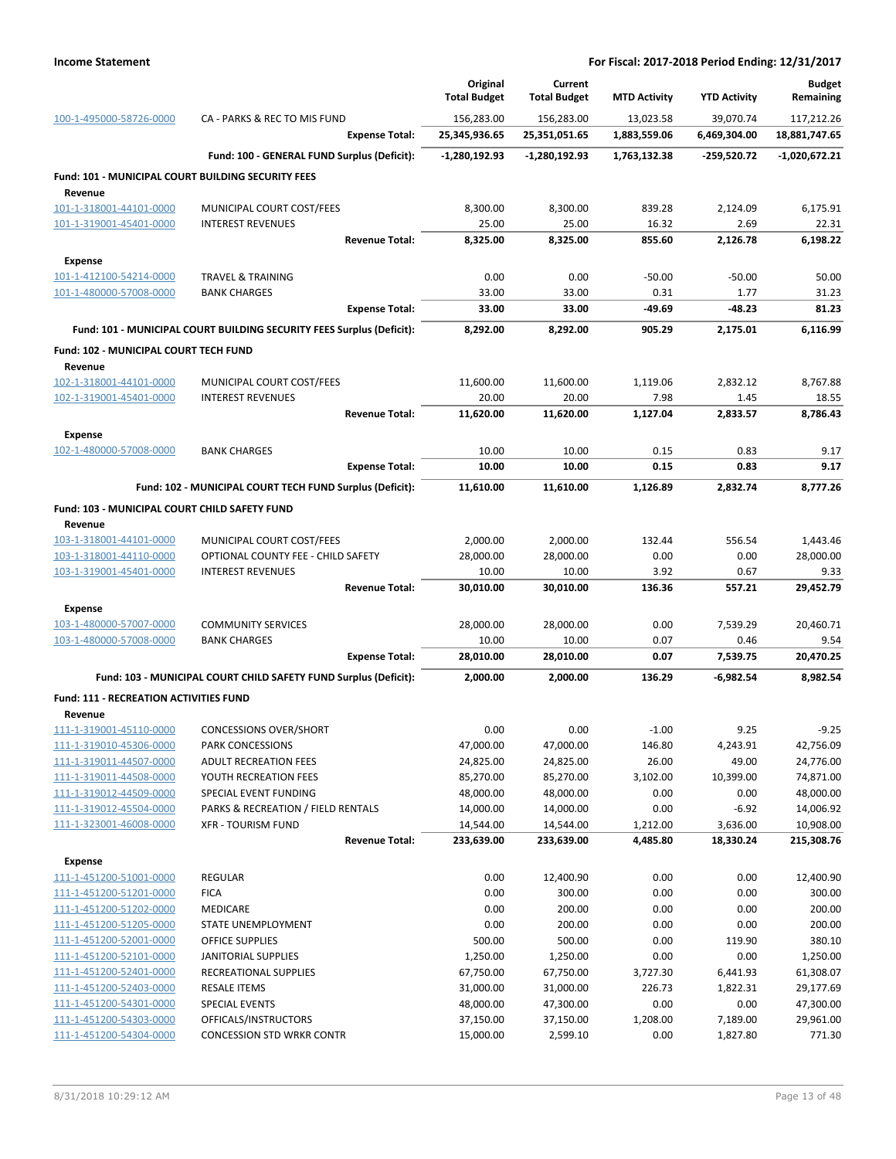|                                                           |                                                                       | Original<br><b>Total Budget</b> | Current<br><b>Total Budget</b> | <b>MTD Activity</b> | <b>YTD Activity</b> | <b>Budget</b><br>Remaining |
|-----------------------------------------------------------|-----------------------------------------------------------------------|---------------------------------|--------------------------------|---------------------|---------------------|----------------------------|
| 100-1-495000-58726-0000                                   | CA - PARKS & REC TO MIS FUND                                          | 156,283.00                      | 156,283.00                     | 13,023.58           | 39,070.74           | 117,212.26                 |
|                                                           | <b>Expense Total:</b>                                                 | 25,345,936.65                   | 25,351,051.65                  | 1,883,559.06        | 6,469,304.00        | 18,881,747.65              |
|                                                           | Fund: 100 - GENERAL FUND Surplus (Deficit):                           | $-1,280,192.93$                 | $-1,280,192.93$                | 1,763,132.38        | -259,520.72         | $-1,020,672.21$            |
| <b>Fund: 101 - MUNICIPAL COURT BUILDING SECURITY FEES</b> |                                                                       |                                 |                                |                     |                     |                            |
| Revenue                                                   |                                                                       |                                 |                                |                     |                     |                            |
| 101-1-318001-44101-0000                                   | MUNICIPAL COURT COST/FEES                                             | 8,300.00                        | 8,300.00                       | 839.28              | 2,124.09            | 6,175.91                   |
| 101-1-319001-45401-0000                                   | <b>INTEREST REVENUES</b><br><b>Revenue Total:</b>                     | 25.00<br>8,325.00               | 25.00<br>8,325.00              | 16.32<br>855.60     | 2.69<br>2,126.78    | 22.31<br>6,198.22          |
| <b>Expense</b>                                            |                                                                       |                                 |                                |                     |                     |                            |
| 101-1-412100-54214-0000                                   | <b>TRAVEL &amp; TRAINING</b>                                          | 0.00                            | 0.00                           | $-50.00$            | $-50.00$            | 50.00                      |
| 101-1-480000-57008-0000                                   | <b>BANK CHARGES</b>                                                   | 33.00                           | 33.00                          | 0.31                | 1.77                | 31.23                      |
|                                                           | <b>Expense Total:</b>                                                 | 33.00                           | 33.00                          | $-49.69$            | $-48.23$            | 81.23                      |
|                                                           | Fund: 101 - MUNICIPAL COURT BUILDING SECURITY FEES Surplus (Deficit): | 8,292.00                        | 8,292.00                       | 905.29              | 2,175.01            | 6,116.99                   |
| Fund: 102 - MUNICIPAL COURT TECH FUND                     |                                                                       |                                 |                                |                     |                     |                            |
| Revenue                                                   |                                                                       |                                 |                                |                     |                     |                            |
| 102-1-318001-44101-0000                                   | MUNICIPAL COURT COST/FEES                                             | 11,600.00                       | 11,600.00                      | 1,119.06            | 2,832.12            | 8,767.88                   |
| 102-1-319001-45401-0000                                   | <b>INTEREST REVENUES</b>                                              | 20.00                           | 20.00                          | 7.98                | 1.45                | 18.55                      |
|                                                           | <b>Revenue Total:</b>                                                 | 11,620.00                       | 11,620.00                      | 1,127.04            | 2,833.57            | 8,786.43                   |
| <b>Expense</b>                                            |                                                                       |                                 |                                |                     |                     |                            |
| 102-1-480000-57008-0000                                   | <b>BANK CHARGES</b>                                                   | 10.00                           | 10.00                          | 0.15                | 0.83                | 9.17                       |
|                                                           | <b>Expense Total:</b>                                                 | 10.00                           | 10.00                          | 0.15                | 0.83                | 9.17                       |
|                                                           | Fund: 102 - MUNICIPAL COURT TECH FUND Surplus (Deficit):              | 11,610.00                       | 11,610.00                      | 1,126.89            | 2,832.74            | 8,777.26                   |
| Fund: 103 - MUNICIPAL COURT CHILD SAFETY FUND<br>Revenue  |                                                                       |                                 |                                |                     |                     |                            |
| 103-1-318001-44101-0000                                   | MUNICIPAL COURT COST/FEES                                             | 2,000.00                        | 2,000.00                       | 132.44              | 556.54              | 1,443.46                   |
| 103-1-318001-44110-0000                                   | OPTIONAL COUNTY FEE - CHILD SAFETY                                    | 28,000.00                       | 28,000.00                      | 0.00                | 0.00                | 28,000.00                  |
| 103-1-319001-45401-0000                                   | <b>INTEREST REVENUES</b>                                              | 10.00                           | 10.00                          | 3.92                | 0.67                | 9.33                       |
|                                                           | <b>Revenue Total:</b>                                                 | 30,010.00                       | 30,010.00                      | 136.36              | 557.21              | 29,452.79                  |
| <b>Expense</b>                                            |                                                                       |                                 |                                |                     |                     |                            |
| 103-1-480000-57007-0000                                   | <b>COMMUNITY SERVICES</b>                                             | 28,000.00                       | 28,000.00                      | 0.00                | 7,539.29            | 20,460.71                  |
| 103-1-480000-57008-0000                                   | <b>BANK CHARGES</b><br><b>Expense Total:</b>                          | 10.00<br>28,010.00              | 10.00<br>28,010.00             | 0.07<br>0.07        | 0.46<br>7,539.75    | 9.54<br>20,470.25          |
|                                                           |                                                                       |                                 |                                |                     |                     |                            |
|                                                           | Fund: 103 - MUNICIPAL COURT CHILD SAFETY FUND Surplus (Deficit):      | 2,000.00                        | 2,000.00                       | 136.29              | -6,982.54           | 8,982.54                   |
| <b>Fund: 111 - RECREATION ACTIVITIES FUND</b>             |                                                                       |                                 |                                |                     |                     |                            |
| Revenue<br>111-1-319001-45110-0000                        | <b>CONCESSIONS OVER/SHORT</b>                                         | 0.00                            | 0.00                           | $-1.00$             | 9.25                | $-9.25$                    |
| 111-1-319010-45306-0000                                   | PARK CONCESSIONS                                                      | 47,000.00                       | 47,000.00                      | 146.80              | 4,243.91            | 42,756.09                  |
| 111-1-319011-44507-0000                                   | <b>ADULT RECREATION FEES</b>                                          | 24,825.00                       | 24,825.00                      | 26.00               | 49.00               | 24,776.00                  |
| 111-1-319011-44508-0000                                   | YOUTH RECREATION FEES                                                 | 85,270.00                       | 85,270.00                      | 3,102.00            | 10,399.00           | 74,871.00                  |
| 111-1-319012-44509-0000                                   | SPECIAL EVENT FUNDING                                                 | 48,000.00                       | 48,000.00                      | 0.00                | 0.00                | 48,000.00                  |
| 111-1-319012-45504-0000                                   | PARKS & RECREATION / FIELD RENTALS                                    | 14,000.00                       | 14,000.00                      | 0.00                | $-6.92$             | 14,006.92                  |
| 111-1-323001-46008-0000                                   | <b>XFR - TOURISM FUND</b>                                             | 14,544.00                       | 14,544.00                      | 1,212.00            | 3,636.00            | 10,908.00                  |
|                                                           | <b>Revenue Total:</b>                                                 | 233,639.00                      | 233,639.00                     | 4,485.80            | 18,330.24           | 215,308.76                 |
| <b>Expense</b>                                            |                                                                       |                                 |                                |                     |                     |                            |
| 111-1-451200-51001-0000<br>111-1-451200-51201-0000        | <b>REGULAR</b><br><b>FICA</b>                                         | 0.00<br>0.00                    | 12,400.90<br>300.00            | 0.00<br>0.00        | 0.00<br>0.00        | 12,400.90<br>300.00        |
| 111-1-451200-51202-0000                                   | MEDICARE                                                              | 0.00                            | 200.00                         | 0.00                | 0.00                | 200.00                     |
| 111-1-451200-51205-0000                                   | STATE UNEMPLOYMENT                                                    | 0.00                            | 200.00                         | 0.00                | 0.00                | 200.00                     |
| 111-1-451200-52001-0000                                   | <b>OFFICE SUPPLIES</b>                                                | 500.00                          | 500.00                         | 0.00                | 119.90              | 380.10                     |
| 111-1-451200-52101-0000                                   | JANITORIAL SUPPLIES                                                   | 1,250.00                        | 1,250.00                       | 0.00                | 0.00                | 1,250.00                   |
| 111-1-451200-52401-0000                                   | RECREATIONAL SUPPLIES                                                 | 67,750.00                       | 67,750.00                      | 3,727.30            | 6,441.93            | 61,308.07                  |
| 111-1-451200-52403-0000                                   | <b>RESALE ITEMS</b>                                                   | 31,000.00                       | 31,000.00                      | 226.73              | 1,822.31            | 29,177.69                  |
| 111-1-451200-54301-0000                                   | SPECIAL EVENTS                                                        | 48,000.00                       | 47,300.00                      | 0.00                | 0.00                | 47,300.00                  |
| 111-1-451200-54303-0000                                   | OFFICALS/INSTRUCTORS                                                  | 37,150.00                       | 37,150.00                      | 1,208.00            | 7,189.00            | 29,961.00                  |
| 111-1-451200-54304-0000                                   | <b>CONCESSION STD WRKR CONTR</b>                                      | 15,000.00                       | 2,599.10                       | 0.00                | 1,827.80            | 771.30                     |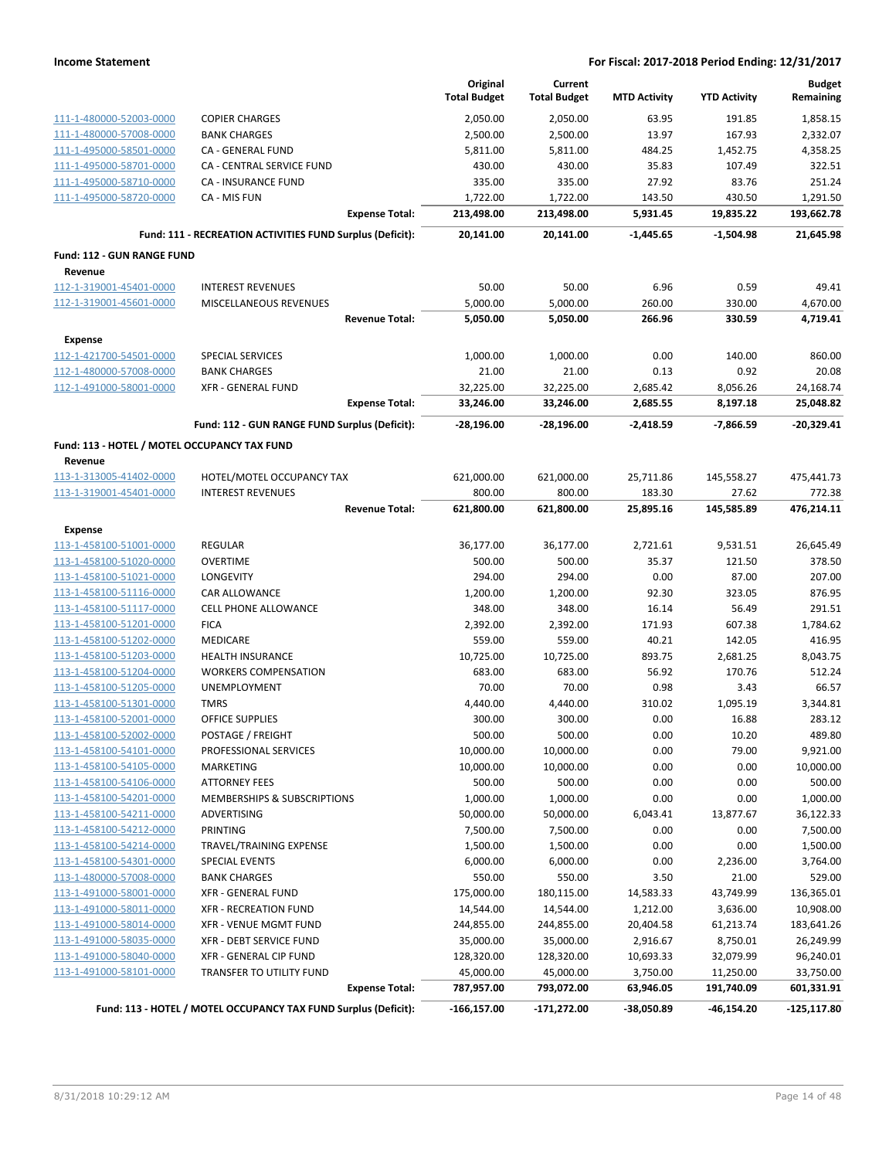|                                              |                                                                 |                       | Original               | Current                |                      |                      | <b>Budget</b> |
|----------------------------------------------|-----------------------------------------------------------------|-----------------------|------------------------|------------------------|----------------------|----------------------|---------------|
|                                              |                                                                 |                       | <b>Total Budget</b>    | <b>Total Budget</b>    | <b>MTD Activity</b>  | <b>YTD Activity</b>  | Remaining     |
| 111-1-480000-52003-0000                      | <b>COPIER CHARGES</b>                                           |                       | 2,050.00               | 2,050.00               | 63.95                | 191.85               | 1,858.15      |
| 111-1-480000-57008-0000                      | <b>BANK CHARGES</b>                                             |                       | 2,500.00               | 2,500.00               | 13.97                | 167.93               | 2,332.07      |
| 111-1-495000-58501-0000                      | <b>CA - GENERAL FUND</b>                                        |                       | 5,811.00               | 5,811.00               | 484.25               | 1,452.75             | 4,358.25      |
| 111-1-495000-58701-0000                      | <b>CA - CENTRAL SERVICE FUND</b>                                |                       | 430.00                 | 430.00                 | 35.83                | 107.49               | 322.51        |
| 111-1-495000-58710-0000                      | CA - INSURANCE FUND                                             |                       | 335.00                 | 335.00                 | 27.92                | 83.76                | 251.24        |
| 111-1-495000-58720-0000                      | CA - MIS FUN                                                    |                       | 1,722.00               | 1,722.00               | 143.50               | 430.50               | 1,291.50      |
|                                              |                                                                 | <b>Expense Total:</b> | 213,498.00             | 213,498.00             | 5,931.45             | 19,835.22            | 193,662.78    |
|                                              | Fund: 111 - RECREATION ACTIVITIES FUND Surplus (Deficit):       |                       | 20,141.00              | 20,141.00              | $-1.445.65$          | $-1.504.98$          | 21,645.98     |
| <b>Fund: 112 - GUN RANGE FUND</b>            |                                                                 |                       |                        |                        |                      |                      |               |
| Revenue                                      |                                                                 |                       |                        |                        |                      |                      |               |
| 112-1-319001-45401-0000                      | <b>INTEREST REVENUES</b>                                        |                       | 50.00                  | 50.00                  | 6.96                 | 0.59                 | 49.41         |
| 112-1-319001-45601-0000                      | MISCELLANEOUS REVENUES                                          |                       | 5,000.00               | 5,000.00               | 260.00               | 330.00               | 4,670.00      |
|                                              |                                                                 | <b>Revenue Total:</b> | 5,050.00               | 5,050.00               | 266.96               | 330.59               | 4,719.41      |
| <b>Expense</b>                               |                                                                 |                       |                        |                        |                      |                      |               |
| 112-1-421700-54501-0000                      | <b>SPECIAL SERVICES</b>                                         |                       | 1,000.00               | 1,000.00               | 0.00                 | 140.00               | 860.00        |
| 112-1-480000-57008-0000                      | <b>BANK CHARGES</b>                                             |                       | 21.00                  | 21.00                  | 0.13                 | 0.92                 | 20.08         |
| 112-1-491000-58001-0000                      | <b>XFR - GENERAL FUND</b>                                       |                       |                        |                        |                      |                      | 24,168.74     |
|                                              |                                                                 | <b>Expense Total:</b> | 32,225.00<br>33,246.00 | 32,225.00<br>33,246.00 | 2,685.42<br>2,685.55 | 8,056.26<br>8,197.18 | 25,048.82     |
|                                              |                                                                 |                       |                        |                        |                      |                      |               |
|                                              | Fund: 112 - GUN RANGE FUND Surplus (Deficit):                   |                       | -28,196.00             | $-28,196.00$           | $-2,418.59$          | -7,866.59            | $-20,329.41$  |
| Fund: 113 - HOTEL / MOTEL OCCUPANCY TAX FUND |                                                                 |                       |                        |                        |                      |                      |               |
| Revenue                                      |                                                                 |                       |                        |                        |                      |                      |               |
| 113-1-313005-41402-0000                      | HOTEL/MOTEL OCCUPANCY TAX                                       |                       | 621,000.00             | 621,000.00             | 25,711.86            | 145,558.27           | 475,441.73    |
| 113-1-319001-45401-0000                      | <b>INTEREST REVENUES</b>                                        |                       | 800.00                 | 800.00                 | 183.30               | 27.62                | 772.38        |
|                                              |                                                                 | <b>Revenue Total:</b> | 621,800.00             | 621,800.00             | 25,895.16            | 145,585.89           | 476,214.11    |
| <b>Expense</b>                               |                                                                 |                       |                        |                        |                      |                      |               |
| 113-1-458100-51001-0000                      | <b>REGULAR</b>                                                  |                       | 36,177.00              | 36,177.00              | 2,721.61             | 9,531.51             | 26,645.49     |
| 113-1-458100-51020-0000                      | <b>OVERTIME</b>                                                 |                       | 500.00                 | 500.00                 | 35.37                | 121.50               | 378.50        |
| 113-1-458100-51021-0000                      | LONGEVITY                                                       |                       | 294.00                 | 294.00                 | 0.00                 | 87.00                | 207.00        |
| 113-1-458100-51116-0000                      | CAR ALLOWANCE                                                   |                       | 1,200.00               | 1,200.00               | 92.30                | 323.05               | 876.95        |
| 113-1-458100-51117-0000                      | <b>CELL PHONE ALLOWANCE</b>                                     |                       | 348.00                 | 348.00                 | 16.14                | 56.49                | 291.51        |
| 113-1-458100-51201-0000                      | <b>FICA</b>                                                     |                       | 2,392.00               | 2,392.00               | 171.93               | 607.38               | 1,784.62      |
| 113-1-458100-51202-0000                      | <b>MEDICARE</b>                                                 |                       | 559.00                 | 559.00                 | 40.21                | 142.05               | 416.95        |
| 113-1-458100-51203-0000                      | <b>HEALTH INSURANCE</b>                                         |                       | 10,725.00              | 10,725.00              | 893.75               | 2,681.25             | 8,043.75      |
| 113-1-458100-51204-0000                      | <b>WORKERS COMPENSATION</b>                                     |                       | 683.00                 | 683.00                 | 56.92                | 170.76               | 512.24        |
| 113-1-458100-51205-0000                      | UNEMPLOYMENT                                                    |                       | 70.00                  | 70.00                  | 0.98                 | 3.43                 | 66.57         |
| 113-1-458100-51301-0000                      | <b>TMRS</b>                                                     |                       | 4,440.00               | 4,440.00               | 310.02               | 1,095.19             | 3,344.81      |
| 113-1-458100-52001-0000                      | <b>OFFICE SUPPLIES</b>                                          |                       | 300.00                 | 300.00                 | 0.00                 | 16.88                | 283.12        |
| <u>113-1-458100-52002-0000</u>               | POSTAGE / FREIGHT                                               |                       | 500.00                 | 500.00                 | 0.00                 | 10.20                | 489.80        |
| 113-1-458100-54101-0000                      | PROFESSIONAL SERVICES                                           |                       | 10,000.00              | 10,000.00              | 0.00                 | 79.00                | 9,921.00      |
| 113-1-458100-54105-0000                      | <b>MARKETING</b>                                                |                       | 10,000.00              | 10,000.00              | 0.00                 | 0.00                 | 10,000.00     |
| 113-1-458100-54106-0000                      | <b>ATTORNEY FEES</b>                                            |                       | 500.00                 | 500.00                 | 0.00                 | 0.00                 | 500.00        |
| 113-1-458100-54201-0000                      | MEMBERSHIPS & SUBSCRIPTIONS                                     |                       | 1,000.00               | 1,000.00               | 0.00                 | 0.00                 | 1,000.00      |
| 113-1-458100-54211-0000                      | ADVERTISING                                                     |                       | 50,000.00              | 50,000.00              | 6,043.41             | 13,877.67            | 36,122.33     |
| 113-1-458100-54212-0000                      | <b>PRINTING</b>                                                 |                       | 7,500.00               | 7,500.00               | 0.00                 | 0.00                 | 7,500.00      |
| 113-1-458100-54214-0000                      | TRAVEL/TRAINING EXPENSE                                         |                       | 1,500.00               | 1,500.00               | 0.00                 | 0.00                 | 1,500.00      |
| 113-1-458100-54301-0000                      | <b>SPECIAL EVENTS</b>                                           |                       | 6,000.00               | 6,000.00               | 0.00                 | 2,236.00             | 3,764.00      |
| 113-1-480000-57008-0000                      | <b>BANK CHARGES</b>                                             |                       | 550.00                 | 550.00                 | 3.50                 | 21.00                | 529.00        |
| 113-1-491000-58001-0000                      | <b>XFR - GENERAL FUND</b>                                       |                       | 175,000.00             | 180,115.00             | 14,583.33            | 43,749.99            | 136,365.01    |
| 113-1-491000-58011-0000                      | XFR - RECREATION FUND                                           |                       | 14,544.00              | 14,544.00              | 1,212.00             | 3,636.00             | 10,908.00     |
| 113-1-491000-58014-0000                      | XFR - VENUE MGMT FUND                                           |                       | 244,855.00             | 244,855.00             | 20,404.58            | 61,213.74            | 183,641.26    |
| 113-1-491000-58035-0000                      | XFR - DEBT SERVICE FUND                                         |                       | 35,000.00              | 35,000.00              | 2,916.67             | 8,750.01             | 26,249.99     |
| 113-1-491000-58040-0000                      | XFR - GENERAL CIP FUND                                          |                       | 128,320.00             | 128,320.00             | 10,693.33            | 32,079.99            | 96,240.01     |
| 113-1-491000-58101-0000                      | TRANSFER TO UTILITY FUND                                        |                       | 45,000.00              | 45,000.00              | 3,750.00             | 11,250.00            | 33,750.00     |
|                                              |                                                                 | <b>Expense Total:</b> | 787,957.00             | 793,072.00             | 63,946.05            | 191,740.09           | 601,331.91    |
|                                              | Fund: 113 - HOTEL / MOTEL OCCUPANCY TAX FUND Surplus (Deficit): |                       | -166,157.00            | $-171,272.00$          | -38,050.89           | -46,154.20           | $-125,117.80$ |
|                                              |                                                                 |                       |                        |                        |                      |                      |               |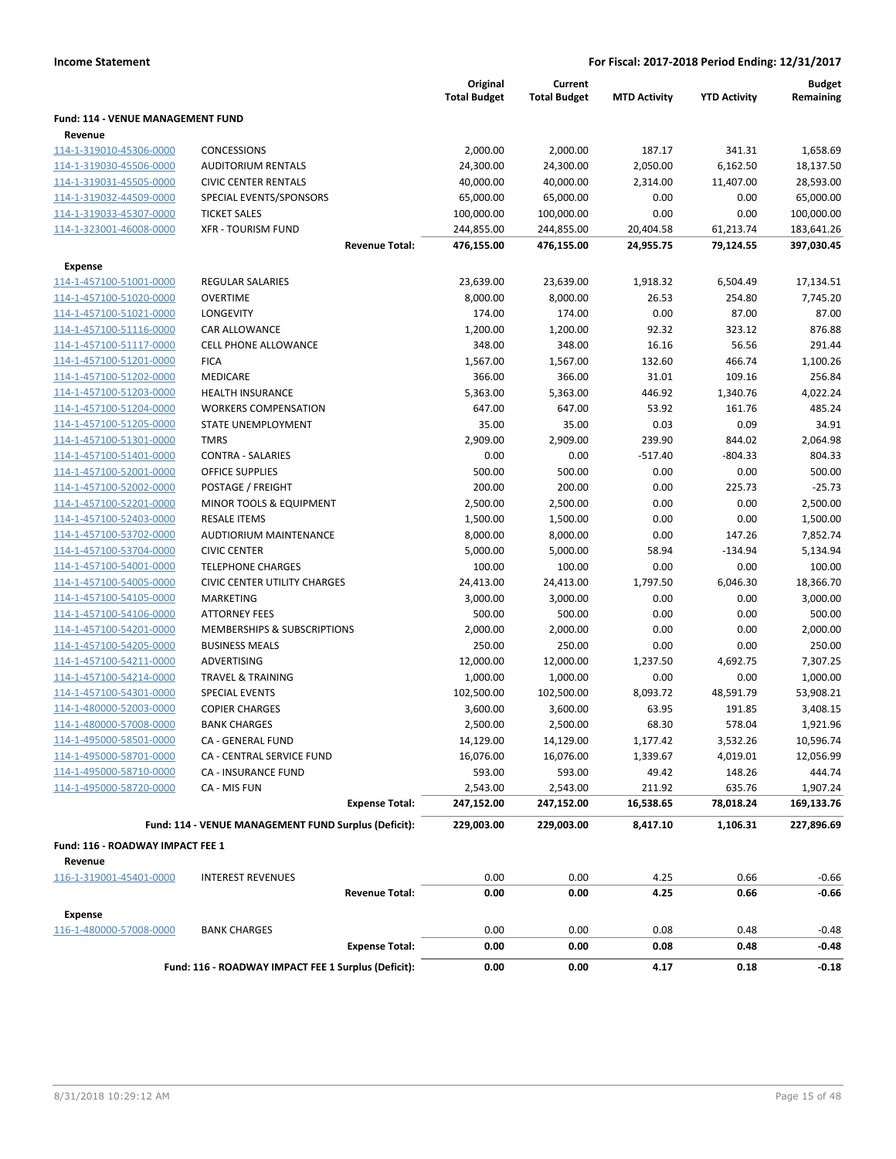|                                                    |                                                      | Original<br><b>Total Budget</b> | Current<br><b>Total Budget</b> | <b>MTD Activity</b> | <b>YTD Activity</b> | <b>Budget</b><br>Remaining |
|----------------------------------------------------|------------------------------------------------------|---------------------------------|--------------------------------|---------------------|---------------------|----------------------------|
| Fund: 114 - VENUE MANAGEMENT FUND                  |                                                      |                                 |                                |                     |                     |                            |
| Revenue                                            |                                                      |                                 |                                |                     |                     |                            |
| 114-1-319010-45306-0000                            | <b>CONCESSIONS</b>                                   | 2,000.00                        | 2,000.00                       | 187.17              | 341.31              | 1,658.69                   |
| 114-1-319030-45506-0000                            | <b>AUDITORIUM RENTALS</b>                            | 24,300.00                       | 24,300.00                      | 2,050.00            | 6,162.50            | 18,137.50                  |
| 114-1-319031-45505-0000                            | <b>CIVIC CENTER RENTALS</b>                          | 40,000.00                       | 40,000.00                      | 2,314.00            | 11,407.00           | 28,593.00                  |
| 114-1-319032-44509-0000                            | SPECIAL EVENTS/SPONSORS                              | 65,000.00                       | 65,000.00                      | 0.00                | 0.00                | 65,000.00                  |
| 114-1-319033-45307-0000                            | <b>TICKET SALES</b>                                  | 100,000.00                      | 100,000.00                     | 0.00                | 0.00                | 100,000.00                 |
| 114-1-323001-46008-0000                            | <b>XFR - TOURISM FUND</b>                            | 244,855.00                      | 244,855.00                     | 20,404.58           | 61,213.74           | 183,641.26                 |
|                                                    | <b>Revenue Total:</b>                                | 476,155.00                      | 476,155.00                     | 24,955.75           | 79,124.55           | 397,030.45                 |
|                                                    |                                                      |                                 |                                |                     |                     |                            |
| <b>Expense</b>                                     |                                                      |                                 |                                |                     |                     |                            |
| 114-1-457100-51001-0000                            | <b>REGULAR SALARIES</b>                              | 23,639.00                       | 23,639.00                      | 1,918.32<br>26.53   | 6,504.49            | 17,134.51                  |
| 114-1-457100-51020-0000                            | <b>OVERTIME</b><br>LONGEVITY                         | 8,000.00<br>174.00              | 8,000.00<br>174.00             | 0.00                | 254.80<br>87.00     | 7,745.20<br>87.00          |
| 114-1-457100-51021-0000                            | CAR ALLOWANCE                                        | 1,200.00                        | 1,200.00                       | 92.32               | 323.12              | 876.88                     |
| 114-1-457100-51116-0000<br>114-1-457100-51117-0000 | <b>CELL PHONE ALLOWANCE</b>                          | 348.00                          | 348.00                         | 16.16               | 56.56               | 291.44                     |
| 114-1-457100-51201-0000                            | <b>FICA</b>                                          | 1,567.00                        | 1,567.00                       | 132.60              | 466.74              | 1,100.26                   |
| 114-1-457100-51202-0000                            | MEDICARE                                             | 366.00                          | 366.00                         | 31.01               | 109.16              | 256.84                     |
| 114-1-457100-51203-0000                            | <b>HEALTH INSURANCE</b>                              | 5,363.00                        | 5,363.00                       | 446.92              | 1,340.76            | 4,022.24                   |
|                                                    | <b>WORKERS COMPENSATION</b>                          | 647.00                          | 647.00                         | 53.92               | 161.76              | 485.24                     |
| 114-1-457100-51204-0000<br>114-1-457100-51205-0000 | STATE UNEMPLOYMENT                                   | 35.00                           | 35.00                          | 0.03                | 0.09                | 34.91                      |
| 114-1-457100-51301-0000                            | <b>TMRS</b>                                          | 2,909.00                        | 2,909.00                       | 239.90              | 844.02              | 2,064.98                   |
| 114-1-457100-51401-0000                            | <b>CONTRA - SALARIES</b>                             | 0.00                            | 0.00                           | $-517.40$           | $-804.33$           | 804.33                     |
| 114-1-457100-52001-0000                            | OFFICE SUPPLIES                                      | 500.00                          | 500.00                         | 0.00                | 0.00                | 500.00                     |
| 114-1-457100-52002-0000                            | POSTAGE / FREIGHT                                    | 200.00                          | 200.00                         | 0.00                | 225.73              | $-25.73$                   |
| 114-1-457100-52201-0000                            | MINOR TOOLS & EQUIPMENT                              | 2,500.00                        | 2,500.00                       | 0.00                | 0.00                | 2,500.00                   |
| 114-1-457100-52403-0000                            | <b>RESALE ITEMS</b>                                  | 1,500.00                        | 1,500.00                       | 0.00                | 0.00                | 1,500.00                   |
| 114-1-457100-53702-0000                            | <b>AUDTIORIUM MAINTENANCE</b>                        | 8,000.00                        | 8,000.00                       | 0.00                | 147.26              | 7,852.74                   |
| 114-1-457100-53704-0000                            | <b>CIVIC CENTER</b>                                  | 5,000.00                        | 5,000.00                       | 58.94               | $-134.94$           | 5,134.94                   |
| 114-1-457100-54001-0000                            | <b>TELEPHONE CHARGES</b>                             | 100.00                          | 100.00                         | 0.00                | 0.00                | 100.00                     |
| 114-1-457100-54005-0000                            | <b>CIVIC CENTER UTILITY CHARGES</b>                  | 24,413.00                       | 24,413.00                      | 1,797.50            | 6,046.30            | 18,366.70                  |
| 114-1-457100-54105-0000                            | MARKETING                                            | 3,000.00                        | 3,000.00                       | 0.00                | 0.00                | 3,000.00                   |
| 114-1-457100-54106-0000                            | <b>ATTORNEY FEES</b>                                 | 500.00                          | 500.00                         | 0.00                | 0.00                | 500.00                     |
| 114-1-457100-54201-0000                            | MEMBERSHIPS & SUBSCRIPTIONS                          | 2,000.00                        | 2,000.00                       | 0.00                | 0.00                | 2,000.00                   |
| 114-1-457100-54205-0000                            | <b>BUSINESS MEALS</b>                                | 250.00                          | 250.00                         | 0.00                | 0.00                | 250.00                     |
| 114-1-457100-54211-0000                            | ADVERTISING                                          | 12,000.00                       | 12,000.00                      | 1,237.50            | 4,692.75            | 7,307.25                   |
| 114-1-457100-54214-0000                            | <b>TRAVEL &amp; TRAINING</b>                         | 1,000.00                        | 1,000.00                       | 0.00                | 0.00                | 1,000.00                   |
| 114-1-457100-54301-0000                            | <b>SPECIAL EVENTS</b>                                | 102,500.00                      | 102,500.00                     | 8,093.72            | 48,591.79           | 53,908.21                  |
| 114-1-480000-52003-0000                            | <b>COPIER CHARGES</b>                                | 3,600.00                        | 3,600.00                       | 63.95               | 191.85              | 3,408.15                   |
| 114-1-480000-57008-0000                            | <b>BANK CHARGES</b>                                  | 2,500.00                        | 2,500.00                       | 68.30               | 578.04              | 1,921.96                   |
| 114-1-495000-58501-0000                            | CA - GENERAL FUND                                    | 14,129.00                       | 14,129.00                      | 1,177.42            | 3,532.26            | 10,596.74                  |
| 114-1-495000-58701-0000                            | CA - CENTRAL SERVICE FUND                            | 16,076.00                       | 16,076.00                      | 1,339.67            | 4,019.01            | 12,056.99                  |
| 114-1-495000-58710-0000                            | <b>CA - INSURANCE FUND</b>                           | 593.00                          | 593.00                         | 49.42               | 148.26              | 444.74                     |
| 114-1-495000-58720-0000                            | CA - MIS FUN                                         | 2,543.00                        | 2,543.00                       | 211.92              | 635.76              | 1,907.24                   |
|                                                    | <b>Expense Total:</b>                                | 247,152.00                      | 247,152.00                     | 16,538.65           | 78,018.24           | 169,133.76                 |
|                                                    | Fund: 114 - VENUE MANAGEMENT FUND Surplus (Deficit): | 229,003.00                      | 229,003.00                     | 8,417.10            | 1,106.31            | 227,896.69                 |
|                                                    |                                                      |                                 |                                |                     |                     |                            |
| Fund: 116 - ROADWAY IMPACT FEE 1<br>Revenue        |                                                      |                                 |                                |                     |                     |                            |
| 116-1-319001-45401-0000                            | <b>INTEREST REVENUES</b>                             | 0.00                            | 0.00                           | 4.25                | 0.66                | $-0.66$                    |
|                                                    | <b>Revenue Total:</b>                                | 0.00                            | 0.00                           | 4.25                | 0.66                | $-0.66$                    |
| <b>Expense</b>                                     |                                                      |                                 |                                |                     |                     |                            |
| 116-1-480000-57008-0000                            | <b>BANK CHARGES</b>                                  | 0.00                            | 0.00                           | 0.08                | 0.48                | $-0.48$                    |
|                                                    | <b>Expense Total:</b>                                | 0.00                            | 0.00                           | 0.08                | 0.48                | $-0.48$                    |
|                                                    | Fund: 116 - ROADWAY IMPACT FEE 1 Surplus (Deficit):  | 0.00                            | 0.00                           | 4.17                | 0.18                | $-0.18$                    |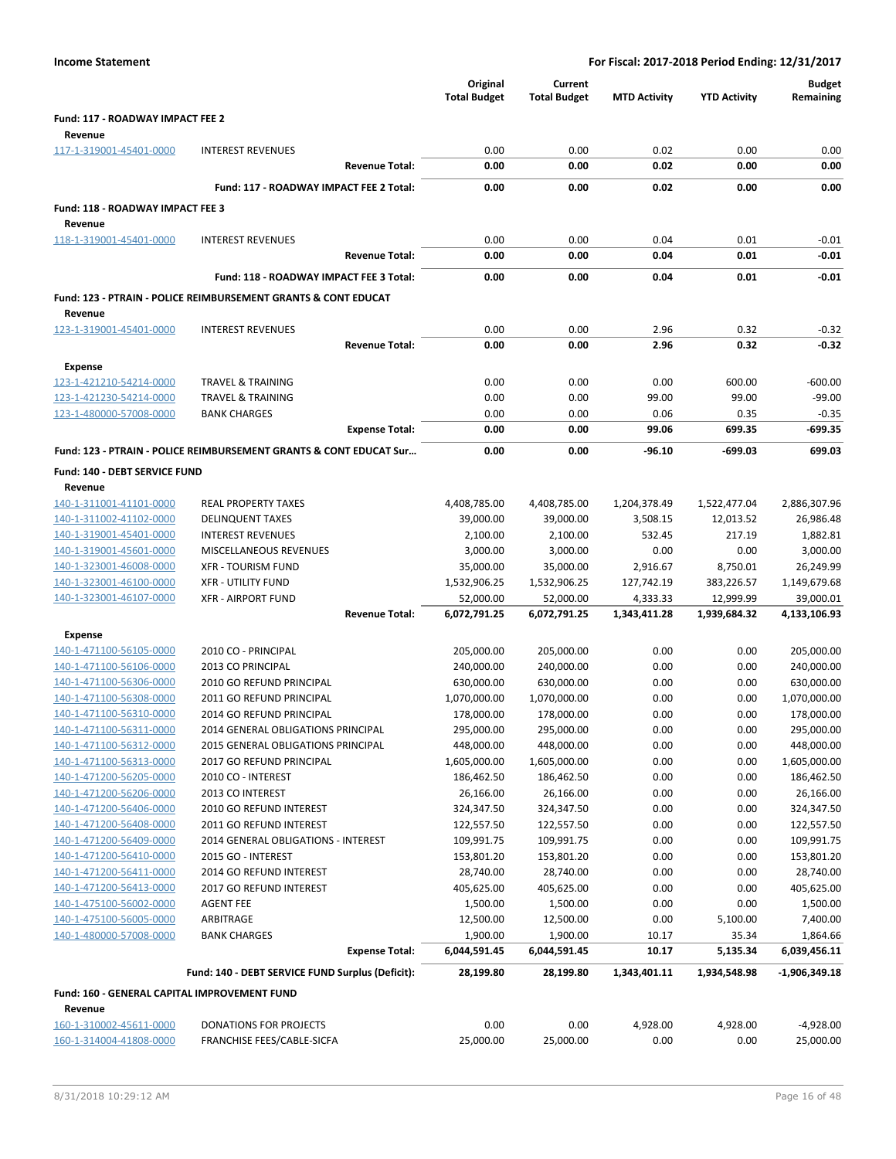| Fund: 117 - ROADWAY IMPACT FEE 2<br>Revenue<br>117-1-319001-45401-0000<br><b>INTEREST REVENUES</b><br>0.00<br>0.00<br>0.02<br>0.00<br>0.00<br><b>Revenue Total:</b><br>0.00<br>0.00<br>0.02<br>0.00<br>0.00<br>Fund: 117 - ROADWAY IMPACT FEE 2 Total:<br>0.00<br>0.00<br>0.02<br>0.00<br>0.00<br>Fund: 118 - ROADWAY IMPACT FEE 3<br>Revenue<br>118-1-319001-45401-0000<br><b>INTEREST REVENUES</b><br>0.00<br>0.00<br>0.04<br>0.01<br>$-0.01$<br>$-0.01$<br><b>Revenue Total:</b><br>0.00<br>0.00<br>0.04<br>0.01<br>Fund: 118 - ROADWAY IMPACT FEE 3 Total:<br>0.00<br>0.00<br>0.04<br>0.01<br>$-0.01$<br><b>Fund: 123 - PTRAIN - POLICE REIMBURSEMENT GRANTS &amp; CONT EDUCAT</b><br>Revenue<br>0.00<br>2.96<br>0.32<br>123-1-319001-45401-0000<br><b>INTEREST REVENUES</b><br>0.00<br>$-0.32$<br>$-0.32$<br>0.00<br>0.00<br>2.96<br>0.32<br><b>Revenue Total:</b><br><b>Expense</b><br>0.00<br><b>TRAVEL &amp; TRAINING</b><br>0.00<br>0.00<br>600.00<br>$-600.00$<br>123-1-421210-54214-0000<br>123-1-421230-54214-0000<br><b>TRAVEL &amp; TRAINING</b><br>0.00<br>0.00<br>99.00<br>99.00<br>$-99.00$<br>123-1-480000-57008-0000<br><b>BANK CHARGES</b><br>0.00<br>0.00<br>0.06<br>0.35<br>$-0.35$<br>0.00<br>0.00<br>99.06<br>699.35<br>$-699.35$<br><b>Expense Total:</b><br>Fund: 123 - PTRAIN - POLICE REIMBURSEMENT GRANTS & CONT EDUCAT Sur<br>0.00<br>0.00<br>$-96.10$<br>-699.03<br>699.03<br>Fund: 140 - DEBT SERVICE FUND<br>Revenue<br>140-1-311001-41101-0000<br>2,886,307.96<br><b>REAL PROPERTY TAXES</b><br>4,408,785.00<br>4,408,785.00<br>1,204,378.49<br>1,522,477.04<br>140-1-311002-41102-0000<br><b>DELINQUENT TAXES</b><br>39,000.00<br>39,000.00<br>3,508.15<br>26,986.48<br>12,013.52<br>140-1-319001-45401-0000<br><b>INTEREST REVENUES</b><br>2,100.00<br>2,100.00<br>532.45<br>217.19<br>1,882.81<br>140-1-319001-45601-0000<br>MISCELLANEOUS REVENUES<br>3,000.00<br>3,000.00<br>0.00<br>0.00<br>3,000.00<br>140-1-323001-46008-0000<br><b>XFR - TOURISM FUND</b><br>35,000.00<br>35,000.00<br>8,750.01<br>26,249.99<br>2,916.67<br>140-1-323001-46100-0000<br><b>XFR - UTILITY FUND</b><br>127,742.19<br>1,149,679.68<br>1,532,906.25<br>1,532,906.25<br>383,226.57<br>140-1-323001-46107-0000<br><b>XFR - AIRPORT FUND</b><br>52,000.00<br>52,000.00<br>4,333.33<br>12,999.99<br>39,000.01<br>6,072,791.25<br>6,072,791.25<br>1,343,411.28<br>1,939,684.32<br>4,133,106.93<br><b>Revenue Total:</b><br><b>Expense</b><br>140-1-471100-56105-0000<br>2010 CO - PRINCIPAL<br>205,000.00<br>205,000.00<br>0.00<br>0.00<br>205,000.00<br>140-1-471100-56106-0000<br>240,000.00<br>2013 CO PRINCIPAL<br>240,000.00<br>240,000.00<br>0.00<br>0.00<br>630,000.00<br>140-1-471100-56306-0000<br>2010 GO REFUND PRINCIPAL<br>630,000.00<br>630,000.00<br>0.00<br>0.00<br>0.00<br>140-1-471100-56308-0000<br>2011 GO REFUND PRINCIPAL<br>1,070,000.00<br>1,070,000.00<br>0.00<br>1,070,000.00<br>140-1-471100-56310-0000<br>2014 GO REFUND PRINCIPAL<br>178,000.00<br>178,000.00<br>0.00<br>0.00<br>178,000.00<br>2014 GENERAL OBLIGATIONS PRINCIPAL<br>295,000.00<br>295,000.00<br>0.00<br>295,000.00<br>140-1-471100-56311-0000<br>0.00<br>140-1-471100-56312-0000<br>2015 GENERAL OBLIGATIONS PRINCIPAL<br>448,000.00<br>448,000.00<br>0.00<br>0.00<br>448,000.00<br>0.00<br>140-1-471100-56313-0000<br>2017 GO REFUND PRINCIPAL<br>1,605,000.00<br>1,605,000.00<br>0.00<br>1,605,000.00<br>186,462.50<br>0.00<br>0.00<br>186,462.50<br>140-1-471200-56205-0000<br>2010 CO - INTEREST<br>186,462.50<br>140-1-471200-56206-0000<br>2013 CO INTEREST<br>26,166.00<br>26,166.00<br>0.00<br>0.00<br>26,166.00<br>324,347.50<br>140-1-471200-56406-0000<br>2010 GO REFUND INTEREST<br>324,347.50<br>324,347.50<br>0.00<br>0.00<br>140-1-471200-56408-0000<br>2011 GO REFUND INTEREST<br>122,557.50<br>122,557.50<br>0.00<br>0.00<br>122,557.50<br>109,991.75<br>140-1-471200-56409-0000<br>2014 GENERAL OBLIGATIONS - INTEREST<br>109,991.75<br>109,991.75<br>0.00<br>0.00<br>153,801.20<br>140-1-471200-56410-0000<br>153,801.20<br>153,801.20<br>0.00<br>0.00<br>2015 GO - INTEREST<br>140-1-471200-56411-0000<br>28,740.00<br>28,740.00<br>0.00<br>0.00<br>28,740.00<br>2014 GO REFUND INTEREST<br>140-1-471200-56413-0000<br>2017 GO REFUND INTEREST<br>405,625.00<br>405,625.00<br>0.00<br>0.00<br>405,625.00<br>1,500.00<br>140-1-475100-56002-0000<br><b>AGENT FEE</b><br>1,500.00<br>1,500.00<br>0.00<br>0.00<br>140-1-475100-56005-0000<br>ARBITRAGE<br>12,500.00<br>12,500.00<br>0.00<br>5,100.00<br>7,400.00<br>140-1-480000-57008-0000<br>1,900.00<br>35.34<br><b>BANK CHARGES</b><br>1,900.00<br>10.17<br>1,864.66<br><b>Expense Total:</b><br>6,044,591.45<br>6,044,591.45<br>10.17<br>5,135.34<br>6,039,456.11<br>Fund: 140 - DEBT SERVICE FUND Surplus (Deficit):<br>28,199.80<br>28,199.80<br>1,343,401.11<br>1,934,548.98<br>$-1,906,349.18$<br>Fund: 160 - GENERAL CAPITAL IMPROVEMENT FUND<br>Revenue<br>0.00<br>160-1-310002-45611-0000<br>DONATIONS FOR PROJECTS<br>0.00<br>4,928.00<br>4,928.00<br>$-4,928.00$<br>FRANCHISE FEES/CABLE-SICFA<br>25,000.00<br>25,000.00<br>0.00<br>0.00<br>25,000.00<br>160-1-314004-41808-0000 |  | Original<br><b>Total Budget</b> | Current<br><b>Total Budget</b> | <b>MTD Activity</b> | <b>YTD Activity</b> | <b>Budget</b><br>Remaining |
|--------------------------------------------------------------------------------------------------------------------------------------------------------------------------------------------------------------------------------------------------------------------------------------------------------------------------------------------------------------------------------------------------------------------------------------------------------------------------------------------------------------------------------------------------------------------------------------------------------------------------------------------------------------------------------------------------------------------------------------------------------------------------------------------------------------------------------------------------------------------------------------------------------------------------------------------------------------------------------------------------------------------------------------------------------------------------------------------------------------------------------------------------------------------------------------------------------------------------------------------------------------------------------------------------------------------------------------------------------------------------------------------------------------------------------------------------------------------------------------------------------------------------------------------------------------------------------------------------------------------------------------------------------------------------------------------------------------------------------------------------------------------------------------------------------------------------------------------------------------------------------------------------------------------------------------------------------------------------------------------------------------------------------------------------------------------------------------------------------------------------------------------------------------------------------------------------------------------------------------------------------------------------------------------------------------------------------------------------------------------------------------------------------------------------------------------------------------------------------------------------------------------------------------------------------------------------------------------------------------------------------------------------------------------------------------------------------------------------------------------------------------------------------------------------------------------------------------------------------------------------------------------------------------------------------------------------------------------------------------------------------------------------------------------------------------------------------------------------------------------------------------------------------------------------------------------------------------------------------------------------------------------------------------------------------------------------------------------------------------------------------------------------------------------------------------------------------------------------------------------------------------------------------------------------------------------------------------------------------------------------------------------------------------------------------------------------------------------------------------------------------------------------------------------------------------------------------------------------------------------------------------------------------------------------------------------------------------------------------------------------------------------------------------------------------------------------------------------------------------------------------------------------------------------------------------------------------------------------------------------------------------------------------------------------------------------------------------------------------------------------------------------------------------------------------------------------------------------------------------------------------------------------------------------------------------------------------------------------------------------------------------------------------------------------------------------------------------------------------------------------------------------------------------------------------------------------------------------------------------------------------------------------------------------------------------------------------------------------------------------------------------------------------------------------------------------------------------------------------------------------------------------------------------------------------|--|---------------------------------|--------------------------------|---------------------|---------------------|----------------------------|
|                                                                                                                                                                                                                                                                                                                                                                                                                                                                                                                                                                                                                                                                                                                                                                                                                                                                                                                                                                                                                                                                                                                                                                                                                                                                                                                                                                                                                                                                                                                                                                                                                                                                                                                                                                                                                                                                                                                                                                                                                                                                                                                                                                                                                                                                                                                                                                                                                                                                                                                                                                                                                                                                                                                                                                                                                                                                                                                                                                                                                                                                                                                                                                                                                                                                                                                                                                                                                                                                                                                                                                                                                                                                                                                                                                                                                                                                                                                                                                                                                                                                                                                                                                                                                                                                                                                                                                                                                                                                                                                                                                                                                                                                                                                                                                                                                                                                                                                                                                                                                                                                                                                                                                                |  |                                 |                                |                     |                     |                            |
|                                                                                                                                                                                                                                                                                                                                                                                                                                                                                                                                                                                                                                                                                                                                                                                                                                                                                                                                                                                                                                                                                                                                                                                                                                                                                                                                                                                                                                                                                                                                                                                                                                                                                                                                                                                                                                                                                                                                                                                                                                                                                                                                                                                                                                                                                                                                                                                                                                                                                                                                                                                                                                                                                                                                                                                                                                                                                                                                                                                                                                                                                                                                                                                                                                                                                                                                                                                                                                                                                                                                                                                                                                                                                                                                                                                                                                                                                                                                                                                                                                                                                                                                                                                                                                                                                                                                                                                                                                                                                                                                                                                                                                                                                                                                                                                                                                                                                                                                                                                                                                                                                                                                                                                |  |                                 |                                |                     |                     |                            |
|                                                                                                                                                                                                                                                                                                                                                                                                                                                                                                                                                                                                                                                                                                                                                                                                                                                                                                                                                                                                                                                                                                                                                                                                                                                                                                                                                                                                                                                                                                                                                                                                                                                                                                                                                                                                                                                                                                                                                                                                                                                                                                                                                                                                                                                                                                                                                                                                                                                                                                                                                                                                                                                                                                                                                                                                                                                                                                                                                                                                                                                                                                                                                                                                                                                                                                                                                                                                                                                                                                                                                                                                                                                                                                                                                                                                                                                                                                                                                                                                                                                                                                                                                                                                                                                                                                                                                                                                                                                                                                                                                                                                                                                                                                                                                                                                                                                                                                                                                                                                                                                                                                                                                                                |  |                                 |                                |                     |                     |                            |
|                                                                                                                                                                                                                                                                                                                                                                                                                                                                                                                                                                                                                                                                                                                                                                                                                                                                                                                                                                                                                                                                                                                                                                                                                                                                                                                                                                                                                                                                                                                                                                                                                                                                                                                                                                                                                                                                                                                                                                                                                                                                                                                                                                                                                                                                                                                                                                                                                                                                                                                                                                                                                                                                                                                                                                                                                                                                                                                                                                                                                                                                                                                                                                                                                                                                                                                                                                                                                                                                                                                                                                                                                                                                                                                                                                                                                                                                                                                                                                                                                                                                                                                                                                                                                                                                                                                                                                                                                                                                                                                                                                                                                                                                                                                                                                                                                                                                                                                                                                                                                                                                                                                                                                                |  |                                 |                                |                     |                     |                            |
|                                                                                                                                                                                                                                                                                                                                                                                                                                                                                                                                                                                                                                                                                                                                                                                                                                                                                                                                                                                                                                                                                                                                                                                                                                                                                                                                                                                                                                                                                                                                                                                                                                                                                                                                                                                                                                                                                                                                                                                                                                                                                                                                                                                                                                                                                                                                                                                                                                                                                                                                                                                                                                                                                                                                                                                                                                                                                                                                                                                                                                                                                                                                                                                                                                                                                                                                                                                                                                                                                                                                                                                                                                                                                                                                                                                                                                                                                                                                                                                                                                                                                                                                                                                                                                                                                                                                                                                                                                                                                                                                                                                                                                                                                                                                                                                                                                                                                                                                                                                                                                                                                                                                                                                |  |                                 |                                |                     |                     |                            |
|                                                                                                                                                                                                                                                                                                                                                                                                                                                                                                                                                                                                                                                                                                                                                                                                                                                                                                                                                                                                                                                                                                                                                                                                                                                                                                                                                                                                                                                                                                                                                                                                                                                                                                                                                                                                                                                                                                                                                                                                                                                                                                                                                                                                                                                                                                                                                                                                                                                                                                                                                                                                                                                                                                                                                                                                                                                                                                                                                                                                                                                                                                                                                                                                                                                                                                                                                                                                                                                                                                                                                                                                                                                                                                                                                                                                                                                                                                                                                                                                                                                                                                                                                                                                                                                                                                                                                                                                                                                                                                                                                                                                                                                                                                                                                                                                                                                                                                                                                                                                                                                                                                                                                                                |  |                                 |                                |                     |                     |                            |
|                                                                                                                                                                                                                                                                                                                                                                                                                                                                                                                                                                                                                                                                                                                                                                                                                                                                                                                                                                                                                                                                                                                                                                                                                                                                                                                                                                                                                                                                                                                                                                                                                                                                                                                                                                                                                                                                                                                                                                                                                                                                                                                                                                                                                                                                                                                                                                                                                                                                                                                                                                                                                                                                                                                                                                                                                                                                                                                                                                                                                                                                                                                                                                                                                                                                                                                                                                                                                                                                                                                                                                                                                                                                                                                                                                                                                                                                                                                                                                                                                                                                                                                                                                                                                                                                                                                                                                                                                                                                                                                                                                                                                                                                                                                                                                                                                                                                                                                                                                                                                                                                                                                                                                                |  |                                 |                                |                     |                     |                            |
|                                                                                                                                                                                                                                                                                                                                                                                                                                                                                                                                                                                                                                                                                                                                                                                                                                                                                                                                                                                                                                                                                                                                                                                                                                                                                                                                                                                                                                                                                                                                                                                                                                                                                                                                                                                                                                                                                                                                                                                                                                                                                                                                                                                                                                                                                                                                                                                                                                                                                                                                                                                                                                                                                                                                                                                                                                                                                                                                                                                                                                                                                                                                                                                                                                                                                                                                                                                                                                                                                                                                                                                                                                                                                                                                                                                                                                                                                                                                                                                                                                                                                                                                                                                                                                                                                                                                                                                                                                                                                                                                                                                                                                                                                                                                                                                                                                                                                                                                                                                                                                                                                                                                                                                |  |                                 |                                |                     |                     |                            |
|                                                                                                                                                                                                                                                                                                                                                                                                                                                                                                                                                                                                                                                                                                                                                                                                                                                                                                                                                                                                                                                                                                                                                                                                                                                                                                                                                                                                                                                                                                                                                                                                                                                                                                                                                                                                                                                                                                                                                                                                                                                                                                                                                                                                                                                                                                                                                                                                                                                                                                                                                                                                                                                                                                                                                                                                                                                                                                                                                                                                                                                                                                                                                                                                                                                                                                                                                                                                                                                                                                                                                                                                                                                                                                                                                                                                                                                                                                                                                                                                                                                                                                                                                                                                                                                                                                                                                                                                                                                                                                                                                                                                                                                                                                                                                                                                                                                                                                                                                                                                                                                                                                                                                                                |  |                                 |                                |                     |                     |                            |
|                                                                                                                                                                                                                                                                                                                                                                                                                                                                                                                                                                                                                                                                                                                                                                                                                                                                                                                                                                                                                                                                                                                                                                                                                                                                                                                                                                                                                                                                                                                                                                                                                                                                                                                                                                                                                                                                                                                                                                                                                                                                                                                                                                                                                                                                                                                                                                                                                                                                                                                                                                                                                                                                                                                                                                                                                                                                                                                                                                                                                                                                                                                                                                                                                                                                                                                                                                                                                                                                                                                                                                                                                                                                                                                                                                                                                                                                                                                                                                                                                                                                                                                                                                                                                                                                                                                                                                                                                                                                                                                                                                                                                                                                                                                                                                                                                                                                                                                                                                                                                                                                                                                                                                                |  |                                 |                                |                     |                     |                            |
|                                                                                                                                                                                                                                                                                                                                                                                                                                                                                                                                                                                                                                                                                                                                                                                                                                                                                                                                                                                                                                                                                                                                                                                                                                                                                                                                                                                                                                                                                                                                                                                                                                                                                                                                                                                                                                                                                                                                                                                                                                                                                                                                                                                                                                                                                                                                                                                                                                                                                                                                                                                                                                                                                                                                                                                                                                                                                                                                                                                                                                                                                                                                                                                                                                                                                                                                                                                                                                                                                                                                                                                                                                                                                                                                                                                                                                                                                                                                                                                                                                                                                                                                                                                                                                                                                                                                                                                                                                                                                                                                                                                                                                                                                                                                                                                                                                                                                                                                                                                                                                                                                                                                                                                |  |                                 |                                |                     |                     |                            |
|                                                                                                                                                                                                                                                                                                                                                                                                                                                                                                                                                                                                                                                                                                                                                                                                                                                                                                                                                                                                                                                                                                                                                                                                                                                                                                                                                                                                                                                                                                                                                                                                                                                                                                                                                                                                                                                                                                                                                                                                                                                                                                                                                                                                                                                                                                                                                                                                                                                                                                                                                                                                                                                                                                                                                                                                                                                                                                                                                                                                                                                                                                                                                                                                                                                                                                                                                                                                                                                                                                                                                                                                                                                                                                                                                                                                                                                                                                                                                                                                                                                                                                                                                                                                                                                                                                                                                                                                                                                                                                                                                                                                                                                                                                                                                                                                                                                                                                                                                                                                                                                                                                                                                                                |  |                                 |                                |                     |                     |                            |
|                                                                                                                                                                                                                                                                                                                                                                                                                                                                                                                                                                                                                                                                                                                                                                                                                                                                                                                                                                                                                                                                                                                                                                                                                                                                                                                                                                                                                                                                                                                                                                                                                                                                                                                                                                                                                                                                                                                                                                                                                                                                                                                                                                                                                                                                                                                                                                                                                                                                                                                                                                                                                                                                                                                                                                                                                                                                                                                                                                                                                                                                                                                                                                                                                                                                                                                                                                                                                                                                                                                                                                                                                                                                                                                                                                                                                                                                                                                                                                                                                                                                                                                                                                                                                                                                                                                                                                                                                                                                                                                                                                                                                                                                                                                                                                                                                                                                                                                                                                                                                                                                                                                                                                                |  |                                 |                                |                     |                     |                            |
|                                                                                                                                                                                                                                                                                                                                                                                                                                                                                                                                                                                                                                                                                                                                                                                                                                                                                                                                                                                                                                                                                                                                                                                                                                                                                                                                                                                                                                                                                                                                                                                                                                                                                                                                                                                                                                                                                                                                                                                                                                                                                                                                                                                                                                                                                                                                                                                                                                                                                                                                                                                                                                                                                                                                                                                                                                                                                                                                                                                                                                                                                                                                                                                                                                                                                                                                                                                                                                                                                                                                                                                                                                                                                                                                                                                                                                                                                                                                                                                                                                                                                                                                                                                                                                                                                                                                                                                                                                                                                                                                                                                                                                                                                                                                                                                                                                                                                                                                                                                                                                                                                                                                                                                |  |                                 |                                |                     |                     |                            |
|                                                                                                                                                                                                                                                                                                                                                                                                                                                                                                                                                                                                                                                                                                                                                                                                                                                                                                                                                                                                                                                                                                                                                                                                                                                                                                                                                                                                                                                                                                                                                                                                                                                                                                                                                                                                                                                                                                                                                                                                                                                                                                                                                                                                                                                                                                                                                                                                                                                                                                                                                                                                                                                                                                                                                                                                                                                                                                                                                                                                                                                                                                                                                                                                                                                                                                                                                                                                                                                                                                                                                                                                                                                                                                                                                                                                                                                                                                                                                                                                                                                                                                                                                                                                                                                                                                                                                                                                                                                                                                                                                                                                                                                                                                                                                                                                                                                                                                                                                                                                                                                                                                                                                                                |  |                                 |                                |                     |                     |                            |
|                                                                                                                                                                                                                                                                                                                                                                                                                                                                                                                                                                                                                                                                                                                                                                                                                                                                                                                                                                                                                                                                                                                                                                                                                                                                                                                                                                                                                                                                                                                                                                                                                                                                                                                                                                                                                                                                                                                                                                                                                                                                                                                                                                                                                                                                                                                                                                                                                                                                                                                                                                                                                                                                                                                                                                                                                                                                                                                                                                                                                                                                                                                                                                                                                                                                                                                                                                                                                                                                                                                                                                                                                                                                                                                                                                                                                                                                                                                                                                                                                                                                                                                                                                                                                                                                                                                                                                                                                                                                                                                                                                                                                                                                                                                                                                                                                                                                                                                                                                                                                                                                                                                                                                                |  |                                 |                                |                     |                     |                            |
|                                                                                                                                                                                                                                                                                                                                                                                                                                                                                                                                                                                                                                                                                                                                                                                                                                                                                                                                                                                                                                                                                                                                                                                                                                                                                                                                                                                                                                                                                                                                                                                                                                                                                                                                                                                                                                                                                                                                                                                                                                                                                                                                                                                                                                                                                                                                                                                                                                                                                                                                                                                                                                                                                                                                                                                                                                                                                                                                                                                                                                                                                                                                                                                                                                                                                                                                                                                                                                                                                                                                                                                                                                                                                                                                                                                                                                                                                                                                                                                                                                                                                                                                                                                                                                                                                                                                                                                                                                                                                                                                                                                                                                                                                                                                                                                                                                                                                                                                                                                                                                                                                                                                                                                |  |                                 |                                |                     |                     |                            |
|                                                                                                                                                                                                                                                                                                                                                                                                                                                                                                                                                                                                                                                                                                                                                                                                                                                                                                                                                                                                                                                                                                                                                                                                                                                                                                                                                                                                                                                                                                                                                                                                                                                                                                                                                                                                                                                                                                                                                                                                                                                                                                                                                                                                                                                                                                                                                                                                                                                                                                                                                                                                                                                                                                                                                                                                                                                                                                                                                                                                                                                                                                                                                                                                                                                                                                                                                                                                                                                                                                                                                                                                                                                                                                                                                                                                                                                                                                                                                                                                                                                                                                                                                                                                                                                                                                                                                                                                                                                                                                                                                                                                                                                                                                                                                                                                                                                                                                                                                                                                                                                                                                                                                                                |  |                                 |                                |                     |                     |                            |
|                                                                                                                                                                                                                                                                                                                                                                                                                                                                                                                                                                                                                                                                                                                                                                                                                                                                                                                                                                                                                                                                                                                                                                                                                                                                                                                                                                                                                                                                                                                                                                                                                                                                                                                                                                                                                                                                                                                                                                                                                                                                                                                                                                                                                                                                                                                                                                                                                                                                                                                                                                                                                                                                                                                                                                                                                                                                                                                                                                                                                                                                                                                                                                                                                                                                                                                                                                                                                                                                                                                                                                                                                                                                                                                                                                                                                                                                                                                                                                                                                                                                                                                                                                                                                                                                                                                                                                                                                                                                                                                                                                                                                                                                                                                                                                                                                                                                                                                                                                                                                                                                                                                                                                                |  |                                 |                                |                     |                     |                            |
|                                                                                                                                                                                                                                                                                                                                                                                                                                                                                                                                                                                                                                                                                                                                                                                                                                                                                                                                                                                                                                                                                                                                                                                                                                                                                                                                                                                                                                                                                                                                                                                                                                                                                                                                                                                                                                                                                                                                                                                                                                                                                                                                                                                                                                                                                                                                                                                                                                                                                                                                                                                                                                                                                                                                                                                                                                                                                                                                                                                                                                                                                                                                                                                                                                                                                                                                                                                                                                                                                                                                                                                                                                                                                                                                                                                                                                                                                                                                                                                                                                                                                                                                                                                                                                                                                                                                                                                                                                                                                                                                                                                                                                                                                                                                                                                                                                                                                                                                                                                                                                                                                                                                                                                |  |                                 |                                |                     |                     |                            |
|                                                                                                                                                                                                                                                                                                                                                                                                                                                                                                                                                                                                                                                                                                                                                                                                                                                                                                                                                                                                                                                                                                                                                                                                                                                                                                                                                                                                                                                                                                                                                                                                                                                                                                                                                                                                                                                                                                                                                                                                                                                                                                                                                                                                                                                                                                                                                                                                                                                                                                                                                                                                                                                                                                                                                                                                                                                                                                                                                                                                                                                                                                                                                                                                                                                                                                                                                                                                                                                                                                                                                                                                                                                                                                                                                                                                                                                                                                                                                                                                                                                                                                                                                                                                                                                                                                                                                                                                                                                                                                                                                                                                                                                                                                                                                                                                                                                                                                                                                                                                                                                                                                                                                                                |  |                                 |                                |                     |                     |                            |
|                                                                                                                                                                                                                                                                                                                                                                                                                                                                                                                                                                                                                                                                                                                                                                                                                                                                                                                                                                                                                                                                                                                                                                                                                                                                                                                                                                                                                                                                                                                                                                                                                                                                                                                                                                                                                                                                                                                                                                                                                                                                                                                                                                                                                                                                                                                                                                                                                                                                                                                                                                                                                                                                                                                                                                                                                                                                                                                                                                                                                                                                                                                                                                                                                                                                                                                                                                                                                                                                                                                                                                                                                                                                                                                                                                                                                                                                                                                                                                                                                                                                                                                                                                                                                                                                                                                                                                                                                                                                                                                                                                                                                                                                                                                                                                                                                                                                                                                                                                                                                                                                                                                                                                                |  |                                 |                                |                     |                     |                            |
|                                                                                                                                                                                                                                                                                                                                                                                                                                                                                                                                                                                                                                                                                                                                                                                                                                                                                                                                                                                                                                                                                                                                                                                                                                                                                                                                                                                                                                                                                                                                                                                                                                                                                                                                                                                                                                                                                                                                                                                                                                                                                                                                                                                                                                                                                                                                                                                                                                                                                                                                                                                                                                                                                                                                                                                                                                                                                                                                                                                                                                                                                                                                                                                                                                                                                                                                                                                                                                                                                                                                                                                                                                                                                                                                                                                                                                                                                                                                                                                                                                                                                                                                                                                                                                                                                                                                                                                                                                                                                                                                                                                                                                                                                                                                                                                                                                                                                                                                                                                                                                                                                                                                                                                |  |                                 |                                |                     |                     |                            |
|                                                                                                                                                                                                                                                                                                                                                                                                                                                                                                                                                                                                                                                                                                                                                                                                                                                                                                                                                                                                                                                                                                                                                                                                                                                                                                                                                                                                                                                                                                                                                                                                                                                                                                                                                                                                                                                                                                                                                                                                                                                                                                                                                                                                                                                                                                                                                                                                                                                                                                                                                                                                                                                                                                                                                                                                                                                                                                                                                                                                                                                                                                                                                                                                                                                                                                                                                                                                                                                                                                                                                                                                                                                                                                                                                                                                                                                                                                                                                                                                                                                                                                                                                                                                                                                                                                                                                                                                                                                                                                                                                                                                                                                                                                                                                                                                                                                                                                                                                                                                                                                                                                                                                                                |  |                                 |                                |                     |                     |                            |
|                                                                                                                                                                                                                                                                                                                                                                                                                                                                                                                                                                                                                                                                                                                                                                                                                                                                                                                                                                                                                                                                                                                                                                                                                                                                                                                                                                                                                                                                                                                                                                                                                                                                                                                                                                                                                                                                                                                                                                                                                                                                                                                                                                                                                                                                                                                                                                                                                                                                                                                                                                                                                                                                                                                                                                                                                                                                                                                                                                                                                                                                                                                                                                                                                                                                                                                                                                                                                                                                                                                                                                                                                                                                                                                                                                                                                                                                                                                                                                                                                                                                                                                                                                                                                                                                                                                                                                                                                                                                                                                                                                                                                                                                                                                                                                                                                                                                                                                                                                                                                                                                                                                                                                                |  |                                 |                                |                     |                     |                            |
|                                                                                                                                                                                                                                                                                                                                                                                                                                                                                                                                                                                                                                                                                                                                                                                                                                                                                                                                                                                                                                                                                                                                                                                                                                                                                                                                                                                                                                                                                                                                                                                                                                                                                                                                                                                                                                                                                                                                                                                                                                                                                                                                                                                                                                                                                                                                                                                                                                                                                                                                                                                                                                                                                                                                                                                                                                                                                                                                                                                                                                                                                                                                                                                                                                                                                                                                                                                                                                                                                                                                                                                                                                                                                                                                                                                                                                                                                                                                                                                                                                                                                                                                                                                                                                                                                                                                                                                                                                                                                                                                                                                                                                                                                                                                                                                                                                                                                                                                                                                                                                                                                                                                                                                |  |                                 |                                |                     |                     |                            |
|                                                                                                                                                                                                                                                                                                                                                                                                                                                                                                                                                                                                                                                                                                                                                                                                                                                                                                                                                                                                                                                                                                                                                                                                                                                                                                                                                                                                                                                                                                                                                                                                                                                                                                                                                                                                                                                                                                                                                                                                                                                                                                                                                                                                                                                                                                                                                                                                                                                                                                                                                                                                                                                                                                                                                                                                                                                                                                                                                                                                                                                                                                                                                                                                                                                                                                                                                                                                                                                                                                                                                                                                                                                                                                                                                                                                                                                                                                                                                                                                                                                                                                                                                                                                                                                                                                                                                                                                                                                                                                                                                                                                                                                                                                                                                                                                                                                                                                                                                                                                                                                                                                                                                                                |  |                                 |                                |                     |                     |                            |
|                                                                                                                                                                                                                                                                                                                                                                                                                                                                                                                                                                                                                                                                                                                                                                                                                                                                                                                                                                                                                                                                                                                                                                                                                                                                                                                                                                                                                                                                                                                                                                                                                                                                                                                                                                                                                                                                                                                                                                                                                                                                                                                                                                                                                                                                                                                                                                                                                                                                                                                                                                                                                                                                                                                                                                                                                                                                                                                                                                                                                                                                                                                                                                                                                                                                                                                                                                                                                                                                                                                                                                                                                                                                                                                                                                                                                                                                                                                                                                                                                                                                                                                                                                                                                                                                                                                                                                                                                                                                                                                                                                                                                                                                                                                                                                                                                                                                                                                                                                                                                                                                                                                                                                                |  |                                 |                                |                     |                     |                            |
|                                                                                                                                                                                                                                                                                                                                                                                                                                                                                                                                                                                                                                                                                                                                                                                                                                                                                                                                                                                                                                                                                                                                                                                                                                                                                                                                                                                                                                                                                                                                                                                                                                                                                                                                                                                                                                                                                                                                                                                                                                                                                                                                                                                                                                                                                                                                                                                                                                                                                                                                                                                                                                                                                                                                                                                                                                                                                                                                                                                                                                                                                                                                                                                                                                                                                                                                                                                                                                                                                                                                                                                                                                                                                                                                                                                                                                                                                                                                                                                                                                                                                                                                                                                                                                                                                                                                                                                                                                                                                                                                                                                                                                                                                                                                                                                                                                                                                                                                                                                                                                                                                                                                                                                |  |                                 |                                |                     |                     |                            |
|                                                                                                                                                                                                                                                                                                                                                                                                                                                                                                                                                                                                                                                                                                                                                                                                                                                                                                                                                                                                                                                                                                                                                                                                                                                                                                                                                                                                                                                                                                                                                                                                                                                                                                                                                                                                                                                                                                                                                                                                                                                                                                                                                                                                                                                                                                                                                                                                                                                                                                                                                                                                                                                                                                                                                                                                                                                                                                                                                                                                                                                                                                                                                                                                                                                                                                                                                                                                                                                                                                                                                                                                                                                                                                                                                                                                                                                                                                                                                                                                                                                                                                                                                                                                                                                                                                                                                                                                                                                                                                                                                                                                                                                                                                                                                                                                                                                                                                                                                                                                                                                                                                                                                                                |  |                                 |                                |                     |                     |                            |
|                                                                                                                                                                                                                                                                                                                                                                                                                                                                                                                                                                                                                                                                                                                                                                                                                                                                                                                                                                                                                                                                                                                                                                                                                                                                                                                                                                                                                                                                                                                                                                                                                                                                                                                                                                                                                                                                                                                                                                                                                                                                                                                                                                                                                                                                                                                                                                                                                                                                                                                                                                                                                                                                                                                                                                                                                                                                                                                                                                                                                                                                                                                                                                                                                                                                                                                                                                                                                                                                                                                                                                                                                                                                                                                                                                                                                                                                                                                                                                                                                                                                                                                                                                                                                                                                                                                                                                                                                                                                                                                                                                                                                                                                                                                                                                                                                                                                                                                                                                                                                                                                                                                                                                                |  |                                 |                                |                     |                     |                            |
|                                                                                                                                                                                                                                                                                                                                                                                                                                                                                                                                                                                                                                                                                                                                                                                                                                                                                                                                                                                                                                                                                                                                                                                                                                                                                                                                                                                                                                                                                                                                                                                                                                                                                                                                                                                                                                                                                                                                                                                                                                                                                                                                                                                                                                                                                                                                                                                                                                                                                                                                                                                                                                                                                                                                                                                                                                                                                                                                                                                                                                                                                                                                                                                                                                                                                                                                                                                                                                                                                                                                                                                                                                                                                                                                                                                                                                                                                                                                                                                                                                                                                                                                                                                                                                                                                                                                                                                                                                                                                                                                                                                                                                                                                                                                                                                                                                                                                                                                                                                                                                                                                                                                                                                |  |                                 |                                |                     |                     |                            |
|                                                                                                                                                                                                                                                                                                                                                                                                                                                                                                                                                                                                                                                                                                                                                                                                                                                                                                                                                                                                                                                                                                                                                                                                                                                                                                                                                                                                                                                                                                                                                                                                                                                                                                                                                                                                                                                                                                                                                                                                                                                                                                                                                                                                                                                                                                                                                                                                                                                                                                                                                                                                                                                                                                                                                                                                                                                                                                                                                                                                                                                                                                                                                                                                                                                                                                                                                                                                                                                                                                                                                                                                                                                                                                                                                                                                                                                                                                                                                                                                                                                                                                                                                                                                                                                                                                                                                                                                                                                                                                                                                                                                                                                                                                                                                                                                                                                                                                                                                                                                                                                                                                                                                                                |  |                                 |                                |                     |                     |                            |
|                                                                                                                                                                                                                                                                                                                                                                                                                                                                                                                                                                                                                                                                                                                                                                                                                                                                                                                                                                                                                                                                                                                                                                                                                                                                                                                                                                                                                                                                                                                                                                                                                                                                                                                                                                                                                                                                                                                                                                                                                                                                                                                                                                                                                                                                                                                                                                                                                                                                                                                                                                                                                                                                                                                                                                                                                                                                                                                                                                                                                                                                                                                                                                                                                                                                                                                                                                                                                                                                                                                                                                                                                                                                                                                                                                                                                                                                                                                                                                                                                                                                                                                                                                                                                                                                                                                                                                                                                                                                                                                                                                                                                                                                                                                                                                                                                                                                                                                                                                                                                                                                                                                                                                                |  |                                 |                                |                     |                     |                            |
|                                                                                                                                                                                                                                                                                                                                                                                                                                                                                                                                                                                                                                                                                                                                                                                                                                                                                                                                                                                                                                                                                                                                                                                                                                                                                                                                                                                                                                                                                                                                                                                                                                                                                                                                                                                                                                                                                                                                                                                                                                                                                                                                                                                                                                                                                                                                                                                                                                                                                                                                                                                                                                                                                                                                                                                                                                                                                                                                                                                                                                                                                                                                                                                                                                                                                                                                                                                                                                                                                                                                                                                                                                                                                                                                                                                                                                                                                                                                                                                                                                                                                                                                                                                                                                                                                                                                                                                                                                                                                                                                                                                                                                                                                                                                                                                                                                                                                                                                                                                                                                                                                                                                                                                |  |                                 |                                |                     |                     |                            |
|                                                                                                                                                                                                                                                                                                                                                                                                                                                                                                                                                                                                                                                                                                                                                                                                                                                                                                                                                                                                                                                                                                                                                                                                                                                                                                                                                                                                                                                                                                                                                                                                                                                                                                                                                                                                                                                                                                                                                                                                                                                                                                                                                                                                                                                                                                                                                                                                                                                                                                                                                                                                                                                                                                                                                                                                                                                                                                                                                                                                                                                                                                                                                                                                                                                                                                                                                                                                                                                                                                                                                                                                                                                                                                                                                                                                                                                                                                                                                                                                                                                                                                                                                                                                                                                                                                                                                                                                                                                                                                                                                                                                                                                                                                                                                                                                                                                                                                                                                                                                                                                                                                                                                                                |  |                                 |                                |                     |                     |                            |
|                                                                                                                                                                                                                                                                                                                                                                                                                                                                                                                                                                                                                                                                                                                                                                                                                                                                                                                                                                                                                                                                                                                                                                                                                                                                                                                                                                                                                                                                                                                                                                                                                                                                                                                                                                                                                                                                                                                                                                                                                                                                                                                                                                                                                                                                                                                                                                                                                                                                                                                                                                                                                                                                                                                                                                                                                                                                                                                                                                                                                                                                                                                                                                                                                                                                                                                                                                                                                                                                                                                                                                                                                                                                                                                                                                                                                                                                                                                                                                                                                                                                                                                                                                                                                                                                                                                                                                                                                                                                                                                                                                                                                                                                                                                                                                                                                                                                                                                                                                                                                                                                                                                                                                                |  |                                 |                                |                     |                     |                            |
|                                                                                                                                                                                                                                                                                                                                                                                                                                                                                                                                                                                                                                                                                                                                                                                                                                                                                                                                                                                                                                                                                                                                                                                                                                                                                                                                                                                                                                                                                                                                                                                                                                                                                                                                                                                                                                                                                                                                                                                                                                                                                                                                                                                                                                                                                                                                                                                                                                                                                                                                                                                                                                                                                                                                                                                                                                                                                                                                                                                                                                                                                                                                                                                                                                                                                                                                                                                                                                                                                                                                                                                                                                                                                                                                                                                                                                                                                                                                                                                                                                                                                                                                                                                                                                                                                                                                                                                                                                                                                                                                                                                                                                                                                                                                                                                                                                                                                                                                                                                                                                                                                                                                                                                |  |                                 |                                |                     |                     |                            |
|                                                                                                                                                                                                                                                                                                                                                                                                                                                                                                                                                                                                                                                                                                                                                                                                                                                                                                                                                                                                                                                                                                                                                                                                                                                                                                                                                                                                                                                                                                                                                                                                                                                                                                                                                                                                                                                                                                                                                                                                                                                                                                                                                                                                                                                                                                                                                                                                                                                                                                                                                                                                                                                                                                                                                                                                                                                                                                                                                                                                                                                                                                                                                                                                                                                                                                                                                                                                                                                                                                                                                                                                                                                                                                                                                                                                                                                                                                                                                                                                                                                                                                                                                                                                                                                                                                                                                                                                                                                                                                                                                                                                                                                                                                                                                                                                                                                                                                                                                                                                                                                                                                                                                                                |  |                                 |                                |                     |                     |                            |
|                                                                                                                                                                                                                                                                                                                                                                                                                                                                                                                                                                                                                                                                                                                                                                                                                                                                                                                                                                                                                                                                                                                                                                                                                                                                                                                                                                                                                                                                                                                                                                                                                                                                                                                                                                                                                                                                                                                                                                                                                                                                                                                                                                                                                                                                                                                                                                                                                                                                                                                                                                                                                                                                                                                                                                                                                                                                                                                                                                                                                                                                                                                                                                                                                                                                                                                                                                                                                                                                                                                                                                                                                                                                                                                                                                                                                                                                                                                                                                                                                                                                                                                                                                                                                                                                                                                                                                                                                                                                                                                                                                                                                                                                                                                                                                                                                                                                                                                                                                                                                                                                                                                                                                                |  |                                 |                                |                     |                     |                            |
|                                                                                                                                                                                                                                                                                                                                                                                                                                                                                                                                                                                                                                                                                                                                                                                                                                                                                                                                                                                                                                                                                                                                                                                                                                                                                                                                                                                                                                                                                                                                                                                                                                                                                                                                                                                                                                                                                                                                                                                                                                                                                                                                                                                                                                                                                                                                                                                                                                                                                                                                                                                                                                                                                                                                                                                                                                                                                                                                                                                                                                                                                                                                                                                                                                                                                                                                                                                                                                                                                                                                                                                                                                                                                                                                                                                                                                                                                                                                                                                                                                                                                                                                                                                                                                                                                                                                                                                                                                                                                                                                                                                                                                                                                                                                                                                                                                                                                                                                                                                                                                                                                                                                                                                |  |                                 |                                |                     |                     |                            |
|                                                                                                                                                                                                                                                                                                                                                                                                                                                                                                                                                                                                                                                                                                                                                                                                                                                                                                                                                                                                                                                                                                                                                                                                                                                                                                                                                                                                                                                                                                                                                                                                                                                                                                                                                                                                                                                                                                                                                                                                                                                                                                                                                                                                                                                                                                                                                                                                                                                                                                                                                                                                                                                                                                                                                                                                                                                                                                                                                                                                                                                                                                                                                                                                                                                                                                                                                                                                                                                                                                                                                                                                                                                                                                                                                                                                                                                                                                                                                                                                                                                                                                                                                                                                                                                                                                                                                                                                                                                                                                                                                                                                                                                                                                                                                                                                                                                                                                                                                                                                                                                                                                                                                                                |  |                                 |                                |                     |                     |                            |
|                                                                                                                                                                                                                                                                                                                                                                                                                                                                                                                                                                                                                                                                                                                                                                                                                                                                                                                                                                                                                                                                                                                                                                                                                                                                                                                                                                                                                                                                                                                                                                                                                                                                                                                                                                                                                                                                                                                                                                                                                                                                                                                                                                                                                                                                                                                                                                                                                                                                                                                                                                                                                                                                                                                                                                                                                                                                                                                                                                                                                                                                                                                                                                                                                                                                                                                                                                                                                                                                                                                                                                                                                                                                                                                                                                                                                                                                                                                                                                                                                                                                                                                                                                                                                                                                                                                                                                                                                                                                                                                                                                                                                                                                                                                                                                                                                                                                                                                                                                                                                                                                                                                                                                                |  |                                 |                                |                     |                     |                            |
|                                                                                                                                                                                                                                                                                                                                                                                                                                                                                                                                                                                                                                                                                                                                                                                                                                                                                                                                                                                                                                                                                                                                                                                                                                                                                                                                                                                                                                                                                                                                                                                                                                                                                                                                                                                                                                                                                                                                                                                                                                                                                                                                                                                                                                                                                                                                                                                                                                                                                                                                                                                                                                                                                                                                                                                                                                                                                                                                                                                                                                                                                                                                                                                                                                                                                                                                                                                                                                                                                                                                                                                                                                                                                                                                                                                                                                                                                                                                                                                                                                                                                                                                                                                                                                                                                                                                                                                                                                                                                                                                                                                                                                                                                                                                                                                                                                                                                                                                                                                                                                                                                                                                                                                |  |                                 |                                |                     |                     |                            |
|                                                                                                                                                                                                                                                                                                                                                                                                                                                                                                                                                                                                                                                                                                                                                                                                                                                                                                                                                                                                                                                                                                                                                                                                                                                                                                                                                                                                                                                                                                                                                                                                                                                                                                                                                                                                                                                                                                                                                                                                                                                                                                                                                                                                                                                                                                                                                                                                                                                                                                                                                                                                                                                                                                                                                                                                                                                                                                                                                                                                                                                                                                                                                                                                                                                                                                                                                                                                                                                                                                                                                                                                                                                                                                                                                                                                                                                                                                                                                                                                                                                                                                                                                                                                                                                                                                                                                                                                                                                                                                                                                                                                                                                                                                                                                                                                                                                                                                                                                                                                                                                                                                                                                                                |  |                                 |                                |                     |                     |                            |
|                                                                                                                                                                                                                                                                                                                                                                                                                                                                                                                                                                                                                                                                                                                                                                                                                                                                                                                                                                                                                                                                                                                                                                                                                                                                                                                                                                                                                                                                                                                                                                                                                                                                                                                                                                                                                                                                                                                                                                                                                                                                                                                                                                                                                                                                                                                                                                                                                                                                                                                                                                                                                                                                                                                                                                                                                                                                                                                                                                                                                                                                                                                                                                                                                                                                                                                                                                                                                                                                                                                                                                                                                                                                                                                                                                                                                                                                                                                                                                                                                                                                                                                                                                                                                                                                                                                                                                                                                                                                                                                                                                                                                                                                                                                                                                                                                                                                                                                                                                                                                                                                                                                                                                                |  |                                 |                                |                     |                     |                            |
|                                                                                                                                                                                                                                                                                                                                                                                                                                                                                                                                                                                                                                                                                                                                                                                                                                                                                                                                                                                                                                                                                                                                                                                                                                                                                                                                                                                                                                                                                                                                                                                                                                                                                                                                                                                                                                                                                                                                                                                                                                                                                                                                                                                                                                                                                                                                                                                                                                                                                                                                                                                                                                                                                                                                                                                                                                                                                                                                                                                                                                                                                                                                                                                                                                                                                                                                                                                                                                                                                                                                                                                                                                                                                                                                                                                                                                                                                                                                                                                                                                                                                                                                                                                                                                                                                                                                                                                                                                                                                                                                                                                                                                                                                                                                                                                                                                                                                                                                                                                                                                                                                                                                                                                |  |                                 |                                |                     |                     |                            |
|                                                                                                                                                                                                                                                                                                                                                                                                                                                                                                                                                                                                                                                                                                                                                                                                                                                                                                                                                                                                                                                                                                                                                                                                                                                                                                                                                                                                                                                                                                                                                                                                                                                                                                                                                                                                                                                                                                                                                                                                                                                                                                                                                                                                                                                                                                                                                                                                                                                                                                                                                                                                                                                                                                                                                                                                                                                                                                                                                                                                                                                                                                                                                                                                                                                                                                                                                                                                                                                                                                                                                                                                                                                                                                                                                                                                                                                                                                                                                                                                                                                                                                                                                                                                                                                                                                                                                                                                                                                                                                                                                                                                                                                                                                                                                                                                                                                                                                                                                                                                                                                                                                                                                                                |  |                                 |                                |                     |                     |                            |
|                                                                                                                                                                                                                                                                                                                                                                                                                                                                                                                                                                                                                                                                                                                                                                                                                                                                                                                                                                                                                                                                                                                                                                                                                                                                                                                                                                                                                                                                                                                                                                                                                                                                                                                                                                                                                                                                                                                                                                                                                                                                                                                                                                                                                                                                                                                                                                                                                                                                                                                                                                                                                                                                                                                                                                                                                                                                                                                                                                                                                                                                                                                                                                                                                                                                                                                                                                                                                                                                                                                                                                                                                                                                                                                                                                                                                                                                                                                                                                                                                                                                                                                                                                                                                                                                                                                                                                                                                                                                                                                                                                                                                                                                                                                                                                                                                                                                                                                                                                                                                                                                                                                                                                                |  |                                 |                                |                     |                     |                            |
|                                                                                                                                                                                                                                                                                                                                                                                                                                                                                                                                                                                                                                                                                                                                                                                                                                                                                                                                                                                                                                                                                                                                                                                                                                                                                                                                                                                                                                                                                                                                                                                                                                                                                                                                                                                                                                                                                                                                                                                                                                                                                                                                                                                                                                                                                                                                                                                                                                                                                                                                                                                                                                                                                                                                                                                                                                                                                                                                                                                                                                                                                                                                                                                                                                                                                                                                                                                                                                                                                                                                                                                                                                                                                                                                                                                                                                                                                                                                                                                                                                                                                                                                                                                                                                                                                                                                                                                                                                                                                                                                                                                                                                                                                                                                                                                                                                                                                                                                                                                                                                                                                                                                                                                |  |                                 |                                |                     |                     |                            |
|                                                                                                                                                                                                                                                                                                                                                                                                                                                                                                                                                                                                                                                                                                                                                                                                                                                                                                                                                                                                                                                                                                                                                                                                                                                                                                                                                                                                                                                                                                                                                                                                                                                                                                                                                                                                                                                                                                                                                                                                                                                                                                                                                                                                                                                                                                                                                                                                                                                                                                                                                                                                                                                                                                                                                                                                                                                                                                                                                                                                                                                                                                                                                                                                                                                                                                                                                                                                                                                                                                                                                                                                                                                                                                                                                                                                                                                                                                                                                                                                                                                                                                                                                                                                                                                                                                                                                                                                                                                                                                                                                                                                                                                                                                                                                                                                                                                                                                                                                                                                                                                                                                                                                                                |  |                                 |                                |                     |                     |                            |
|                                                                                                                                                                                                                                                                                                                                                                                                                                                                                                                                                                                                                                                                                                                                                                                                                                                                                                                                                                                                                                                                                                                                                                                                                                                                                                                                                                                                                                                                                                                                                                                                                                                                                                                                                                                                                                                                                                                                                                                                                                                                                                                                                                                                                                                                                                                                                                                                                                                                                                                                                                                                                                                                                                                                                                                                                                                                                                                                                                                                                                                                                                                                                                                                                                                                                                                                                                                                                                                                                                                                                                                                                                                                                                                                                                                                                                                                                                                                                                                                                                                                                                                                                                                                                                                                                                                                                                                                                                                                                                                                                                                                                                                                                                                                                                                                                                                                                                                                                                                                                                                                                                                                                                                |  |                                 |                                |                     |                     |                            |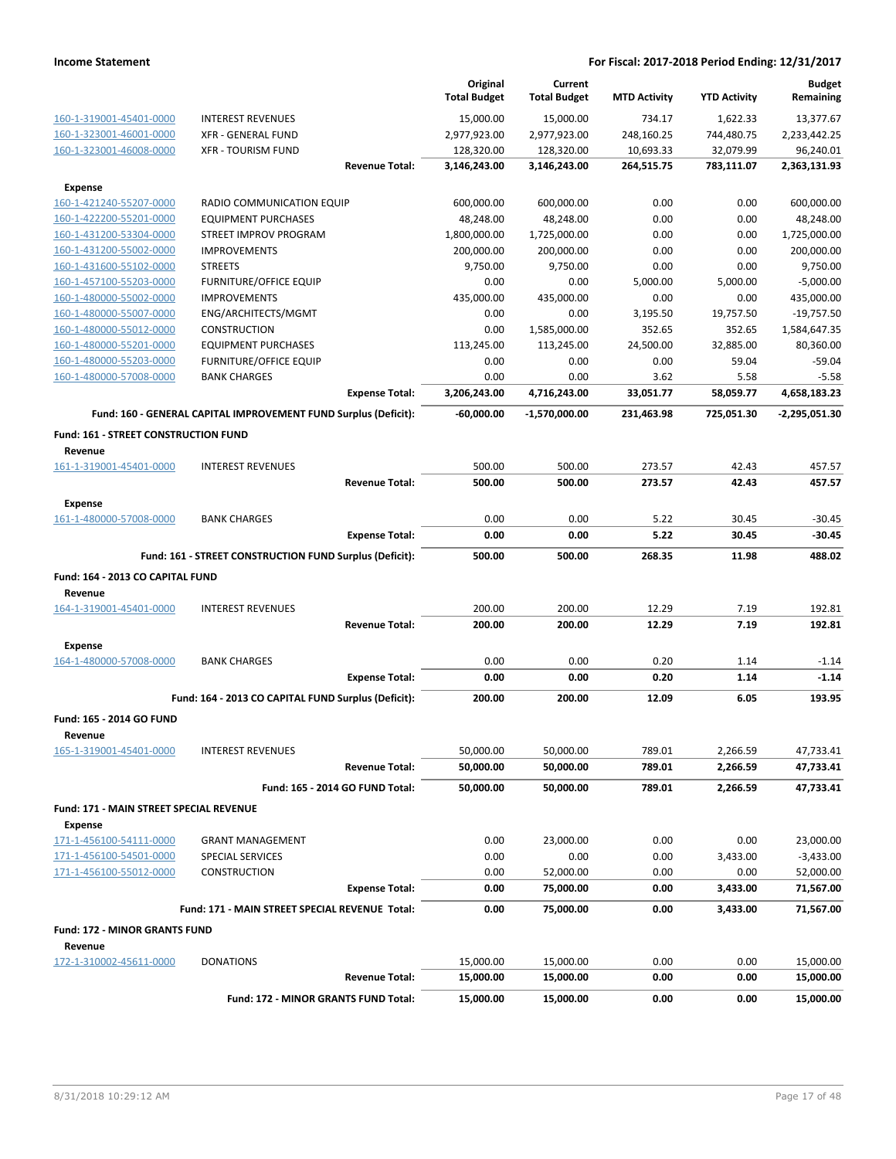|                                                    |                                                                 |                                 | Original<br><b>Total Budget</b> | Current<br><b>Total Budget</b> | <b>MTD Activity</b> | <b>YTD Activity</b> | <b>Budget</b><br>Remaining |
|----------------------------------------------------|-----------------------------------------------------------------|---------------------------------|---------------------------------|--------------------------------|---------------------|---------------------|----------------------------|
| 160-1-319001-45401-0000                            | <b>INTEREST REVENUES</b>                                        |                                 | 15,000.00                       | 15,000.00                      | 734.17              | 1,622.33            | 13,377.67                  |
| 160-1-323001-46001-0000                            | <b>XFR - GENERAL FUND</b>                                       |                                 | 2,977,923.00                    | 2,977,923.00                   | 248,160.25          | 744,480.75          | 2,233,442.25               |
| 160-1-323001-46008-0000                            | <b>XFR - TOURISM FUND</b>                                       |                                 | 128,320.00                      | 128,320.00                     | 10,693.33           | 32,079.99           | 96,240.01                  |
|                                                    |                                                                 | <b>Revenue Total:</b>           | 3,146,243.00                    | 3,146,243.00                   | 264,515.75          | 783,111.07          | 2,363,131.93               |
| <b>Expense</b>                                     |                                                                 |                                 |                                 |                                |                     |                     |                            |
| 160-1-421240-55207-0000                            | RADIO COMMUNICATION EQUIP                                       |                                 | 600,000.00                      | 600,000.00                     | 0.00                | 0.00                | 600,000.00                 |
| 160-1-422200-55201-0000                            | <b>EQUIPMENT PURCHASES</b>                                      |                                 | 48,248.00                       | 48,248.00                      | 0.00                | 0.00                | 48,248.00                  |
| 160-1-431200-53304-0000                            | STREET IMPROV PROGRAM                                           |                                 | 1,800,000.00                    | 1,725,000.00                   | 0.00                | 0.00                | 1,725,000.00               |
| 160-1-431200-55002-0000                            | <b>IMPROVEMENTS</b>                                             |                                 | 200,000.00                      | 200,000.00                     | 0.00                | 0.00                | 200,000.00                 |
| 160-1-431600-55102-0000                            | <b>STREETS</b>                                                  |                                 | 9,750.00                        | 9,750.00                       | 0.00                | 0.00                | 9,750.00                   |
| 160-1-457100-55203-0000                            | <b>FURNITURE/OFFICE EQUIP</b>                                   |                                 | 0.00                            | 0.00                           | 5.000.00            | 5,000.00            | $-5,000.00$                |
| 160-1-480000-55002-0000                            | <b>IMPROVEMENTS</b>                                             |                                 | 435,000.00                      | 435,000.00                     | 0.00                | 0.00                | 435,000.00                 |
| 160-1-480000-55007-0000                            | ENG/ARCHITECTS/MGMT                                             |                                 | 0.00                            | 0.00                           | 3,195.50            | 19,757.50           | $-19,757.50$               |
| 160-1-480000-55012-0000                            | <b>CONSTRUCTION</b>                                             |                                 | 0.00                            | 1,585,000.00                   | 352.65              | 352.65              | 1,584,647.35               |
| 160-1-480000-55201-0000                            | <b>EQUIPMENT PURCHASES</b>                                      |                                 | 113,245.00                      | 113,245.00                     | 24,500.00           | 32,885.00           | 80,360.00                  |
| 160-1-480000-55203-0000                            | <b>FURNITURE/OFFICE EQUIP</b>                                   |                                 | 0.00                            | 0.00                           | 0.00                | 59.04               | $-59.04$                   |
| 160-1-480000-57008-0000                            | <b>BANK CHARGES</b>                                             |                                 | 0.00                            | 0.00                           | 3.62                | 5.58                | $-5.58$                    |
|                                                    |                                                                 | <b>Expense Total:</b>           | 3,206,243.00                    | 4,716,243.00                   | 33,051.77           | 58,059.77           | 4,658,183.23               |
|                                                    | Fund: 160 - GENERAL CAPITAL IMPROVEMENT FUND Surplus (Deficit): |                                 | $-60.000.00$                    | $-1,570,000.00$                | 231,463.98          | 725,051.30          | -2,295,051.30              |
| Fund: 161 - STREET CONSTRUCTION FUND               |                                                                 |                                 |                                 |                                |                     |                     |                            |
| Revenue                                            |                                                                 |                                 |                                 |                                |                     |                     |                            |
| 161-1-319001-45401-0000                            | <b>INTEREST REVENUES</b>                                        |                                 | 500.00                          | 500.00                         | 273.57              | 42.43               | 457.57                     |
|                                                    |                                                                 | <b>Revenue Total:</b>           | 500.00                          | 500.00                         | 273.57              | 42.43               | 457.57                     |
| <b>Expense</b>                                     |                                                                 |                                 |                                 |                                |                     |                     |                            |
| 161-1-480000-57008-0000                            | <b>BANK CHARGES</b>                                             |                                 | 0.00                            | 0.00                           | 5.22                | 30.45               | $-30.45$                   |
|                                                    |                                                                 | <b>Expense Total:</b>           | 0.00                            | 0.00                           | 5.22                | 30.45               | $-30.45$                   |
|                                                    | Fund: 161 - STREET CONSTRUCTION FUND Surplus (Deficit):         |                                 | 500.00                          | 500.00                         | 268.35              | 11.98               | 488.02                     |
|                                                    |                                                                 |                                 |                                 |                                |                     |                     |                            |
| Fund: 164 - 2013 CO CAPITAL FUND                   |                                                                 |                                 |                                 |                                |                     |                     |                            |
| Revenue<br>164-1-319001-45401-0000                 | <b>INTEREST REVENUES</b>                                        |                                 | 200.00                          | 200.00                         | 12.29               | 7.19                | 192.81                     |
|                                                    |                                                                 | <b>Revenue Total:</b>           | 200.00                          | 200.00                         | 12.29               | 7.19                | 192.81                     |
|                                                    |                                                                 |                                 |                                 |                                |                     |                     |                            |
| Expense                                            |                                                                 |                                 |                                 |                                |                     |                     |                            |
| 164-1-480000-57008-0000                            | <b>BANK CHARGES</b>                                             |                                 | 0.00<br>0.00                    | 0.00<br>0.00                   | 0.20<br>0.20        | 1.14<br>1.14        | $-1.14$<br>$-1.14$         |
|                                                    |                                                                 | <b>Expense Total:</b>           |                                 |                                |                     |                     |                            |
|                                                    | Fund: 164 - 2013 CO CAPITAL FUND Surplus (Deficit):             |                                 | 200.00                          | 200.00                         | 12.09               | 6.05                | 193.95                     |
| Fund: 165 - 2014 GO FUND                           |                                                                 |                                 |                                 |                                |                     |                     |                            |
| Revenue                                            |                                                                 |                                 |                                 |                                |                     |                     |                            |
| 165-1-319001-45401-0000                            | <b>INTEREST REVENUES</b>                                        |                                 | 50,000.00                       | 50,000.00                      | 789.01              | 2,266.59            | 47,733.41                  |
|                                                    |                                                                 | <b>Revenue Total:</b>           | 50,000.00                       | 50,000.00                      | 789.01              | 2,266.59            | 47,733.41                  |
|                                                    |                                                                 | Fund: 165 - 2014 GO FUND Total: | 50,000.00                       | 50,000.00                      | 789.01              | 2,266.59            | 47,733.41                  |
| Fund: 171 - MAIN STREET SPECIAL REVENUE            |                                                                 |                                 |                                 |                                |                     |                     |                            |
| Expense                                            |                                                                 |                                 |                                 | 23,000.00                      | 0.00                |                     |                            |
| 171-1-456100-54111-0000                            | <b>GRANT MANAGEMENT</b>                                         |                                 | 0.00                            |                                |                     | 0.00                | 23,000.00                  |
| 171-1-456100-54501-0000<br>171-1-456100-55012-0000 | SPECIAL SERVICES<br><b>CONSTRUCTION</b>                         |                                 | 0.00<br>0.00                    | 0.00                           | 0.00<br>0.00        | 3,433.00<br>0.00    | $-3,433.00$                |
|                                                    |                                                                 | <b>Expense Total:</b>           | 0.00                            | 52,000.00<br>75,000.00         | 0.00                | 3,433.00            | 52,000.00<br>71,567.00     |
|                                                    |                                                                 |                                 |                                 |                                |                     |                     |                            |
|                                                    | Fund: 171 - MAIN STREET SPECIAL REVENUE Total:                  |                                 | 0.00                            | 75,000.00                      | 0.00                | 3,433.00            | 71,567.00                  |
| Fund: 172 - MINOR GRANTS FUND                      |                                                                 |                                 |                                 |                                |                     |                     |                            |
| Revenue                                            |                                                                 |                                 |                                 |                                |                     |                     |                            |
| 172-1-310002-45611-0000                            | <b>DONATIONS</b>                                                | <b>Revenue Total:</b>           | 15,000.00<br>15,000.00          | 15,000.00<br>15,000.00         | 0.00<br>0.00        | 0.00<br>0.00        | 15,000.00<br>15,000.00     |
|                                                    |                                                                 |                                 |                                 |                                |                     |                     |                            |
|                                                    | Fund: 172 - MINOR GRANTS FUND Total:                            |                                 | 15,000.00                       | 15,000.00                      | 0.00                | 0.00                | 15,000.00                  |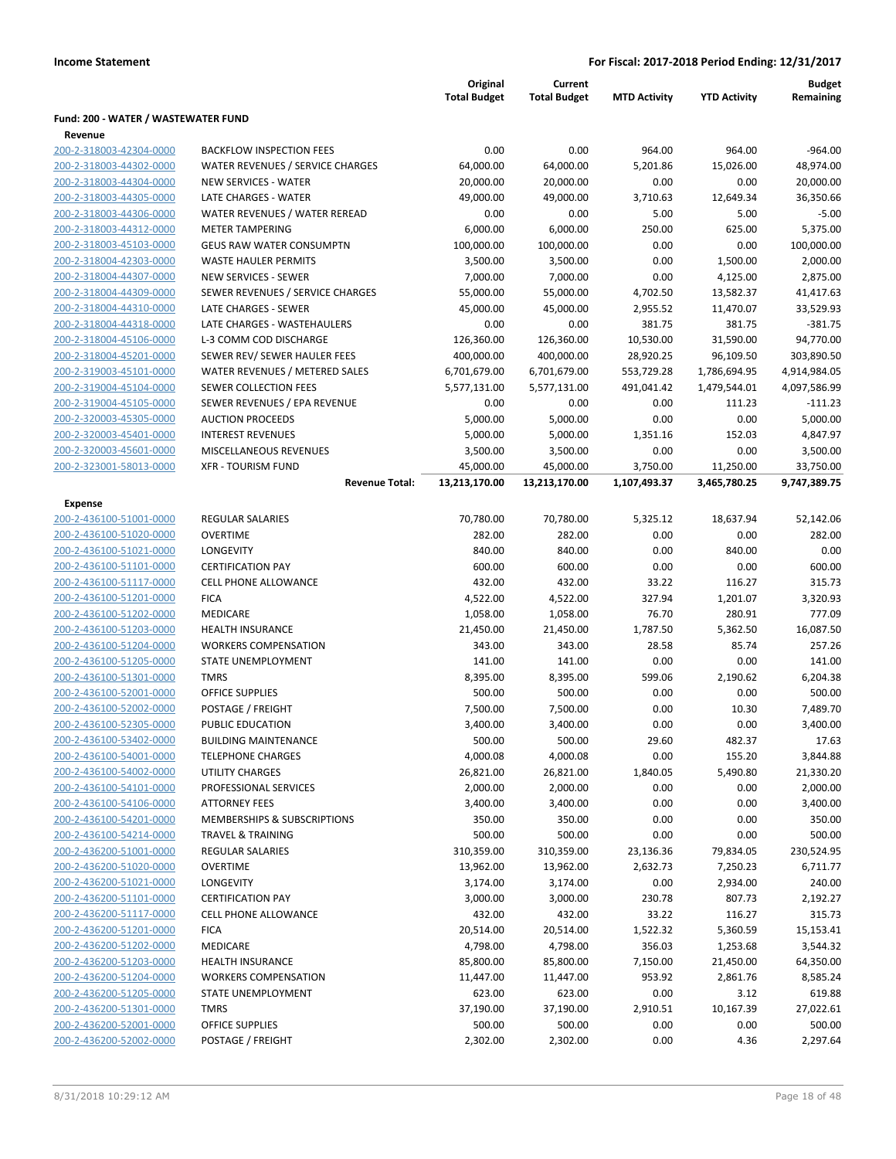|                                                |                                  | Original<br><b>Total Budget</b> | Current<br><b>Total Budget</b> | <b>MTD Activity</b> | <b>YTD Activity</b> | <b>Budget</b><br>Remaining |
|------------------------------------------------|----------------------------------|---------------------------------|--------------------------------|---------------------|---------------------|----------------------------|
| Fund: 200 - WATER / WASTEWATER FUND<br>Revenue |                                  |                                 |                                |                     |                     |                            |
| 200-2-318003-42304-0000                        | <b>BACKFLOW INSPECTION FEES</b>  | 0.00                            | 0.00                           | 964.00              | 964.00              | $-964.00$                  |
| 200-2-318003-44302-0000                        | WATER REVENUES / SERVICE CHARGES | 64,000.00                       | 64,000.00                      | 5,201.86            | 15,026.00           | 48,974.00                  |
| 200-2-318003-44304-0000                        | <b>NEW SERVICES - WATER</b>      | 20,000.00                       | 20,000.00                      | 0.00                | 0.00                | 20,000.00                  |
| 200-2-318003-44305-0000                        | LATE CHARGES - WATER             | 49,000.00                       | 49,000.00                      | 3,710.63            | 12,649.34           | 36,350.66                  |
| 200-2-318003-44306-0000                        | WATER REVENUES / WATER REREAD    | 0.00                            | 0.00                           | 5.00                | 5.00                | $-5.00$                    |
| 200-2-318003-44312-0000                        | <b>METER TAMPERING</b>           | 6,000.00                        | 6,000.00                       | 250.00              | 625.00              | 5,375.00                   |
| 200-2-318003-45103-0000                        | <b>GEUS RAW WATER CONSUMPTN</b>  | 100,000.00                      | 100,000.00                     | 0.00                | 0.00                | 100,000.00                 |
| 200-2-318004-42303-0000                        | <b>WASTE HAULER PERMITS</b>      | 3,500.00                        | 3,500.00                       | 0.00                | 1,500.00            | 2,000.00                   |
| 200-2-318004-44307-0000                        | <b>NEW SERVICES - SEWER</b>      | 7,000.00                        | 7,000.00                       | 0.00                | 4,125.00            | 2,875.00                   |
| 200-2-318004-44309-0000                        | SEWER REVENUES / SERVICE CHARGES | 55,000.00                       | 55,000.00                      | 4,702.50            | 13,582.37           | 41,417.63                  |
| 200-2-318004-44310-0000                        | LATE CHARGES - SEWER             | 45,000.00                       | 45,000.00                      | 2,955.52            | 11,470.07           | 33,529.93                  |
| 200-2-318004-44318-0000                        | LATE CHARGES - WASTEHAULERS      | 0.00                            | 0.00                           | 381.75              | 381.75              | $-381.75$                  |
| 200-2-318004-45106-0000                        | L-3 COMM COD DISCHARGE           | 126,360.00                      | 126,360.00                     | 10,530.00           | 31,590.00           | 94,770.00                  |
| 200-2-318004-45201-0000                        | SEWER REV/ SEWER HAULER FEES     | 400,000.00                      | 400,000.00                     | 28,920.25           | 96,109.50           | 303,890.50                 |
| 200-2-319003-45101-0000                        | WATER REVENUES / METERED SALES   | 6,701,679.00                    | 6,701,679.00                   | 553,729.28          | 1,786,694.95        | 4,914,984.05               |
| 200-2-319004-45104-0000                        | <b>SEWER COLLECTION FEES</b>     | 5,577,131.00                    | 5,577,131.00                   | 491,041.42          | 1,479,544.01        | 4,097,586.99               |
| 200-2-319004-45105-0000                        | SEWER REVENUES / EPA REVENUE     | 0.00                            | 0.00                           | 0.00                | 111.23              | $-111.23$                  |
| 200-2-320003-45305-0000                        | <b>AUCTION PROCEEDS</b>          | 5,000.00                        | 5,000.00                       | 0.00                | 0.00                | 5,000.00                   |
| 200-2-320003-45401-0000                        | <b>INTEREST REVENUES</b>         | 5,000.00                        | 5,000.00                       | 1,351.16            | 152.03              | 4,847.97                   |
| 200-2-320003-45601-0000                        | MISCELLANEOUS REVENUES           | 3,500.00                        | 3,500.00                       | 0.00                | 0.00                | 3,500.00                   |
| 200-2-323001-58013-0000                        | <b>XFR - TOURISM FUND</b>        | 45,000.00                       | 45,000.00                      | 3,750.00            | 11,250.00           | 33,750.00                  |
|                                                | <b>Revenue Total:</b>            | 13,213,170.00                   | 13,213,170.00                  | 1,107,493.37        | 3,465,780.25        | 9,747,389.75               |
| Expense<br>200-2-436100-51001-0000             | <b>REGULAR SALARIES</b>          | 70,780.00                       | 70,780.00                      | 5,325.12            | 18,637.94           | 52,142.06                  |
| 200-2-436100-51020-0000                        | <b>OVERTIME</b>                  |                                 |                                |                     |                     |                            |
| 200-2-436100-51021-0000                        | LONGEVITY                        | 282.00<br>840.00                | 282.00<br>840.00               | 0.00<br>0.00        | 0.00<br>840.00      | 282.00<br>0.00             |
| 200-2-436100-51101-0000                        | <b>CERTIFICATION PAY</b>         | 600.00                          | 600.00                         | 0.00                | 0.00                | 600.00                     |
| 200-2-436100-51117-0000                        | <b>CELL PHONE ALLOWANCE</b>      | 432.00                          | 432.00                         | 33.22               | 116.27              | 315.73                     |
| 200-2-436100-51201-0000                        | <b>FICA</b>                      | 4,522.00                        | 4,522.00                       | 327.94              | 1,201.07            | 3,320.93                   |
| 200-2-436100-51202-0000                        | MEDICARE                         | 1,058.00                        | 1,058.00                       | 76.70               | 280.91              | 777.09                     |
| 200-2-436100-51203-0000                        | <b>HEALTH INSURANCE</b>          | 21,450.00                       | 21,450.00                      | 1,787.50            | 5,362.50            | 16,087.50                  |
| 200-2-436100-51204-0000                        | <b>WORKERS COMPENSATION</b>      | 343.00                          | 343.00                         | 28.58               | 85.74               | 257.26                     |
| 200-2-436100-51205-0000                        | STATE UNEMPLOYMENT               | 141.00                          | 141.00                         | 0.00                | 0.00                | 141.00                     |
| 200-2-436100-51301-0000                        | <b>TMRS</b>                      | 8,395.00                        | 8,395.00                       | 599.06              | 2,190.62            | 6,204.38                   |
| 200-2-436100-52001-0000                        | <b>OFFICE SUPPLIES</b>           | 500.00                          | 500.00                         | 0.00                | 0.00                | 500.00                     |
| 200-2-436100-52002-0000                        | POSTAGE / FREIGHT                | 7,500.00                        | 7,500.00                       | 0.00                | 10.30               | 7,489.70                   |
| 200-2-436100-52305-0000                        | PUBLIC EDUCATION                 | 3,400.00                        | 3,400.00                       | 0.00                | 0.00                | 3,400.00                   |
| 200-2-436100-53402-0000                        | <b>BUILDING MAINTENANCE</b>      | 500.00                          | 500.00                         | 29.60               | 482.37              | 17.63                      |
| 200-2-436100-54001-0000                        | <b>TELEPHONE CHARGES</b>         | 4,000.08                        | 4,000.08                       | 0.00                | 155.20              | 3,844.88                   |
| 200-2-436100-54002-0000                        | <b>UTILITY CHARGES</b>           | 26,821.00                       | 26,821.00                      | 1,840.05            | 5,490.80            | 21,330.20                  |
| 200-2-436100-54101-0000                        | PROFESSIONAL SERVICES            | 2,000.00                        | 2,000.00                       | 0.00                | 0.00                | 2,000.00                   |
| 200-2-436100-54106-0000                        | <b>ATTORNEY FEES</b>             | 3,400.00                        | 3,400.00                       | 0.00                | 0.00                | 3,400.00                   |
| 200-2-436100-54201-0000                        | MEMBERSHIPS & SUBSCRIPTIONS      | 350.00                          | 350.00                         | 0.00                | 0.00                | 350.00                     |
| 200-2-436100-54214-0000                        | <b>TRAVEL &amp; TRAINING</b>     | 500.00                          | 500.00                         | 0.00                | 0.00                | 500.00                     |
| 200-2-436200-51001-0000                        | <b>REGULAR SALARIES</b>          | 310,359.00                      | 310,359.00                     | 23,136.36           | 79,834.05           | 230,524.95                 |
| 200-2-436200-51020-0000                        | <b>OVERTIME</b>                  | 13,962.00                       | 13,962.00                      | 2,632.73            | 7,250.23            | 6,711.77                   |
| 200-2-436200-51021-0000                        | LONGEVITY                        | 3,174.00                        | 3,174.00                       | 0.00                | 2,934.00            | 240.00                     |
| 200-2-436200-51101-0000                        | <b>CERTIFICATION PAY</b>         | 3,000.00                        | 3,000.00                       | 230.78              | 807.73              | 2,192.27                   |
| 200-2-436200-51117-0000                        | <b>CELL PHONE ALLOWANCE</b>      | 432.00                          | 432.00                         | 33.22               | 116.27              | 315.73                     |
| 200-2-436200-51201-0000                        | <b>FICA</b>                      | 20,514.00                       | 20,514.00                      | 1,522.32            | 5,360.59            | 15,153.41                  |
| 200-2-436200-51202-0000                        | MEDICARE                         | 4,798.00                        | 4,798.00                       | 356.03              | 1,253.68            | 3,544.32                   |
| 200-2-436200-51203-0000                        | <b>HEALTH INSURANCE</b>          | 85,800.00                       | 85,800.00                      | 7,150.00            | 21,450.00           | 64,350.00                  |
| 200-2-436200-51204-0000                        | <b>WORKERS COMPENSATION</b>      | 11,447.00                       | 11,447.00                      | 953.92              | 2,861.76            | 8,585.24                   |
| 200-2-436200-51205-0000                        | STATE UNEMPLOYMENT               | 623.00                          | 623.00                         | 0.00                | 3.12                | 619.88                     |
| 200-2-436200-51301-0000                        | <b>TMRS</b>                      | 37,190.00                       | 37,190.00                      | 2,910.51            | 10,167.39           | 27,022.61                  |
| 200-2-436200-52001-0000                        | <b>OFFICE SUPPLIES</b>           | 500.00                          | 500.00                         | 0.00                | 0.00                | 500.00                     |
| 200-2-436200-52002-0000                        | POSTAGE / FREIGHT                | 2,302.00                        | 2,302.00                       | 0.00                | 4.36                | 2,297.64                   |
|                                                |                                  |                                 |                                |                     |                     |                            |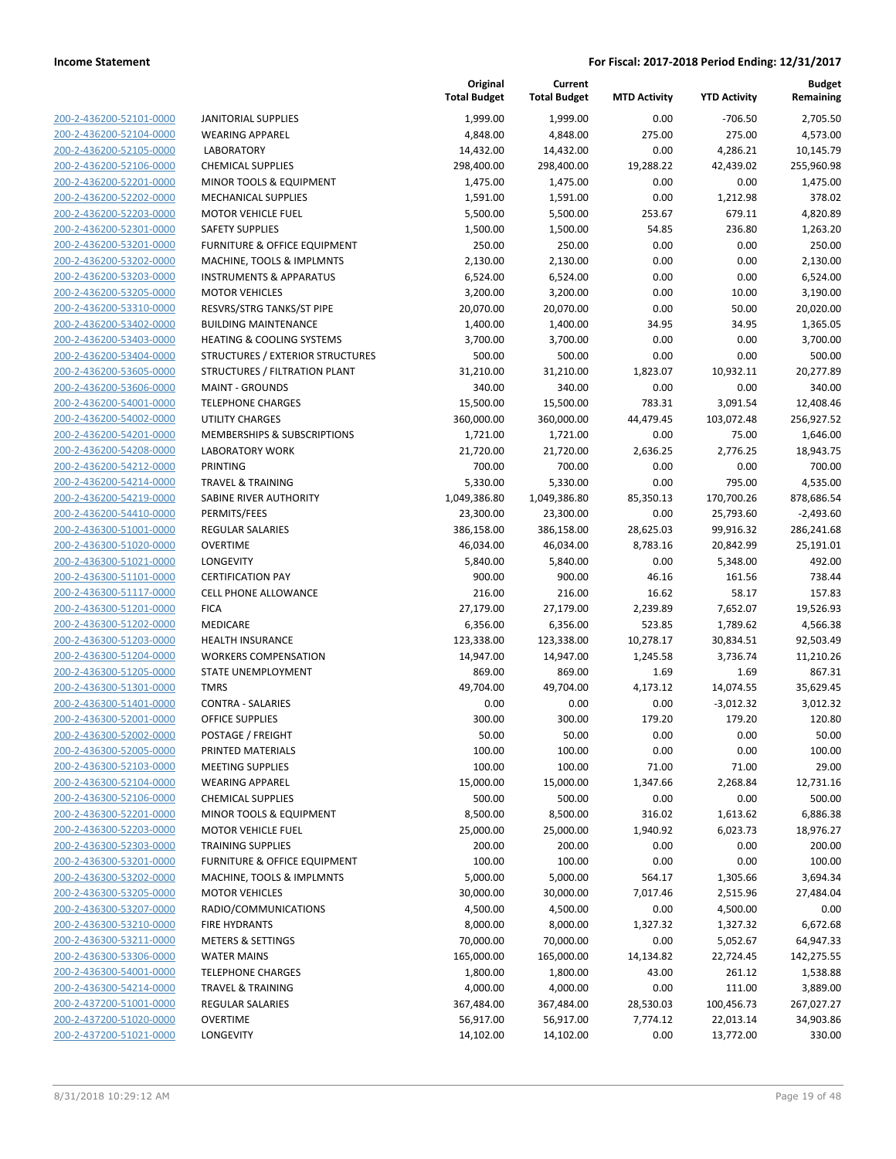|                                                    |                                        | Original<br><b>Total Budget</b> | Current<br><b>Total Budget</b> | <b>MTD Activity</b> | <b>YTD Activity</b> | <b>Budget</b><br>Remaining |
|----------------------------------------------------|----------------------------------------|---------------------------------|--------------------------------|---------------------|---------------------|----------------------------|
| 200-2-436200-52101-0000                            | <b>JANITORIAL SUPPLIES</b>             | 1,999.00                        | 1,999.00                       | 0.00                | $-706.50$           | 2,705.50                   |
| 200-2-436200-52104-0000                            | <b>WEARING APPAREL</b>                 | 4,848.00                        | 4,848.00                       | 275.00              | 275.00              | 4,573.00                   |
| 200-2-436200-52105-0000                            | <b>LABORATORY</b>                      | 14,432.00                       | 14,432.00                      | 0.00                | 4,286.21            | 10,145.79                  |
| 200-2-436200-52106-0000                            | <b>CHEMICAL SUPPLIES</b>               | 298,400.00                      | 298,400.00                     | 19,288.22           | 42,439.02           | 255,960.98                 |
| 200-2-436200-52201-0000                            | MINOR TOOLS & EQUIPMENT                | 1,475.00                        | 1,475.00                       | 0.00                | 0.00                | 1,475.00                   |
| 200-2-436200-52202-0000                            | <b>MECHANICAL SUPPLIES</b>             | 1,591.00                        | 1,591.00                       | 0.00                | 1,212.98            | 378.02                     |
| 200-2-436200-52203-0000                            | <b>MOTOR VEHICLE FUEL</b>              | 5,500.00                        | 5,500.00                       | 253.67              | 679.11              | 4,820.89                   |
| 200-2-436200-52301-0000                            | <b>SAFETY SUPPLIES</b>                 | 1,500.00                        | 1,500.00                       | 54.85               | 236.80              | 1,263.20                   |
| 200-2-436200-53201-0000                            | FURNITURE & OFFICE EQUIPMENT           | 250.00                          | 250.00                         | 0.00                | 0.00                | 250.00                     |
| 200-2-436200-53202-0000                            | MACHINE, TOOLS & IMPLMNTS              | 2,130.00                        | 2,130.00                       | 0.00                | 0.00                | 2,130.00                   |
| 200-2-436200-53203-0000                            | <b>INSTRUMENTS &amp; APPARATUS</b>     | 6,524.00                        | 6,524.00                       | 0.00                | 0.00                | 6,524.00                   |
| 200-2-436200-53205-0000                            | <b>MOTOR VEHICLES</b>                  | 3,200.00                        | 3,200.00                       | 0.00                | 10.00               | 3,190.00                   |
| 200-2-436200-53310-0000                            | RESVRS/STRG TANKS/ST PIPE              | 20,070.00                       | 20,070.00                      | 0.00                | 50.00               | 20,020.00                  |
| 200-2-436200-53402-0000                            | <b>BUILDING MAINTENANCE</b>            | 1,400.00                        | 1,400.00                       | 34.95               | 34.95               | 1,365.05                   |
| 200-2-436200-53403-0000                            | <b>HEATING &amp; COOLING SYSTEMS</b>   | 3,700.00                        | 3,700.00                       | 0.00                | 0.00                | 3,700.00                   |
| 200-2-436200-53404-0000                            | STRUCTURES / EXTERIOR STRUCTURES       | 500.00                          | 500.00                         | 0.00                | 0.00                | 500.00                     |
| 200-2-436200-53605-0000                            | STRUCTURES / FILTRATION PLANT          | 31,210.00                       | 31,210.00                      | 1,823.07            | 10,932.11           | 20,277.89                  |
| 200-2-436200-53606-0000                            | <b>MAINT - GROUNDS</b>                 | 340.00                          | 340.00                         | 0.00                | 0.00                | 340.00                     |
| 200-2-436200-54001-0000                            | <b>TELEPHONE CHARGES</b>               | 15,500.00                       | 15,500.00                      | 783.31              | 3,091.54            | 12,408.46                  |
| 200-2-436200-54002-0000                            | UTILITY CHARGES                        | 360,000.00                      | 360,000.00                     | 44,479.45           | 103,072.48          | 256,927.52                 |
| 200-2-436200-54201-0000                            | <b>MEMBERSHIPS &amp; SUBSCRIPTIONS</b> | 1,721.00                        | 1,721.00                       | 0.00                | 75.00               | 1,646.00                   |
| 200-2-436200-54208-0000                            | <b>LABORATORY WORK</b>                 | 21,720.00                       | 21,720.00                      | 2,636.25            | 2,776.25            | 18,943.75                  |
| 200-2-436200-54212-0000                            | <b>PRINTING</b>                        | 700.00                          | 700.00                         | 0.00                | 0.00                | 700.00                     |
| 200-2-436200-54214-0000                            | <b>TRAVEL &amp; TRAINING</b>           | 5,330.00                        | 5,330.00                       | 0.00                | 795.00              | 4,535.00                   |
| 200-2-436200-54219-0000                            | SABINE RIVER AUTHORITY                 | 1,049,386.80                    | 1,049,386.80                   | 85,350.13           | 170,700.26          | 878,686.54                 |
| 200-2-436200-54410-0000                            | PERMITS/FEES                           | 23,300.00                       | 23,300.00                      | 0.00                | 25,793.60           | $-2,493.60$                |
| 200-2-436300-51001-0000                            | <b>REGULAR SALARIES</b>                | 386,158.00                      | 386,158.00                     | 28,625.03           | 99,916.32           | 286,241.68                 |
| 200-2-436300-51020-0000<br>200-2-436300-51021-0000 | <b>OVERTIME</b><br>LONGEVITY           | 46,034.00                       | 46,034.00                      | 8,783.16<br>0.00    | 20,842.99           | 25,191.01<br>492.00        |
| 200-2-436300-51101-0000                            | <b>CERTIFICATION PAY</b>               | 5,840.00<br>900.00              | 5,840.00<br>900.00             | 46.16               | 5,348.00<br>161.56  | 738.44                     |
| 200-2-436300-51117-0000                            | <b>CELL PHONE ALLOWANCE</b>            | 216.00                          | 216.00                         | 16.62               | 58.17               | 157.83                     |
| 200-2-436300-51201-0000                            | <b>FICA</b>                            | 27,179.00                       | 27,179.00                      | 2,239.89            | 7,652.07            | 19,526.93                  |
| 200-2-436300-51202-0000                            | MEDICARE                               | 6,356.00                        | 6,356.00                       | 523.85              | 1,789.62            | 4,566.38                   |
| 200-2-436300-51203-0000                            | <b>HEALTH INSURANCE</b>                | 123,338.00                      | 123,338.00                     | 10,278.17           | 30,834.51           | 92,503.49                  |
| 200-2-436300-51204-0000                            | <b>WORKERS COMPENSATION</b>            | 14,947.00                       | 14,947.00                      | 1,245.58            | 3,736.74            | 11,210.26                  |
| 200-2-436300-51205-0000                            | <b>STATE UNEMPLOYMENT</b>              | 869.00                          | 869.00                         | 1.69                | 1.69                | 867.31                     |
| 200-2-436300-51301-0000                            | <b>TMRS</b>                            | 49,704.00                       | 49,704.00                      | 4,173.12            | 14,074.55           | 35,629.45                  |
| 200-2-436300-51401-0000                            | <b>CONTRA - SALARIES</b>               | 0.00                            | 0.00                           | 0.00                | $-3,012.32$         | 3,012.32                   |
| 200-2-436300-52001-0000                            | <b>OFFICE SUPPLIES</b>                 | 300.00                          | 300.00                         | 179.20              | 179.20              | 120.80                     |
| 200-2-436300-52002-0000                            | POSTAGE / FREIGHT                      | 50.00                           | 50.00                          | 0.00                | 0.00                | 50.00                      |
| 200-2-436300-52005-0000                            | PRINTED MATERIALS                      | 100.00                          | 100.00                         | 0.00                | 0.00                | 100.00                     |
| 200-2-436300-52103-0000                            | <b>MEETING SUPPLIES</b>                | 100.00                          | 100.00                         | 71.00               | 71.00               | 29.00                      |
| 200-2-436300-52104-0000                            | <b>WEARING APPAREL</b>                 | 15,000.00                       | 15,000.00                      | 1,347.66            | 2,268.84            | 12,731.16                  |
| 200-2-436300-52106-0000                            | <b>CHEMICAL SUPPLIES</b>               | 500.00                          | 500.00                         | 0.00                | 0.00                | 500.00                     |
| 200-2-436300-52201-0000                            | MINOR TOOLS & EQUIPMENT                | 8,500.00                        | 8,500.00                       | 316.02              | 1,613.62            | 6,886.38                   |
| 200-2-436300-52203-0000                            | <b>MOTOR VEHICLE FUEL</b>              | 25,000.00                       | 25,000.00                      | 1,940.92            | 6,023.73            | 18,976.27                  |
| 200-2-436300-52303-0000                            | <b>TRAINING SUPPLIES</b>               | 200.00                          | 200.00                         | 0.00                | 0.00                | 200.00                     |
| 200-2-436300-53201-0000                            | FURNITURE & OFFICE EQUIPMENT           | 100.00                          | 100.00                         | 0.00                | 0.00                | 100.00                     |
| 200-2-436300-53202-0000                            | MACHINE, TOOLS & IMPLMNTS              | 5,000.00                        | 5,000.00                       | 564.17              | 1,305.66            | 3,694.34                   |
| 200-2-436300-53205-0000                            | <b>MOTOR VEHICLES</b>                  | 30,000.00                       | 30,000.00                      | 7,017.46            | 2,515.96            | 27,484.04                  |
| 200-2-436300-53207-0000                            | RADIO/COMMUNICATIONS                   | 4,500.00                        | 4,500.00                       | 0.00                | 4,500.00            | 0.00                       |
| 200-2-436300-53210-0000                            | <b>FIRE HYDRANTS</b>                   | 8,000.00                        | 8,000.00                       | 1,327.32            | 1,327.32            | 6,672.68                   |
| 200-2-436300-53211-0000                            | <b>METERS &amp; SETTINGS</b>           | 70,000.00                       | 70,000.00                      | 0.00                | 5,052.67            | 64,947.33                  |
| 200-2-436300-53306-0000                            | <b>WATER MAINS</b>                     | 165,000.00                      | 165,000.00                     | 14,134.82           | 22,724.45           | 142,275.55                 |
| 200-2-436300-54001-0000                            | <b>TELEPHONE CHARGES</b>               | 1,800.00                        | 1,800.00                       | 43.00               | 261.12              | 1,538.88                   |
| 200-2-436300-54214-0000                            | <b>TRAVEL &amp; TRAINING</b>           | 4,000.00                        | 4,000.00                       | 0.00                | 111.00              | 3,889.00                   |
| 200-2-437200-51001-0000                            | <b>REGULAR SALARIES</b>                | 367,484.00                      | 367,484.00                     | 28,530.03           | 100,456.73          | 267,027.27                 |
| 200-2-437200-51020-0000                            | <b>OVERTIME</b>                        | 56,917.00                       | 56,917.00                      | 7,774.12            | 22,013.14           | 34,903.86                  |
| 200-2-437200-51021-0000                            | LONGEVITY                              | 14,102.00                       | 14,102.00                      | 0.00                | 13,772.00           | 330.00                     |
|                                                    |                                        |                                 |                                |                     |                     |                            |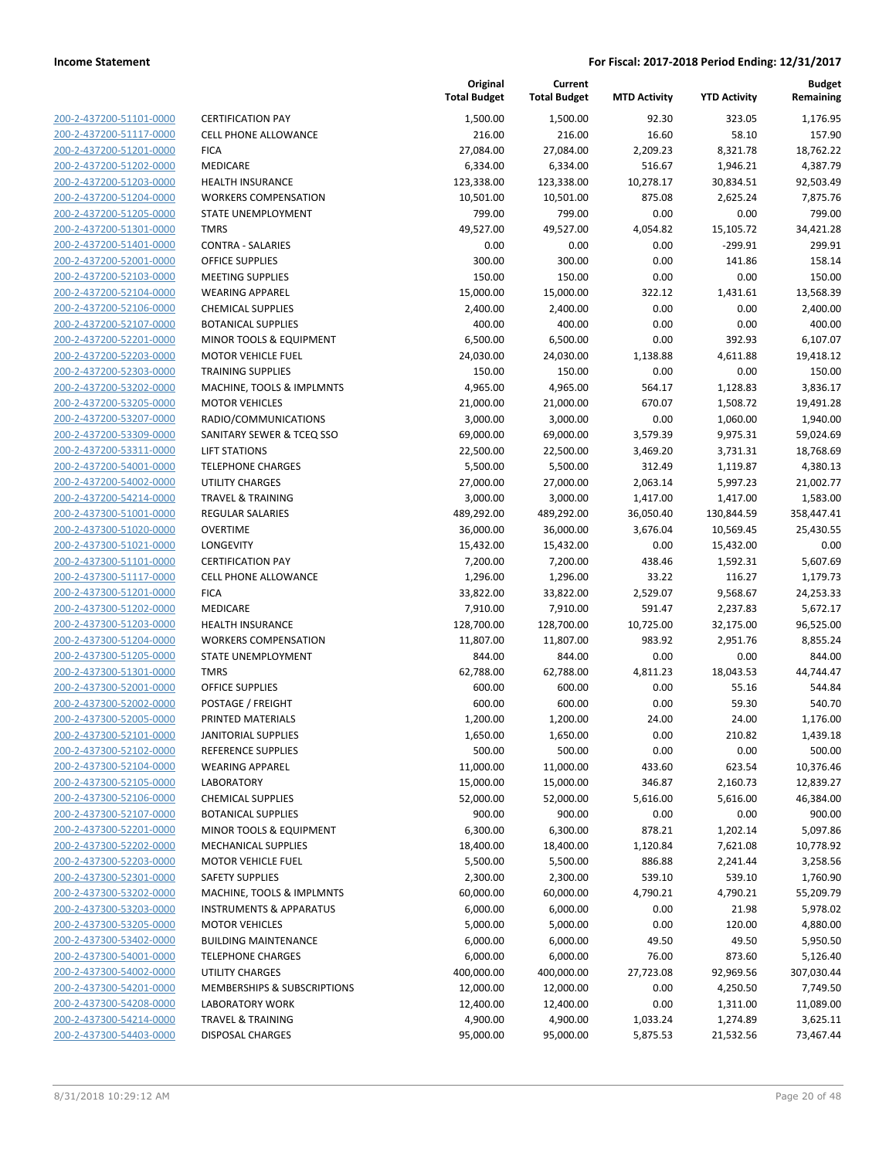| 200-2-437200-51101-0000        |
|--------------------------------|
| 200-2-437200-51117-0000        |
| 200-2-437200-51201-0000        |
| 200-2-437200-51202-0000        |
| 200-2-437200-51203-0000        |
| 200-2-437200-51204-0000        |
| 200-2-437200-51205-0000        |
| 200-2-437200-51301-0000        |
| 200-2-437200-51401-0000        |
| 200-2-437200-52001-0000        |
| 200-2-437200-52103-0000        |
| 200-2-437200-52104-0000        |
| 200-2-437200-52106-0000        |
| 200-2-437200-52107-0000        |
| 200-2-437200-52201-0000        |
| 200-2-437200-52203-0000        |
| 200-2-437200-52303-0000        |
| 200-2-437200-53202-0000        |
| 200-2-437200-53205-0000        |
| 200-2-437200-53207-0000        |
|                                |
| 200-2-437200-53309-0000        |
| 200-2-437200-53311-0000        |
| 200-2-437200-54001-0000        |
| 200-2-437200-54002-0000        |
| 200-2-437200-54214-0000        |
| 200-2-437300-51001-0000        |
| 200-2-437300-51020-0000        |
| 200-2-437300-51021-0000        |
| 200-2-437300-51101-0000        |
| 200-2-437300-51117-0000        |
| 200-2-437300-51201-0000        |
| 200-2-437300-51202-0000        |
| 200-2-437300-51203-0000        |
| 200-2-437300-51204-0000        |
| 200-2-437300-51205-0000        |
| 200-2-437300-51301-0000        |
| 200-2-437300-52001-0000        |
| 200-2-437300-52002-0000        |
| 200-2-437300-52005-0000        |
| 200-2-437300-52101-0000        |
| 200-2-437300-52102-0000        |
| <u>200-2-437300-52104-0000</u> |
| 200-2-437300-52105-0000        |
| 200-2-437300-52106-0000        |
| <u>200-2-437300-52107-0000</u> |
| <u>200-2-437300-52201-0000</u> |
| 200-2-437300-52202-0000        |
| 200-2-437300-52203-0000        |
| 200-2-437300-52301-0000        |
|                                |
| <u>200-2-437300-53202-0000</u> |
| <u>200-2-437300-53203-0000</u> |
| 200-2-437300-53205-0000        |
| 200-2-437300-53402-0000        |
| 200-2-437300-54001-0000        |
| <u>200-2-437300-54002-0000</u> |
| <u>200-2-437300-54201-0000</u> |
| 200-2-437300-54208-0000        |
| 200-2-437300-54214-0000        |
| 200-2-437300-54403-0000        |

|                                        | Total Budget |
|----------------------------------------|--------------|
| <b>CERTIFICATION PAY</b>               | 1,500.00     |
| <b>CELL PHONE ALLOWANCE</b>            | 216.00       |
| <b>FICA</b>                            | 27,084.00    |
| MEDICARE                               | 6,334.00     |
| <b>HEALTH INSURANCE</b>                | 123,338.00   |
| <b>WORKERS COMPENSATION</b>            | 10,501.00    |
| STATE UNEMPLOYMENT                     | 799.00       |
| <b>TMRS</b>                            | 49,527.00    |
| CONTRA - SALARIES                      | 0.00         |
| <b>OFFICE SUPPLIES</b>                 | 300.00       |
| <b>MEETING SUPPLIES</b>                | 150.00       |
| <b>WEARING APPAREL</b>                 | 15,000.00    |
| <b>CHEMICAL SUPPLIES</b>               | 2,400.00     |
| <b>BOTANICAL SUPPLIES</b>              | 400.00       |
| MINOR TOOLS & EQUIPMENT                | 6,500.00     |
| <b>MOTOR VEHICLE FUEL</b>              | 24,030.00    |
| <b>TRAINING SUPPLIES</b>               | 150.00       |
| MACHINE, TOOLS & IMPLMNTS              | 4,965.00     |
| <b>MOTOR VEHICLES</b>                  | 21,000.00    |
| RADIO/COMMUNICATIONS                   | 3,000.00     |
| SANITARY SEWER & TCEQ SSO              | 69,000.00    |
| <b>LIFT STATIONS</b>                   | 22,500.00    |
| <b>TELEPHONE CHARGES</b>               | 5,500.00     |
| <b>UTILITY CHARGES</b>                 | 27,000.00    |
| <b>TRAVEL &amp; TRAINING</b>           | 3,000.00     |
| REGULAR SALARIES                       | 489,292.00   |
| OVERTIME                               | 36,000.00    |
| <b>LONGEVITY</b>                       | 15,432.00    |
| <b>CERTIFICATION PAY</b>               | 7,200.00     |
| <b>CELL PHONE ALLOWANCE</b>            | 1,296.00     |
| <b>FICA</b>                            | 33,822.00    |
| <b>MEDICARE</b>                        | 7,910.00     |
| <b>HEALTH INSURANCE</b>                | 128,700.00   |
| <b>WORKERS COMPENSATION</b>            | 11,807.00    |
| STATE UNEMPLOYMENT                     | 844.00       |
| TMRS                                   | 62,788.00    |
| OFFICE SUPPLIES                        | 600.00       |
| POSTAGE / FREIGHT                      | 600.00       |
| PRINTED MATERIALS                      | 1,200.00     |
| <b>JANITORIAL SUPPLIES</b>             | 1,650.00     |
| REFERENCE SUPPLIES                     | 500.00       |
| <b>WEARING APPAREL</b>                 | 11,000.00    |
| <b>LABORATORY</b>                      | 15,000.00    |
| <b>CHEMICAL SUPPLIES</b>               | 52,000.00    |
| <b>BOTANICAL SUPPLIES</b>              | 900.00       |
| <b>MINOR TOOLS &amp; EQUIPMENT</b>     | 6,300.00     |
| <b>MECHANICAL SUPPLIES</b>             | 18,400.00    |
| <b>MOTOR VEHICLE FUEL</b>              | 5,500.00     |
| <b>SAFETY SUPPLIES</b>                 | 2,300.00     |
| MACHINE, TOOLS & IMPLMNTS              | 60,000.00    |
| <b>INSTRUMENTS &amp; APPARATUS</b>     | 6,000.00     |
| <b>MOTOR VEHICLES</b>                  | 5,000.00     |
| <b>BUILDING MAINTENANCE</b>            | 6,000.00     |
| <b>TELEPHONE CHARGES</b>               | 6,000.00     |
| <b>UTILITY CHARGES</b>                 | 400,000.00   |
| <b>MEMBERSHIPS &amp; SUBSCRIPTIONS</b> | 12,000.00    |
| <b>LABORATORY WORK</b>                 | 12,400.00    |
| <b>TRAVEL &amp; TRAINING</b>           | 4,900.00     |
| DISPOSAL CHARGES                       | 95,000.00    |

|                         |                                    | Original<br><b>Total Budget</b> | Current<br><b>Total Budget</b> | <b>MTD Activity</b> | <b>YTD Activity</b> | Budget<br>Remaining |
|-------------------------|------------------------------------|---------------------------------|--------------------------------|---------------------|---------------------|---------------------|
| 200-2-437200-51101-0000 | <b>CERTIFICATION PAY</b>           | 1,500.00                        | 1,500.00                       | 92.30               | 323.05              | 1,176.95            |
| 200-2-437200-51117-0000 | <b>CELL PHONE ALLOWANCE</b>        | 216.00                          | 216.00                         | 16.60               | 58.10               | 157.90              |
| 200-2-437200-51201-0000 | <b>FICA</b>                        | 27,084.00                       | 27,084.00                      | 2,209.23            | 8,321.78            | 18,762.22           |
| 200-2-437200-51202-0000 | MEDICARE                           | 6,334.00                        | 6,334.00                       | 516.67              | 1,946.21            | 4,387.79            |
| 200-2-437200-51203-0000 | <b>HEALTH INSURANCE</b>            | 123,338.00                      | 123,338.00                     | 10,278.17           | 30,834.51           | 92,503.49           |
| 200-2-437200-51204-0000 | <b>WORKERS COMPENSATION</b>        | 10,501.00                       | 10,501.00                      | 875.08              | 2,625.24            | 7,875.76            |
| 200-2-437200-51205-0000 | STATE UNEMPLOYMENT                 | 799.00                          | 799.00                         | 0.00                | 0.00                | 799.00              |
| 200-2-437200-51301-0000 | <b>TMRS</b>                        | 49,527.00                       | 49,527.00                      | 4,054.82            | 15,105.72           | 34,421.28           |
| 200-2-437200-51401-0000 | <b>CONTRA - SALARIES</b>           | 0.00                            | 0.00                           | 0.00                | $-299.91$           | 299.91              |
| 200-2-437200-52001-0000 | <b>OFFICE SUPPLIES</b>             | 300.00                          | 300.00                         | 0.00                | 141.86              | 158.14              |
| 200-2-437200-52103-0000 | <b>MEETING SUPPLIES</b>            | 150.00                          | 150.00                         | 0.00                | 0.00                | 150.00              |
| 200-2-437200-52104-0000 | <b>WEARING APPAREL</b>             | 15,000.00                       | 15,000.00                      | 322.12              | 1,431.61            | 13,568.39           |
| 200-2-437200-52106-0000 | <b>CHEMICAL SUPPLIES</b>           | 2,400.00                        | 2,400.00                       | 0.00                | 0.00                | 2,400.00            |
| 200-2-437200-52107-0000 | <b>BOTANICAL SUPPLIES</b>          | 400.00                          | 400.00                         | 0.00                | 0.00                | 400.00              |
| 200-2-437200-52201-0000 | MINOR TOOLS & EQUIPMENT            | 6,500.00                        | 6,500.00                       | 0.00                | 392.93              | 6,107.07            |
| 200-2-437200-52203-0000 | <b>MOTOR VEHICLE FUEL</b>          | 24,030.00                       | 24,030.00                      | 1,138.88            | 4,611.88            | 19,418.12           |
| 200-2-437200-52303-0000 | <b>TRAINING SUPPLIES</b>           | 150.00                          | 150.00                         | 0.00                | 0.00                | 150.00              |
| 200-2-437200-53202-0000 | MACHINE, TOOLS & IMPLMNTS          | 4,965.00                        | 4,965.00                       | 564.17              | 1,128.83            | 3,836.17            |
| 200-2-437200-53205-0000 | <b>MOTOR VEHICLES</b>              | 21,000.00                       | 21,000.00                      | 670.07              | 1,508.72            | 19,491.28           |
| 200-2-437200-53207-0000 | RADIO/COMMUNICATIONS               | 3,000.00                        | 3,000.00                       | 0.00                | 1,060.00            | 1,940.00            |
| 200-2-437200-53309-0000 | SANITARY SEWER & TCEQ SSO          | 69,000.00                       | 69,000.00                      | 3,579.39            | 9,975.31            | 59,024.69           |
| 200-2-437200-53311-0000 | <b>LIFT STATIONS</b>               | 22,500.00                       | 22,500.00                      | 3,469.20            | 3,731.31            | 18,768.69           |
| 200-2-437200-54001-0000 | <b>TELEPHONE CHARGES</b>           | 5,500.00                        | 5,500.00                       | 312.49              | 1,119.87            | 4,380.13            |
| 200-2-437200-54002-0000 | <b>UTILITY CHARGES</b>             | 27,000.00                       | 27,000.00                      | 2,063.14            | 5,997.23            | 21,002.77           |
| 200-2-437200-54214-0000 | <b>TRAVEL &amp; TRAINING</b>       | 3,000.00                        | 3,000.00                       | 1,417.00            | 1,417.00            | 1,583.00            |
| 200-2-437300-51001-0000 | REGULAR SALARIES                   | 489,292.00                      | 489,292.00                     | 36,050.40           | 130,844.59          | 358,447.41          |
| 200-2-437300-51020-0000 | <b>OVERTIME</b>                    | 36,000.00                       | 36,000.00                      | 3,676.04            | 10,569.45           | 25,430.55           |
| 200-2-437300-51021-0000 | LONGEVITY                          | 15,432.00                       | 15,432.00                      | 0.00                | 15,432.00           | 0.00                |
| 200-2-437300-51101-0000 | <b>CERTIFICATION PAY</b>           | 7,200.00                        | 7,200.00                       | 438.46              | 1,592.31            | 5,607.69            |
| 200-2-437300-51117-0000 | CELL PHONE ALLOWANCE               | 1,296.00                        | 1,296.00                       | 33.22               | 116.27              | 1,179.73            |
| 200-2-437300-51201-0000 | <b>FICA</b>                        | 33,822.00                       | 33,822.00                      | 2,529.07            | 9,568.67            | 24,253.33           |
| 200-2-437300-51202-0000 | MEDICARE                           | 7,910.00                        | 7,910.00                       | 591.47              | 2,237.83            | 5,672.17            |
| 200-2-437300-51203-0000 | <b>HEALTH INSURANCE</b>            | 128,700.00                      | 128,700.00                     | 10,725.00           | 32,175.00           | 96,525.00           |
| 200-2-437300-51204-0000 | <b>WORKERS COMPENSATION</b>        | 11,807.00                       | 11,807.00                      | 983.92              | 2,951.76            | 8,855.24            |
| 200-2-437300-51205-0000 | STATE UNEMPLOYMENT                 | 844.00                          | 844.00                         | 0.00                | 0.00                | 844.00              |
| 200-2-437300-51301-0000 | <b>TMRS</b>                        | 62,788.00                       | 62,788.00                      | 4,811.23            | 18,043.53           | 44,744.47           |
| 200-2-437300-52001-0000 | <b>OFFICE SUPPLIES</b>             | 600.00                          | 600.00                         | 0.00                | 55.16               | 544.84              |
| 200-2-437300-52002-0000 | POSTAGE / FREIGHT                  | 600.00                          | 600.00                         | 0.00                | 59.30               | 540.70              |
| 200-2-437300-52005-0000 | PRINTED MATERIALS                  | 1,200.00                        | 1,200.00                       | 24.00               | 24.00               | 1,176.00            |
| 200-2-437300-52101-0000 | <b>JANITORIAL SUPPLIES</b>         | 1,650.00                        | 1,650.00                       | 0.00                | 210.82              | 1,439.18            |
| 200-2-437300-52102-0000 | <b>REFERENCE SUPPLIES</b>          | 500.00                          | 500.00                         | 0.00                | 0.00                | 500.00              |
| 200-2-437300-52104-0000 | <b>WEARING APPAREL</b>             | 11,000.00                       | 11,000.00                      | 433.60              | 623.54              | 10,376.46           |
| 200-2-437300-52105-0000 | LABORATORY                         | 15,000.00                       | 15,000.00                      | 346.87              | 2,160.73            | 12,839.27           |
| 200-2-437300-52106-0000 | <b>CHEMICAL SUPPLIES</b>           | 52,000.00                       | 52,000.00                      | 5,616.00            | 5,616.00            | 46,384.00           |
| 200-2-437300-52107-0000 | <b>BOTANICAL SUPPLIES</b>          | 900.00                          | 900.00                         | 0.00                | 0.00                | 900.00              |
| 200-2-437300-52201-0000 | MINOR TOOLS & EQUIPMENT            | 6,300.00                        | 6,300.00                       | 878.21              | 1,202.14            | 5,097.86            |
| 200-2-437300-52202-0000 | <b>MECHANICAL SUPPLIES</b>         | 18,400.00                       | 18,400.00                      | 1,120.84            | 7,621.08            | 10,778.92           |
| 200-2-437300-52203-0000 | <b>MOTOR VEHICLE FUEL</b>          | 5,500.00                        | 5,500.00                       | 886.88              | 2,241.44            | 3,258.56            |
| 200-2-437300-52301-0000 | <b>SAFETY SUPPLIES</b>             | 2,300.00                        | 2,300.00                       | 539.10              | 539.10              | 1,760.90            |
| 200-2-437300-53202-0000 | MACHINE, TOOLS & IMPLMNTS          | 60,000.00                       | 60,000.00                      | 4,790.21            | 4,790.21            | 55,209.79           |
| 200-2-437300-53203-0000 | <b>INSTRUMENTS &amp; APPARATUS</b> | 6,000.00                        | 6,000.00                       | 0.00                | 21.98               | 5,978.02            |
| 200-2-437300-53205-0000 | <b>MOTOR VEHICLES</b>              | 5,000.00                        | 5,000.00                       | 0.00                | 120.00              | 4,880.00            |
| 200-2-437300-53402-0000 | <b>BUILDING MAINTENANCE</b>        | 6,000.00                        | 6,000.00                       | 49.50               | 49.50               | 5,950.50            |
| 200-2-437300-54001-0000 | <b>TELEPHONE CHARGES</b>           | 6,000.00                        | 6,000.00                       | 76.00               | 873.60              | 5,126.40            |
| 200-2-437300-54002-0000 | UTILITY CHARGES                    | 400,000.00                      | 400,000.00                     | 27,723.08           | 92,969.56           | 307,030.44          |
| 200-2-437300-54201-0000 | MEMBERSHIPS & SUBSCRIPTIONS        | 12,000.00                       | 12,000.00                      | 0.00                | 4,250.50            | 7,749.50            |
| 200-2-437300-54208-0000 | <b>LABORATORY WORK</b>             | 12,400.00                       | 12,400.00                      | 0.00                | 1,311.00            | 11,089.00           |
| 200-2-437300-54214-0000 | <b>TRAVEL &amp; TRAINING</b>       | 4,900.00                        | 4,900.00                       | 1,033.24            | 1,274.89            | 3,625.11            |
| 200-2-437300-54403-0000 | <b>DISPOSAL CHARGES</b>            | 95,000.00                       | 95,000.00                      | 5,875.53            | 21,532.56           | 73,467.44           |
|                         |                                    |                                 |                                |                     |                     |                     |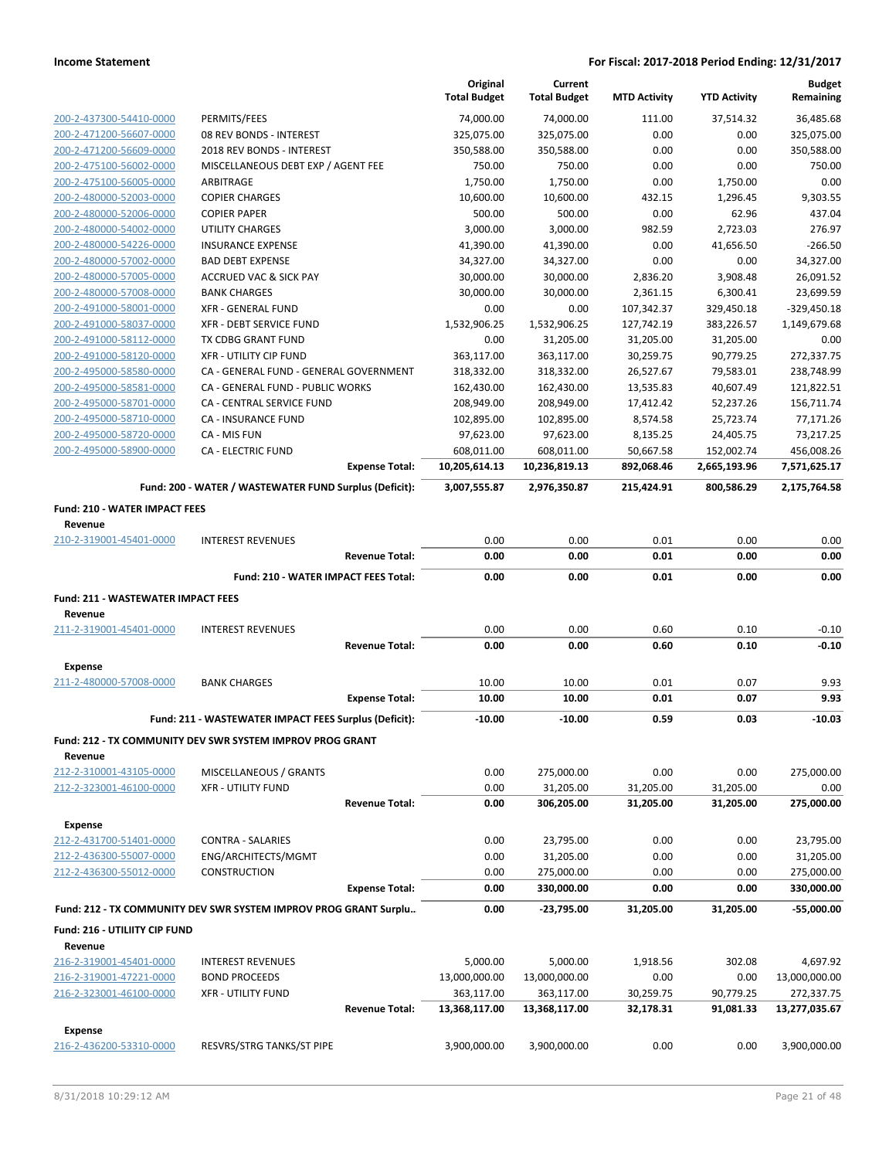|                                                 |                                                                  | Original<br><b>Total Budget</b> | Current<br><b>Total Budget</b> | <b>MTD Activity</b>     | <b>YTD Activity</b>    | <b>Budget</b><br>Remaining  |
|-------------------------------------------------|------------------------------------------------------------------|---------------------------------|--------------------------------|-------------------------|------------------------|-----------------------------|
| 200-2-437300-54410-0000                         | PERMITS/FEES                                                     | 74,000.00                       | 74,000.00                      | 111.00                  | 37,514.32              | 36,485.68                   |
| 200-2-471200-56607-0000                         | 08 REV BONDS - INTEREST                                          | 325,075.00                      | 325,075.00                     | 0.00                    | 0.00                   | 325,075.00                  |
| 200-2-471200-56609-0000                         | 2018 REV BONDS - INTEREST                                        | 350,588.00                      | 350,588.00                     | 0.00                    | 0.00                   | 350,588.00                  |
| 200-2-475100-56002-0000                         | MISCELLANEOUS DEBT EXP / AGENT FEE                               | 750.00                          | 750.00                         | 0.00                    | 0.00                   | 750.00                      |
| 200-2-475100-56005-0000                         | ARBITRAGE                                                        | 1,750.00                        | 1,750.00                       | 0.00                    | 1,750.00               | 0.00                        |
| 200-2-480000-52003-0000                         | <b>COPIER CHARGES</b>                                            | 10,600.00                       | 10,600.00                      | 432.15                  | 1,296.45               | 9,303.55                    |
| 200-2-480000-52006-0000                         | <b>COPIER PAPER</b>                                              | 500.00                          | 500.00                         | 0.00                    | 62.96                  | 437.04                      |
| 200-2-480000-54002-0000                         | <b>UTILITY CHARGES</b>                                           | 3,000.00                        | 3,000.00                       | 982.59                  | 2,723.03               | 276.97                      |
| 200-2-480000-54226-0000                         | <b>INSURANCE EXPENSE</b>                                         | 41,390.00                       | 41,390.00                      | 0.00                    | 41,656.50              | $-266.50$                   |
| 200-2-480000-57002-0000                         | <b>BAD DEBT EXPENSE</b>                                          | 34,327.00                       | 34,327.00                      | 0.00                    | 0.00                   | 34,327.00                   |
| 200-2-480000-57005-0000                         | <b>ACCRUED VAC &amp; SICK PAY</b>                                | 30,000.00                       | 30,000.00                      | 2,836.20                | 3,908.48               | 26,091.52                   |
| 200-2-480000-57008-0000                         | <b>BANK CHARGES</b>                                              | 30,000.00                       | 30,000.00                      | 2,361.15                | 6,300.41               | 23,699.59                   |
| 200-2-491000-58001-0000                         | <b>XFR - GENERAL FUND</b>                                        | 0.00                            | 0.00                           | 107,342.37              | 329,450.18             | $-329,450.18$               |
| 200-2-491000-58037-0000                         | <b>XFR - DEBT SERVICE FUND</b>                                   | 1,532,906.25                    | 1,532,906.25                   | 127,742.19              | 383,226.57             | 1,149,679.68                |
| 200-2-491000-58112-0000                         | TX CDBG GRANT FUND                                               | 0.00                            | 31,205.00                      | 31,205.00               | 31,205.00              | 0.00                        |
| 200-2-491000-58120-0000                         | XFR - UTILITY CIP FUND                                           | 363,117.00                      | 363,117.00                     | 30,259.75               | 90,779.25              | 272,337.75                  |
| 200-2-495000-58580-0000                         | CA - GENERAL FUND - GENERAL GOVERNMENT                           | 318,332.00                      | 318,332.00                     | 26,527.67               | 79,583.01              | 238,748.99                  |
| 200-2-495000-58581-0000                         | CA - GENERAL FUND - PUBLIC WORKS                                 | 162,430.00                      | 162,430.00                     | 13,535.83               | 40,607.49              | 121,822.51                  |
| 200-2-495000-58701-0000                         | CA - CENTRAL SERVICE FUND                                        | 208,949.00                      | 208,949.00                     | 17,412.42               | 52,237.26              | 156,711.74                  |
| 200-2-495000-58710-0000                         | CA - INSURANCE FUND                                              | 102,895.00                      | 102,895.00                     | 8,574.58                | 25,723.74              | 77,171.26                   |
| 200-2-495000-58720-0000                         | CA - MIS FUN                                                     | 97,623.00                       | 97,623.00                      | 8,135.25                | 24,405.75              | 73,217.25                   |
| 200-2-495000-58900-0000                         | <b>CA - ELECTRIC FUND</b><br><b>Expense Total:</b>               | 608,011.00<br>10,205,614.13     | 608,011.00                     | 50,667.58<br>892,068.46 | 152,002.74             | 456,008.26                  |
|                                                 |                                                                  |                                 | 10,236,819.13                  |                         | 2,665,193.96           | 7,571,625.17                |
|                                                 | Fund: 200 - WATER / WASTEWATER FUND Surplus (Deficit):           | 3,007,555.87                    | 2,976,350.87                   | 215,424.91              | 800,586.29             | 2,175,764.58                |
| <b>Fund: 210 - WATER IMPACT FEES</b><br>Revenue |                                                                  |                                 |                                |                         |                        |                             |
| 210-2-319001-45401-0000                         | <b>INTEREST REVENUES</b>                                         | 0.00                            | 0.00                           | 0.01                    | 0.00                   | 0.00                        |
|                                                 | <b>Revenue Total:</b>                                            | 0.00                            | 0.00                           | 0.01                    | 0.00                   | 0.00                        |
|                                                 |                                                                  |                                 |                                |                         |                        |                             |
|                                                 | Fund: 210 - WATER IMPACT FEES Total:                             | 0.00                            | 0.00                           | 0.01                    | 0.00                   | 0.00                        |
|                                                 |                                                                  |                                 |                                |                         |                        |                             |
| <b>Fund: 211 - WASTEWATER IMPACT FEES</b>       |                                                                  |                                 |                                |                         |                        |                             |
| Revenue                                         | <b>INTEREST REVENUES</b>                                         | 0.00                            | 0.00                           | 0.60                    | 0.10                   | $-0.10$                     |
| 211-2-319001-45401-0000                         | <b>Revenue Total:</b>                                            | 0.00                            | 0.00                           | 0.60                    | 0.10                   | $-0.10$                     |
|                                                 |                                                                  |                                 |                                |                         |                        |                             |
| <b>Expense</b>                                  |                                                                  |                                 |                                |                         |                        |                             |
| 211-2-480000-57008-0000                         | <b>BANK CHARGES</b>                                              | 10.00                           | 10.00                          | 0.01                    | 0.07                   | 9.93                        |
|                                                 | <b>Expense Total:</b>                                            | 10.00                           | 10.00                          | 0.01                    | 0.07                   | 9.93                        |
|                                                 | Fund: 211 - WASTEWATER IMPACT FEES Surplus (Deficit):            | $-10.00$                        | $-10.00$                       | 0.59                    | 0.03                   | $-10.03$                    |
|                                                 | Fund: 212 - TX COMMUNITY DEV SWR SYSTEM IMPROV PROG GRANT        |                                 |                                |                         |                        |                             |
| Revenue                                         |                                                                  |                                 |                                |                         |                        |                             |
| 212-2-310001-43105-0000                         | MISCELLANEOUS / GRANTS                                           | 0.00                            | 275,000.00                     | 0.00                    | 0.00                   | 275,000.00                  |
| 212-2-323001-46100-0000                         | <b>XFR - UTILITY FUND</b>                                        | 0.00                            | 31,205.00                      | 31,205.00               | 31,205.00              | 0.00                        |
|                                                 | <b>Revenue Total:</b>                                            | 0.00                            | 306,205.00                     | 31,205.00               | 31,205.00              | 275,000.00                  |
| <b>Expense</b>                                  |                                                                  |                                 |                                |                         |                        |                             |
| 212-2-431700-51401-0000                         | CONTRA - SALARIES                                                | 0.00                            | 23,795.00                      | 0.00                    | 0.00                   | 23,795.00                   |
| 212-2-436300-55007-0000                         | ENG/ARCHITECTS/MGMT                                              | 0.00                            | 31,205.00                      | 0.00                    | 0.00                   | 31,205.00                   |
| 212-2-436300-55012-0000                         | CONSTRUCTION                                                     | 0.00                            | 275,000.00                     | 0.00                    | 0.00                   | 275,000.00                  |
|                                                 | <b>Expense Total:</b>                                            | 0.00                            | 330,000.00                     | 0.00                    | 0.00                   | 330,000.00                  |
|                                                 | Fund: 212 - TX COMMUNITY DEV SWR SYSTEM IMPROV PROG GRANT Surplu | 0.00                            | -23,795.00                     | 31,205.00               | 31,205.00              | $-55,000.00$                |
| Fund: 216 - UTILIITY CIP FUND                   |                                                                  |                                 |                                |                         |                        |                             |
| Revenue                                         |                                                                  |                                 |                                |                         |                        |                             |
| 216-2-319001-45401-0000                         | <b>INTEREST REVENUES</b>                                         | 5,000.00                        | 5,000.00                       | 1,918.56                | 302.08                 | 4,697.92                    |
| 216-2-319001-47221-0000                         | <b>BOND PROCEEDS</b>                                             | 13,000,000.00                   | 13,000,000.00                  | 0.00                    | 0.00                   | 13,000,000.00               |
| 216-2-323001-46100-0000                         | XFR - UTILITY FUND<br><b>Revenue Total:</b>                      | 363,117.00<br>13,368,117.00     | 363,117.00<br>13,368,117.00    | 30,259.75<br>32,178.31  | 90,779.25<br>91,081.33 | 272,337.75<br>13,277,035.67 |
| <b>Expense</b>                                  |                                                                  |                                 |                                |                         |                        |                             |
| 216-2-436200-53310-0000                         | RESVRS/STRG TANKS/ST PIPE                                        | 3,900,000.00                    | 3,900,000.00                   | 0.00                    | 0.00                   | 3,900,000.00                |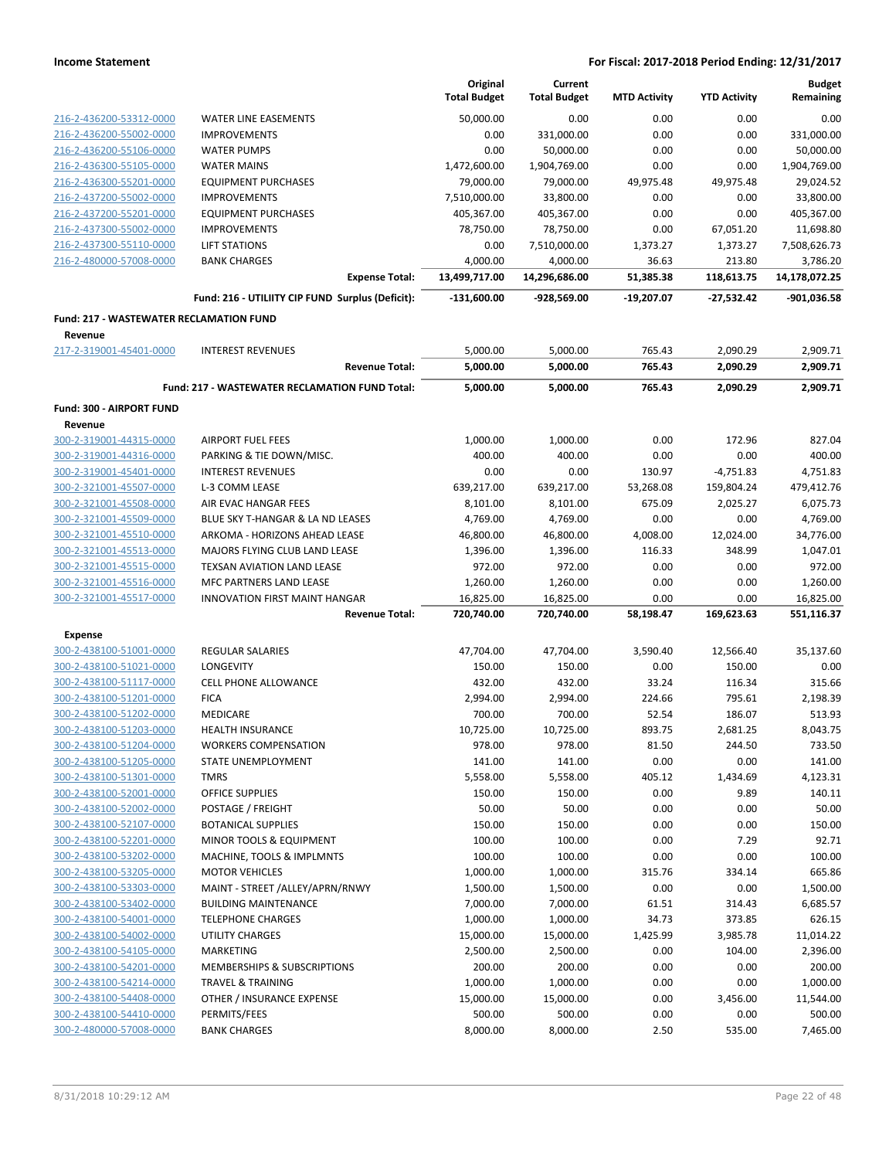|                                         |                                                  | Original<br><b>Total Budget</b> | Current<br><b>Total Budget</b> | <b>MTD Activity</b> | <b>YTD Activity</b> | <b>Budget</b><br>Remaining |
|-----------------------------------------|--------------------------------------------------|---------------------------------|--------------------------------|---------------------|---------------------|----------------------------|
| 216-2-436200-53312-0000                 | <b>WATER LINE EASEMENTS</b>                      | 50.000.00                       | 0.00                           | 0.00                | 0.00                | 0.00                       |
| 216-2-436200-55002-0000                 | <b>IMPROVEMENTS</b>                              | 0.00                            | 331,000.00                     | 0.00                | 0.00                | 331,000.00                 |
| 216-2-436200-55106-0000                 | <b>WATER PUMPS</b>                               | 0.00                            | 50,000.00                      | 0.00                | 0.00                | 50,000.00                  |
| 216-2-436300-55105-0000                 | <b>WATER MAINS</b>                               | 1,472,600.00                    | 1,904,769.00                   | 0.00                | 0.00                | 1,904,769.00               |
| 216-2-436300-55201-0000                 | <b>EQUIPMENT PURCHASES</b>                       | 79,000.00                       | 79,000.00                      | 49,975.48           | 49,975.48           | 29,024.52                  |
| 216-2-437200-55002-0000                 | <b>IMPROVEMENTS</b>                              | 7,510,000.00                    | 33,800.00                      | 0.00                | 0.00                | 33,800.00                  |
| 216-2-437200-55201-0000                 | <b>EQUIPMENT PURCHASES</b>                       | 405,367.00                      | 405,367.00                     | 0.00                | 0.00                | 405,367.00                 |
| 216-2-437300-55002-0000                 | <b>IMPROVEMENTS</b>                              | 78,750.00                       | 78,750.00                      | 0.00                | 67,051.20           | 11,698.80                  |
| 216-2-437300-55110-0000                 | <b>LIFT STATIONS</b>                             | 0.00                            | 7,510,000.00                   | 1,373.27            | 1,373.27            | 7,508,626.73               |
| 216-2-480000-57008-0000                 | <b>BANK CHARGES</b>                              | 4,000.00                        | 4,000.00                       | 36.63               | 213.80              | 3,786.20                   |
|                                         | <b>Expense Total:</b>                            | 13,499,717.00                   | 14,296,686.00                  | 51,385.38           | 118,613.75          | 14,178,072.25              |
|                                         | Fund: 216 - UTILIITY CIP FUND Surplus (Deficit): | $-131,600.00$                   | -928,569.00                    | $-19,207.07$        | $-27,532.42$        | -901,036.58                |
| Fund: 217 - WASTEWATER RECLAMATION FUND |                                                  |                                 |                                |                     |                     |                            |
| Revenue<br>217-2-319001-45401-0000      | <b>INTEREST REVENUES</b>                         | 5,000.00                        | 5,000.00                       | 765.43              | 2,090.29            | 2,909.71                   |
|                                         | <b>Revenue Total:</b>                            | 5,000.00                        | 5,000.00                       | 765.43              | 2,090.29            | 2,909.71                   |
|                                         | Fund: 217 - WASTEWATER RECLAMATION FUND Total:   | 5,000.00                        | 5,000.00                       | 765.43              | 2,090.29            | 2,909.71                   |
| Fund: 300 - AIRPORT FUND                |                                                  |                                 |                                |                     |                     |                            |
| Revenue                                 |                                                  |                                 |                                |                     |                     |                            |
| 300-2-319001-44315-0000                 | <b>AIRPORT FUEL FEES</b>                         | 1,000.00                        | 1,000.00                       | 0.00                | 172.96              | 827.04                     |
| 300-2-319001-44316-0000                 | PARKING & TIE DOWN/MISC.                         | 400.00                          | 400.00                         | 0.00                | 0.00                | 400.00                     |
| 300-2-319001-45401-0000                 | <b>INTEREST REVENUES</b>                         | 0.00                            | 0.00                           | 130.97              | $-4,751.83$         | 4,751.83                   |
| 300-2-321001-45507-0000                 | L-3 COMM LEASE                                   | 639,217.00                      | 639,217.00                     | 53,268.08           | 159,804.24          | 479,412.76                 |
| 300-2-321001-45508-0000                 | AIR EVAC HANGAR FEES                             | 8,101.00                        | 8,101.00                       | 675.09              | 2,025.27            | 6,075.73                   |
| 300-2-321001-45509-0000                 | BLUE SKY T-HANGAR & LA ND LEASES                 | 4,769.00                        | 4,769.00                       | 0.00                | 0.00                | 4,769.00                   |
| 300-2-321001-45510-0000                 | ARKOMA - HORIZONS AHEAD LEASE                    | 46,800.00                       | 46,800.00                      | 4,008.00            | 12,024.00           | 34,776.00                  |
| 300-2-321001-45513-0000                 | MAJORS FLYING CLUB LAND LEASE                    | 1,396.00                        | 1,396.00                       | 116.33              | 348.99              | 1,047.01                   |
| 300-2-321001-45515-0000                 | TEXSAN AVIATION LAND LEASE                       | 972.00                          | 972.00                         | 0.00                | 0.00                | 972.00                     |
| 300-2-321001-45516-0000                 | MFC PARTNERS LAND LEASE                          | 1,260.00                        | 1,260.00                       | 0.00                | 0.00                | 1,260.00                   |
| 300-2-321001-45517-0000                 | <b>INNOVATION FIRST MAINT HANGAR</b>             | 16,825.00                       | 16,825.00                      | 0.00                | 0.00                | 16,825.00                  |
|                                         | <b>Revenue Total:</b>                            | 720,740.00                      | 720,740.00                     | 58,198.47           | 169,623.63          | 551,116.37                 |
| <b>Expense</b>                          |                                                  |                                 |                                |                     |                     |                            |
| 300-2-438100-51001-0000                 | <b>REGULAR SALARIES</b>                          | 47,704.00                       | 47,704.00                      | 3,590.40            | 12,566.40           | 35,137.60                  |
| 300-2-438100-51021-0000                 | LONGEVITY                                        | 150.00                          | 150.00                         | 0.00                | 150.00              | 0.00                       |
| 300-2-438100-51117-0000                 | <b>CELL PHONE ALLOWANCE</b>                      | 432.00                          | 432.00                         | 33.24               | 116.34              | 315.66                     |
| 300-2-438100-51201-0000                 | <b>FICA</b>                                      | 2,994.00                        | 2,994.00                       | 224.66              | 795.61              | 2,198.39                   |
| 300-2-438100-51202-0000                 | <b>MEDICARE</b>                                  | 700.00                          | 700.00                         | 52.54               | 186.07              | 513.93                     |
| 300-2-438100-51203-0000                 | <b>HEALTH INSURANCE</b>                          | 10,725.00                       | 10,725.00                      | 893.75              | 2,681.25            | 8,043.75                   |
| 300-2-438100-51204-0000                 | <b>WORKERS COMPENSATION</b>                      | 978.00                          | 978.00                         | 81.50               | 244.50              | 733.50                     |
| 300-2-438100-51205-0000                 | STATE UNEMPLOYMENT                               | 141.00                          | 141.00                         | 0.00                | 0.00                | 141.00                     |
| 300-2-438100-51301-0000                 | <b>TMRS</b>                                      | 5,558.00                        | 5,558.00                       | 405.12              | 1,434.69            | 4,123.31                   |
| 300-2-438100-52001-0000                 | OFFICE SUPPLIES                                  | 150.00                          | 150.00                         | 0.00                | 9.89                | 140.11                     |
| 300-2-438100-52002-0000                 | POSTAGE / FREIGHT                                | 50.00                           | 50.00                          | 0.00                | 0.00                | 50.00                      |
| 300-2-438100-52107-0000                 | <b>BOTANICAL SUPPLIES</b>                        | 150.00                          | 150.00                         | 0.00                | 0.00                | 150.00                     |
| 300-2-438100-52201-0000                 | MINOR TOOLS & EQUIPMENT                          | 100.00                          | 100.00                         | 0.00                | 7.29                | 92.71                      |
| 300-2-438100-53202-0000                 | MACHINE, TOOLS & IMPLMNTS                        | 100.00                          | 100.00                         | 0.00                | 0.00                | 100.00                     |
| 300-2-438100-53205-0000                 | <b>MOTOR VEHICLES</b>                            | 1,000.00                        | 1,000.00                       | 315.76              | 334.14              | 665.86                     |
| 300-2-438100-53303-0000                 | MAINT - STREET /ALLEY/APRN/RNWY                  | 1,500.00                        | 1,500.00                       | 0.00                | 0.00                | 1,500.00                   |
| 300-2-438100-53402-0000                 | <b>BUILDING MAINTENANCE</b>                      | 7,000.00                        | 7,000.00                       | 61.51               | 314.43              | 6,685.57                   |
| 300-2-438100-54001-0000                 | <b>TELEPHONE CHARGES</b>                         | 1,000.00                        | 1,000.00                       | 34.73               | 373.85              | 626.15                     |
| 300-2-438100-54002-0000                 | UTILITY CHARGES                                  | 15,000.00                       | 15,000.00                      | 1,425.99            | 3,985.78            | 11,014.22                  |
| 300-2-438100-54105-0000                 | MARKETING                                        | 2,500.00                        | 2,500.00                       | 0.00                | 104.00              | 2,396.00                   |
| 300-2-438100-54201-0000                 | MEMBERSHIPS & SUBSCRIPTIONS                      | 200.00                          | 200.00                         | 0.00                | 0.00                | 200.00                     |
| 300-2-438100-54214-0000                 | TRAVEL & TRAINING                                | 1,000.00                        | 1,000.00                       | 0.00                | 0.00                | 1,000.00                   |
| 300-2-438100-54408-0000                 | OTHER / INSURANCE EXPENSE                        | 15,000.00                       | 15,000.00                      | 0.00                | 3,456.00            | 11,544.00                  |
| 300-2-438100-54410-0000                 | PERMITS/FEES                                     | 500.00                          | 500.00                         | 0.00                | 0.00                | 500.00                     |
| 300-2-480000-57008-0000                 | <b>BANK CHARGES</b>                              | 8,000.00                        | 8,000.00                       | 2.50                | 535.00              | 7,465.00                   |
|                                         |                                                  |                                 |                                |                     |                     |                            |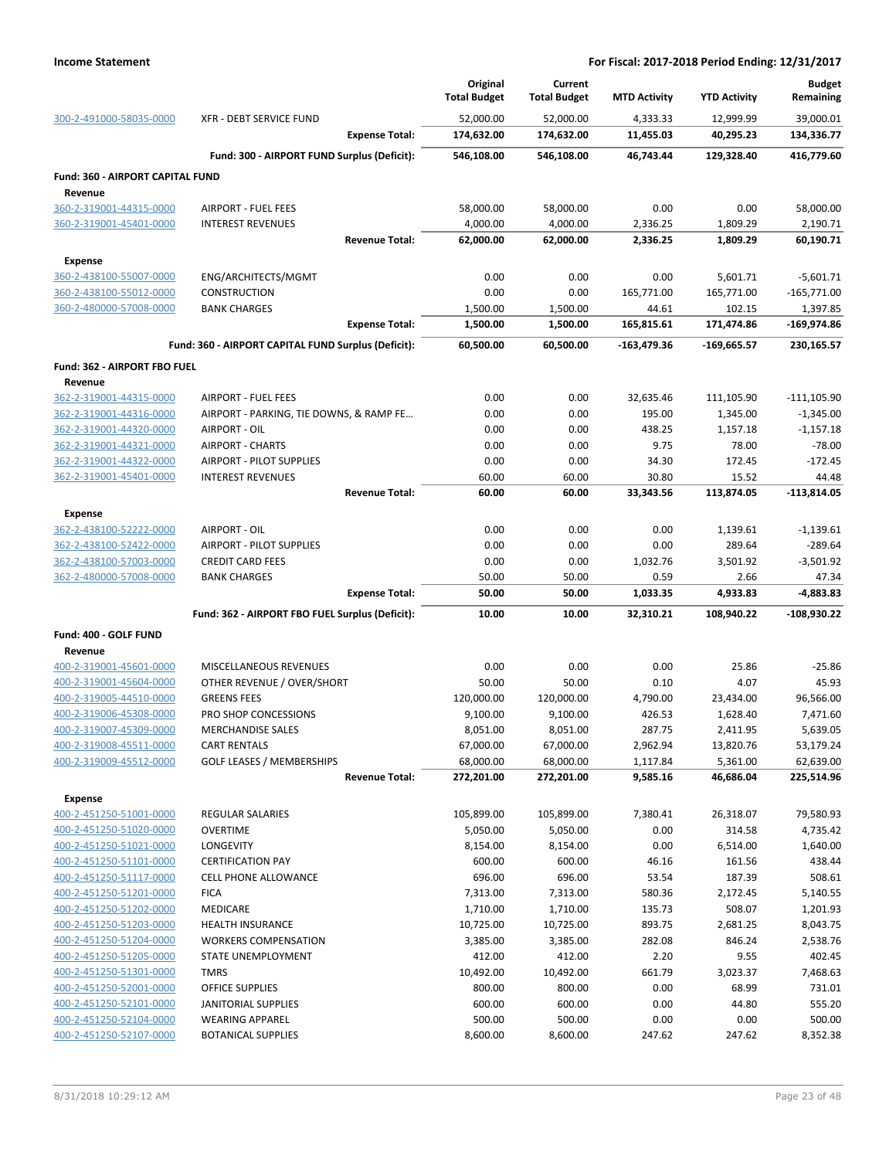|                                                    |                                                         | Original<br><b>Total Budget</b> | Current<br><b>Total Budget</b> | <b>MTD Activity</b> | <b>YTD Activity</b> | <b>Budget</b><br>Remaining |
|----------------------------------------------------|---------------------------------------------------------|---------------------------------|--------------------------------|---------------------|---------------------|----------------------------|
| 300-2-491000-58035-0000                            | <b>XFR - DEBT SERVICE FUND</b><br><b>Expense Total:</b> | 52,000.00                       | 52,000.00                      | 4,333.33            | 12,999.99           | 39,000.01                  |
|                                                    |                                                         | 174,632.00                      | 174,632.00                     | 11,455.03           | 40,295.23           | 134,336.77                 |
|                                                    | Fund: 300 - AIRPORT FUND Surplus (Deficit):             | 546,108.00                      | 546,108.00                     | 46,743.44           | 129,328.40          | 416,779.60                 |
| <b>Fund: 360 - AIRPORT CAPITAL FUND</b>            |                                                         |                                 |                                |                     |                     |                            |
| Revenue                                            |                                                         |                                 |                                |                     |                     |                            |
| 360-2-319001-44315-0000<br>360-2-319001-45401-0000 | <b>AIRPORT - FUEL FEES</b><br><b>INTEREST REVENUES</b>  | 58,000.00<br>4,000.00           | 58,000.00<br>4,000.00          | 0.00<br>2,336.25    | 0.00<br>1,809.29    | 58,000.00<br>2,190.71      |
|                                                    | <b>Revenue Total:</b>                                   | 62,000.00                       | 62,000.00                      | 2,336.25            | 1,809.29            | 60,190.71                  |
|                                                    |                                                         |                                 |                                |                     |                     |                            |
| <b>Expense</b><br>360-2-438100-55007-0000          | ENG/ARCHITECTS/MGMT                                     | 0.00                            | 0.00                           | 0.00                | 5,601.71            | $-5,601.71$                |
| 360-2-438100-55012-0000                            | <b>CONSTRUCTION</b>                                     | 0.00                            | 0.00                           | 165,771.00          | 165,771.00          | $-165,771.00$              |
| 360-2-480000-57008-0000                            | <b>BANK CHARGES</b>                                     | 1,500.00                        | 1,500.00                       | 44.61               | 102.15              | 1,397.85                   |
|                                                    | <b>Expense Total:</b>                                   | 1,500.00                        | 1,500.00                       | 165,815.61          | 171,474.86          | $-169,974.86$              |
|                                                    | Fund: 360 - AIRPORT CAPITAL FUND Surplus (Deficit):     | 60,500.00                       | 60,500.00                      | $-163,479.36$       | -169,665.57         | 230,165.57                 |
| Fund: 362 - AIRPORT FBO FUEL                       |                                                         |                                 |                                |                     |                     |                            |
| Revenue                                            |                                                         |                                 |                                |                     |                     |                            |
| 362-2-319001-44315-0000                            | <b>AIRPORT - FUEL FEES</b>                              | 0.00                            | 0.00                           | 32,635.46           | 111,105.90          | $-111,105.90$              |
| 362-2-319001-44316-0000                            | AIRPORT - PARKING, TIE DOWNS, & RAMP FE                 | 0.00                            | 0.00                           | 195.00              | 1,345.00            | $-1,345.00$                |
| 362-2-319001-44320-0000                            | AIRPORT - OIL                                           | 0.00                            | 0.00                           | 438.25              | 1,157.18            | $-1,157.18$                |
| 362-2-319001-44321-0000                            | <b>AIRPORT - CHARTS</b>                                 | 0.00                            | 0.00                           | 9.75                | 78.00               | $-78.00$                   |
| 362-2-319001-44322-0000                            | AIRPORT - PILOT SUPPLIES                                | 0.00                            | 0.00                           | 34.30               | 172.45              | $-172.45$                  |
| 362-2-319001-45401-0000                            | <b>INTEREST REVENUES</b>                                | 60.00                           | 60.00                          | 30.80               | 15.52               | 44.48                      |
|                                                    | <b>Revenue Total:</b>                                   | 60.00                           | 60.00                          | 33,343.56           | 113,874.05          | -113,814.05                |
| <b>Expense</b>                                     |                                                         |                                 |                                |                     |                     |                            |
| 362-2-438100-52222-0000                            | AIRPORT - OIL                                           | 0.00                            | 0.00                           | 0.00                | 1,139.61            | $-1,139.61$                |
| 362-2-438100-52422-0000                            | <b>AIRPORT - PILOT SUPPLIES</b>                         | 0.00                            | 0.00                           | 0.00                | 289.64              | $-289.64$                  |
| 362-2-438100-57003-0000                            | <b>CREDIT CARD FEES</b>                                 | 0.00                            | 0.00                           | 1,032.76            | 3,501.92            | $-3,501.92$                |
| 362-2-480000-57008-0000                            | <b>BANK CHARGES</b>                                     | 50.00                           | 50.00                          | 0.59                | 2.66                | 47.34                      |
|                                                    | <b>Expense Total:</b>                                   | 50.00                           | 50.00                          | 1,033.35            | 4,933.83            | $-4,883.83$                |
|                                                    | Fund: 362 - AIRPORT FBO FUEL Surplus (Deficit):         | 10.00                           | 10.00                          | 32,310.21           | 108,940.22          | $-108,930.22$              |
| Fund: 400 - GOLF FUND                              |                                                         |                                 |                                |                     |                     |                            |
| Revenue                                            |                                                         |                                 |                                |                     |                     |                            |
| 400-2-319001-45601-0000<br>400-2-319001-45604-0000 | MISCELLANEOUS REVENUES<br>OTHER REVENUE / OVER/SHORT    | 0.00<br>50.00                   | 0.00<br>50.00                  | 0.00<br>0.10        | 25.86<br>4.07       | $-25.86$<br>45.93          |
| 400-2-319005-44510-0000                            | <b>GREENS FEES</b>                                      | 120,000.00                      | 120,000.00                     | 4,790.00            | 23,434.00           | 96,566.00                  |
| 400-2-319006-45308-0000                            | PRO SHOP CONCESSIONS                                    | 9,100.00                        | 9,100.00                       | 426.53              | 1,628.40            | 7,471.60                   |
| 400-2-319007-45309-0000                            | <b>MERCHANDISE SALES</b>                                | 8,051.00                        | 8,051.00                       | 287.75              | 2,411.95            | 5,639.05                   |
| 400-2-319008-45511-0000                            | <b>CART RENTALS</b>                                     | 67,000.00                       | 67,000.00                      | 2,962.94            | 13,820.76           | 53,179.24                  |
| 400-2-319009-45512-0000                            | <b>GOLF LEASES / MEMBERSHIPS</b>                        | 68,000.00                       | 68,000.00                      | 1,117.84            | 5,361.00            | 62,639.00                  |
|                                                    | <b>Revenue Total:</b>                                   | 272,201.00                      | 272,201.00                     | 9,585.16            | 46,686.04           | 225,514.96                 |
| <b>Expense</b>                                     |                                                         |                                 |                                |                     |                     |                            |
| 400-2-451250-51001-0000                            | REGULAR SALARIES                                        | 105,899.00                      | 105,899.00                     | 7,380.41            | 26,318.07           | 79,580.93                  |
| 400-2-451250-51020-0000                            | <b>OVERTIME</b>                                         | 5,050.00                        | 5,050.00                       | 0.00                | 314.58              | 4,735.42                   |
| 400-2-451250-51021-0000                            | LONGEVITY                                               | 8,154.00                        | 8,154.00                       | 0.00                | 6,514.00            | 1,640.00                   |
| 400-2-451250-51101-0000                            | <b>CERTIFICATION PAY</b>                                | 600.00                          | 600.00                         | 46.16               | 161.56              | 438.44                     |
| 400-2-451250-51117-0000                            | CELL PHONE ALLOWANCE                                    | 696.00                          | 696.00                         | 53.54               | 187.39              | 508.61                     |
| 400-2-451250-51201-0000                            | <b>FICA</b>                                             | 7,313.00                        | 7,313.00                       | 580.36              | 2,172.45            | 5,140.55                   |
| 400-2-451250-51202-0000                            | MEDICARE                                                | 1,710.00                        | 1,710.00                       | 135.73              | 508.07              | 1,201.93                   |
| 400-2-451250-51203-0000                            | <b>HEALTH INSURANCE</b>                                 | 10,725.00                       | 10,725.00                      | 893.75              | 2,681.25            | 8,043.75                   |
| 400-2-451250-51204-0000                            | <b>WORKERS COMPENSATION</b>                             | 3,385.00                        | 3,385.00                       | 282.08              | 846.24              | 2,538.76                   |
| 400-2-451250-51205-0000                            | STATE UNEMPLOYMENT                                      | 412.00                          | 412.00                         | 2.20                | 9.55                | 402.45                     |
| 400-2-451250-51301-0000                            | <b>TMRS</b>                                             | 10,492.00                       | 10,492.00                      | 661.79              | 3,023.37<br>68.99   | 7,468.63                   |
| 400-2-451250-52001-0000<br>400-2-451250-52101-0000 | <b>OFFICE SUPPLIES</b><br>JANITORIAL SUPPLIES           | 800.00<br>600.00                | 800.00<br>600.00               | 0.00<br>0.00        | 44.80               | 731.01<br>555.20           |
| 400-2-451250-52104-0000                            | <b>WEARING APPAREL</b>                                  | 500.00                          | 500.00                         | 0.00                | 0.00                | 500.00                     |
| 400-2-451250-52107-0000                            | <b>BOTANICAL SUPPLIES</b>                               | 8,600.00                        | 8,600.00                       | 247.62              | 247.62              | 8,352.38                   |
|                                                    |                                                         |                                 |                                |                     |                     |                            |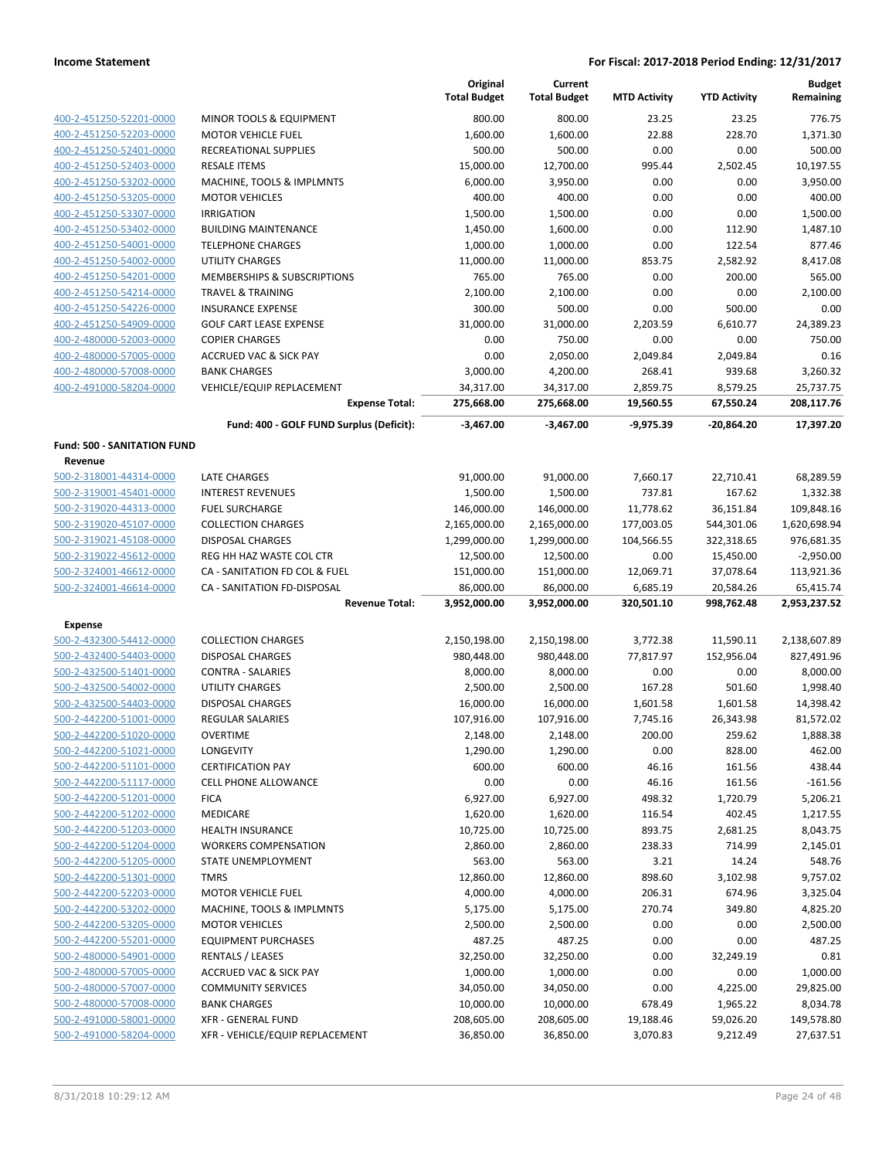|                                                    |                                                            | Original<br><b>Total Budget</b> | Current<br><b>Total Budget</b> | <b>MTD Activity</b>    | <b>YTD Activity</b>     | <b>Budget</b><br>Remaining |
|----------------------------------------------------|------------------------------------------------------------|---------------------------------|--------------------------------|------------------------|-------------------------|----------------------------|
| 400-2-451250-52201-0000                            | MINOR TOOLS & EQUIPMENT                                    | 800.00                          | 800.00                         | 23.25                  | 23.25                   | 776.75                     |
| 400-2-451250-52203-0000                            | <b>MOTOR VEHICLE FUEL</b>                                  | 1,600.00                        | 1,600.00                       | 22.88                  | 228.70                  | 1,371.30                   |
| 400-2-451250-52401-0000                            | RECREATIONAL SUPPLIES                                      | 500.00                          | 500.00                         | 0.00                   | 0.00                    | 500.00                     |
| 400-2-451250-52403-0000                            | <b>RESALE ITEMS</b>                                        | 15,000.00                       | 12,700.00                      | 995.44                 | 2,502.45                | 10,197.55                  |
| 400-2-451250-53202-0000                            | MACHINE, TOOLS & IMPLMNTS                                  | 6,000.00                        | 3,950.00                       | 0.00                   | 0.00                    | 3,950.00                   |
| 400-2-451250-53205-0000                            | <b>MOTOR VEHICLES</b>                                      | 400.00                          | 400.00                         | 0.00                   | 0.00                    | 400.00                     |
| 400-2-451250-53307-0000                            | <b>IRRIGATION</b>                                          | 1,500.00                        | 1,500.00                       | 0.00                   | 0.00                    | 1,500.00                   |
| 400-2-451250-53402-0000                            | <b>BUILDING MAINTENANCE</b>                                | 1,450.00                        | 1,600.00                       | 0.00                   | 112.90                  | 1.487.10                   |
| 400-2-451250-54001-0000                            | <b>TELEPHONE CHARGES</b>                                   | 1,000.00                        | 1,000.00                       | 0.00                   | 122.54                  | 877.46                     |
| 400-2-451250-54002-0000                            | UTILITY CHARGES                                            | 11,000.00                       | 11,000.00                      | 853.75                 | 2,582.92                | 8,417.08                   |
| 400-2-451250-54201-0000                            | MEMBERSHIPS & SUBSCRIPTIONS                                | 765.00                          | 765.00                         | 0.00                   | 200.00                  | 565.00                     |
| 400-2-451250-54214-0000                            | <b>TRAVEL &amp; TRAINING</b>                               | 2,100.00                        | 2,100.00                       | 0.00                   | 0.00                    | 2,100.00                   |
| 400-2-451250-54226-0000                            | <b>INSURANCE EXPENSE</b>                                   | 300.00                          | 500.00                         | 0.00                   | 500.00                  | 0.00                       |
| 400-2-451250-54909-0000                            | <b>GOLF CART LEASE EXPENSE</b>                             | 31,000.00<br>0.00               | 31,000.00<br>750.00            | 2,203.59               | 6,610.77                | 24,389.23<br>750.00        |
| 400-2-480000-52003-0000<br>400-2-480000-57005-0000 | <b>COPIER CHARGES</b><br><b>ACCRUED VAC &amp; SICK PAY</b> | 0.00                            | 2,050.00                       | 0.00<br>2,049.84       | 0.00<br>2,049.84        | 0.16                       |
| 400-2-480000-57008-0000                            | <b>BANK CHARGES</b>                                        | 3,000.00                        | 4,200.00                       | 268.41                 | 939.68                  | 3,260.32                   |
| 400-2-491000-58204-0000                            | <b>VEHICLE/EQUIP REPLACEMENT</b>                           | 34,317.00                       | 34,317.00                      | 2,859.75               | 8,579.25                | 25,737.75                  |
|                                                    | <b>Expense Total:</b>                                      | 275,668.00                      | 275,668.00                     | 19,560.55              | 67,550.24               | 208,117.76                 |
|                                                    | Fund: 400 - GOLF FUND Surplus (Deficit):                   | $-3,467.00$                     | $-3.467.00$                    | $-9,975.39$            | -20,864.20              | 17,397.20                  |
| <b>Fund: 500 - SANITATION FUND</b>                 |                                                            |                                 |                                |                        |                         |                            |
| Revenue                                            |                                                            |                                 |                                |                        |                         |                            |
| 500-2-318001-44314-0000                            | <b>LATE CHARGES</b>                                        | 91,000.00                       | 91,000.00                      | 7,660.17               | 22,710.41               | 68,289.59                  |
| 500-2-319001-45401-0000                            | <b>INTEREST REVENUES</b>                                   | 1,500.00                        | 1,500.00                       | 737.81                 | 167.62                  | 1,332.38                   |
| 500-2-319020-44313-0000                            | <b>FUEL SURCHARGE</b>                                      | 146,000.00                      | 146,000.00                     | 11,778.62              | 36,151.84               | 109,848.16                 |
| 500-2-319020-45107-0000                            | <b>COLLECTION CHARGES</b>                                  | 2,165,000.00                    | 2,165,000.00                   | 177,003.05             | 544,301.06              | 1,620,698.94               |
| 500-2-319021-45108-0000                            | <b>DISPOSAL CHARGES</b>                                    | 1,299,000.00                    | 1,299,000.00                   | 104,566.55             | 322,318.65              | 976,681.35                 |
| 500-2-319022-45612-0000                            | REG HH HAZ WASTE COL CTR                                   | 12,500.00                       | 12,500.00                      | 0.00                   | 15,450.00               | $-2,950.00$                |
| 500-2-324001-46612-0000                            | CA - SANITATION FD COL & FUEL                              | 151,000.00                      | 151,000.00                     | 12,069.71              | 37,078.64               | 113,921.36                 |
| 500-2-324001-46614-0000                            | CA - SANITATION FD-DISPOSAL<br><b>Revenue Total:</b>       | 86,000.00<br>3,952,000.00       | 86,000.00<br>3,952,000.00      | 6,685.19<br>320,501.10 | 20,584.26<br>998,762.48 | 65,415.74<br>2,953,237.52  |
| <b>Expense</b>                                     |                                                            |                                 |                                |                        |                         |                            |
| 500-2-432300-54412-0000                            | <b>COLLECTION CHARGES</b>                                  | 2,150,198.00                    | 2,150,198.00                   | 3,772.38               | 11,590.11               | 2,138,607.89               |
| 500-2-432400-54403-0000                            | <b>DISPOSAL CHARGES</b>                                    | 980,448.00                      | 980,448.00                     | 77,817.97              | 152,956.04              | 827,491.96                 |
| 500-2-432500-51401-0000                            | <b>CONTRA - SALARIES</b>                                   | 8,000.00                        | 8,000.00                       | 0.00                   | 0.00                    | 8,000.00                   |
| 500-2-432500-54002-0000                            | UTILITY CHARGES                                            | 2,500.00                        | 2,500.00                       | 167.28                 | 501.60                  | 1,998.40                   |
| 500-2-432500-54403-0000                            | <b>DISPOSAL CHARGES</b>                                    | 16,000.00                       | 16,000.00                      | 1,601.58               | 1,601.58                | 14,398.42                  |
| 500-2-442200-51001-0000                            | <b>REGULAR SALARIES</b>                                    | 107,916.00                      | 107,916.00                     | 7,745.16               | 26,343.98               | 81,572.02                  |
| 500-2-442200-51020-0000                            | OVERTIME                                                   | 2,148.00                        | 2,148.00                       | 200.00                 | 259.62                  | 1,888.38                   |
| 500-2-442200-51021-0000                            | LONGEVITY                                                  | 1,290.00                        | 1,290.00                       | 0.00                   | 828.00                  | 462.00                     |
| 500-2-442200-51101-0000                            | <b>CERTIFICATION PAY</b>                                   | 600.00                          | 600.00                         | 46.16                  | 161.56                  | 438.44                     |
| 500-2-442200-51117-0000                            | <b>CELL PHONE ALLOWANCE</b>                                | 0.00                            | 0.00                           | 46.16                  | 161.56                  | $-161.56$                  |
| 500-2-442200-51201-0000                            | <b>FICA</b>                                                | 6,927.00                        | 6,927.00                       | 498.32                 | 1,720.79                | 5,206.21                   |
| 500-2-442200-51202-0000                            | <b>MEDICARE</b>                                            | 1,620.00                        | 1,620.00                       | 116.54                 | 402.45                  | 1,217.55                   |
| 500-2-442200-51203-0000                            | <b>HEALTH INSURANCE</b>                                    | 10,725.00                       | 10,725.00                      | 893.75                 | 2,681.25                | 8,043.75                   |
| 500-2-442200-51204-0000                            | <b>WORKERS COMPENSATION</b>                                | 2,860.00                        | 2,860.00                       | 238.33                 | 714.99                  | 2,145.01                   |
| 500-2-442200-51205-0000                            | <b>STATE UNEMPLOYMENT</b>                                  | 563.00                          | 563.00                         | 3.21                   | 14.24                   | 548.76                     |
| 500-2-442200-51301-0000                            | <b>TMRS</b>                                                | 12,860.00                       | 12,860.00                      | 898.60                 | 3,102.98                | 9,757.02                   |
| 500-2-442200-52203-0000                            | <b>MOTOR VEHICLE FUEL</b>                                  | 4,000.00                        | 4,000.00                       | 206.31                 | 674.96                  | 3,325.04                   |
| 500-2-442200-53202-0000                            | MACHINE, TOOLS & IMPLMNTS                                  | 5,175.00                        | 5,175.00                       | 270.74                 | 349.80                  | 4,825.20                   |
| 500-2-442200-53205-0000                            | <b>MOTOR VEHICLES</b>                                      | 2,500.00<br>487.25              | 2,500.00<br>487.25             | 0.00                   | 0.00                    | 2,500.00<br>487.25         |
| 500-2-442200-55201-0000<br>500-2-480000-54901-0000 | <b>EQUIPMENT PURCHASES</b><br><b>RENTALS / LEASES</b>      | 32,250.00                       | 32,250.00                      | 0.00<br>0.00           | 0.00<br>32,249.19       | 0.81                       |
| 500-2-480000-57005-0000                            | <b>ACCRUED VAC &amp; SICK PAY</b>                          | 1,000.00                        | 1,000.00                       | 0.00                   | 0.00                    | 1,000.00                   |
| 500-2-480000-57007-0000                            | <b>COMMUNITY SERVICES</b>                                  | 34,050.00                       | 34,050.00                      | 0.00                   | 4,225.00                | 29,825.00                  |
| 500-2-480000-57008-0000                            | <b>BANK CHARGES</b>                                        | 10,000.00                       | 10,000.00                      | 678.49                 | 1,965.22                | 8,034.78                   |
| 500-2-491000-58001-0000                            | <b>XFR - GENERAL FUND</b>                                  | 208,605.00                      | 208,605.00                     | 19,188.46              | 59,026.20               | 149,578.80                 |
| 500-2-491000-58204-0000                            | XFR - VEHICLE/EQUIP REPLACEMENT                            | 36,850.00                       | 36,850.00                      | 3,070.83               | 9,212.49                | 27,637.51                  |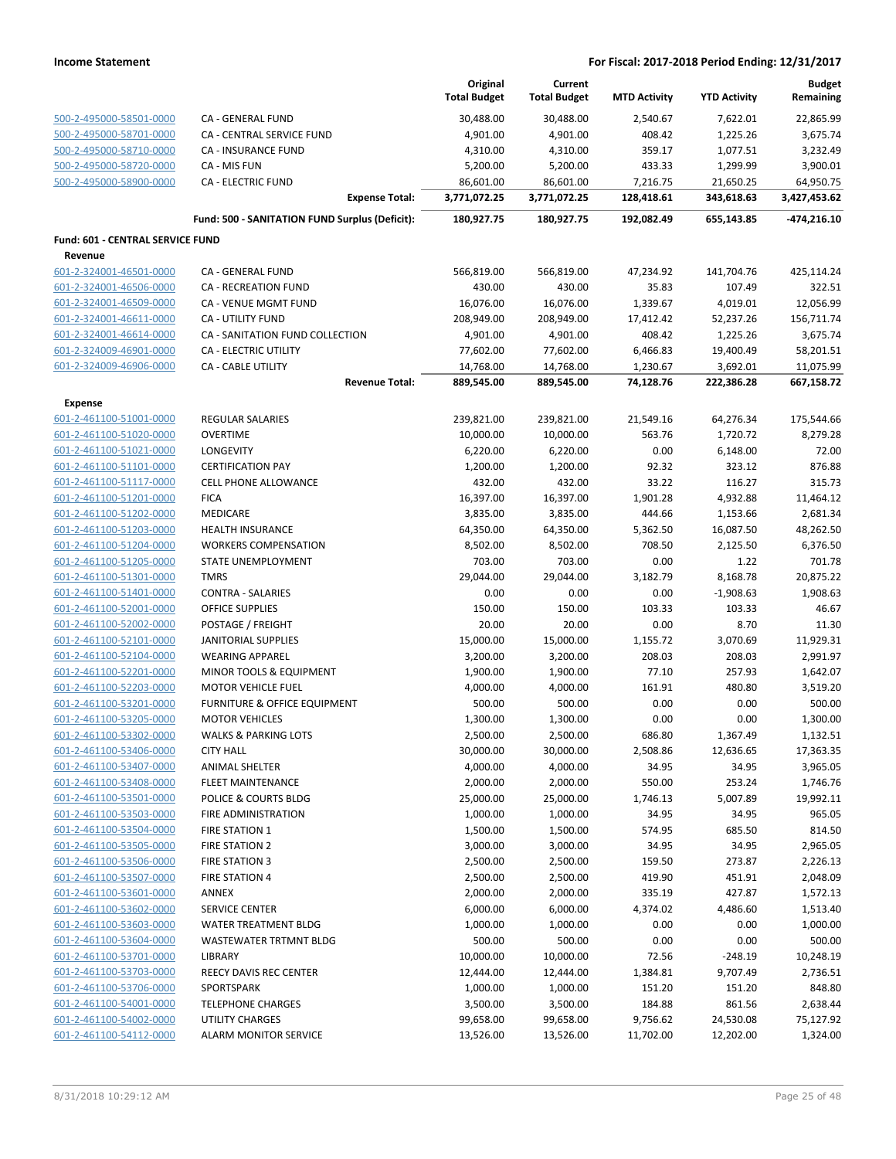|                                                    |                                                   | Original<br><b>Total Budget</b> | Current<br><b>Total Budget</b> | <b>MTD Activity</b>   | <b>YTD Activity</b>    | <b>Budget</b><br>Remaining |
|----------------------------------------------------|---------------------------------------------------|---------------------------------|--------------------------------|-----------------------|------------------------|----------------------------|
| 500-2-495000-58501-0000                            | CA - GENERAL FUND                                 | 30,488.00                       | 30,488.00                      | 2,540.67              | 7,622.01               | 22,865.99                  |
| 500-2-495000-58701-0000                            | CA - CENTRAL SERVICE FUND                         | 4,901.00                        | 4,901.00                       | 408.42                | 1,225.26               | 3,675.74                   |
| 500-2-495000-58710-0000                            | <b>CA - INSURANCE FUND</b>                        | 4,310.00                        | 4,310.00                       | 359.17                | 1,077.51               | 3,232.49                   |
| 500-2-495000-58720-0000                            | CA - MIS FUN                                      | 5,200.00                        | 5,200.00                       | 433.33                | 1,299.99               | 3,900.01                   |
| 500-2-495000-58900-0000                            | <b>CA - ELECTRIC FUND</b>                         | 86,601.00                       | 86,601.00                      | 7,216.75              | 21,650.25              | 64,950.75                  |
|                                                    | <b>Expense Total:</b>                             | 3,771,072.25                    | 3,771,072.25                   | 128,418.61            | 343,618.63             | 3,427,453.62               |
|                                                    | Fund: 500 - SANITATION FUND Surplus (Deficit):    | 180,927.75                      | 180,927.75                     | 192,082.49            | 655,143.85             | -474,216.10                |
| Fund: 601 - CENTRAL SERVICE FUND                   |                                                   |                                 |                                |                       |                        |                            |
| Revenue                                            |                                                   |                                 |                                |                       |                        |                            |
| 601-2-324001-46501-0000                            | CA - GENERAL FUND                                 | 566,819.00                      | 566,819.00                     | 47,234.92             | 141,704.76             | 425,114.24                 |
| 601-2-324001-46506-0000                            | <b>CA - RECREATION FUND</b>                       | 430.00                          | 430.00                         | 35.83                 | 107.49                 | 322.51                     |
| 601-2-324001-46509-0000                            | CA - VENUE MGMT FUND                              | 16,076.00                       | 16,076.00                      | 1,339.67              | 4,019.01               | 12,056.99                  |
| 601-2-324001-46611-0000                            | CA - UTILITY FUND                                 | 208,949.00                      | 208,949.00                     | 17,412.42             | 52,237.26              | 156,711.74                 |
| 601-2-324001-46614-0000                            | CA - SANITATION FUND COLLECTION                   | 4,901.00                        | 4,901.00                       | 408.42                | 1,225.26               | 3,675.74                   |
| 601-2-324009-46901-0000                            | <b>CA - ELECTRIC UTILITY</b>                      | 77,602.00                       | 77,602.00                      | 6,466.83              | 19,400.49              | 58,201.51                  |
| 601-2-324009-46906-0000                            | CA - CABLE UTILITY                                | 14,768.00                       | 14,768.00                      | 1,230.67              | 3,692.01               | 11,075.99                  |
|                                                    | <b>Revenue Total:</b>                             | 889,545.00                      | 889,545.00                     | 74,128.76             | 222,386.28             | 667,158.72                 |
| <b>Expense</b>                                     |                                                   |                                 |                                |                       |                        |                            |
| 601-2-461100-51001-0000                            | REGULAR SALARIES                                  | 239,821.00                      | 239,821.00                     | 21,549.16             | 64,276.34              | 175,544.66                 |
| 601-2-461100-51020-0000                            | <b>OVERTIME</b>                                   | 10,000.00                       | 10,000.00                      | 563.76                | 1,720.72               | 8,279.28                   |
| 601-2-461100-51021-0000                            | LONGEVITY                                         | 6,220.00                        | 6,220.00                       | 0.00                  | 6,148.00               | 72.00                      |
| 601-2-461100-51101-0000                            | <b>CERTIFICATION PAY</b>                          | 1,200.00                        | 1,200.00                       | 92.32                 | 323.12                 | 876.88                     |
| 601-2-461100-51117-0000                            | <b>CELL PHONE ALLOWANCE</b>                       | 432.00                          | 432.00                         | 33.22                 | 116.27                 | 315.73                     |
| 601-2-461100-51201-0000                            | <b>FICA</b>                                       | 16,397.00                       | 16,397.00                      | 1,901.28              | 4,932.88               | 11,464.12                  |
| 601-2-461100-51202-0000                            | MEDICARE                                          | 3,835.00                        | 3,835.00                       | 444.66                | 1,153.66               | 2,681.34                   |
| 601-2-461100-51203-0000                            | <b>HEALTH INSURANCE</b>                           | 64,350.00                       | 64,350.00                      | 5,362.50              | 16,087.50              | 48,262.50                  |
| 601-2-461100-51204-0000<br>601-2-461100-51205-0000 | <b>WORKERS COMPENSATION</b><br>STATE UNEMPLOYMENT | 8,502.00<br>703.00              | 8,502.00<br>703.00             | 708.50<br>0.00        | 2,125.50<br>1.22       | 6,376.50<br>701.78         |
| 601-2-461100-51301-0000                            | <b>TMRS</b>                                       | 29,044.00                       | 29,044.00                      | 3,182.79              | 8,168.78               | 20,875.22                  |
| 601-2-461100-51401-0000                            | <b>CONTRA - SALARIES</b>                          | 0.00                            | 0.00                           | 0.00                  | $-1,908.63$            | 1,908.63                   |
| 601-2-461100-52001-0000                            | <b>OFFICE SUPPLIES</b>                            | 150.00                          | 150.00                         | 103.33                | 103.33                 | 46.67                      |
| 601-2-461100-52002-0000                            | POSTAGE / FREIGHT                                 | 20.00                           | 20.00                          | 0.00                  | 8.70                   | 11.30                      |
| 601-2-461100-52101-0000                            | <b>JANITORIAL SUPPLIES</b>                        | 15,000.00                       | 15,000.00                      | 1,155.72              | 3,070.69               | 11,929.31                  |
| 601-2-461100-52104-0000                            | <b>WEARING APPAREL</b>                            | 3,200.00                        | 3,200.00                       | 208.03                | 208.03                 | 2,991.97                   |
| 601-2-461100-52201-0000                            | MINOR TOOLS & EQUIPMENT                           | 1,900.00                        | 1,900.00                       | 77.10                 | 257.93                 | 1,642.07                   |
| 601-2-461100-52203-0000                            | <b>MOTOR VEHICLE FUEL</b>                         | 4,000.00                        | 4,000.00                       | 161.91                | 480.80                 | 3,519.20                   |
| 601-2-461100-53201-0000                            | FURNITURE & OFFICE EQUIPMENT                      | 500.00                          | 500.00                         | 0.00                  | 0.00                   | 500.00                     |
| 601-2-461100-53205-0000                            | <b>MOTOR VEHICLES</b>                             | 1,300.00                        | 1,300.00                       | 0.00                  | 0.00                   | 1,300.00                   |
| 601-2-461100-53302-0000                            | <b>WALKS &amp; PARKING LOTS</b>                   | 2,500.00                        | 2,500.00                       | 686.80                | 1,367.49               | 1,132.51                   |
| 601-2-461100-53406-0000                            | <b>CITY HALL</b>                                  | 30,000.00                       | 30,000.00                      | 2,508.86              | 12,636.65              | 17,363.35                  |
| 601-2-461100-53407-0000                            | ANIMAL SHELTER                                    | 4,000.00                        | 4,000.00                       | 34.95                 | 34.95                  | 3,965.05                   |
| 601-2-461100-53408-0000                            | FLEET MAINTENANCE                                 | 2,000.00                        | 2,000.00                       | 550.00                | 253.24                 | 1,746.76                   |
| 601-2-461100-53501-0000                            | POLICE & COURTS BLDG                              | 25,000.00                       | 25,000.00                      | 1,746.13              | 5,007.89               | 19,992.11                  |
| 601-2-461100-53503-0000                            | FIRE ADMINISTRATION                               | 1,000.00                        | 1,000.00                       | 34.95                 | 34.95                  | 965.05                     |
| 601-2-461100-53504-0000                            | FIRE STATION 1                                    | 1,500.00                        | 1,500.00                       | 574.95                | 685.50                 | 814.50                     |
| 601-2-461100-53505-0000                            | FIRE STATION 2                                    | 3,000.00                        | 3,000.00                       | 34.95                 | 34.95                  | 2,965.05                   |
| 601-2-461100-53506-0000                            | FIRE STATION 3                                    | 2,500.00                        | 2,500.00                       | 159.50                | 273.87                 | 2,226.13                   |
| 601-2-461100-53507-0000                            | <b>FIRE STATION 4</b>                             | 2,500.00                        | 2,500.00                       | 419.90                | 451.91                 | 2,048.09                   |
| 601-2-461100-53601-0000                            | ANNEX                                             | 2,000.00                        | 2,000.00                       | 335.19                | 427.87                 | 1,572.13                   |
| 601-2-461100-53602-0000                            | SERVICE CENTER                                    | 6,000.00                        | 6,000.00                       | 4,374.02              | 4,486.60               | 1,513.40                   |
| 601-2-461100-53603-0000                            | WATER TREATMENT BLDG                              | 1,000.00                        | 1,000.00                       | 0.00                  | 0.00                   | 1,000.00                   |
| 601-2-461100-53604-0000                            | WASTEWATER TRTMNT BLDG                            | 500.00                          | 500.00                         | 0.00                  | 0.00                   | 500.00                     |
| 601-2-461100-53701-0000                            | LIBRARY                                           | 10,000.00                       | 10,000.00                      | 72.56                 | $-248.19$              | 10,248.19                  |
| 601-2-461100-53703-0000                            | REECY DAVIS REC CENTER                            | 12,444.00                       | 12,444.00                      | 1,384.81              | 9,707.49               | 2,736.51                   |
| 601-2-461100-53706-0000                            | SPORTSPARK                                        | 1,000.00                        | 1,000.00                       | 151.20                | 151.20                 | 848.80                     |
| 601-2-461100-54001-0000                            | <b>TELEPHONE CHARGES</b>                          | 3,500.00                        | 3,500.00                       | 184.88                | 861.56                 | 2,638.44                   |
| 601-2-461100-54002-0000<br>601-2-461100-54112-0000 | <b>UTILITY CHARGES</b><br>ALARM MONITOR SERVICE   | 99,658.00<br>13,526.00          | 99,658.00<br>13,526.00         | 9,756.62<br>11,702.00 | 24,530.08<br>12,202.00 | 75,127.92<br>1,324.00      |
|                                                    |                                                   |                                 |                                |                       |                        |                            |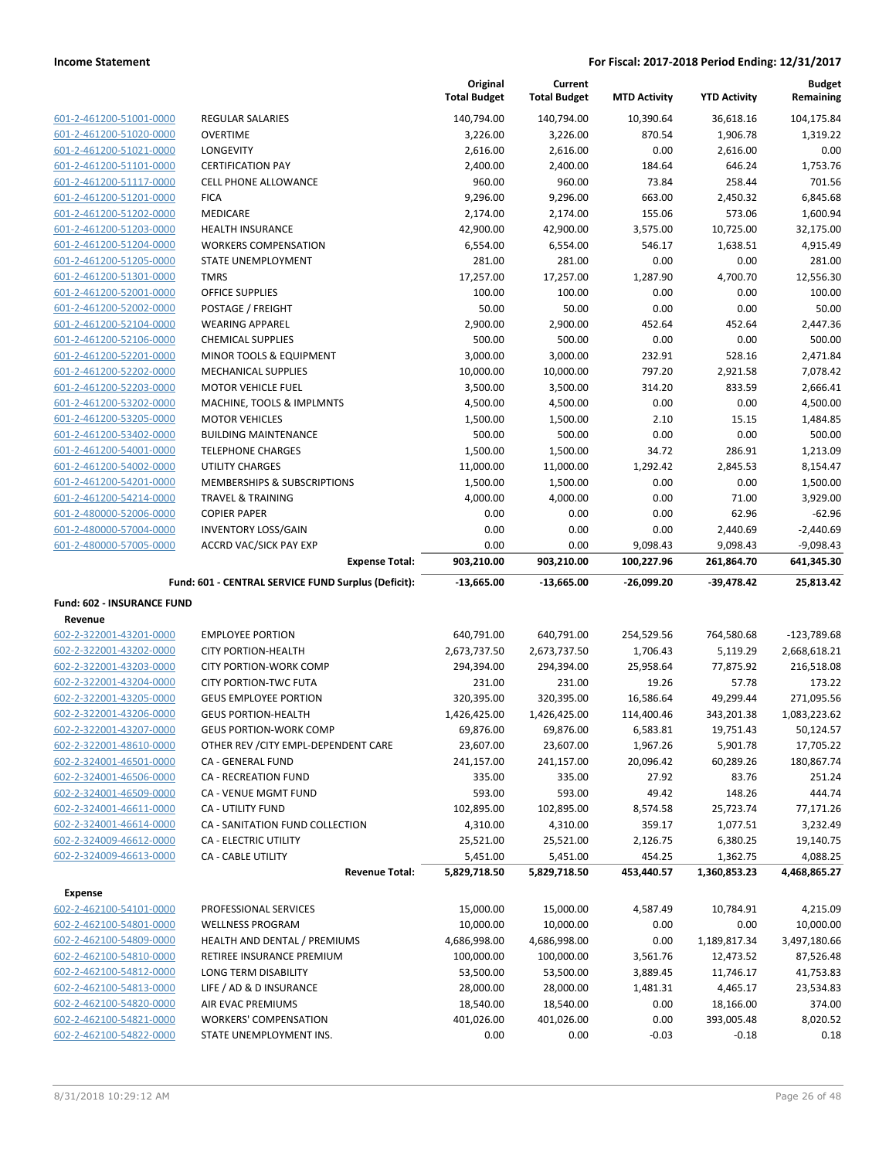|                                   |                                                     | Original<br><b>Total Budget</b> | Current<br><b>Total Budget</b> | <b>MTD Activity</b> | <b>YTD Activity</b> | <b>Budget</b><br>Remaining |
|-----------------------------------|-----------------------------------------------------|---------------------------------|--------------------------------|---------------------|---------------------|----------------------------|
| 601-2-461200-51001-0000           | <b>REGULAR SALARIES</b>                             | 140,794.00                      | 140,794.00                     | 10,390.64           | 36,618.16           | 104,175.84                 |
| 601-2-461200-51020-0000           | <b>OVERTIME</b>                                     | 3,226.00                        | 3,226.00                       | 870.54              | 1,906.78            | 1,319.22                   |
| 601-2-461200-51021-0000           | LONGEVITY                                           | 2,616.00                        | 2,616.00                       | 0.00                | 2,616.00            | 0.00                       |
| 601-2-461200-51101-0000           | <b>CERTIFICATION PAY</b>                            | 2,400.00                        | 2,400.00                       | 184.64              | 646.24              | 1,753.76                   |
| 601-2-461200-51117-0000           | <b>CELL PHONE ALLOWANCE</b>                         | 960.00                          | 960.00                         | 73.84               | 258.44              | 701.56                     |
| 601-2-461200-51201-0000           | <b>FICA</b>                                         | 9,296.00                        | 9,296.00                       | 663.00              | 2,450.32            | 6,845.68                   |
| 601-2-461200-51202-0000           | <b>MEDICARE</b>                                     | 2,174.00                        | 2,174.00                       | 155.06              | 573.06              | 1,600.94                   |
| 601-2-461200-51203-0000           | <b>HEALTH INSURANCE</b>                             | 42,900.00                       | 42,900.00                      | 3,575.00            | 10,725.00           | 32,175.00                  |
| 601-2-461200-51204-0000           | <b>WORKERS COMPENSATION</b>                         | 6,554.00                        | 6,554.00                       | 546.17              | 1,638.51            | 4,915.49                   |
| 601-2-461200-51205-0000           | <b>STATE UNEMPLOYMENT</b>                           | 281.00                          | 281.00                         | 0.00                | 0.00                | 281.00                     |
| 601-2-461200-51301-0000           | <b>TMRS</b>                                         | 17,257.00                       | 17,257.00                      | 1,287.90            | 4,700.70            | 12,556.30                  |
| 601-2-461200-52001-0000           | <b>OFFICE SUPPLIES</b>                              | 100.00                          | 100.00                         | 0.00                | 0.00                | 100.00                     |
| 601-2-461200-52002-0000           | POSTAGE / FREIGHT                                   | 50.00                           | 50.00                          | 0.00                | 0.00                | 50.00                      |
| 601-2-461200-52104-0000           | <b>WEARING APPAREL</b>                              | 2,900.00                        | 2,900.00                       | 452.64              | 452.64              | 2,447.36                   |
| 601-2-461200-52106-0000           | <b>CHEMICAL SUPPLIES</b>                            | 500.00                          | 500.00                         | 0.00                | 0.00                | 500.00                     |
| 601-2-461200-52201-0000           | MINOR TOOLS & EQUIPMENT                             | 3,000.00                        | 3,000.00                       | 232.91              | 528.16              | 2,471.84                   |
| 601-2-461200-52202-0000           | <b>MECHANICAL SUPPLIES</b>                          | 10,000.00                       | 10,000.00                      | 797.20              | 2,921.58            | 7,078.42                   |
| 601-2-461200-52203-0000           | <b>MOTOR VEHICLE FUEL</b>                           | 3,500.00                        | 3,500.00                       | 314.20              | 833.59              | 2,666.41                   |
| 601-2-461200-53202-0000           | MACHINE, TOOLS & IMPLMNTS                           | 4,500.00                        | 4,500.00                       | 0.00                | 0.00                | 4,500.00                   |
| 601-2-461200-53205-0000           | <b>MOTOR VEHICLES</b>                               | 1,500.00                        | 1,500.00                       | 2.10                | 15.15               | 1,484.85                   |
| 601-2-461200-53402-0000           | <b>BUILDING MAINTENANCE</b>                         | 500.00                          | 500.00                         | 0.00                | 0.00                | 500.00                     |
| 601-2-461200-54001-0000           | <b>TELEPHONE CHARGES</b>                            | 1,500.00                        | 1,500.00                       | 34.72               | 286.91              | 1,213.09                   |
| 601-2-461200-54002-0000           | UTILITY CHARGES                                     | 11,000.00                       | 11,000.00                      | 1,292.42            | 2,845.53            | 8,154.47                   |
| 601-2-461200-54201-0000           | MEMBERSHIPS & SUBSCRIPTIONS                         | 1,500.00                        | 1,500.00                       | 0.00                | 0.00                | 1,500.00                   |
| 601-2-461200-54214-0000           | <b>TRAVEL &amp; TRAINING</b>                        | 4,000.00                        | 4,000.00                       | 0.00                | 71.00               | 3,929.00                   |
| 601-2-480000-52006-0000           | <b>COPIER PAPER</b>                                 | 0.00                            | 0.00                           | 0.00                | 62.96               | $-62.96$                   |
| 601-2-480000-57004-0000           | <b>INVENTORY LOSS/GAIN</b>                          | 0.00                            | 0.00                           | 0.00                | 2,440.69            | $-2,440.69$                |
| 601-2-480000-57005-0000           | ACCRD VAC/SICK PAY EXP                              | 0.00                            | 0.00                           | 9,098.43            | 9,098.43            | $-9,098.43$                |
|                                   | <b>Expense Total:</b>                               | 903,210.00                      | 903,210.00                     | 100,227.96          | 261,864.70          | 641,345.30                 |
|                                   | Fund: 601 - CENTRAL SERVICE FUND Surplus (Deficit): | -13,665.00                      | $-13,665.00$                   | $-26,099.20$        | $-39,478.42$        | 25,813.42                  |
| <b>Fund: 602 - INSURANCE FUND</b> |                                                     |                                 |                                |                     |                     |                            |
| Revenue                           |                                                     |                                 |                                |                     |                     |                            |
| 602-2-322001-43201-0000           | <b>EMPLOYEE PORTION</b>                             | 640,791.00                      | 640,791.00                     | 254,529.56          | 764,580.68          | $-123,789.68$              |
| 602-2-322001-43202-0000           | <b>CITY PORTION-HEALTH</b>                          | 2,673,737.50                    | 2,673,737.50                   | 1,706.43            | 5,119.29            | 2,668,618.21               |
| 602-2-322001-43203-0000           | CITY PORTION-WORK COMP                              | 294,394.00                      | 294,394.00                     | 25,958.64           | 77,875.92           | 216,518.08                 |
| 602-2-322001-43204-0000           | <b>CITY PORTION-TWC FUTA</b>                        | 231.00                          | 231.00                         | 19.26               | 57.78               | 173.22                     |
| 602-2-322001-43205-0000           | <b>GEUS EMPLOYEE PORTION</b>                        | 320,395.00                      | 320,395.00                     | 16,586.64           | 49,299.44           | 271,095.56                 |
| 602-2-322001-43206-0000           | <b>GEUS PORTION-HEALTH</b>                          | 1,426,425.00                    | 1,426,425.00                   | 114,400.46          | 343,201.38          | 1,083,223.62               |
| 602-2-322001-43207-0000           | <b>GEUS PORTION-WORK COMP</b>                       | 69,876.00                       | 69,876.00                      | 6,583.81            | 19,751.43           | 50,124.57                  |
| 602-2-322001-48610-0000           | OTHER REV / CITY EMPL-DEPENDENT CARE                | 23,607.00                       | 23,607.00                      | 1,967.26            | 5,901.78            | 17,705.22                  |
| 602-2-324001-46501-0000           | CA - GENERAL FUND                                   | 241,157.00                      | 241,157.00                     | 20,096.42           | 60,289.26           | 180,867.74                 |
| 602-2-324001-46506-0000           | CA - RECREATION FUND                                | 335.00                          | 335.00                         | 27.92               | 83.76               | 251.24                     |
| 602-2-324001-46509-0000           | CA - VENUE MGMT FUND                                | 593.00                          | 593.00                         | 49.42               | 148.26              | 444.74                     |
| 602-2-324001-46611-0000           | CA - UTILITY FUND                                   | 102,895.00                      | 102,895.00                     | 8,574.58            | 25,723.74           | 77,171.26                  |
| 602-2-324001-46614-0000           | CA - SANITATION FUND COLLECTION                     | 4,310.00                        | 4,310.00                       | 359.17              | 1,077.51            | 3,232.49                   |
| 602-2-324009-46612-0000           | CA - ELECTRIC UTILITY                               | 25,521.00                       | 25,521.00                      | 2,126.75            | 6,380.25            | 19,140.75                  |
| 602-2-324009-46613-0000           | CA - CABLE UTILITY                                  | 5,451.00                        | 5,451.00                       | 454.25              | 1,362.75            | 4,088.25                   |
|                                   | <b>Revenue Total:</b>                               | 5,829,718.50                    | 5,829,718.50                   | 453,440.57          | 1,360,853.23        | 4,468,865.27               |
| Expense                           |                                                     |                                 |                                |                     |                     |                            |
| 602-2-462100-54101-0000           | PROFESSIONAL SERVICES                               | 15,000.00                       | 15,000.00                      | 4,587.49            | 10,784.91           | 4,215.09                   |
| 602-2-462100-54801-0000           | <b>WELLNESS PROGRAM</b>                             | 10,000.00                       | 10,000.00                      | 0.00                | 0.00                | 10,000.00                  |
| 602-2-462100-54809-0000           | HEALTH AND DENTAL / PREMIUMS                        | 4,686,998.00                    | 4,686,998.00                   | 0.00                | 1,189,817.34        | 3,497,180.66               |
| 602-2-462100-54810-0000           | RETIREE INSURANCE PREMIUM                           | 100,000.00                      | 100,000.00                     | 3,561.76            | 12,473.52           | 87,526.48                  |
| 602-2-462100-54812-0000           | LONG TERM DISABILITY                                | 53,500.00                       | 53,500.00                      | 3,889.45            | 11,746.17           | 41,753.83                  |
| 602-2-462100-54813-0000           | LIFE / AD & D INSURANCE                             | 28,000.00                       | 28,000.00                      | 1,481.31            | 4,465.17            | 23,534.83                  |
| 602-2-462100-54820-0000           | AIR EVAC PREMIUMS                                   | 18,540.00                       | 18,540.00                      | 0.00                | 18,166.00           | 374.00                     |
| 602-2-462100-54821-0000           | <b>WORKERS' COMPENSATION</b>                        | 401,026.00                      | 401,026.00                     | 0.00                | 393,005.48          | 8,020.52                   |
| 602-2-462100-54822-0000           | STATE UNEMPLOYMENT INS.                             | 0.00                            | 0.00                           | $-0.03$             | $-0.18$             | 0.18                       |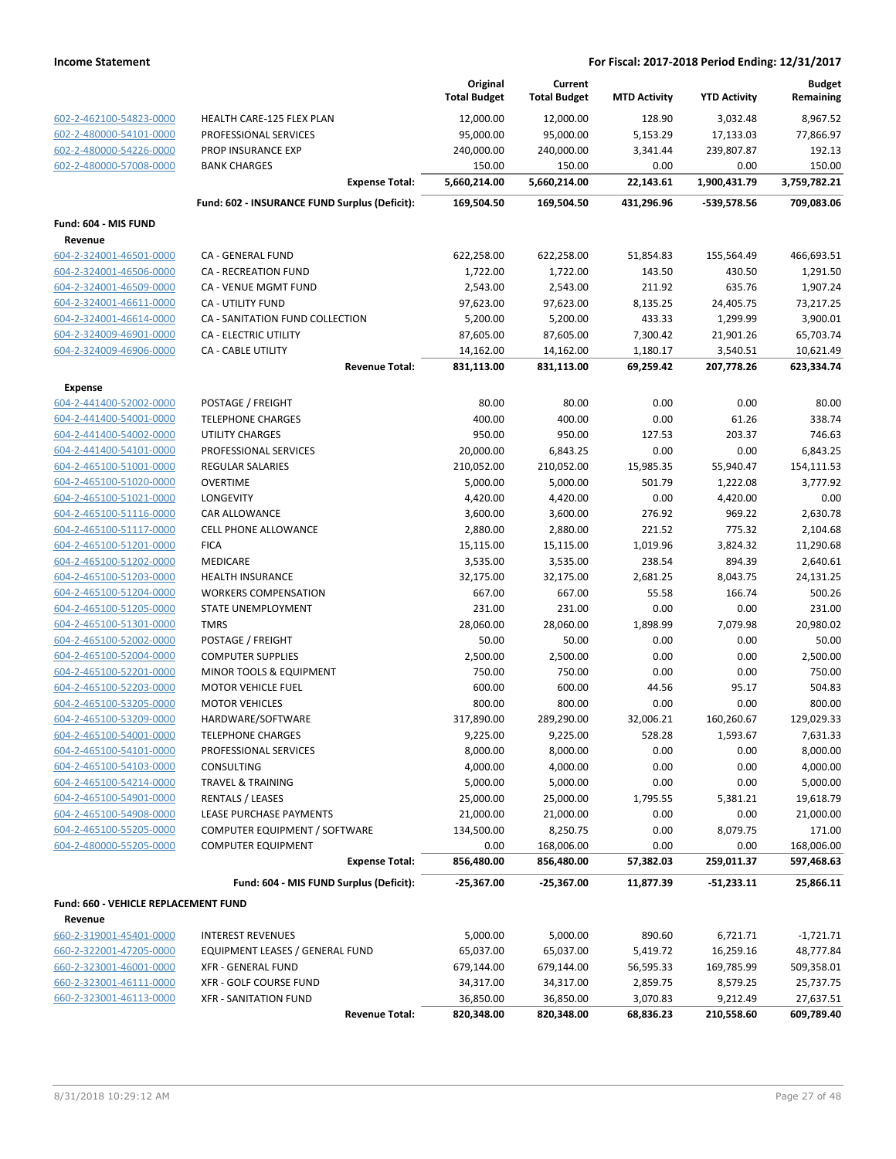|                                                    |                                                             |                       | Original<br><b>Total Budget</b> | Current<br><b>Total Budget</b> | <b>MTD Activity</b>   | <b>YTD Activity</b>   | <b>Budget</b><br>Remaining |
|----------------------------------------------------|-------------------------------------------------------------|-----------------------|---------------------------------|--------------------------------|-----------------------|-----------------------|----------------------------|
| 602-2-462100-54823-0000                            | HEALTH CARE-125 FLEX PLAN                                   |                       | 12,000.00                       | 12,000.00                      | 128.90                | 3,032.48              | 8,967.52                   |
| 602-2-480000-54101-0000                            | PROFESSIONAL SERVICES                                       |                       | 95,000.00                       | 95,000.00                      | 5,153.29              | 17,133.03             | 77,866.97                  |
| 602-2-480000-54226-0000                            | PROP INSURANCE EXP                                          |                       | 240,000.00                      | 240,000.00                     | 3,341.44              | 239,807.87            | 192.13                     |
| 602-2-480000-57008-0000                            | <b>BANK CHARGES</b>                                         |                       | 150.00                          | 150.00                         | 0.00                  | 0.00                  | 150.00                     |
|                                                    |                                                             | <b>Expense Total:</b> | 5,660,214.00                    | 5,660,214.00                   | 22,143.61             | 1,900,431.79          | 3,759,782.21               |
|                                                    | Fund: 602 - INSURANCE FUND Surplus (Deficit):               |                       | 169,504.50                      | 169,504.50                     | 431,296.96            | -539,578.56           | 709,083.06                 |
| Fund: 604 - MIS FUND                               |                                                             |                       |                                 |                                |                       |                       |                            |
| Revenue                                            |                                                             |                       |                                 |                                |                       |                       |                            |
| 604-2-324001-46501-0000                            | CA - GENERAL FUND                                           |                       | 622,258.00                      | 622,258.00                     | 51,854.83             | 155,564.49            | 466,693.51                 |
| 604-2-324001-46506-0000                            | <b>CA - RECREATION FUND</b>                                 |                       | 1,722.00                        | 1,722.00                       | 143.50                | 430.50                | 1,291.50                   |
| 604-2-324001-46509-0000                            | <b>CA - VENUE MGMT FUND</b>                                 |                       | 2,543.00                        | 2,543.00                       | 211.92                | 635.76                | 1,907.24                   |
| 604-2-324001-46611-0000                            | CA - UTILITY FUND                                           |                       | 97,623.00                       | 97,623.00                      | 8,135.25              | 24,405.75             | 73,217.25                  |
| 604-2-324001-46614-0000                            | CA - SANITATION FUND COLLECTION                             |                       | 5,200.00                        | 5,200.00                       | 433.33                | 1,299.99              | 3,900.01                   |
| 604-2-324009-46901-0000                            | <b>CA - ELECTRIC UTILITY</b>                                |                       | 87,605.00                       | 87,605.00                      | 7,300.42              | 21,901.26             | 65,703.74                  |
| 604-2-324009-46906-0000                            | CA - CABLE UTILITY                                          |                       | 14,162.00                       | 14,162.00                      | 1,180.17              | 3,540.51              | 10,621.49                  |
|                                                    |                                                             | <b>Revenue Total:</b> | 831,113.00                      | 831,113.00                     | 69,259.42             | 207,778.26            | 623,334.74                 |
| <b>Expense</b>                                     |                                                             |                       |                                 |                                |                       |                       |                            |
| 604-2-441400-52002-0000                            | POSTAGE / FREIGHT                                           |                       | 80.00                           | 80.00                          | 0.00                  | 0.00                  | 80.00                      |
| 604-2-441400-54001-0000                            | <b>TELEPHONE CHARGES</b>                                    |                       | 400.00                          | 400.00                         | 0.00                  | 61.26                 | 338.74                     |
| 604-2-441400-54002-0000                            | UTILITY CHARGES                                             |                       | 950.00                          | 950.00                         | 127.53                | 203.37                | 746.63                     |
| 604-2-441400-54101-0000                            | PROFESSIONAL SERVICES                                       |                       | 20,000.00                       | 6,843.25                       | 0.00                  | 0.00                  | 6,843.25                   |
| 604-2-465100-51001-0000                            | <b>REGULAR SALARIES</b>                                     |                       | 210,052.00                      | 210,052.00                     | 15,985.35             | 55,940.47             | 154,111.53                 |
| 604-2-465100-51020-0000                            | <b>OVERTIME</b>                                             |                       | 5,000.00                        | 5,000.00                       | 501.79                | 1,222.08              | 3,777.92                   |
| 604-2-465100-51021-0000                            | LONGEVITY                                                   |                       | 4,420.00                        | 4,420.00                       | 0.00                  | 4,420.00              | 0.00                       |
| 604-2-465100-51116-0000                            | CAR ALLOWANCE                                               |                       | 3,600.00                        | 3,600.00                       | 276.92                | 969.22                | 2,630.78                   |
| 604-2-465100-51117-0000                            | <b>CELL PHONE ALLOWANCE</b>                                 |                       | 2,880.00                        | 2,880.00                       | 221.52                | 775.32                | 2,104.68                   |
| 604-2-465100-51201-0000                            | <b>FICA</b>                                                 |                       | 15,115.00                       | 15,115.00                      | 1,019.96              | 3,824.32              | 11,290.68                  |
| 604-2-465100-51202-0000                            | MEDICARE                                                    |                       | 3,535.00                        | 3,535.00                       | 238.54                | 894.39                | 2,640.61                   |
| 604-2-465100-51203-0000                            | <b>HEALTH INSURANCE</b>                                     |                       | 32,175.00                       | 32,175.00                      | 2,681.25              | 8,043.75              | 24,131.25                  |
| 604-2-465100-51204-0000                            | <b>WORKERS COMPENSATION</b>                                 |                       | 667.00                          | 667.00                         | 55.58                 | 166.74                | 500.26                     |
| 604-2-465100-51205-0000                            | STATE UNEMPLOYMENT                                          |                       | 231.00                          | 231.00                         | 0.00                  | 0.00                  | 231.00                     |
| 604-2-465100-51301-0000                            | <b>TMRS</b>                                                 |                       | 28,060.00                       | 28,060.00                      | 1,898.99              | 7,079.98              | 20,980.02                  |
| 604-2-465100-52002-0000                            | POSTAGE / FREIGHT                                           |                       | 50.00                           | 50.00                          | 0.00                  | 0.00                  | 50.00                      |
| 604-2-465100-52004-0000                            | <b>COMPUTER SUPPLIES</b>                                    |                       | 2,500.00                        | 2,500.00                       | 0.00                  | 0.00                  | 2,500.00                   |
| 604-2-465100-52201-0000                            | MINOR TOOLS & EQUIPMENT                                     |                       | 750.00                          | 750.00                         | 0.00                  | 0.00                  | 750.00                     |
| 604-2-465100-52203-0000                            | <b>MOTOR VEHICLE FUEL</b>                                   |                       | 600.00                          | 600.00                         | 44.56                 | 95.17                 | 504.83                     |
| 604-2-465100-53205-0000                            | <b>MOTOR VEHICLES</b>                                       |                       | 800.00                          | 800.00                         | 0.00                  | 0.00                  | 800.00                     |
| 604-2-465100-53209-0000                            | HARDWARE/SOFTWARE                                           |                       | 317,890.00                      | 289,290.00                     | 32,006.21             | 160,260.67            | 129,029.33                 |
| 604-2-465100-54001-0000                            | <b>TELEPHONE CHARGES</b>                                    |                       | 9,225.00                        | 9,225.00                       | 528.28                | 1,593.67              | 7,631.33                   |
| 604-2-465100-54101-0000                            | PROFESSIONAL SERVICES                                       |                       | 8,000.00                        | 8,000.00                       | 0.00                  | 0.00                  | 8,000.00                   |
| 604-2-465100-54103-0000                            | CONSULTING                                                  |                       | 4,000.00                        | 4,000.00                       | 0.00                  | 0.00                  | 4,000.00                   |
| 604-2-465100-54214-0000                            | <b>TRAVEL &amp; TRAINING</b>                                |                       | 5,000.00                        | 5,000.00                       | 0.00                  | 0.00                  | 5,000.00                   |
| 604-2-465100-54901-0000                            | RENTALS / LEASES                                            |                       | 25,000.00                       | 25,000.00                      | 1,795.55              | 5,381.21              | 19,618.79                  |
| 604-2-465100-54908-0000                            | LEASE PURCHASE PAYMENTS                                     |                       | 21,000.00                       | 21,000.00                      | 0.00                  | 0.00                  | 21,000.00                  |
| 604-2-465100-55205-0000                            | COMPUTER EQUIPMENT / SOFTWARE                               |                       | 134,500.00                      | 8,250.75                       | 0.00                  | 8,079.75              | 171.00                     |
| 604-2-480000-55205-0000                            | <b>COMPUTER EQUIPMENT</b>                                   |                       | 0.00                            | 168,006.00                     | 0.00                  | 0.00                  | 168,006.00                 |
|                                                    |                                                             | <b>Expense Total:</b> | 856,480.00                      | 856,480.00                     | 57,382.03             | 259,011.37            | 597,468.63                 |
|                                                    | Fund: 604 - MIS FUND Surplus (Deficit):                     |                       | $-25,367.00$                    | $-25,367.00$                   | 11,877.39             | $-51,233.11$          | 25,866.11                  |
| Fund: 660 - VEHICLE REPLACEMENT FUND               |                                                             |                       |                                 |                                |                       |                       |                            |
| Revenue                                            |                                                             |                       |                                 |                                |                       |                       |                            |
| 660-2-319001-45401-0000<br>660-2-322001-47205-0000 | <b>INTEREST REVENUES</b><br>EQUIPMENT LEASES / GENERAL FUND |                       | 5,000.00<br>65,037.00           | 5,000.00<br>65,037.00          | 890.60                | 6,721.71<br>16,259.16 | $-1,721.71$                |
| 660-2-323001-46001-0000                            | XFR - GENERAL FUND                                          |                       | 679,144.00                      | 679,144.00                     | 5,419.72<br>56,595.33 | 169,785.99            | 48,777.84<br>509,358.01    |
| 660-2-323001-46111-0000                            | XFR - GOLF COURSE FUND                                      |                       | 34,317.00                       | 34,317.00                      | 2,859.75              | 8,579.25              | 25,737.75                  |
| 660-2-323001-46113-0000                            | XFR - SANITATION FUND                                       |                       | 36,850.00                       | 36,850.00                      | 3,070.83              | 9,212.49              | 27,637.51                  |
|                                                    |                                                             | <b>Revenue Total:</b> | 820,348.00                      | 820,348.00                     | 68,836.23             | 210,558.60            | 609,789.40                 |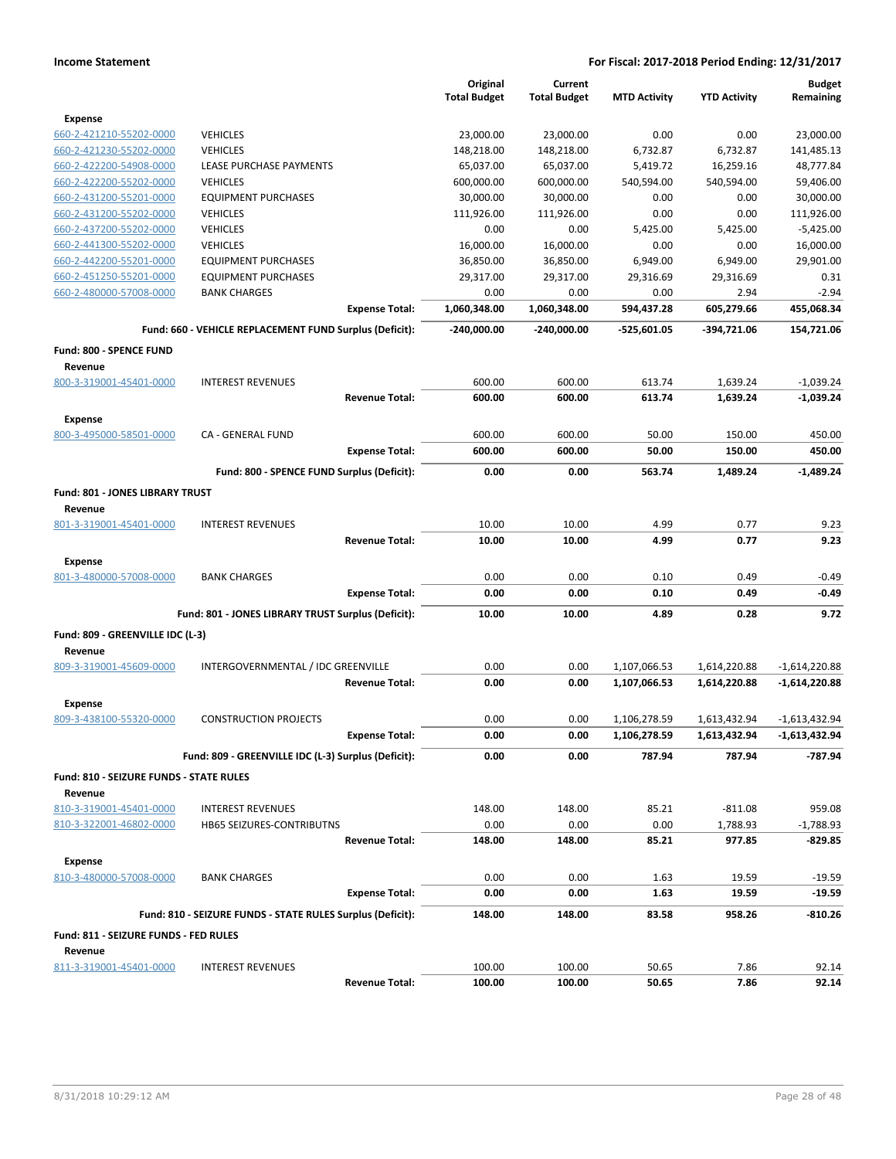|                                           |                                                            |                       | Original<br><b>Total Budget</b> | Current<br><b>Total Budget</b> | <b>MTD Activity</b> | <b>YTD Activity</b> | <b>Budget</b><br>Remaining |
|-------------------------------------------|------------------------------------------------------------|-----------------------|---------------------------------|--------------------------------|---------------------|---------------------|----------------------------|
| <b>Expense</b>                            |                                                            |                       |                                 |                                |                     |                     |                            |
| 660-2-421210-55202-0000                   | <b>VEHICLES</b>                                            |                       | 23,000.00                       | 23,000.00                      | 0.00                | 0.00                | 23,000.00                  |
| 660-2-421230-55202-0000                   | <b>VEHICLES</b>                                            |                       | 148,218.00                      | 148,218.00                     | 6,732.87            | 6,732.87            | 141,485.13                 |
| 660-2-422200-54908-0000                   | LEASE PURCHASE PAYMENTS                                    |                       | 65,037.00                       | 65,037.00                      | 5,419.72            | 16,259.16           | 48,777.84                  |
| 660-2-422200-55202-0000                   | <b>VEHICLES</b>                                            |                       | 600,000.00                      | 600,000.00                     | 540,594.00          | 540,594.00          | 59,406.00                  |
| 660-2-431200-55201-0000                   | <b>EQUIPMENT PURCHASES</b>                                 |                       | 30,000.00                       | 30,000.00                      | 0.00                | 0.00                | 30,000.00                  |
| 660-2-431200-55202-0000                   | <b>VEHICLES</b>                                            |                       | 111,926.00                      | 111,926.00                     | 0.00                | 0.00                | 111,926.00                 |
| 660-2-437200-55202-0000                   | <b>VEHICLES</b>                                            |                       | 0.00                            | 0.00                           | 5,425.00            | 5,425.00            | $-5,425.00$                |
| 660-2-441300-55202-0000                   | <b>VEHICLES</b>                                            |                       | 16,000.00                       | 16,000.00                      | 0.00                | 0.00                | 16,000.00                  |
| 660-2-442200-55201-0000                   | <b>EQUIPMENT PURCHASES</b>                                 |                       | 36,850.00                       | 36,850.00                      | 6,949.00            | 6,949.00            | 29,901.00                  |
| 660-2-451250-55201-0000                   | <b>EQUIPMENT PURCHASES</b>                                 |                       | 29,317.00                       | 29,317.00                      | 29,316.69           | 29,316.69           | 0.31                       |
| 660-2-480000-57008-0000                   | <b>BANK CHARGES</b>                                        |                       | 0.00                            | 0.00                           | 0.00                | 2.94                | $-2.94$                    |
|                                           |                                                            | <b>Expense Total:</b> | 1,060,348.00                    | 1,060,348.00                   | 594,437.28          | 605,279.66          | 455,068.34                 |
|                                           | Fund: 660 - VEHICLE REPLACEMENT FUND Surplus (Deficit):    |                       | $-240,000.00$                   | $-240,000.00$                  | -525,601.05         | -394,721.06         | 154,721.06                 |
| Fund: 800 - SPENCE FUND                   |                                                            |                       |                                 |                                |                     |                     |                            |
| Revenue                                   |                                                            |                       |                                 |                                |                     |                     |                            |
| 800-3-319001-45401-0000                   | <b>INTEREST REVENUES</b>                                   |                       | 600.00                          | 600.00                         | 613.74              | 1,639.24            | $-1,039.24$                |
|                                           |                                                            | <b>Revenue Total:</b> | 600.00                          | 600.00                         | 613.74              | 1,639.24            | $-1,039.24$                |
| <b>Expense</b>                            |                                                            |                       |                                 |                                |                     |                     |                            |
| 800-3-495000-58501-0000                   | CA - GENERAL FUND                                          |                       | 600.00                          | 600.00                         | 50.00               | 150.00              | 450.00                     |
|                                           |                                                            | <b>Expense Total:</b> | 600.00                          | 600.00                         | 50.00               | 150.00              | 450.00                     |
|                                           | Fund: 800 - SPENCE FUND Surplus (Deficit):                 |                       | 0.00                            | 0.00                           | 563.74              | 1,489.24            | $-1.489.24$                |
| <b>Fund: 801 - JONES LIBRARY TRUST</b>    |                                                            |                       |                                 |                                |                     |                     |                            |
| Revenue                                   |                                                            |                       |                                 |                                |                     |                     |                            |
| 801-3-319001-45401-0000                   | <b>INTEREST REVENUES</b>                                   |                       | 10.00                           | 10.00                          | 4.99                | 0.77                | 9.23                       |
|                                           |                                                            | <b>Revenue Total:</b> | 10.00                           | 10.00                          | 4.99                | 0.77                | 9.23                       |
| <b>Expense</b>                            |                                                            |                       |                                 |                                |                     |                     |                            |
| 801-3-480000-57008-0000                   | <b>BANK CHARGES</b>                                        |                       | 0.00                            | 0.00                           | 0.10                | 0.49                | $-0.49$                    |
|                                           |                                                            | <b>Expense Total:</b> | 0.00                            | 0.00                           | 0.10                | 0.49                | $-0.49$                    |
|                                           |                                                            |                       |                                 |                                |                     |                     |                            |
|                                           | Fund: 801 - JONES LIBRARY TRUST Surplus (Deficit):         |                       | 10.00                           | 10.00                          | 4.89                | 0.28                | 9.72                       |
| Fund: 809 - GREENVILLE IDC (L-3)          |                                                            |                       |                                 |                                |                     |                     |                            |
| Revenue                                   |                                                            |                       |                                 |                                |                     |                     |                            |
| 809-3-319001-45609-0000                   | INTERGOVERNMENTAL / IDC GREENVILLE                         |                       | 0.00                            | 0.00                           | 1,107,066.53        | 1,614,220.88        | $-1,614,220.88$            |
|                                           |                                                            | <b>Revenue Total:</b> | 0.00                            | 0.00                           | 1,107,066.53        | 1,614,220.88        | -1,614,220.88              |
| Expense                                   |                                                            |                       |                                 |                                |                     |                     |                            |
| 809-3-438100-55320-0000                   | <b>CONSTRUCTION PROJECTS</b>                               |                       | 0.00                            | 0.00                           | 1,106,278.59        | 1,613,432.94        | $-1,613,432.94$            |
|                                           |                                                            | <b>Expense Total:</b> | 0.00                            | 0.00                           | 1,106,278.59        | 1,613,432.94        | -1,613,432.94              |
|                                           | Fund: 809 - GREENVILLE IDC (L-3) Surplus (Deficit):        |                       | 0.00                            | 0.00                           | 787.94              | 787.94              | $-787.94$                  |
| Fund: 810 - SEIZURE FUNDS - STATE RULES   |                                                            |                       |                                 |                                |                     |                     |                            |
| Revenue                                   |                                                            |                       |                                 |                                |                     |                     |                            |
| 810-3-319001-45401-0000                   | <b>INTEREST REVENUES</b>                                   |                       | 148.00                          | 148.00                         | 85.21               | $-811.08$           | 959.08                     |
| 810-3-322001-46802-0000                   | <b>HB65 SEIZURES-CONTRIBUTNS</b>                           |                       | 0.00                            | 0.00                           | 0.00                | 1,788.93            | $-1,788.93$                |
|                                           |                                                            | <b>Revenue Total:</b> | 148.00                          | 148.00                         | 85.21               | 977.85              | $-829.85$                  |
|                                           |                                                            |                       |                                 |                                |                     |                     |                            |
| <b>Expense</b><br>810-3-480000-57008-0000 |                                                            |                       |                                 |                                |                     |                     |                            |
|                                           | <b>BANK CHARGES</b>                                        | <b>Expense Total:</b> | 0.00<br>0.00                    | 0.00<br>0.00                   | 1.63<br>1.63        | 19.59<br>19.59      | $-19.59$<br>$-19.59$       |
|                                           |                                                            |                       |                                 |                                |                     |                     |                            |
|                                           | Fund: 810 - SEIZURE FUNDS - STATE RULES Surplus (Deficit): |                       | 148.00                          | 148.00                         | 83.58               | 958.26              | $-810.26$                  |
| Fund: 811 - SEIZURE FUNDS - FED RULES     |                                                            |                       |                                 |                                |                     |                     |                            |
| Revenue<br>811-3-319001-45401-0000        |                                                            |                       |                                 | 100.00                         |                     |                     |                            |
|                                           | <b>INTEREST REVENUES</b>                                   | <b>Revenue Total:</b> | 100.00<br>100.00                | 100.00                         | 50.65<br>50.65      | 7.86<br>7.86        | 92.14<br>92.14             |
|                                           |                                                            |                       |                                 |                                |                     |                     |                            |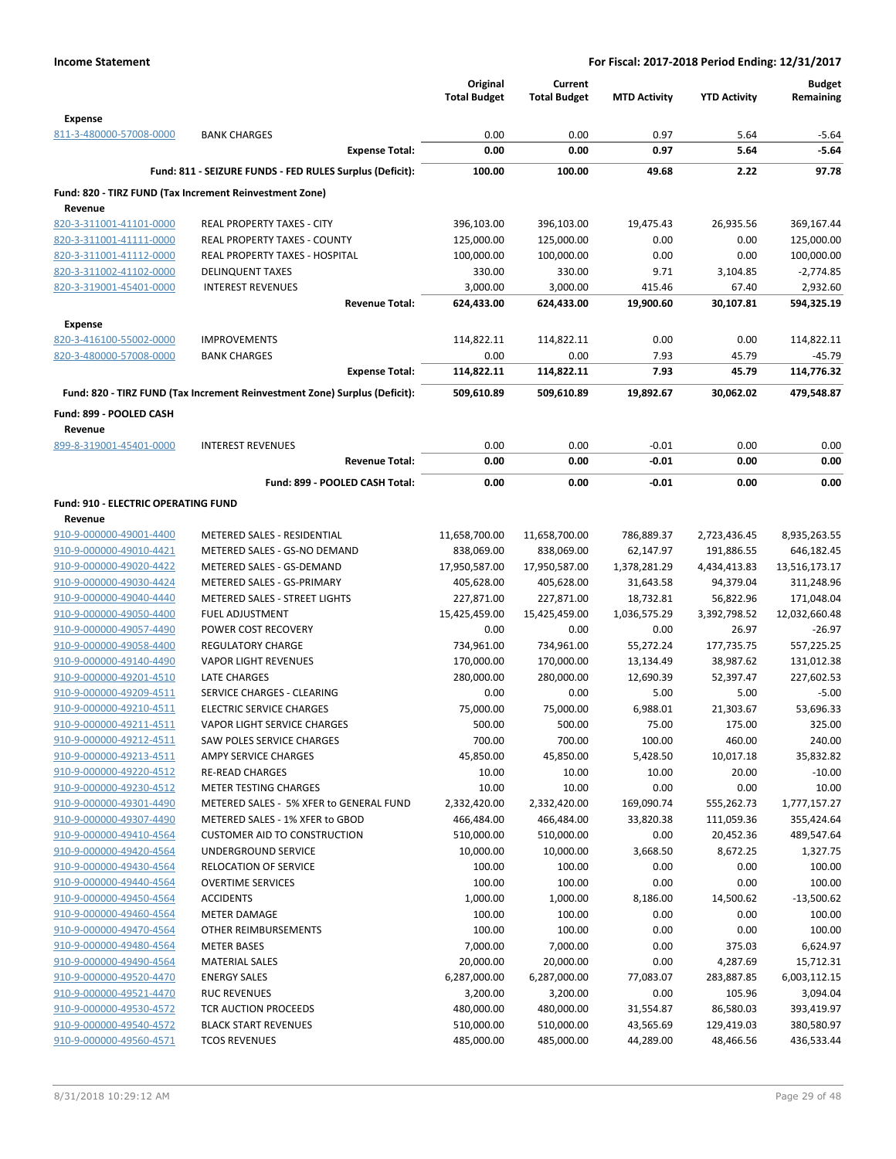|                                                    |                                                                            | Original<br><b>Total Budget</b> | Current<br><b>Total Budget</b> | <b>MTD Activity</b>    | <b>YTD Activity</b>     | <b>Budget</b><br>Remaining |
|----------------------------------------------------|----------------------------------------------------------------------------|---------------------------------|--------------------------------|------------------------|-------------------------|----------------------------|
| <b>Expense</b>                                     |                                                                            |                                 |                                |                        |                         |                            |
| 811-3-480000-57008-0000                            | <b>BANK CHARGES</b>                                                        | 0.00                            | 0.00                           | 0.97                   | 5.64                    | $-5.64$                    |
|                                                    | <b>Expense Total:</b>                                                      | 0.00                            | 0.00                           | 0.97                   | 5.64                    | $-5.64$                    |
|                                                    | Fund: 811 - SEIZURE FUNDS - FED RULES Surplus (Deficit):                   | 100.00                          | 100.00                         | 49.68                  | 2.22                    | 97.78                      |
| Revenue                                            | Fund: 820 - TIRZ FUND (Tax Increment Reinvestment Zone)                    |                                 |                                |                        |                         |                            |
| 820-3-311001-41101-0000                            | REAL PROPERTY TAXES - CITY                                                 | 396,103.00                      | 396,103.00                     | 19,475.43              | 26,935.56               | 369,167.44                 |
| 820-3-311001-41111-0000                            | <b>REAL PROPERTY TAXES - COUNTY</b>                                        | 125,000.00                      | 125,000.00                     | 0.00                   | 0.00                    | 125,000.00                 |
| 820-3-311001-41112-0000                            | <b>REAL PROPERTY TAXES - HOSPITAL</b>                                      | 100,000.00                      | 100,000.00                     | 0.00                   | 0.00                    | 100,000.00                 |
| 820-3-311002-41102-0000                            | <b>DELINQUENT TAXES</b>                                                    | 330.00                          | 330.00                         | 9.71                   | 3,104.85                | $-2,774.85$                |
| 820-3-319001-45401-0000                            | <b>INTEREST REVENUES</b>                                                   | 3,000.00                        | 3,000.00                       | 415.46                 | 67.40                   | 2,932.60                   |
|                                                    | <b>Revenue Total:</b>                                                      | 624,433.00                      | 624,433.00                     | 19,900.60              | 30,107.81               | 594,325.19                 |
| <b>Expense</b>                                     |                                                                            |                                 |                                |                        |                         |                            |
| 820-3-416100-55002-0000                            | <b>IMPROVEMENTS</b>                                                        | 114,822.11                      | 114,822.11                     | 0.00                   | 0.00                    | 114,822.11                 |
| 820-3-480000-57008-0000                            | <b>BANK CHARGES</b>                                                        | 0.00                            | 0.00                           | 7.93                   | 45.79                   | -45.79                     |
|                                                    | <b>Expense Total:</b>                                                      | 114,822.11                      | 114,822.11                     | 7.93                   | 45.79                   | 114,776.32                 |
|                                                    | Fund: 820 - TIRZ FUND (Tax Increment Reinvestment Zone) Surplus (Deficit): | 509,610.89                      | 509,610.89                     | 19,892.67              | 30,062.02               | 479.548.87                 |
| Fund: 899 - POOLED CASH<br>Revenue                 |                                                                            |                                 |                                |                        |                         |                            |
| 899-8-319001-45401-0000                            | <b>INTEREST REVENUES</b>                                                   | 0.00                            | 0.00                           | $-0.01$                | 0.00                    | 0.00                       |
|                                                    | <b>Revenue Total:</b>                                                      | 0.00                            | 0.00                           | $-0.01$                | 0.00                    | 0.00                       |
|                                                    | Fund: 899 - POOLED CASH Total:                                             | 0.00                            | 0.00                           | $-0.01$                | 0.00                    | 0.00                       |
| Fund: 910 - ELECTRIC OPERATING FUND                |                                                                            |                                 |                                |                        |                         |                            |
| Revenue                                            |                                                                            |                                 |                                |                        |                         |                            |
| 910-9-000000-49001-4400                            | METERED SALES - RESIDENTIAL                                                | 11,658,700.00                   | 11,658,700.00                  | 786,889.37             | 2,723,436.45            | 8,935,263.55               |
| 910-9-000000-49010-4421                            | METERED SALES - GS-NO DEMAND                                               | 838,069.00                      | 838,069.00                     | 62,147.97              | 191,886.55              | 646,182.45                 |
| 910-9-000000-49020-4422                            | METERED SALES - GS-DEMAND                                                  | 17,950,587.00                   | 17,950,587.00                  | 1,378,281.29           | 4,434,413.83            | 13,516,173.17              |
| 910-9-000000-49030-4424                            | METERED SALES - GS-PRIMARY                                                 | 405,628.00                      | 405,628.00                     | 31,643.58              | 94,379.04               | 311,248.96                 |
| 910-9-000000-49040-4440                            | METERED SALES - STREET LIGHTS                                              | 227,871.00                      | 227,871.00                     | 18,732.81              | 56,822.96               | 171,048.04                 |
| 910-9-000000-49050-4400                            | <b>FUEL ADJUSTMENT</b>                                                     | 15,425,459.00                   | 15,425,459.00                  | 1,036,575.29           | 3,392,798.52            | 12,032,660.48              |
| 910-9-000000-49057-4490                            | POWER COST RECOVERY                                                        | 0.00                            | 0.00                           | 0.00                   | 26.97                   | $-26.97$                   |
| 910-9-000000-49058-4400                            | <b>REGULATORY CHARGE</b>                                                   | 734,961.00                      | 734,961.00                     | 55,272.24              | 177,735.75              | 557,225.25                 |
| 910-9-000000-49140-4490                            | <b>VAPOR LIGHT REVENUES</b>                                                | 170,000.00                      | 170,000.00                     | 13,134.49              | 38,987.62               | 131,012.38                 |
| 910-9-000000-49201-4510<br>910-9-000000-49209-4511 | <b>LATE CHARGES</b><br>SERVICE CHARGES - CLEARING                          | 280,000.00<br>0.00              | 280,000.00<br>0.00             | 12,690.39<br>5.00      | 52,397.47<br>5.00       | 227,602.53<br>$-5.00$      |
| 910-9-000000-49210-4511                            | <b>ELECTRIC SERVICE CHARGES</b>                                            | 75,000.00                       | 75,000.00                      | 6,988.01               | 21,303.67               | 53,696.33                  |
| 910-9-000000-49211-4511                            | VAPOR LIGHT SERVICE CHARGES                                                | 500.00                          | 500.00                         | 75.00                  | 175.00                  | 325.00                     |
| 910-9-000000-49212-4511                            | SAW POLES SERVICE CHARGES                                                  | 700.00                          | 700.00                         | 100.00                 | 460.00                  | 240.00                     |
| 910-9-000000-49213-4511                            | AMPY SERVICE CHARGES                                                       | 45,850.00                       | 45,850.00                      | 5,428.50               | 10,017.18               | 35,832.82                  |
| 910-9-000000-49220-4512                            | <b>RE-READ CHARGES</b>                                                     | 10.00                           | 10.00                          | 10.00                  | 20.00                   | $-10.00$                   |
| 910-9-000000-49230-4512                            | <b>METER TESTING CHARGES</b>                                               | 10.00                           | 10.00                          | 0.00                   | 0.00                    | 10.00                      |
| 910-9-000000-49301-4490                            | METERED SALES - 5% XFER to GENERAL FUND                                    | 2,332,420.00                    | 2,332,420.00                   | 169,090.74             | 555,262.73              | 1,777,157.27               |
| 910-9-000000-49307-4490                            | METERED SALES - 1% XFER to GBOD                                            | 466,484.00                      | 466,484.00                     | 33,820.38              | 111,059.36              | 355,424.64                 |
| 910-9-000000-49410-4564                            | <b>CUSTOMER AID TO CONSTRUCTION</b>                                        | 510,000.00                      | 510,000.00                     | 0.00                   | 20,452.36               | 489,547.64                 |
| 910-9-000000-49420-4564                            | UNDERGROUND SERVICE                                                        | 10,000.00                       | 10,000.00                      | 3,668.50               | 8,672.25                | 1,327.75                   |
| 910-9-000000-49430-4564                            | <b>RELOCATION OF SERVICE</b>                                               | 100.00                          | 100.00                         | 0.00                   | 0.00                    | 100.00                     |
| 910-9-000000-49440-4564                            | <b>OVERTIME SERVICES</b>                                                   | 100.00                          | 100.00                         | 0.00                   | 0.00                    | 100.00                     |
| 910-9-000000-49450-4564                            | <b>ACCIDENTS</b>                                                           | 1,000.00                        | 1,000.00                       | 8,186.00               | 14,500.62               | $-13,500.62$               |
| 910-9-000000-49460-4564                            | <b>METER DAMAGE</b>                                                        | 100.00                          | 100.00                         | 0.00                   | 0.00                    | 100.00                     |
| 910-9-000000-49470-4564                            | OTHER REIMBURSEMENTS                                                       | 100.00                          | 100.00                         | 0.00                   | 0.00                    | 100.00                     |
| 910-9-000000-49480-4564                            | <b>METER BASES</b>                                                         | 7,000.00                        | 7,000.00                       | 0.00                   | 375.03                  | 6,624.97                   |
| 910-9-000000-49490-4564                            | <b>MATERIAL SALES</b>                                                      | 20,000.00                       | 20,000.00                      | 0.00                   | 4,287.69                | 15,712.31                  |
| 910-9-000000-49520-4470                            | <b>ENERGY SALES</b>                                                        | 6,287,000.00                    | 6,287,000.00                   | 77,083.07              | 283,887.85              | 6,003,112.15               |
| 910-9-000000-49521-4470                            | <b>RUC REVENUES</b>                                                        | 3,200.00                        | 3,200.00                       | 0.00                   | 105.96                  | 3,094.04                   |
| 910-9-000000-49530-4572<br>910-9-000000-49540-4572 | TCR AUCTION PROCEEDS<br><b>BLACK START REVENUES</b>                        | 480,000.00<br>510,000.00        | 480,000.00<br>510,000.00       | 31,554.87<br>43,565.69 | 86,580.03<br>129,419.03 | 393,419.97<br>380,580.97   |
| 910-9-000000-49560-4571                            | <b>TCOS REVENUES</b>                                                       | 485,000.00                      | 485,000.00                     | 44,289.00              | 48,466.56               | 436,533.44                 |
|                                                    |                                                                            |                                 |                                |                        |                         |                            |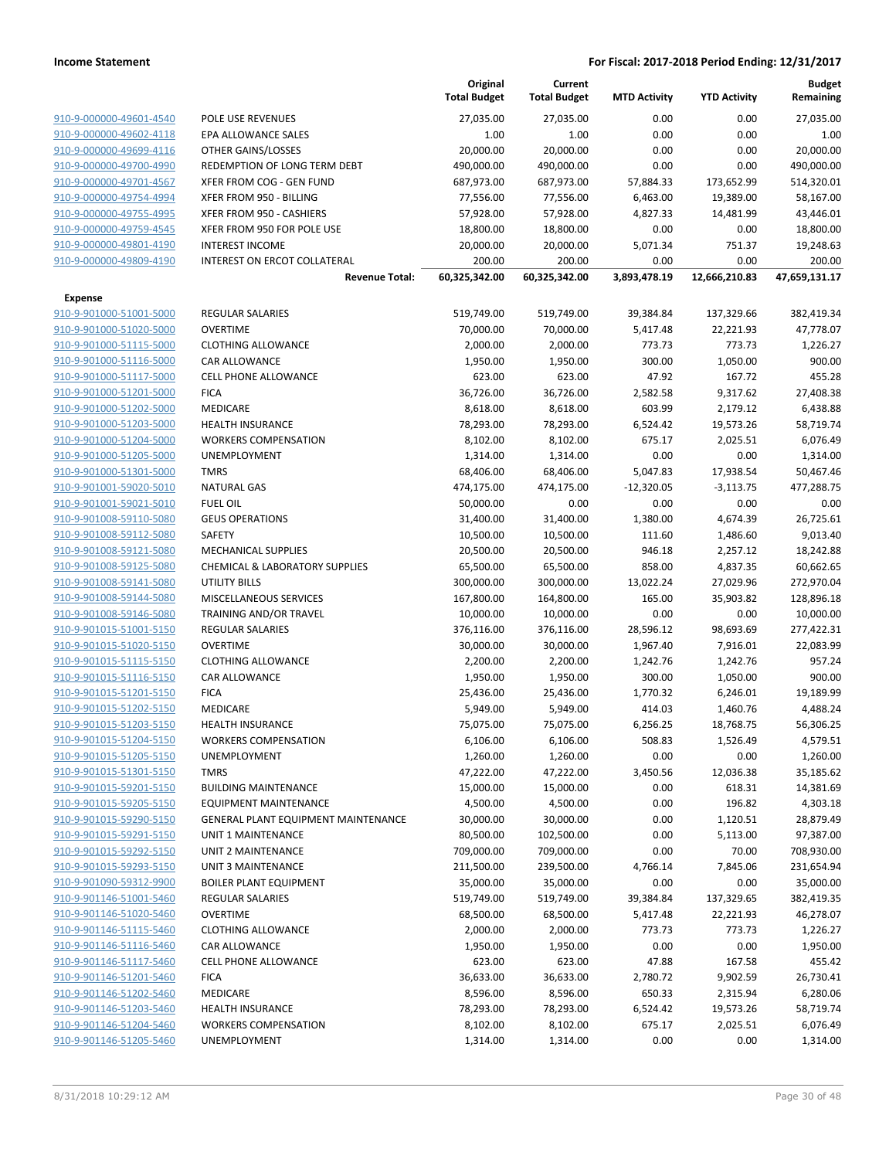|                                                    |                                           | Original<br><b>Total Budget</b> | Current<br><b>Total Budget</b> | <b>MTD Activity</b> | <b>YTD Activity</b>  | <b>Budget</b><br>Remaining |
|----------------------------------------------------|-------------------------------------------|---------------------------------|--------------------------------|---------------------|----------------------|----------------------------|
| 910-9-000000-49601-4540                            | POLE USE REVENUES                         | 27,035.00                       | 27,035.00                      | 0.00                | 0.00                 | 27,035.00                  |
| 910-9-000000-49602-4118                            | EPA ALLOWANCE SALES                       | 1.00                            | 1.00                           | 0.00                | 0.00                 | 1.00                       |
| 910-9-000000-49699-4116                            | OTHER GAINS/LOSSES                        | 20,000.00                       | 20,000.00                      | 0.00                | 0.00                 | 20,000.00                  |
| 910-9-000000-49700-4990                            | REDEMPTION OF LONG TERM DEBT              | 490,000.00                      | 490,000.00                     | 0.00                | 0.00                 | 490,000.00                 |
| 910-9-000000-49701-4567                            | XFER FROM COG - GEN FUND                  | 687,973.00                      | 687,973.00                     | 57,884.33           | 173,652.99           | 514,320.01                 |
| 910-9-000000-49754-4994                            | XFER FROM 950 - BILLING                   | 77,556.00                       | 77,556.00                      | 6,463.00            | 19,389.00            | 58,167.00                  |
| 910-9-000000-49755-4995                            | XFER FROM 950 - CASHIERS                  | 57,928.00                       | 57,928.00                      | 4,827.33            | 14,481.99            | 43,446.01                  |
| 910-9-000000-49759-4545                            | XFER FROM 950 FOR POLE USE                | 18,800.00                       | 18,800.00                      | 0.00                | 0.00                 | 18,800.00                  |
| 910-9-000000-49801-4190                            | <b>INTEREST INCOME</b>                    | 20,000.00                       | 20,000.00                      | 5,071.34            | 751.37               | 19,248.63                  |
| 910-9-000000-49809-4190                            | INTEREST ON ERCOT COLLATERAL              | 200.00                          | 200.00                         | 0.00                | 0.00                 | 200.00                     |
|                                                    | <b>Revenue Total:</b>                     | 60,325,342.00                   | 60,325,342.00                  | 3,893,478.19        | 12,666,210.83        | 47,659,131.17              |
| Expense                                            |                                           |                                 |                                |                     |                      |                            |
| 910-9-901000-51001-5000                            | <b>REGULAR SALARIES</b>                   | 519,749.00                      | 519,749.00                     | 39,384.84           | 137,329.66           | 382,419.34                 |
| 910-9-901000-51020-5000                            | <b>OVERTIME</b>                           | 70,000.00                       | 70,000.00                      | 5,417.48            | 22,221.93            | 47,778.07                  |
| 910-9-901000-51115-5000                            | <b>CLOTHING ALLOWANCE</b>                 | 2,000.00                        | 2,000.00                       | 773.73              | 773.73               | 1,226.27                   |
| 910-9-901000-51116-5000                            | <b>CAR ALLOWANCE</b>                      | 1,950.00                        | 1,950.00                       | 300.00              | 1,050.00             | 900.00                     |
| 910-9-901000-51117-5000                            | <b>CELL PHONE ALLOWANCE</b>               | 623.00                          | 623.00                         | 47.92               | 167.72               | 455.28                     |
| 910-9-901000-51201-5000                            | <b>FICA</b>                               | 36,726.00                       | 36,726.00                      | 2,582.58            | 9,317.62             | 27,408.38                  |
| 910-9-901000-51202-5000                            | <b>MEDICARE</b>                           | 8,618.00                        | 8,618.00                       | 603.99              | 2,179.12             | 6,438.88                   |
| 910-9-901000-51203-5000                            | <b>HEALTH INSURANCE</b>                   | 78,293.00                       | 78,293.00                      | 6,524.42            | 19,573.26            | 58,719.74                  |
| 910-9-901000-51204-5000                            | <b>WORKERS COMPENSATION</b>               | 8,102.00                        | 8,102.00                       | 675.17              | 2,025.51             | 6,076.49                   |
| 910-9-901000-51205-5000                            | UNEMPLOYMENT                              | 1,314.00                        | 1,314.00                       | 0.00                | 0.00                 | 1,314.00                   |
| 910-9-901000-51301-5000                            | <b>TMRS</b>                               | 68,406.00                       | 68,406.00                      | 5,047.83            | 17,938.54            | 50,467.46                  |
| 910-9-901001-59020-5010                            | <b>NATURAL GAS</b>                        | 474,175.00                      | 474,175.00                     | $-12,320.05$        | $-3,113.75$          | 477,288.75                 |
| 910-9-901001-59021-5010                            | <b>FUEL OIL</b>                           | 50,000.00                       | 0.00                           | 0.00                | 0.00                 | 0.00                       |
| 910-9-901008-59110-5080                            | <b>GEUS OPERATIONS</b>                    | 31,400.00                       | 31,400.00                      | 1,380.00            | 4,674.39             | 26,725.61                  |
| 910-9-901008-59112-5080                            | SAFETY                                    | 10,500.00                       | 10,500.00                      | 111.60              | 1,486.60             | 9,013.40                   |
| 910-9-901008-59121-5080                            | <b>MECHANICAL SUPPLIES</b>                | 20,500.00                       | 20,500.00                      | 946.18              | 2,257.12             | 18,242.88                  |
| 910-9-901008-59125-5080                            | <b>CHEMICAL &amp; LABORATORY SUPPLIES</b> | 65,500.00                       | 65,500.00                      | 858.00              | 4,837.35             | 60,662.65                  |
| 910-9-901008-59141-5080                            | <b>UTILITY BILLS</b>                      | 300,000.00                      | 300,000.00                     | 13,022.24           | 27,029.96            | 272,970.04                 |
| 910-9-901008-59144-5080                            | MISCELLANEOUS SERVICES                    | 167,800.00                      | 164,800.00                     | 165.00              | 35,903.82            | 128,896.18                 |
| 910-9-901008-59146-5080                            | TRAINING AND/OR TRAVEL                    | 10,000.00                       | 10,000.00                      | 0.00                | 0.00                 | 10,000.00                  |
| 910-9-901015-51001-5150                            | <b>REGULAR SALARIES</b>                   | 376,116.00                      | 376,116.00                     | 28,596.12           | 98,693.69            | 277,422.31                 |
| 910-9-901015-51020-5150                            | <b>OVERTIME</b>                           | 30,000.00                       | 30,000.00                      | 1,967.40            | 7,916.01             | 22,083.99                  |
| 910-9-901015-51115-5150                            | <b>CLOTHING ALLOWANCE</b>                 | 2,200.00                        | 2,200.00                       | 1,242.76            | 1,242.76             | 957.24                     |
| 910-9-901015-51116-5150<br>910-9-901015-51201-5150 | CAR ALLOWANCE                             | 1,950.00                        | 1,950.00                       | 300.00<br>1,770.32  | 1,050.00             | 900.00                     |
| 910-9-901015-51202-5150                            | <b>FICA</b><br>MEDICARE                   | 25,436.00<br>5,949.00           | 25,436.00<br>5,949.00          | 414.03              | 6,246.01<br>1,460.76 | 19,189.99<br>4,488.24      |
| 910-9-901015-51203-5150                            | <b>HEALTH INSURANCE</b>                   | 75,075.00                       | 75,075.00                      | 6,256.25            | 18,768.75            | 56,306.25                  |
| 910-9-901015-51204-5150                            | <b>WORKERS COMPENSATION</b>               | 6,106.00                        | 6,106.00                       | 508.83              | 1,526.49             | 4,579.51                   |
| 910-9-901015-51205-5150                            | <b>UNEMPLOYMENT</b>                       | 1,260.00                        | 1,260.00                       | 0.00                | 0.00                 | 1,260.00                   |
| 910-9-901015-51301-5150                            | <b>TMRS</b>                               | 47,222.00                       | 47,222.00                      | 3,450.56            | 12,036.38            | 35,185.62                  |
| 910-9-901015-59201-5150                            | <b>BUILDING MAINTENANCE</b>               | 15,000.00                       | 15,000.00                      | 0.00                | 618.31               | 14,381.69                  |
| 910-9-901015-59205-5150                            | EQUIPMENT MAINTENANCE                     | 4,500.00                        | 4,500.00                       | 0.00                | 196.82               | 4,303.18                   |
| 910-9-901015-59290-5150                            | GENERAL PLANT EQUIPMENT MAINTENANCE       | 30,000.00                       | 30,000.00                      | 0.00                | 1,120.51             | 28,879.49                  |
| 910-9-901015-59291-5150                            | UNIT 1 MAINTENANCE                        | 80,500.00                       | 102,500.00                     | 0.00                | 5,113.00             | 97,387.00                  |
| 910-9-901015-59292-5150                            | UNIT 2 MAINTENANCE                        | 709,000.00                      | 709,000.00                     | 0.00                | 70.00                | 708,930.00                 |
| 910-9-901015-59293-5150                            | UNIT 3 MAINTENANCE                        | 211,500.00                      | 239,500.00                     | 4,766.14            | 7,845.06             | 231,654.94                 |
| 910-9-901090-59312-9900                            | <b>BOILER PLANT EQUIPMENT</b>             | 35,000.00                       | 35,000.00                      | 0.00                | 0.00                 | 35,000.00                  |
| 910-9-901146-51001-5460                            | REGULAR SALARIES                          | 519,749.00                      | 519,749.00                     | 39,384.84           | 137,329.65           | 382,419.35                 |
| 910-9-901146-51020-5460                            | <b>OVERTIME</b>                           | 68,500.00                       | 68,500.00                      | 5,417.48            | 22,221.93            | 46,278.07                  |
| 910-9-901146-51115-5460                            | <b>CLOTHING ALLOWANCE</b>                 | 2,000.00                        | 2,000.00                       | 773.73              | 773.73               | 1,226.27                   |
| 910-9-901146-51116-5460                            | CAR ALLOWANCE                             | 1,950.00                        | 1,950.00                       | 0.00                | 0.00                 | 1,950.00                   |
| 910-9-901146-51117-5460                            | <b>CELL PHONE ALLOWANCE</b>               | 623.00                          | 623.00                         | 47.88               | 167.58               | 455.42                     |
| 910-9-901146-51201-5460                            | <b>FICA</b>                               | 36,633.00                       | 36,633.00                      | 2,780.72            | 9,902.59             | 26,730.41                  |
| 910-9-901146-51202-5460                            | MEDICARE                                  | 8,596.00                        | 8,596.00                       | 650.33              | 2,315.94             | 6,280.06                   |
| 910-9-901146-51203-5460                            | <b>HEALTH INSURANCE</b>                   | 78,293.00                       | 78,293.00                      | 6,524.42            | 19,573.26            | 58,719.74                  |
| 910-9-901146-51204-5460                            | <b>WORKERS COMPENSATION</b>               | 8,102.00                        | 8,102.00                       | 675.17              | 2,025.51             | 6,076.49                   |
| 910-9-901146-51205-5460                            | UNEMPLOYMENT                              | 1,314.00                        | 1,314.00                       | 0.00                | 0.00                 | 1,314.00                   |
|                                                    |                                           |                                 |                                |                     |                      |                            |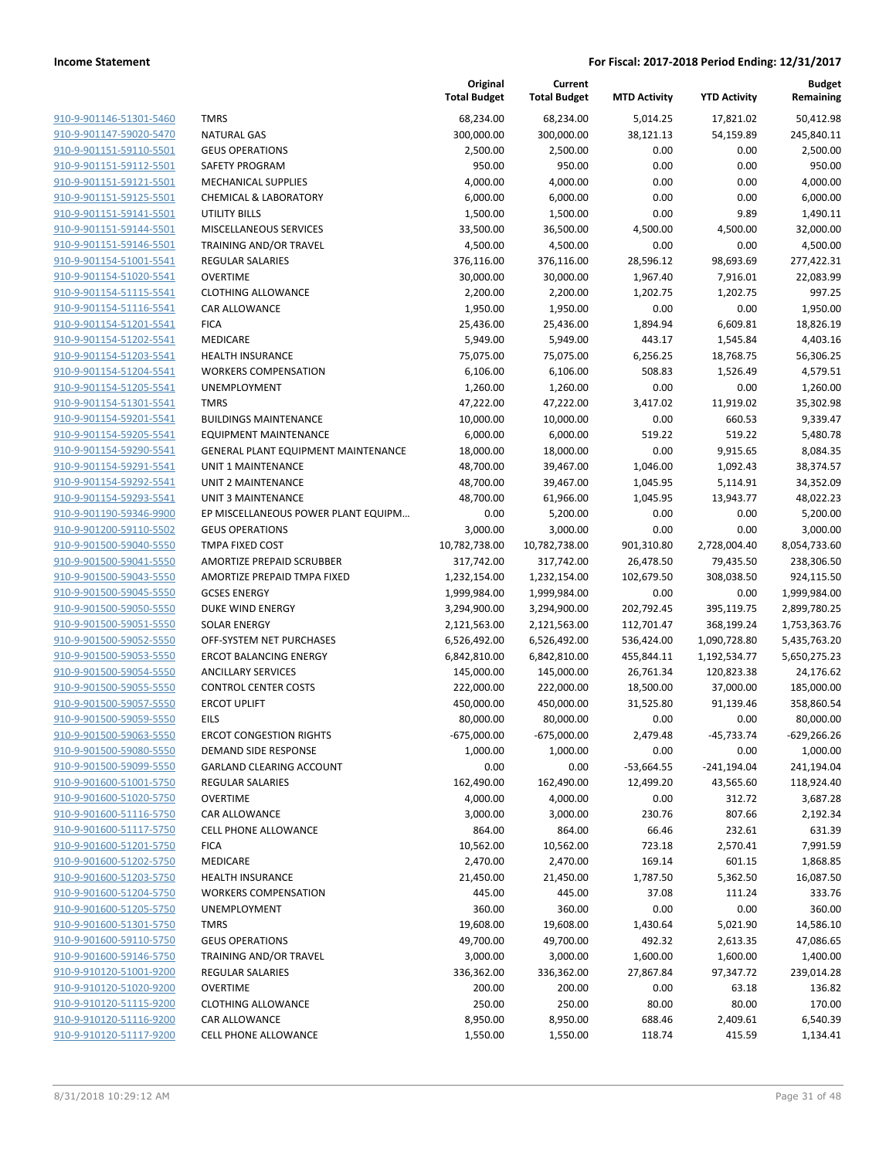|                         |                                     | Original<br><b>Total Budget</b> | Current<br><b>Total Budget</b> | <b>MTD Activity</b> | <b>YTD Activity</b> | <b>Budget</b><br>Remaining |
|-------------------------|-------------------------------------|---------------------------------|--------------------------------|---------------------|---------------------|----------------------------|
| 910-9-901146-51301-5460 | <b>TMRS</b>                         | 68,234.00                       | 68,234.00                      | 5,014.25            | 17,821.02           | 50,412.98                  |
| 910-9-901147-59020-5470 | <b>NATURAL GAS</b>                  | 300,000.00                      | 300,000.00                     | 38,121.13           | 54,159.89           | 245,840.11                 |
| 910-9-901151-59110-5501 | <b>GEUS OPERATIONS</b>              | 2,500.00                        | 2,500.00                       | 0.00                | 0.00                | 2,500.00                   |
| 910-9-901151-59112-5501 | <b>SAFETY PROGRAM</b>               | 950.00                          | 950.00                         | 0.00                | 0.00                | 950.00                     |
| 910-9-901151-59121-5501 | <b>MECHANICAL SUPPLIES</b>          | 4,000.00                        | 4,000.00                       | 0.00                | 0.00                | 4,000.00                   |
| 910-9-901151-59125-5501 | <b>CHEMICAL &amp; LABORATORY</b>    | 6,000.00                        | 6,000.00                       | 0.00                | 0.00                | 6,000.00                   |
| 910-9-901151-59141-5501 | <b>UTILITY BILLS</b>                | 1,500.00                        | 1,500.00                       | 0.00                | 9.89                | 1,490.11                   |
| 910-9-901151-59144-5501 | MISCELLANEOUS SERVICES              | 33,500.00                       | 36,500.00                      | 4,500.00            | 4,500.00            | 32,000.00                  |
| 910-9-901151-59146-5501 | TRAINING AND/OR TRAVEL              | 4,500.00                        | 4,500.00                       | 0.00                | 0.00                | 4,500.00                   |
| 910-9-901154-51001-5541 | <b>REGULAR SALARIES</b>             | 376,116.00                      | 376,116.00                     | 28,596.12           | 98,693.69           | 277,422.31                 |
| 910-9-901154-51020-5541 | <b>OVERTIME</b>                     | 30,000.00                       | 30,000.00                      | 1,967.40            | 7,916.01            | 22,083.99                  |
| 910-9-901154-51115-5541 | <b>CLOTHING ALLOWANCE</b>           | 2,200.00                        | 2,200.00                       | 1,202.75            | 1,202.75            | 997.25                     |
| 910-9-901154-51116-5541 | CAR ALLOWANCE                       | 1,950.00                        | 1,950.00                       | 0.00                | 0.00                | 1,950.00                   |
| 910-9-901154-51201-5541 | <b>FICA</b>                         | 25,436.00                       | 25,436.00                      | 1,894.94            | 6,609.81            | 18,826.19                  |
| 910-9-901154-51202-5541 | <b>MEDICARE</b>                     | 5,949.00                        | 5,949.00                       | 443.17              | 1,545.84            | 4,403.16                   |
| 910-9-901154-51203-5541 | <b>HEALTH INSURANCE</b>             | 75,075.00                       | 75,075.00                      | 6,256.25            | 18,768.75           | 56,306.25                  |
| 910-9-901154-51204-5541 | <b>WORKERS COMPENSATION</b>         | 6,106.00                        | 6,106.00                       | 508.83              | 1,526.49            | 4,579.51                   |
| 910-9-901154-51205-5541 | UNEMPLOYMENT                        | 1,260.00                        | 1,260.00                       | 0.00                | 0.00                | 1,260.00                   |
| 910-9-901154-51301-5541 | <b>TMRS</b>                         | 47,222.00                       | 47,222.00                      | 3,417.02            | 11,919.02           | 35,302.98                  |
| 910-9-901154-59201-5541 | <b>BUILDINGS MAINTENANCE</b>        | 10,000.00                       | 10,000.00                      | 0.00                | 660.53              | 9,339.47                   |
| 910-9-901154-59205-5541 | <b>EQUIPMENT MAINTENANCE</b>        | 6,000.00                        | 6,000.00                       | 519.22              | 519.22              | 5,480.78                   |
| 910-9-901154-59290-5541 | GENERAL PLANT EQUIPMENT MAINTENANCE | 18,000.00                       | 18,000.00                      | 0.00                | 9,915.65            | 8,084.35                   |
| 910-9-901154-59291-5541 | <b>UNIT 1 MAINTENANCE</b>           | 48,700.00                       | 39,467.00                      | 1,046.00            | 1,092.43            | 38,374.57                  |
| 910-9-901154-59292-5541 | UNIT 2 MAINTENANCE                  | 48,700.00                       | 39,467.00                      | 1,045.95            | 5,114.91            | 34,352.09                  |
| 910-9-901154-59293-5541 | <b>UNIT 3 MAINTENANCE</b>           | 48,700.00                       | 61,966.00                      | 1,045.95            | 13,943.77           | 48,022.23                  |
| 910-9-901190-59346-9900 | EP MISCELLANEOUS POWER PLANT EQUIPM | 0.00                            | 5,200.00                       | 0.00                | 0.00                | 5,200.00                   |
| 910-9-901200-59110-5502 | <b>GEUS OPERATIONS</b>              | 3,000.00                        | 3,000.00                       | 0.00                | 0.00                | 3,000.00                   |
| 910-9-901500-59040-5550 | <b>TMPA FIXED COST</b>              | 10,782,738.00                   | 10,782,738.00                  | 901,310.80          | 2,728,004.40        | 8,054,733.60               |
| 910-9-901500-59041-5550 | AMORTIZE PREPAID SCRUBBER           | 317,742.00                      | 317,742.00                     | 26,478.50           | 79,435.50           | 238,306.50                 |
| 910-9-901500-59043-5550 | AMORTIZE PREPAID TMPA FIXED         | 1,232,154.00                    | 1,232,154.00                   | 102,679.50          | 308,038.50          | 924,115.50                 |
| 910-9-901500-59045-5550 | <b>GCSES ENERGY</b>                 | 1,999,984.00                    | 1,999,984.00                   | 0.00                | 0.00                | 1,999,984.00               |
| 910-9-901500-59050-5550 | DUKE WIND ENERGY                    | 3,294,900.00                    | 3,294,900.00                   | 202,792.45          | 395,119.75          | 2,899,780.25               |
| 910-9-901500-59051-5550 | <b>SOLAR ENERGY</b>                 | 2,121,563.00                    | 2,121,563.00                   | 112,701.47          | 368,199.24          | 1,753,363.76               |
| 910-9-901500-59052-5550 | OFF-SYSTEM NET PURCHASES            | 6,526,492.00                    | 6,526,492.00                   | 536,424.00          | 1,090,728.80        | 5,435,763.20               |
| 910-9-901500-59053-5550 | <b>ERCOT BALANCING ENERGY</b>       | 6,842,810.00                    | 6,842,810.00                   | 455,844.11          | 1,192,534.77        | 5,650,275.23               |
| 910-9-901500-59054-5550 | <b>ANCILLARY SERVICES</b>           | 145,000.00                      | 145,000.00                     | 26,761.34           | 120,823.38          | 24,176.62                  |
| 910-9-901500-59055-5550 | <b>CONTROL CENTER COSTS</b>         | 222,000.00                      | 222,000.00                     | 18,500.00           | 37,000.00           | 185,000.00                 |
| 910-9-901500-59057-5550 | <b>ERCOT UPLIFT</b>                 | 450,000.00                      | 450,000.00                     | 31,525.80           | 91,139.46           | 358,860.54                 |
| 910-9-901500-59059-5550 | <b>EILS</b>                         | 80,000.00                       | 80,000.00                      | 0.00                | 0.00                | 80,000.00                  |
| 910-9-901500-59063-5550 | <b>ERCOT CONGESTION RIGHTS</b>      | $-675,000.00$                   | $-675,000.00$                  | 2,479.48            | -45,733.74          | $-629,266.26$              |
| 910-9-901500-59080-5550 | DEMAND SIDE RESPONSE                | 1,000.00                        | 1,000.00                       | 0.00                | 0.00                | 1,000.00                   |
| 910-9-901500-59099-5550 | <b>GARLAND CLEARING ACCOUNT</b>     | 0.00                            | 0.00                           | $-53,664.55$        | $-241,194.04$       | 241,194.04                 |
| 910-9-901600-51001-5750 | <b>REGULAR SALARIES</b>             | 162,490.00                      | 162,490.00                     | 12,499.20           | 43,565.60           | 118,924.40                 |
| 910-9-901600-51020-5750 | <b>OVERTIME</b>                     | 4,000.00                        | 4,000.00                       | 0.00                | 312.72              | 3,687.28                   |
| 910-9-901600-51116-5750 | CAR ALLOWANCE                       | 3,000.00                        | 3,000.00                       | 230.76              | 807.66              | 2,192.34                   |
| 910-9-901600-51117-5750 | <b>CELL PHONE ALLOWANCE</b>         | 864.00                          | 864.00                         | 66.46               | 232.61              | 631.39                     |
| 910-9-901600-51201-5750 | <b>FICA</b>                         | 10,562.00                       | 10,562.00                      | 723.18              | 2,570.41            | 7,991.59                   |
| 910-9-901600-51202-5750 | MEDICARE                            | 2,470.00                        | 2,470.00                       | 169.14              | 601.15              | 1,868.85                   |
| 910-9-901600-51203-5750 | <b>HEALTH INSURANCE</b>             | 21,450.00                       | 21,450.00                      | 1,787.50            | 5,362.50            | 16,087.50                  |
| 910-9-901600-51204-5750 | <b>WORKERS COMPENSATION</b>         | 445.00                          | 445.00                         | 37.08               | 111.24              | 333.76                     |
| 910-9-901600-51205-5750 | UNEMPLOYMENT                        | 360.00                          | 360.00                         | 0.00                | 0.00                | 360.00                     |
| 910-9-901600-51301-5750 | <b>TMRS</b>                         | 19,608.00                       | 19,608.00                      | 1,430.64            | 5,021.90            | 14,586.10                  |
| 910-9-901600-59110-5750 | <b>GEUS OPERATIONS</b>              | 49,700.00                       | 49,700.00                      | 492.32              | 2,613.35            | 47,086.65                  |
| 910-9-901600-59146-5750 | TRAINING AND/OR TRAVEL              | 3,000.00                        | 3,000.00                       | 1,600.00            | 1,600.00            | 1,400.00                   |
| 910-9-910120-51001-9200 | REGULAR SALARIES                    | 336,362.00                      | 336,362.00                     | 27,867.84           | 97,347.72           | 239,014.28                 |
| 910-9-910120-51020-9200 | <b>OVERTIME</b>                     | 200.00                          | 200.00                         | 0.00                | 63.18               | 136.82                     |
| 910-9-910120-51115-9200 | <b>CLOTHING ALLOWANCE</b>           | 250.00                          | 250.00                         | 80.00               | 80.00               | 170.00                     |
| 910-9-910120-51116-9200 | CAR ALLOWANCE                       | 8,950.00                        | 8,950.00                       | 688.46              | 2,409.61            | 6,540.39                   |
| 910-9-910120-51117-9200 | CELL PHONE ALLOWANCE                | 1,550.00                        | 1,550.00                       | 118.74              | 415.59              | 1,134.41                   |
|                         |                                     |                                 |                                |                     |                     |                            |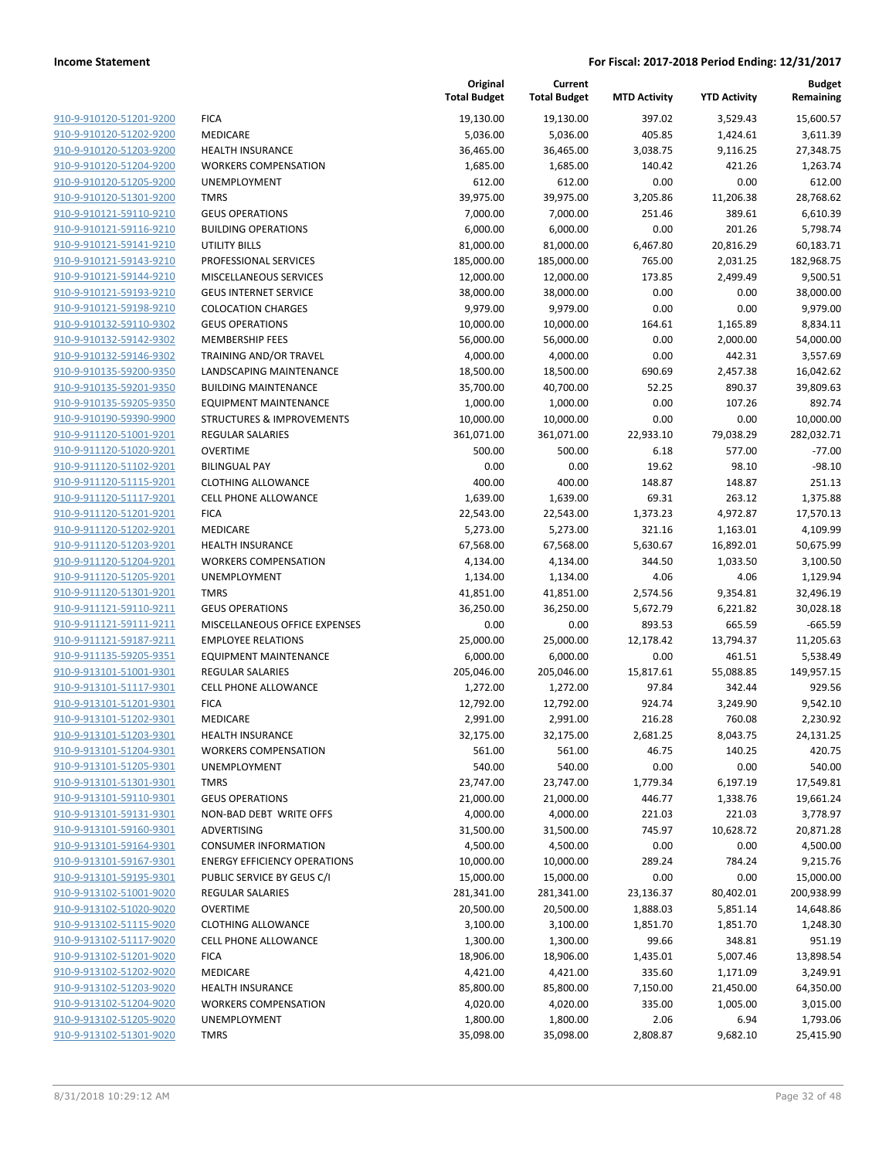|                                                    |                                                   | Original<br><b>Total Budget</b> | Current<br><b>Total Budget</b> | <b>MTD Activity</b> | <b>YTD Activity</b> | <b>Budget</b><br>Remaining |
|----------------------------------------------------|---------------------------------------------------|---------------------------------|--------------------------------|---------------------|---------------------|----------------------------|
| 910-9-910120-51201-9200                            | <b>FICA</b>                                       | 19,130.00                       | 19,130.00                      | 397.02              | 3,529.43            | 15,600.57                  |
| 910-9-910120-51202-9200                            | MEDICARE                                          | 5,036.00                        | 5,036.00                       | 405.85              | 1,424.61            | 3,611.39                   |
| 910-9-910120-51203-9200                            | <b>HEALTH INSURANCE</b>                           | 36,465.00                       | 36,465.00                      | 3,038.75            | 9,116.25            | 27,348.75                  |
| 910-9-910120-51204-9200                            | <b>WORKERS COMPENSATION</b>                       | 1,685.00                        | 1,685.00                       | 140.42              | 421.26              | 1,263.74                   |
| 910-9-910120-51205-9200                            | UNEMPLOYMENT                                      | 612.00                          | 612.00                         | 0.00                | 0.00                | 612.00                     |
| 910-9-910120-51301-9200                            | <b>TMRS</b>                                       | 39,975.00                       | 39,975.00                      | 3,205.86            | 11,206.38           | 28,768.62                  |
| 910-9-910121-59110-9210                            | <b>GEUS OPERATIONS</b>                            | 7,000.00                        | 7,000.00                       | 251.46              | 389.61              | 6,610.39                   |
| 910-9-910121-59116-9210                            | <b>BUILDING OPERATIONS</b>                        | 6,000.00                        | 6,000.00                       | 0.00                | 201.26              | 5,798.74                   |
| 910-9-910121-59141-9210                            | <b>UTILITY BILLS</b>                              | 81,000.00                       | 81,000.00                      | 6,467.80            | 20,816.29           | 60,183.71                  |
| 910-9-910121-59143-9210                            | PROFESSIONAL SERVICES                             | 185,000.00                      | 185,000.00                     | 765.00              | 2,031.25            | 182,968.75                 |
| 910-9-910121-59144-9210                            | MISCELLANEOUS SERVICES                            | 12,000.00                       | 12,000.00                      | 173.85              | 2,499.49            | 9,500.51                   |
| 910-9-910121-59193-9210                            | <b>GEUS INTERNET SERVICE</b>                      | 38,000.00                       | 38,000.00                      | 0.00                | 0.00                | 38,000.00                  |
| 910-9-910121-59198-9210                            | <b>COLOCATION CHARGES</b>                         | 9,979.00                        | 9,979.00                       | 0.00                | 0.00                | 9,979.00                   |
| 910-9-910132-59110-9302                            | <b>GEUS OPERATIONS</b>                            | 10,000.00                       | 10,000.00                      | 164.61              | 1,165.89            | 8,834.11                   |
| 910-9-910132-59142-9302                            | <b>MEMBERSHIP FEES</b>                            | 56,000.00                       | 56,000.00                      | 0.00                | 2,000.00            | 54,000.00                  |
| 910-9-910132-59146-9302                            | TRAINING AND/OR TRAVEL                            | 4,000.00                        | 4,000.00                       | 0.00                | 442.31              | 3,557.69                   |
| 910-9-910135-59200-9350                            | LANDSCAPING MAINTENANCE                           | 18,500.00                       | 18,500.00                      | 690.69              | 2,457.38            | 16,042.62                  |
| 910-9-910135-59201-9350                            | <b>BUILDING MAINTENANCE</b>                       | 35,700.00                       | 40,700.00                      | 52.25               | 890.37              | 39,809.63                  |
| 910-9-910135-59205-9350                            | <b>EQUIPMENT MAINTENANCE</b>                      | 1,000.00                        | 1,000.00                       | 0.00                | 107.26              | 892.74                     |
| 910-9-910190-59390-9900                            | <b>STRUCTURES &amp; IMPROVEMENTS</b>              | 10,000.00                       | 10,000.00                      | 0.00                | 0.00                | 10,000.00                  |
| 910-9-911120-51001-9201                            | REGULAR SALARIES                                  | 361,071.00                      | 361,071.00                     | 22,933.10           | 79,038.29           | 282,032.71                 |
| 910-9-911120-51020-9201                            | <b>OVERTIME</b>                                   | 500.00                          | 500.00                         | 6.18                | 577.00              | $-77.00$                   |
| 910-9-911120-51102-9201                            | <b>BILINGUAL PAY</b>                              | 0.00                            | 0.00                           | 19.62               | 98.10               | $-98.10$                   |
| 910-9-911120-51115-9201                            | <b>CLOTHING ALLOWANCE</b>                         | 400.00                          | 400.00                         | 148.87              | 148.87              | 251.13                     |
| 910-9-911120-51117-9201                            | <b>CELL PHONE ALLOWANCE</b>                       | 1,639.00                        | 1,639.00                       | 69.31               | 263.12              | 1,375.88                   |
| 910-9-911120-51201-9201                            | <b>FICA</b>                                       | 22,543.00                       | 22,543.00                      | 1,373.23            | 4,972.87            | 17,570.13                  |
| 910-9-911120-51202-9201                            | MEDICARE                                          | 5,273.00                        | 5,273.00                       | 321.16              | 1,163.01            | 4,109.99                   |
| 910-9-911120-51203-9201                            | <b>HEALTH INSURANCE</b>                           | 67,568.00                       | 67,568.00                      | 5,630.67            | 16,892.01           | 50,675.99                  |
| 910-9-911120-51204-9201                            | <b>WORKERS COMPENSATION</b>                       | 4,134.00                        | 4,134.00                       | 344.50              | 1,033.50            | 3,100.50                   |
| 910-9-911120-51205-9201                            | UNEMPLOYMENT                                      | 1,134.00                        | 1,134.00                       | 4.06                | 4.06                | 1,129.94                   |
| 910-9-911120-51301-9201                            | <b>TMRS</b>                                       | 41,851.00                       | 41,851.00                      | 2,574.56            | 9,354.81            | 32,496.19                  |
| 910-9-911121-59110-9211                            | <b>GEUS OPERATIONS</b>                            | 36,250.00                       | 36,250.00                      | 5,672.79            | 6,221.82            | 30,028.18                  |
| 910-9-911121-59111-9211                            | MISCELLANEOUS OFFICE EXPENSES                     | 0.00                            | 0.00                           | 893.53              | 665.59              | $-665.59$                  |
| 910-9-911121-59187-9211                            | <b>EMPLOYEE RELATIONS</b>                         | 25,000.00                       | 25,000.00                      | 12,178.42           | 13,794.37           | 11,205.63                  |
| 910-9-911135-59205-9351                            | <b>EQUIPMENT MAINTENANCE</b>                      | 6,000.00                        | 6,000.00                       | 0.00                | 461.51              | 5,538.49                   |
| 910-9-913101-51001-9301                            | REGULAR SALARIES                                  | 205,046.00                      | 205,046.00                     | 15,817.61           | 55,088.85           | 149,957.15                 |
| 910-9-913101-51117-9301                            | <b>CELL PHONE ALLOWANCE</b>                       | 1,272.00                        | 1,272.00                       | 97.84               | 342.44              | 929.56                     |
| 910-9-913101-51201-9301                            | <b>FICA</b>                                       | 12,792.00                       | 12,792.00                      | 924.74              | 3,249.90            | 9,542.10                   |
| 910-9-913101-51202-9301                            | <b>MEDICARE</b>                                   | 2,991.00                        | 2,991.00                       | 216.28              | 760.08              | 2,230.92<br>24,131.25      |
| 910-9-913101-51203-9301                            | <b>HEALTH INSURANCE</b>                           | 32,175.00                       | 32,175.00                      | 2,681.25            | 8,043.75            |                            |
| 910-9-913101-51204-9301<br>910-9-913101-51205-9301 | <b>WORKERS COMPENSATION</b>                       | 561.00                          | 561.00                         | 46.75               | 140.25              | 420.75                     |
|                                                    | UNEMPLOYMENT                                      | 540.00<br>23,747.00             | 540.00<br>23,747.00            | 0.00<br>1,779.34    | 0.00                | 540.00                     |
| 910-9-913101-51301-9301<br>910-9-913101-59110-9301 | <b>TMRS</b>                                       | 21,000.00                       | 21,000.00                      |                     | 6,197.19            | 17,549.81                  |
| 910-9-913101-59131-9301                            | <b>GEUS OPERATIONS</b><br>NON-BAD DEBT WRITE OFFS |                                 |                                | 446.77<br>221.03    | 1,338.76<br>221.03  | 19,661.24<br>3,778.97      |
| 910-9-913101-59160-9301                            | ADVERTISING                                       | 4,000.00                        | 4,000.00                       | 745.97              | 10,628.72           |                            |
| 910-9-913101-59164-9301                            | <b>CONSUMER INFORMATION</b>                       | 31,500.00<br>4,500.00           | 31,500.00<br>4,500.00          | 0.00                | 0.00                | 20,871.28<br>4,500.00      |
| 910-9-913101-59167-9301                            | <b>ENERGY EFFICIENCY OPERATIONS</b>               |                                 |                                |                     | 784.24              |                            |
| 910-9-913101-59195-9301                            | PUBLIC SERVICE BY GEUS C/I                        | 10,000.00<br>15,000.00          | 10,000.00<br>15,000.00         | 289.24<br>0.00      | 0.00                | 9,215.76<br>15,000.00      |
| 910-9-913102-51001-9020                            | <b>REGULAR SALARIES</b>                           | 281,341.00                      | 281,341.00                     | 23,136.37           | 80,402.01           | 200,938.99                 |
| 910-9-913102-51020-9020                            | <b>OVERTIME</b>                                   | 20,500.00                       | 20,500.00                      | 1,888.03            | 5,851.14            | 14,648.86                  |
| 910-9-913102-51115-9020                            | <b>CLOTHING ALLOWANCE</b>                         | 3,100.00                        | 3,100.00                       | 1,851.70            | 1,851.70            | 1,248.30                   |
| 910-9-913102-51117-9020                            | <b>CELL PHONE ALLOWANCE</b>                       | 1,300.00                        | 1,300.00                       | 99.66               | 348.81              | 951.19                     |
| 910-9-913102-51201-9020                            | <b>FICA</b>                                       | 18,906.00                       | 18,906.00                      | 1,435.01            | 5,007.46            | 13,898.54                  |
| 910-9-913102-51202-9020                            | MEDICARE                                          | 4,421.00                        | 4,421.00                       | 335.60              | 1,171.09            | 3,249.91                   |
| 910-9-913102-51203-9020                            | <b>HEALTH INSURANCE</b>                           | 85,800.00                       | 85,800.00                      | 7,150.00            | 21,450.00           | 64,350.00                  |
| 910-9-913102-51204-9020                            | <b>WORKERS COMPENSATION</b>                       | 4,020.00                        | 4,020.00                       | 335.00              | 1,005.00            | 3,015.00                   |
| 910-9-913102-51205-9020                            | UNEMPLOYMENT                                      | 1,800.00                        | 1,800.00                       | 2.06                | 6.94                | 1,793.06                   |
| 910-9-913102-51301-9020                            | <b>TMRS</b>                                       | 35,098.00                       | 35,098.00                      | 2,808.87            | 9,682.10            | 25,415.90                  |
|                                                    |                                                   |                                 |                                |                     |                     |                            |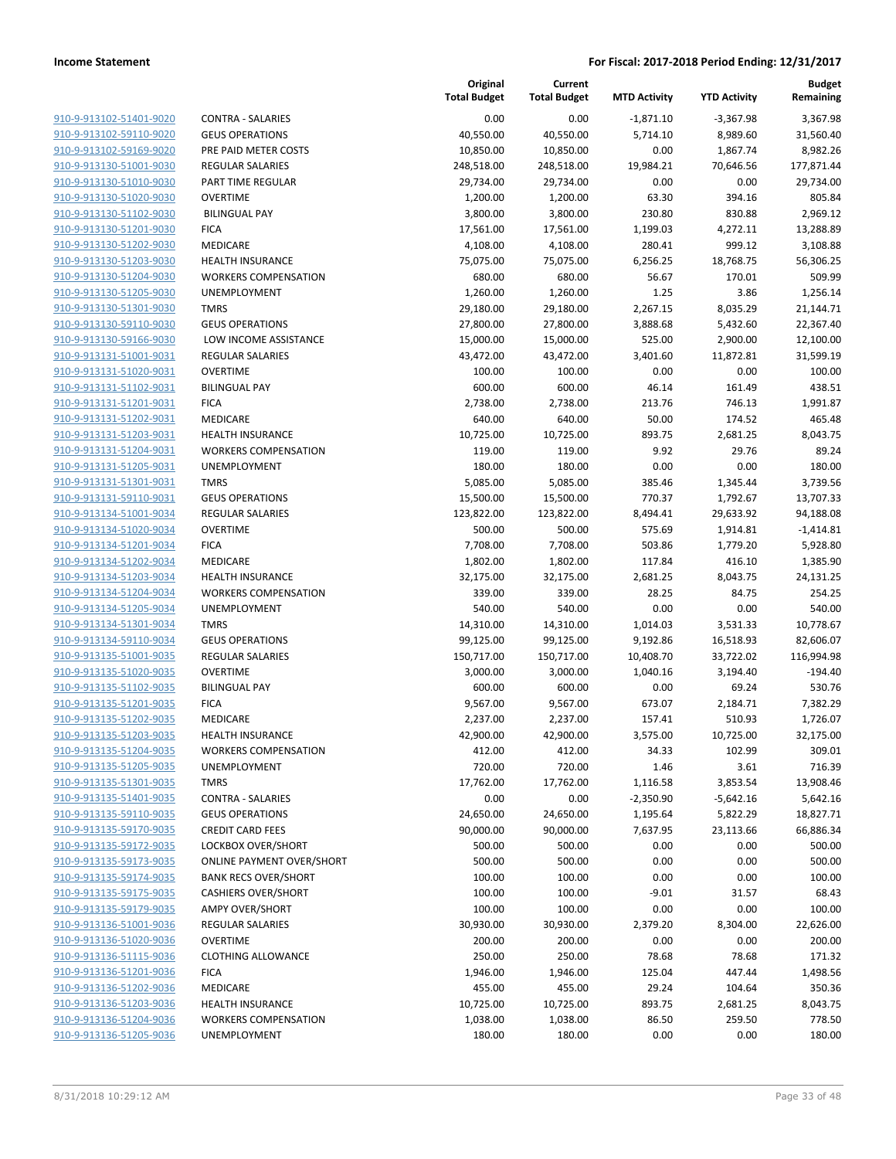| 910-9-913102-51401-9020        |
|--------------------------------|
| 910-9-913102-59110-9020        |
| 910-9-913102-59169-9020        |
| 910-9-913130-51001-9030        |
| 910-9-913130-51010-9030        |
| 910-9-913130-51020-9030        |
| 910-9-913130-51102-9030        |
| 910-9-913130-51201-9030        |
| 910-9-913130-51202-9030        |
| 910-9-913130-51203-9030        |
| 910-9-913130-51204-9030        |
| 910-9-913130-51205-9030        |
| 910-9-913130-51301-9030        |
| 910-9-913130-59110-9030        |
| <u>910-9-913130-59166-9030</u> |
| <u>910-9-913131-51001-9031</u> |
| 910-9-913131-51020-9031        |
| 910-9-913131-51102-9031        |
| 910-9-913131-51201-9031        |
|                                |
| 910-9-913131-51202-9031        |
| 910-9-913131-51203-9031        |
| 910-9-913131-51204-9031        |
| 910-9-913131-51205-9031        |
| 910-9-913131-51301-9031        |
| 910-9-913131-59110-9031        |
| <u>910-9-913134-51001-9034</u> |
| 910-9-913134-51020-9034        |
| 910-9-913134-51201-9034        |
| 910-9-913134-51202-9034        |
| 910-9-913134-51203-9034        |
| 910-9-913134-51204-9034        |
| 910-9-913134-51205-9034        |
| 910-9-913134-51301-9034        |
| 910-9-913134-59110-9034        |
| 910-9-913135-51001-9035        |
| 910-9-913135-51020-9035        |
| 910-9-913135-51102-9035        |
| 910-9-913135-51201-9035        |
| 910-9-913135-51202-9035        |
| 910-9-913135-51203-9035        |
| 910-9-913135-51204-9035        |
| 910-9-913135-51205-9035        |
| 910-9-913135-51301-9035        |
| 910-9-913135-51401-9035        |
|                                |
| 910-9-913135-59110-9035        |
| <u>910-9-913135-59170-9035</u> |
| <u>910-9-913135-59172-9035</u> |
| 910-9-913135-59173-9035        |
| 910-9-913135-59174-9035        |
| 910-9-913135-59175-9035        |
| 910-9-913135-59179-9035        |
| 910-9-913136-51001-9036        |
| 910-9-913136-51020-9036        |
| 910-9-913136-51115-9036        |
| 910-9-913136-51201-9036        |
| <u>910-9-913136-51202-9036</u> |
| 910-9-913136-51203-9036        |
| 910-9-913136-51204-9036        |
| 910-9-913136-51205-9036        |
|                                |

|                                                    |                                     | Original<br><b>Total Budget</b> | Current<br><b>Total Budget</b> | <b>MTD Activity</b> | <b>YTD Activity</b> | Budget<br>Remaining |
|----------------------------------------------------|-------------------------------------|---------------------------------|--------------------------------|---------------------|---------------------|---------------------|
| 910-9-913102-51401-9020                            | <b>CONTRA - SALARIES</b>            | 0.00                            | 0.00                           | $-1,871.10$         | $-3,367.98$         | 3,367.98            |
| 910-9-913102-59110-9020                            | <b>GEUS OPERATIONS</b>              | 40,550.00                       | 40,550.00                      | 5,714.10            | 8,989.60            | 31,560.40           |
| 910-9-913102-59169-9020                            | PRE PAID METER COSTS                | 10,850.00                       | 10,850.00                      | 0.00                | 1,867.74            | 8,982.26            |
| 910-9-913130-51001-9030                            | <b>REGULAR SALARIES</b>             | 248,518.00                      | 248,518.00                     | 19,984.21           | 70,646.56           | 177,871.44          |
| 910-9-913130-51010-9030                            | PART TIME REGULAR                   | 29,734.00                       | 29,734.00                      | 0.00                | 0.00                | 29,734.00           |
| 910-9-913130-51020-9030                            | <b>OVERTIME</b>                     | 1,200.00                        | 1,200.00                       | 63.30               | 394.16              | 805.84              |
| 910-9-913130-51102-9030                            | <b>BILINGUAL PAY</b>                | 3,800.00                        | 3,800.00                       | 230.80              | 830.88              | 2,969.12            |
| 910-9-913130-51201-9030                            | <b>FICA</b>                         | 17,561.00                       | 17,561.00                      | 1,199.03            | 4,272.11            | 13,288.89           |
| 910-9-913130-51202-9030                            | MEDICARE                            | 4,108.00                        | 4,108.00                       | 280.41              | 999.12              | 3,108.88            |
| 910-9-913130-51203-9030                            | <b>HEALTH INSURANCE</b>             | 75,075.00                       | 75,075.00                      | 6,256.25            | 18,768.75           | 56,306.25           |
| 910-9-913130-51204-9030                            | <b>WORKERS COMPENSATION</b>         | 680.00                          | 680.00                         | 56.67               | 170.01              | 509.99              |
| 910-9-913130-51205-9030                            | UNEMPLOYMENT                        | 1,260.00                        | 1,260.00                       | 1.25                | 3.86                | 1,256.14            |
| 910-9-913130-51301-9030                            | <b>TMRS</b>                         | 29,180.00                       | 29,180.00                      | 2,267.15            | 8,035.29            | 21,144.71           |
| 910-9-913130-59110-9030                            | <b>GEUS OPERATIONS</b>              | 27,800.00                       | 27,800.00                      | 3,888.68            | 5,432.60            | 22,367.40           |
| 910-9-913130-59166-9030                            | LOW INCOME ASSISTANCE               | 15,000.00                       | 15,000.00                      | 525.00              | 2,900.00            | 12,100.00           |
| 910-9-913131-51001-9031                            | <b>REGULAR SALARIES</b>             | 43,472.00                       | 43,472.00                      | 3,401.60            | 11,872.81           | 31,599.19           |
| 910-9-913131-51020-9031                            | <b>OVERTIME</b>                     | 100.00                          | 100.00                         | 0.00                | 0.00                | 100.00              |
| 910-9-913131-51102-9031                            | <b>BILINGUAL PAY</b>                | 600.00                          | 600.00                         | 46.14               | 161.49              | 438.51              |
| 910-9-913131-51201-9031                            | <b>FICA</b>                         | 2,738.00                        | 2,738.00                       | 213.76              | 746.13              | 1,991.87            |
| 910-9-913131-51202-9031                            | <b>MEDICARE</b>                     | 640.00                          | 640.00                         | 50.00               | 174.52              | 465.48              |
| 910-9-913131-51203-9031                            | <b>HEALTH INSURANCE</b>             | 10,725.00                       | 10,725.00                      | 893.75              | 2,681.25            | 8,043.75            |
| 910-9-913131-51204-9031                            | <b>WORKERS COMPENSATION</b>         | 119.00                          | 119.00                         | 9.92                | 29.76               | 89.24               |
| 910-9-913131-51205-9031                            | <b>UNEMPLOYMENT</b>                 | 180.00                          | 180.00                         | 0.00                | 0.00                | 180.00              |
| 910-9-913131-51301-9031                            | <b>TMRS</b>                         | 5,085.00                        | 5,085.00                       | 385.46              | 1,345.44            | 3,739.56            |
| 910-9-913131-59110-9031                            | <b>GEUS OPERATIONS</b>              | 15,500.00                       | 15,500.00                      | 770.37              | 1,792.67            | 13,707.33           |
| 910-9-913134-51001-9034                            | REGULAR SALARIES                    | 123,822.00                      | 123,822.00                     | 8,494.41            | 29,633.92           | 94,188.08           |
| 910-9-913134-51020-9034                            | <b>OVERTIME</b>                     | 500.00                          | 500.00                         | 575.69              | 1,914.81            | $-1,414.81$         |
| 910-9-913134-51201-9034                            | <b>FICA</b>                         | 7,708.00                        | 7,708.00                       | 503.86              | 1,779.20            | 5,928.80            |
| 910-9-913134-51202-9034                            | MEDICARE                            | 1,802.00                        | 1,802.00                       | 117.84              | 416.10              | 1,385.90            |
| 910-9-913134-51203-9034                            | <b>HEALTH INSURANCE</b>             | 32,175.00                       | 32,175.00                      | 2,681.25            | 8,043.75            | 24,131.25           |
| 910-9-913134-51204-9034                            | <b>WORKERS COMPENSATION</b>         | 339.00                          | 339.00                         | 28.25               | 84.75               | 254.25              |
| 910-9-913134-51205-9034                            | UNEMPLOYMENT                        | 540.00                          | 540.00                         | 0.00                | 0.00                | 540.00              |
| 910-9-913134-51301-9034                            | <b>TMRS</b>                         | 14,310.00                       | 14,310.00                      | 1,014.03            | 3,531.33            | 10,778.67           |
| 910-9-913134-59110-9034                            | <b>GEUS OPERATIONS</b>              | 99,125.00                       | 99,125.00                      | 9,192.86            | 16,518.93           | 82,606.07           |
| 910-9-913135-51001-9035<br>910-9-913135-51020-9035 | REGULAR SALARIES<br><b>OVERTIME</b> | 150,717.00                      | 150,717.00                     | 10,408.70           | 33,722.02           | 116,994.98          |
| 910-9-913135-51102-9035                            | <b>BILINGUAL PAY</b>                | 3,000.00<br>600.00              | 3,000.00<br>600.00             | 1,040.16<br>0.00    | 3,194.40<br>69.24   | $-194.40$<br>530.76 |
| 910-9-913135-51201-9035                            | <b>FICA</b>                         | 9,567.00                        | 9,567.00                       | 673.07              | 2,184.71            | 7,382.29            |
| 910-9-913135-51202-9035                            | MEDICARE                            | 2,237.00                        | 2,237.00                       | 157.41              | 510.93              | 1,726.07            |
| 910-9-913135-51203-9035                            | HEALTH INSURANCE                    | 42,900.00                       | 42,900.00                      | 3,575.00            | 10,725.00           | 32,175.00           |
| 910-9-913135-51204-9035                            | <b>WORKERS COMPENSATION</b>         | 412.00                          | 412.00                         | 34.33               | 102.99              | 309.01              |
| 910-9-913135-51205-9035                            | <b>UNEMPLOYMENT</b>                 | 720.00                          | 720.00                         | 1.46                | 3.61                | 716.39              |
| 910-9-913135-51301-9035                            | <b>TMRS</b>                         | 17,762.00                       | 17,762.00                      | 1,116.58            | 3,853.54            | 13,908.46           |
| 910-9-913135-51401-9035                            | <b>CONTRA - SALARIES</b>            | 0.00                            | 0.00                           | $-2,350.90$         | $-5,642.16$         | 5,642.16            |
| 910-9-913135-59110-9035                            | <b>GEUS OPERATIONS</b>              | 24,650.00                       | 24,650.00                      | 1,195.64            | 5,822.29            | 18,827.71           |
| 910-9-913135-59170-9035                            | <b>CREDIT CARD FEES</b>             | 90,000.00                       | 90,000.00                      | 7,637.95            | 23,113.66           | 66,886.34           |
| 910-9-913135-59172-9035                            | LOCKBOX OVER/SHORT                  | 500.00                          | 500.00                         | 0.00                | 0.00                | 500.00              |
| 910-9-913135-59173-9035                            | <b>ONLINE PAYMENT OVER/SHORT</b>    | 500.00                          | 500.00                         | 0.00                | 0.00                | 500.00              |
| 910-9-913135-59174-9035                            | <b>BANK RECS OVER/SHORT</b>         | 100.00                          | 100.00                         | 0.00                | 0.00                | 100.00              |
| 910-9-913135-59175-9035                            | <b>CASHIERS OVER/SHORT</b>          | 100.00                          | 100.00                         | $-9.01$             | 31.57               | 68.43               |
| 910-9-913135-59179-9035                            | <b>AMPY OVER/SHORT</b>              | 100.00                          | 100.00                         | 0.00                | 0.00                | 100.00              |
| 910-9-913136-51001-9036                            | REGULAR SALARIES                    | 30,930.00                       | 30,930.00                      | 2,379.20            | 8,304.00            | 22,626.00           |
| 910-9-913136-51020-9036                            | <b>OVERTIME</b>                     | 200.00                          | 200.00                         | 0.00                | 0.00                | 200.00              |
| 910-9-913136-51115-9036                            | <b>CLOTHING ALLOWANCE</b>           | 250.00                          | 250.00                         | 78.68               | 78.68               | 171.32              |
| 910-9-913136-51201-9036                            | <b>FICA</b>                         | 1,946.00                        | 1,946.00                       | 125.04              | 447.44              | 1,498.56            |
| 910-9-913136-51202-9036                            | MEDICARE                            | 455.00                          | 455.00                         | 29.24               | 104.64              | 350.36              |
| 910-9-913136-51203-9036                            | <b>HEALTH INSURANCE</b>             | 10,725.00                       | 10,725.00                      | 893.75              | 2,681.25            | 8,043.75            |
| 910-9-913136-51204-9036                            | <b>WORKERS COMPENSATION</b>         | 1,038.00                        | 1,038.00                       | 86.50               | 259.50              | 778.50              |
| 910-9-913136-51205-9036                            | UNEMPLOYMENT                        | 180.00                          | 180.00                         | 0.00                | 0.00                | 180.00              |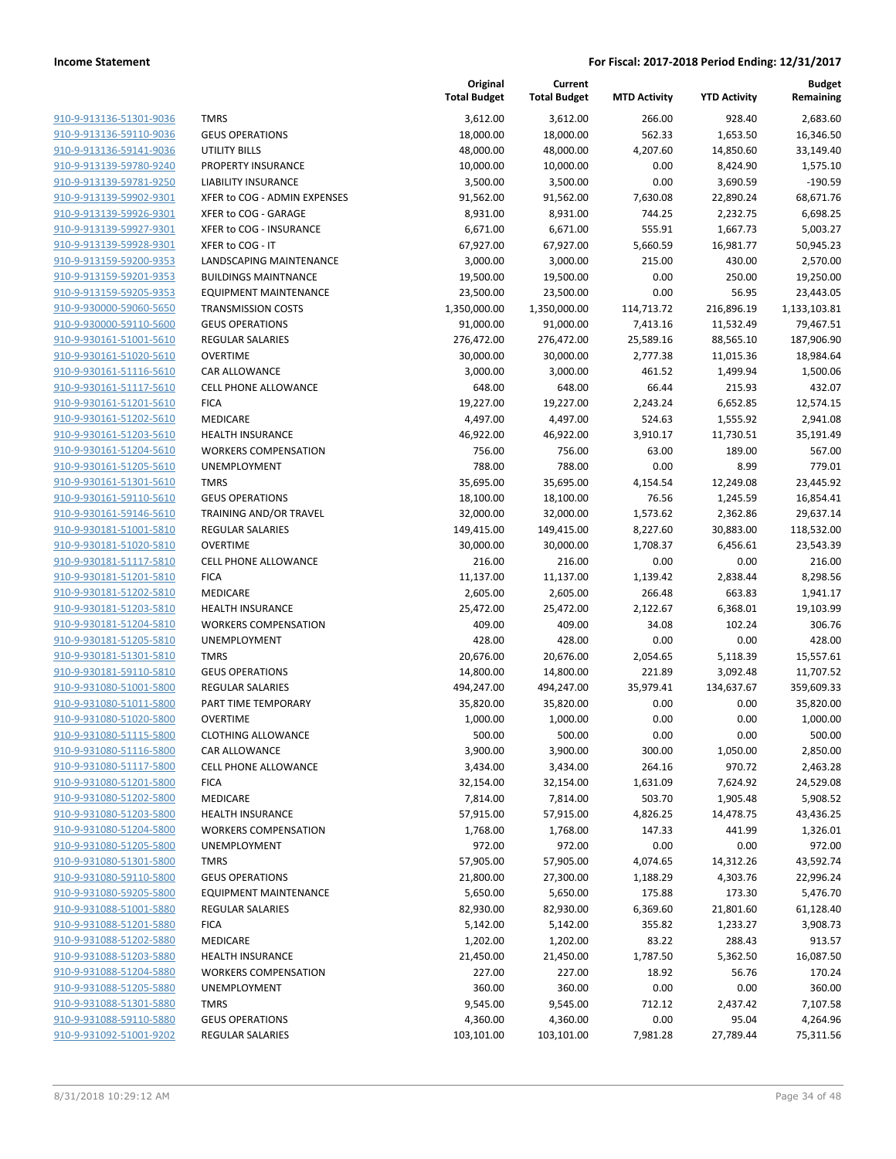| 910-9-913136-51301-9036                                   |
|-----------------------------------------------------------|
| 910-9-913136-59110-9036                                   |
| <u>910-9-913136-59141-9036</u>                            |
| <u>910-9-913139-59780-9240</u>                            |
| 910-9-913139-59781-9250                                   |
| 910-9-913139-59902-9301                                   |
| 910-9-913139-59926-9301                                   |
| <u>910-9-913139-59927-9301</u>                            |
| <u>910-9-913139-59928-9301</u>                            |
| 910-9-913159-59200-9353                                   |
| 910-9-913159-59201-9353                                   |
| 910-9-913159-59205-9353<br><u>910-9-930000-59060-5650</u> |
| <u>910-9-930000-59110-5600</u>                            |
| 910-9-930161-51001-5610                                   |
| 910-9-930161-51020-5610                                   |
| 910-9-930161-51116-5610                                   |
| <u>910-9-930161-51117-5610</u>                            |
| <u>910-9-930161-51201-5610</u>                            |
| 910-9-930161-51202-5610                                   |
| 910-9-930161-51203-5610                                   |
| 910-9-930161-51204-5610                                   |
| <u>910-9-930161-51205-5610</u>                            |
| <u>910-9-930161-51301-5610</u>                            |
| 910-9-930161-59110-5610                                   |
| 910-9-930161-59146-5610                                   |
| 910-9-930181-51001-5810                                   |
| <u>910-9-930181-51020-5810</u>                            |
| 910-9-930181-51117-5810                                   |
| 910-9-930181-51201-5810                                   |
| 910-9-930181-51202-5810                                   |
| <u>910-9-930181-51203-5810</u>                            |
| <u>910-9-930181-51204-5810</u>                            |
| <u>910-9-930181-51205-5810</u>                            |
| 910-9-930181-51301-5810                                   |
| 910-9-930181-59110-5810                                   |
| 910-9-931080-51001-5800                                   |
| 910-9-931080-51011-5800<br>910-9-931080-51020-5800        |
| 910-9-931080-51115-5800                                   |
| 910-9-931080-51116-5800                                   |
| 910-9-931080-51117-5800                                   |
| <u>910-9-931080-51201-5800</u>                            |
| <u>910-9-931080-51202-5800</u>                            |
| 910-9-931080-51203-5800                                   |
| 910-9-931080-51204-5800                                   |
| 910-9-931080-51205-5800                                   |
| 910-9-931080-51301-5800                                   |
| <u>910-9-931080-59110-5800</u>                            |
| <u>910-9-931080-59205-5800</u>                            |
| 910-9-931088-51001-5880                                   |
| 910-9-931088-51201-5880                                   |
| 910-9-931088-51202-5880                                   |
| <u>910-9-931088-51203-5880</u>                            |
| 910-9-931088-51204-5880                                   |
| 910-9-931088-51205-5880                                   |
| 910-9-931088-51301-5880                                   |
| 910-9-931088-59110-5880                                   |
| <u>910-9-931092-51001-9202</u>                            |

|                                                    |                                     | Original<br><b>Total Budget</b> | Current<br><b>Total Budget</b> | <b>MTD Activity</b> | <b>YTD Activity</b> | <b>Budget</b><br>Remaining |
|----------------------------------------------------|-------------------------------------|---------------------------------|--------------------------------|---------------------|---------------------|----------------------------|
| 910-9-913136-51301-9036                            | <b>TMRS</b>                         | 3,612.00                        | 3,612.00                       | 266.00              | 928.40              | 2,683.60                   |
| 910-9-913136-59110-9036                            | <b>GEUS OPERATIONS</b>              | 18,000.00                       | 18,000.00                      | 562.33              | 1,653.50            | 16,346.50                  |
| 910-9-913136-59141-9036                            | <b>UTILITY BILLS</b>                | 48,000.00                       | 48,000.00                      | 4,207.60            | 14,850.60           | 33,149.40                  |
| 910-9-913139-59780-9240                            | PROPERTY INSURANCE                  | 10,000.00                       | 10,000.00                      | 0.00                | 8,424.90            | 1,575.10                   |
| 910-9-913139-59781-9250                            | LIABILITY INSURANCE                 | 3,500.00                        | 3,500.00                       | 0.00                | 3,690.59            | $-190.59$                  |
| 910-9-913139-59902-9301                            | XFER to COG - ADMIN EXPENSES        | 91,562.00                       | 91,562.00                      | 7,630.08            | 22,890.24           | 68,671.76                  |
| 910-9-913139-59926-9301                            | XFER to COG - GARAGE                | 8,931.00                        | 8,931.00                       | 744.25              | 2,232.75            | 6,698.25                   |
| 910-9-913139-59927-9301                            | XFER to COG - INSURANCE             | 6,671.00                        | 6,671.00                       | 555.91              | 1,667.73            | 5,003.27                   |
| 910-9-913139-59928-9301                            | XFER to COG - IT                    | 67,927.00                       | 67,927.00                      | 5,660.59            | 16,981.77           | 50,945.23                  |
| 910-9-913159-59200-9353                            | LANDSCAPING MAINTENANCE             | 3,000.00                        | 3,000.00                       | 215.00              | 430.00              | 2,570.00                   |
| 910-9-913159-59201-9353                            | <b>BUILDINGS MAINTNANCE</b>         | 19,500.00                       | 19,500.00                      | 0.00                | 250.00              | 19,250.00                  |
| 910-9-913159-59205-9353                            | <b>EQUIPMENT MAINTENANCE</b>        | 23,500.00                       | 23,500.00                      | 0.00                | 56.95               | 23,443.05                  |
| 910-9-930000-59060-5650                            | <b>TRANSMISSION COSTS</b>           | 1,350,000.00                    | 1,350,000.00                   | 114,713.72          | 216,896.19          | 1,133,103.81               |
| 910-9-930000-59110-5600                            | <b>GEUS OPERATIONS</b>              | 91,000.00                       | 91,000.00                      | 7,413.16            | 11,532.49           | 79,467.51                  |
| 910-9-930161-51001-5610                            | REGULAR SALARIES                    | 276,472.00                      | 276,472.00                     | 25,589.16           | 88,565.10           | 187,906.90                 |
| 910-9-930161-51020-5610                            | <b>OVERTIME</b>                     | 30,000.00                       | 30,000.00                      | 2,777.38            | 11,015.36           | 18,984.64                  |
| 910-9-930161-51116-5610                            | CAR ALLOWANCE                       | 3,000.00                        | 3,000.00                       | 461.52              | 1,499.94            | 1,500.06                   |
| 910-9-930161-51117-5610                            | CELL PHONE ALLOWANCE                | 648.00                          | 648.00                         | 66.44               | 215.93              | 432.07                     |
| 910-9-930161-51201-5610                            | <b>FICA</b>                         | 19,227.00                       | 19,227.00                      | 2,243.24            | 6,652.85            | 12,574.15                  |
| 910-9-930161-51202-5610                            | MEDICARE                            | 4,497.00                        | 4,497.00                       | 524.63              | 1,555.92            | 2,941.08                   |
| 910-9-930161-51203-5610                            | <b>HEALTH INSURANCE</b>             | 46,922.00                       | 46,922.00                      | 3,910.17            | 11,730.51           | 35,191.49                  |
| 910-9-930161-51204-5610                            | <b>WORKERS COMPENSATION</b>         | 756.00                          | 756.00                         | 63.00               | 189.00              | 567.00                     |
| 910-9-930161-51205-5610                            | UNEMPLOYMENT                        | 788.00                          | 788.00                         | 0.00                | 8.99                | 779.01                     |
| 910-9-930161-51301-5610                            | <b>TMRS</b>                         | 35,695.00                       | 35,695.00                      | 4,154.54            | 12,249.08           | 23,445.92                  |
| 910-9-930161-59110-5610                            | <b>GEUS OPERATIONS</b>              | 18,100.00                       | 18,100.00                      | 76.56               | 1,245.59            | 16,854.41                  |
| 910-9-930161-59146-5610                            | TRAINING AND/OR TRAVEL              | 32,000.00                       | 32,000.00                      | 1,573.62            | 2,362.86            | 29,637.14                  |
| 910-9-930181-51001-5810                            | <b>REGULAR SALARIES</b>             | 149,415.00                      | 149,415.00                     | 8,227.60            | 30,883.00           | 118,532.00                 |
| 910-9-930181-51020-5810                            | <b>OVERTIME</b>                     | 30,000.00                       | 30,000.00                      | 1,708.37            | 6,456.61            | 23,543.39                  |
| 910-9-930181-51117-5810                            | CELL PHONE ALLOWANCE                | 216.00                          | 216.00                         | 0.00                | 0.00                | 216.00                     |
| 910-9-930181-51201-5810                            | <b>FICA</b>                         | 11,137.00                       | 11,137.00                      | 1,139.42            | 2,838.44            | 8,298.56                   |
| 910-9-930181-51202-5810                            | MEDICARE                            | 2,605.00                        | 2,605.00                       | 266.48              | 663.83              | 1,941.17                   |
| 910-9-930181-51203-5810                            | <b>HEALTH INSURANCE</b>             | 25,472.00                       | 25,472.00                      | 2,122.67            | 6,368.01            | 19,103.99                  |
| 910-9-930181-51204-5810                            | <b>WORKERS COMPENSATION</b>         | 409.00                          | 409.00                         | 34.08               | 102.24              | 306.76                     |
| 910-9-930181-51205-5810                            | UNEMPLOYMENT                        | 428.00                          | 428.00                         | 0.00                | 0.00                | 428.00                     |
| 910-9-930181-51301-5810                            | <b>TMRS</b>                         | 20,676.00                       | 20,676.00                      | 2,054.65            | 5,118.39            | 15,557.61                  |
| 910-9-930181-59110-5810                            | <b>GEUS OPERATIONS</b>              | 14,800.00                       | 14,800.00                      | 221.89              | 3,092.48            | 11,707.52                  |
| 910-9-931080-51001-5800                            | <b>REGULAR SALARIES</b>             | 494,247.00                      | 494,247.00                     | 35,979.41           | 134,637.67          | 359,609.33                 |
| 910-9-931080-51011-5800                            | PART TIME TEMPORARY                 | 35,820.00                       | 35,820.00                      | 0.00                | 0.00                | 35,820.00                  |
| 910-9-931080-51020-5800                            | <b>OVERTIME</b>                     | 1,000.00                        | 1,000.00                       | 0.00                | 0.00                | 1,000.00                   |
| 910-9-931080-51115-5800                            | <b>CLOTHING ALLOWANCE</b>           | 500.00                          | 500.00                         | 0.00                | 0.00                | 500.00                     |
| 910-9-931080-51116-5800                            | CAR ALLOWANCE                       | 3,900.00                        | 3,900.00                       | 300.00              | 1,050.00            | 2,850.00                   |
| 910-9-931080-51117-5800                            | <b>CELL PHONE ALLOWANCE</b>         | 3,434.00                        | 3,434.00                       | 264.16              | 970.72              | 2,463.28                   |
| 910-9-931080-51201-5800                            | <b>FICA</b>                         | 32,154.00                       | 32,154.00                      | 1,631.09            | 7,624.92            | 24,529.08                  |
| 910-9-931080-51202-5800<br>910-9-931080-51203-5800 | MEDICARE<br><b>HEALTH INSURANCE</b> | 7,814.00<br>57,915.00           | 7,814.00                       | 503.70<br>4,826.25  | 1,905.48            | 5,908.52                   |
| 910-9-931080-51204-5800                            | <b>WORKERS COMPENSATION</b>         | 1,768.00                        | 57,915.00<br>1,768.00          | 147.33              | 14,478.75<br>441.99 | 43,436.25<br>1,326.01      |
| 910-9-931080-51205-5800                            | UNEMPLOYMENT                        | 972.00                          | 972.00                         | 0.00                | 0.00                | 972.00                     |
| 910-9-931080-51301-5800                            | <b>TMRS</b>                         | 57,905.00                       | 57,905.00                      | 4,074.65            | 14,312.26           | 43,592.74                  |
| 910-9-931080-59110-5800                            | <b>GEUS OPERATIONS</b>              | 21,800.00                       | 27,300.00                      | 1,188.29            | 4,303.76            | 22,996.24                  |
| 910-9-931080-59205-5800                            | <b>EQUIPMENT MAINTENANCE</b>        | 5,650.00                        | 5,650.00                       | 175.88              | 173.30              | 5,476.70                   |
| 910-9-931088-51001-5880                            | <b>REGULAR SALARIES</b>             | 82,930.00                       | 82,930.00                      | 6,369.60            | 21,801.60           | 61,128.40                  |
| 910-9-931088-51201-5880                            | <b>FICA</b>                         | 5,142.00                        | 5,142.00                       | 355.82              | 1,233.27            | 3,908.73                   |
| 910-9-931088-51202-5880                            | MEDICARE                            | 1,202.00                        | 1,202.00                       | 83.22               | 288.43              | 913.57                     |
| 910-9-931088-51203-5880                            | <b>HEALTH INSURANCE</b>             | 21,450.00                       | 21,450.00                      | 1,787.50            | 5,362.50            | 16,087.50                  |
| 910-9-931088-51204-5880                            | <b>WORKERS COMPENSATION</b>         | 227.00                          | 227.00                         | 18.92               | 56.76               | 170.24                     |
| 910-9-931088-51205-5880                            | UNEMPLOYMENT                        | 360.00                          | 360.00                         | 0.00                | 0.00                | 360.00                     |
| 910-9-931088-51301-5880                            | <b>TMRS</b>                         | 9,545.00                        | 9,545.00                       | 712.12              | 2,437.42            | 7,107.58                   |
| 910-9-931088-59110-5880                            | <b>GEUS OPERATIONS</b>              | 4,360.00                        | 4,360.00                       | 0.00                | 95.04               | 4,264.96                   |
| 910-9-931092-51001-9202                            | REGULAR SALARIES                    | 103,101.00                      | 103,101.00                     | 7,981.28            | 27,789.44           | 75,311.56                  |
|                                                    |                                     |                                 |                                |                     |                     |                            |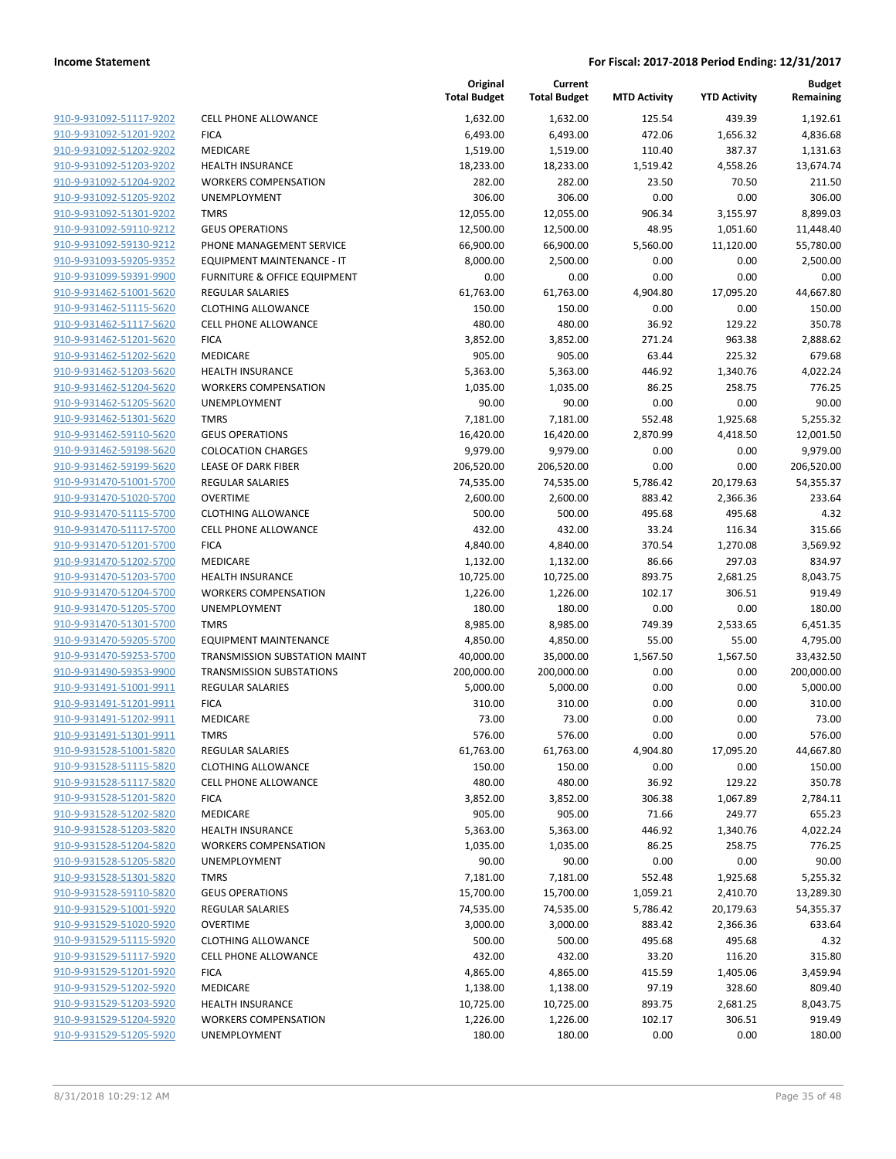|                                                    |                                            | Original<br><b>Total Budget</b> | Current<br><b>Total Budget</b> | <b>MTD Activity</b> | <b>YTD Activity</b>   | <b>Budget</b><br>Remaining |
|----------------------------------------------------|--------------------------------------------|---------------------------------|--------------------------------|---------------------|-----------------------|----------------------------|
| 910-9-931092-51117-9202                            | <b>CELL PHONE ALLOWANCE</b>                | 1,632.00                        | 1,632.00                       | 125.54              | 439.39                | 1,192.61                   |
| 910-9-931092-51201-9202                            | <b>FICA</b>                                | 6,493.00                        | 6,493.00                       | 472.06              | 1,656.32              | 4,836.68                   |
| 910-9-931092-51202-9202                            | MEDICARE                                   | 1,519.00                        | 1,519.00                       | 110.40              | 387.37                | 1,131.63                   |
| 910-9-931092-51203-9202                            | <b>HEALTH INSURANCE</b>                    | 18,233.00                       | 18,233.00                      | 1,519.42            | 4,558.26              | 13,674.74                  |
| 910-9-931092-51204-9202                            | <b>WORKERS COMPENSATION</b>                | 282.00                          | 282.00                         | 23.50               | 70.50                 | 211.50                     |
| 910-9-931092-51205-9202                            | UNEMPLOYMENT                               | 306.00                          | 306.00                         | 0.00                | 0.00                  | 306.00                     |
| 910-9-931092-51301-9202                            | <b>TMRS</b>                                | 12,055.00                       | 12,055.00                      | 906.34              | 3,155.97              | 8,899.03                   |
| 910-9-931092-59110-9212                            | <b>GEUS OPERATIONS</b>                     | 12,500.00                       | 12,500.00                      | 48.95               | 1,051.60              | 11,448.40                  |
| 910-9-931092-59130-9212                            | PHONE MANAGEMENT SERVICE                   | 66,900.00                       | 66,900.00                      | 5,560.00            | 11,120.00             | 55,780.00                  |
| 910-9-931093-59205-9352                            | EQUIPMENT MAINTENANCE - IT                 | 8,000.00                        | 2,500.00                       | 0.00                | 0.00                  | 2,500.00                   |
| 910-9-931099-59391-9900                            | FURNITURE & OFFICE EQUIPMENT               | 0.00                            | 0.00                           | 0.00                | 0.00                  | 0.00                       |
| 910-9-931462-51001-5620                            | REGULAR SALARIES                           | 61,763.00                       | 61,763.00                      | 4,904.80            | 17,095.20             | 44,667.80                  |
| 910-9-931462-51115-5620                            | <b>CLOTHING ALLOWANCE</b>                  | 150.00                          | 150.00                         | 0.00                | 0.00                  | 150.00                     |
| 910-9-931462-51117-5620                            | <b>CELL PHONE ALLOWANCE</b>                | 480.00                          | 480.00                         | 36.92               | 129.22                | 350.78                     |
| 910-9-931462-51201-5620                            | <b>FICA</b>                                | 3,852.00                        | 3,852.00                       | 271.24              | 963.38                | 2,888.62                   |
| 910-9-931462-51202-5620                            | MEDICARE                                   | 905.00                          | 905.00                         | 63.44               | 225.32                | 679.68                     |
| 910-9-931462-51203-5620                            | HEALTH INSURANCE                           | 5,363.00                        | 5,363.00                       | 446.92              | 1,340.76              | 4,022.24                   |
| 910-9-931462-51204-5620                            | <b>WORKERS COMPENSATION</b>                | 1,035.00                        | 1,035.00                       | 86.25               | 258.75                | 776.25                     |
| 910-9-931462-51205-5620                            | UNEMPLOYMENT                               | 90.00                           | 90.00                          | 0.00                | 0.00                  | 90.00                      |
| 910-9-931462-51301-5620                            | <b>TMRS</b>                                | 7,181.00                        | 7,181.00                       | 552.48              | 1,925.68              | 5,255.32                   |
| 910-9-931462-59110-5620                            | <b>GEUS OPERATIONS</b>                     | 16,420.00                       | 16,420.00                      | 2,870.99            | 4,418.50              | 12,001.50                  |
| 910-9-931462-59198-5620                            | <b>COLOCATION CHARGES</b>                  | 9,979.00                        | 9,979.00                       | 0.00                | 0.00                  | 9,979.00                   |
| 910-9-931462-59199-5620                            | <b>LEASE OF DARK FIBER</b>                 | 206,520.00                      | 206,520.00                     | 0.00                | 0.00                  | 206,520.00                 |
| 910-9-931470-51001-5700<br>910-9-931470-51020-5700 | <b>REGULAR SALARIES</b><br><b>OVERTIME</b> | 74,535.00<br>2,600.00           | 74,535.00<br>2,600.00          | 5,786.42<br>883.42  | 20,179.63<br>2,366.36 | 54,355.37<br>233.64        |
| 910-9-931470-51115-5700                            | <b>CLOTHING ALLOWANCE</b>                  | 500.00                          | 500.00                         | 495.68              | 495.68                | 4.32                       |
| 910-9-931470-51117-5700                            | <b>CELL PHONE ALLOWANCE</b>                | 432.00                          | 432.00                         | 33.24               | 116.34                | 315.66                     |
| 910-9-931470-51201-5700                            | <b>FICA</b>                                | 4,840.00                        | 4,840.00                       | 370.54              | 1,270.08              | 3,569.92                   |
| 910-9-931470-51202-5700                            | MEDICARE                                   | 1,132.00                        | 1,132.00                       | 86.66               | 297.03                | 834.97                     |
| 910-9-931470-51203-5700                            | <b>HEALTH INSURANCE</b>                    | 10,725.00                       | 10,725.00                      | 893.75              | 2,681.25              | 8,043.75                   |
| 910-9-931470-51204-5700                            | <b>WORKERS COMPENSATION</b>                | 1,226.00                        | 1,226.00                       | 102.17              | 306.51                | 919.49                     |
| 910-9-931470-51205-5700                            | UNEMPLOYMENT                               | 180.00                          | 180.00                         | 0.00                | 0.00                  | 180.00                     |
| 910-9-931470-51301-5700                            | <b>TMRS</b>                                | 8,985.00                        | 8,985.00                       | 749.39              | 2,533.65              | 6,451.35                   |
| 910-9-931470-59205-5700                            | <b>EQUIPMENT MAINTENANCE</b>               | 4,850.00                        | 4,850.00                       | 55.00               | 55.00                 | 4,795.00                   |
| 910-9-931470-59253-5700                            | TRANSMISSION SUBSTATION MAINT              | 40,000.00                       | 35,000.00                      | 1,567.50            | 1,567.50              | 33,432.50                  |
| 910-9-931490-59353-9900                            | <b>TRANSMISSION SUBSTATIONS</b>            | 200,000.00                      | 200,000.00                     | 0.00                | 0.00                  | 200,000.00                 |
| 910-9-931491-51001-9911                            | <b>REGULAR SALARIES</b>                    | 5,000.00                        | 5,000.00                       | 0.00                | 0.00                  | 5,000.00                   |
| 910-9-931491-51201-9911                            | <b>FICA</b>                                | 310.00                          | 310.00                         | 0.00                | 0.00                  | 310.00                     |
| 910-9-931491-51202-9911                            | <b>MEDICARE</b>                            | 73.00                           | 73.00                          | 0.00                | 0.00                  | 73.00                      |
| 910-9-931491-51301-9911                            | <b>TMRS</b>                                | 576.00                          | 576.00                         | 0.00                | 0.00                  | 576.00                     |
| 910-9-931528-51001-5820                            | <b>REGULAR SALARIES</b>                    | 61,763.00                       | 61,763.00                      | 4,904.80            | 17,095.20             | 44,667.80                  |
| 910-9-931528-51115-5820                            | <b>CLOTHING ALLOWANCE</b>                  | 150.00                          | 150.00                         | 0.00                | 0.00                  | 150.00                     |
| 910-9-931528-51117-5820                            | <b>CELL PHONE ALLOWANCE</b>                | 480.00                          | 480.00                         | 36.92               | 129.22                | 350.78                     |
| 910-9-931528-51201-5820                            | <b>FICA</b>                                | 3,852.00                        | 3,852.00                       | 306.38              | 1,067.89              | 2,784.11                   |
| 910-9-931528-51202-5820                            | MEDICARE                                   | 905.00                          | 905.00                         | 71.66               | 249.77                | 655.23                     |
| 910-9-931528-51203-5820                            | <b>HEALTH INSURANCE</b>                    | 5,363.00                        | 5,363.00                       | 446.92              | 1,340.76              | 4,022.24                   |
| 910-9-931528-51204-5820                            | <b>WORKERS COMPENSATION</b>                | 1,035.00                        | 1,035.00                       | 86.25               | 258.75                | 776.25                     |
| 910-9-931528-51205-5820                            | UNEMPLOYMENT                               | 90.00                           | 90.00                          | 0.00                | 0.00                  | 90.00                      |
| 910-9-931528-51301-5820                            | <b>TMRS</b>                                | 7,181.00                        | 7,181.00                       | 552.48              | 1,925.68              | 5,255.32                   |
| 910-9-931528-59110-5820                            | <b>GEUS OPERATIONS</b>                     | 15,700.00                       | 15,700.00                      | 1,059.21            | 2,410.70              | 13,289.30                  |
| 910-9-931529-51001-5920                            | <b>REGULAR SALARIES</b>                    | 74,535.00                       | 74,535.00                      | 5,786.42            | 20,179.63             | 54,355.37                  |
| 910-9-931529-51020-5920                            | <b>OVERTIME</b>                            | 3,000.00                        | 3,000.00                       | 883.42              | 2,366.36              | 633.64                     |
| 910-9-931529-51115-5920                            | <b>CLOTHING ALLOWANCE</b>                  | 500.00                          | 500.00                         | 495.68              | 495.68                | 4.32                       |
| 910-9-931529-51117-5920                            | <b>CELL PHONE ALLOWANCE</b>                | 432.00                          | 432.00                         | 33.20               | 116.20                | 315.80                     |
| 910-9-931529-51201-5920                            | <b>FICA</b>                                | 4,865.00                        | 4,865.00                       | 415.59              | 1,405.06              | 3,459.94                   |
| 910-9-931529-51202-5920                            | MEDICARE                                   | 1,138.00                        | 1,138.00                       | 97.19               | 328.60                | 809.40                     |
| 910-9-931529-51203-5920                            | <b>HEALTH INSURANCE</b>                    | 10,725.00                       | 10,725.00                      | 893.75              | 2,681.25              | 8,043.75                   |
| 910-9-931529-51204-5920                            | <b>WORKERS COMPENSATION</b>                | 1,226.00                        | 1,226.00                       | 102.17              | 306.51                | 919.49                     |
| 910-9-931529-51205-5920                            | UNEMPLOYMENT                               | 180.00                          | 180.00                         | 0.00                | 0.00                  | 180.00                     |
|                                                    |                                            |                                 |                                |                     |                       |                            |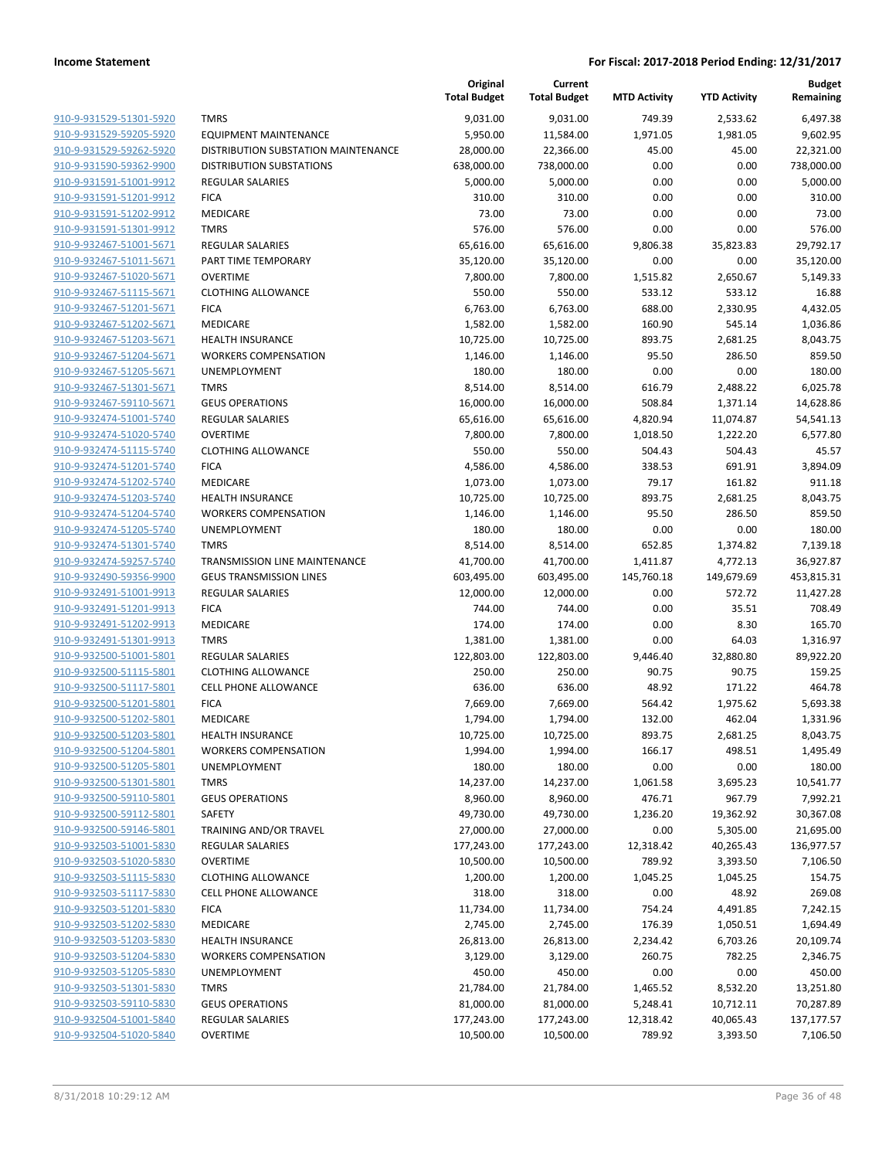|                                                    |                                              | Original<br><b>Total Budget</b> | Current<br><b>Total Budget</b> | <b>MTD Activity</b>    | <b>YTD Activity</b>    | <b>Budget</b><br>Remaining |
|----------------------------------------------------|----------------------------------------------|---------------------------------|--------------------------------|------------------------|------------------------|----------------------------|
| 910-9-931529-51301-5920                            | <b>TMRS</b>                                  | 9,031.00                        | 9,031.00                       | 749.39                 | 2,533.62               | 6,497.38                   |
| 910-9-931529-59205-5920                            | <b>EQUIPMENT MAINTENANCE</b>                 | 5,950.00                        | 11,584.00                      | 1,971.05               | 1,981.05               | 9,602.95                   |
| 910-9-931529-59262-5920                            | DISTRIBUTION SUBSTATION MAINTENANCE          | 28,000.00                       | 22,366.00                      | 45.00                  | 45.00                  | 22,321.00                  |
| 910-9-931590-59362-9900                            | <b>DISTRIBUTION SUBSTATIONS</b>              | 638,000.00                      | 738,000.00                     | 0.00                   | 0.00                   | 738,000.00                 |
| 910-9-931591-51001-9912                            | <b>REGULAR SALARIES</b>                      | 5,000.00                        | 5,000.00                       | 0.00                   | 0.00                   | 5,000.00                   |
| 910-9-931591-51201-9912                            | <b>FICA</b>                                  | 310.00                          | 310.00                         | 0.00                   | 0.00                   | 310.00                     |
| 910-9-931591-51202-9912                            | MEDICARE                                     | 73.00                           | 73.00                          | 0.00                   | 0.00                   | 73.00                      |
| 910-9-931591-51301-9912                            | <b>TMRS</b>                                  | 576.00                          | 576.00                         | 0.00                   | 0.00                   | 576.00                     |
| 910-9-932467-51001-5671                            | <b>REGULAR SALARIES</b>                      | 65,616.00                       | 65,616.00                      | 9,806.38               | 35,823.83              | 29,792.17                  |
| 910-9-932467-51011-5671                            | PART TIME TEMPORARY                          | 35,120.00                       | 35,120.00                      | 0.00                   | 0.00                   | 35,120.00                  |
| 910-9-932467-51020-5671                            | <b>OVERTIME</b>                              | 7,800.00                        | 7,800.00                       | 1,515.82               | 2,650.67               | 5,149.33                   |
| 910-9-932467-51115-5671                            | <b>CLOTHING ALLOWANCE</b>                    | 550.00                          | 550.00                         | 533.12                 | 533.12                 | 16.88                      |
| 910-9-932467-51201-5671                            | <b>FICA</b>                                  | 6,763.00                        | 6,763.00                       | 688.00                 | 2,330.95               | 4,432.05                   |
| 910-9-932467-51202-5671                            | MEDICARE                                     | 1,582.00                        | 1,582.00                       | 160.90                 | 545.14                 | 1,036.86                   |
| 910-9-932467-51203-5671                            | <b>HEALTH INSURANCE</b>                      | 10,725.00                       | 10,725.00                      | 893.75                 | 2,681.25               | 8,043.75                   |
| 910-9-932467-51204-5671                            | <b>WORKERS COMPENSATION</b>                  | 1,146.00                        | 1,146.00                       | 95.50                  | 286.50                 | 859.50                     |
| 910-9-932467-51205-5671                            | <b>UNEMPLOYMENT</b>                          | 180.00                          | 180.00                         | 0.00                   | 0.00                   | 180.00                     |
| 910-9-932467-51301-5671                            | <b>TMRS</b>                                  | 8,514.00                        | 8,514.00                       | 616.79                 | 2,488.22               | 6,025.78                   |
| 910-9-932467-59110-5671                            | <b>GEUS OPERATIONS</b>                       | 16,000.00                       | 16,000.00                      | 508.84                 | 1,371.14               | 14,628.86                  |
| 910-9-932474-51001-5740                            | <b>REGULAR SALARIES</b>                      | 65,616.00                       | 65,616.00                      | 4,820.94               | 11,074.87              | 54,541.13                  |
| 910-9-932474-51020-5740                            | <b>OVERTIME</b>                              | 7,800.00                        | 7,800.00                       | 1,018.50               | 1,222.20               | 6,577.80                   |
| 910-9-932474-51115-5740                            | <b>CLOTHING ALLOWANCE</b>                    | 550.00                          | 550.00                         | 504.43                 | 504.43                 | 45.57                      |
| 910-9-932474-51201-5740                            | <b>FICA</b>                                  | 4,586.00                        | 4,586.00                       | 338.53                 | 691.91                 | 3,894.09                   |
| 910-9-932474-51202-5740                            | MEDICARE                                     | 1,073.00                        | 1,073.00                       | 79.17                  | 161.82                 | 911.18                     |
| 910-9-932474-51203-5740                            | <b>HEALTH INSURANCE</b>                      | 10,725.00                       | 10,725.00                      | 893.75                 | 2,681.25               | 8,043.75                   |
| 910-9-932474-51204-5740                            | <b>WORKERS COMPENSATION</b>                  | 1,146.00                        | 1,146.00                       | 95.50                  | 286.50                 | 859.50                     |
| 910-9-932474-51205-5740                            | <b>UNEMPLOYMENT</b>                          | 180.00                          | 180.00                         | 0.00                   | 0.00                   | 180.00                     |
| 910-9-932474-51301-5740<br>910-9-932474-59257-5740 | <b>TMRS</b><br>TRANSMISSION LINE MAINTENANCE | 8,514.00                        | 8,514.00                       | 652.85                 | 1,374.82               | 7,139.18                   |
| 910-9-932490-59356-9900                            | <b>GEUS TRANSMISSION LINES</b>               | 41,700.00<br>603,495.00         | 41,700.00<br>603,495.00        | 1,411.87<br>145,760.18 | 4,772.13<br>149,679.69 | 36,927.87<br>453,815.31    |
| 910-9-932491-51001-9913                            | <b>REGULAR SALARIES</b>                      | 12,000.00                       | 12,000.00                      | 0.00                   | 572.72                 | 11,427.28                  |
| 910-9-932491-51201-9913                            | <b>FICA</b>                                  | 744.00                          | 744.00                         | 0.00                   | 35.51                  | 708.49                     |
| 910-9-932491-51202-9913                            | MEDICARE                                     | 174.00                          | 174.00                         | 0.00                   | 8.30                   | 165.70                     |
| 910-9-932491-51301-9913                            | <b>TMRS</b>                                  | 1,381.00                        | 1,381.00                       | 0.00                   | 64.03                  | 1,316.97                   |
| 910-9-932500-51001-5801                            | <b>REGULAR SALARIES</b>                      | 122,803.00                      | 122,803.00                     | 9,446.40               | 32,880.80              | 89,922.20                  |
| 910-9-932500-51115-5801                            | <b>CLOTHING ALLOWANCE</b>                    | 250.00                          | 250.00                         | 90.75                  | 90.75                  | 159.25                     |
| 910-9-932500-51117-5801                            | <b>CELL PHONE ALLOWANCE</b>                  | 636.00                          | 636.00                         | 48.92                  | 171.22                 | 464.78                     |
| 910-9-932500-51201-5801                            | <b>FICA</b>                                  | 7,669.00                        | 7,669.00                       | 564.42                 | 1,975.62               | 5,693.38                   |
| 910-9-932500-51202-5801                            | MEDICARE                                     | 1,794.00                        | 1,794.00                       | 132.00                 | 462.04                 | 1,331.96                   |
| 910-9-932500-51203-5801                            | <b>HEALTH INSURANCE</b>                      | 10,725.00                       | 10,725.00                      | 893.75                 | 2,681.25               | 8,043.75                   |
| 910-9-932500-51204-5801                            | <b>WORKERS COMPENSATION</b>                  | 1,994.00                        | 1,994.00                       | 166.17                 | 498.51                 | 1,495.49                   |
| 910-9-932500-51205-5801                            | UNEMPLOYMENT                                 | 180.00                          | 180.00                         | 0.00                   | 0.00                   | 180.00                     |
| 910-9-932500-51301-5801                            | <b>TMRS</b>                                  | 14,237.00                       | 14,237.00                      | 1,061.58               | 3,695.23               | 10,541.77                  |
| 910-9-932500-59110-5801                            | <b>GEUS OPERATIONS</b>                       | 8,960.00                        | 8,960.00                       | 476.71                 | 967.79                 | 7,992.21                   |
| 910-9-932500-59112-5801                            | SAFETY                                       | 49,730.00                       | 49,730.00                      | 1,236.20               | 19,362.92              | 30,367.08                  |
| 910-9-932500-59146-5801                            | <b>TRAINING AND/OR TRAVEL</b>                | 27,000.00                       | 27,000.00                      | 0.00                   | 5,305.00               | 21,695.00                  |
| 910-9-932503-51001-5830                            | REGULAR SALARIES                             | 177,243.00                      | 177,243.00                     | 12,318.42              | 40,265.43              | 136,977.57                 |
| 910-9-932503-51020-5830                            | <b>OVERTIME</b>                              | 10,500.00                       | 10,500.00                      | 789.92                 | 3,393.50               | 7,106.50                   |
| 910-9-932503-51115-5830                            | <b>CLOTHING ALLOWANCE</b>                    | 1,200.00                        | 1,200.00                       | 1,045.25               | 1,045.25               | 154.75                     |
| 910-9-932503-51117-5830                            | CELL PHONE ALLOWANCE                         | 318.00                          | 318.00                         | 0.00                   | 48.92                  | 269.08                     |
| 910-9-932503-51201-5830                            | <b>FICA</b>                                  | 11,734.00                       | 11,734.00                      | 754.24                 | 4,491.85               | 7,242.15                   |
| 910-9-932503-51202-5830                            | MEDICARE                                     | 2,745.00                        | 2,745.00                       | 176.39                 | 1,050.51               | 1,694.49                   |
| 910-9-932503-51203-5830                            | <b>HEALTH INSURANCE</b>                      | 26,813.00                       | 26,813.00                      | 2,234.42               | 6,703.26               | 20,109.74                  |
| 910-9-932503-51204-5830                            | <b>WORKERS COMPENSATION</b>                  | 3,129.00                        | 3,129.00                       | 260.75                 | 782.25                 | 2,346.75                   |
| 910-9-932503-51205-5830                            | UNEMPLOYMENT                                 | 450.00                          | 450.00                         | 0.00                   | 0.00                   | 450.00                     |
| 910-9-932503-51301-5830                            | <b>TMRS</b>                                  | 21,784.00                       | 21,784.00                      | 1,465.52               | 8,532.20               | 13,251.80                  |
| 910-9-932503-59110-5830                            | <b>GEUS OPERATIONS</b>                       | 81,000.00                       | 81,000.00                      | 5,248.41               | 10,712.11              | 70,287.89                  |
| 910-9-932504-51001-5840                            | REGULAR SALARIES                             | 177,243.00                      | 177,243.00                     | 12,318.42              | 40,065.43              | 137,177.57                 |
| 910-9-932504-51020-5840                            | <b>OVERTIME</b>                              | 10,500.00                       | 10,500.00                      | 789.92                 | 3,393.50               | 7,106.50                   |
|                                                    |                                              |                                 |                                |                        |                        |                            |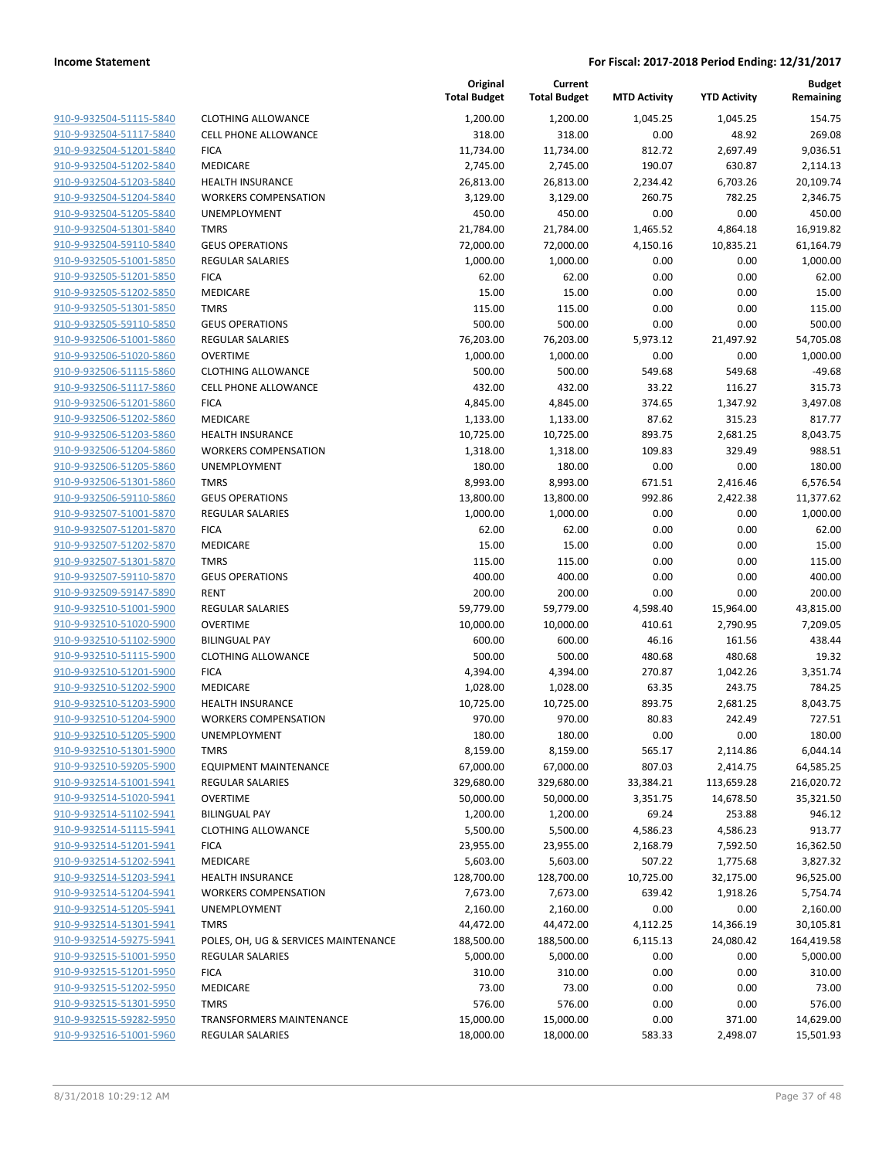| <u>910-9-932504-51115-5840</u> |
|--------------------------------|
| 910-9-932504-51117-5840        |
| 910-9-932504-51201-5840        |
| 910-9-932504-51202-5840        |
| 910-9-932504-51203-5840        |
| 910-9-932504-51204-5840        |
| 910-9-932504-51205-5840        |
| 910-9-932504-51301-5840        |
| 910-9-932504-59110-5840        |
| 910-9-932505-51001-5850        |
| <u>910-9-932505-51201-5850</u> |
| 910-9-932505-51202-5850        |
|                                |
| 910-9-932505-51301-5850        |
| 910-9-932505-59110-5850        |
| 910-9-932506-51001-5860        |
| <u>910-9-932506-51020-5860</u> |
| 910-9-932506-51115-5860        |
| 910-9-932506-51117-5860        |
| 910-9-932506-51201-5860        |
| 910-9-932506-51202-5860        |
| 910-9-932506-51203-5860        |
| 910-9-932506-51204-5860        |
| 910-9-932506-51205-5860        |
| 910-9-932506-51301-5860        |
| 910-9-932506-59110-5860        |
| <u>910-9-932507-51001-5870</u> |
| 910-9-932507-51201-5870        |
| 910-9-932507-51202-5870        |
| 910-9-932507-51301-5870        |
|                                |
| 910-9-932507-59110-5870        |
| <u>910-9-932509-59147-5890</u> |
| 910-9-932510-51001-5900        |
| 910-9-932510-51020-5900        |
| 910-9-932510-51102-5900        |
| 910-9-932510-51115-5900        |
| 910-9-932510-51201-5900        |
| 910-9-932510-51202-5900        |
| 910-9-932510-51203-5900        |
| 910-9-932510-51204-5900        |
| 910-9-932510-51205-5900        |
| 910-9-932510-51301-5900        |
| 910-9-932510-59205-5900        |
| 910-9-932514-51001-5941        |
| 910-9-932514-51020-5941        |
|                                |
| 910-9-932514-51102-5941        |
| 910-9-932514-51115-5941        |
| 910-9-932514-51201-5941        |
| 910-9-932514-51202-5941        |
| 910-9-932514-51203-5941        |
| 910-9-932514-51204-5941        |
| 910-9-932514-51205-5941        |
| 910-9-932514-51301-5941        |
| 910-9-932514-59275-5941        |
| 910-9-932515-51001-5950        |
| 910-9-932515-51201-5950        |
| 910-9-932515-51202-5950        |
| 910-9-932515-51301-5950        |
| 910-9-932515-59282-5950        |
| 910-9-932516-51001-5960        |
|                                |

|                         |                                      | Original<br><b>Total Budget</b> | Current<br><b>Total Budget</b> | <b>MTD Activity</b> | <b>YTD Activity</b> | <b>Budget</b><br>Remaining |
|-------------------------|--------------------------------------|---------------------------------|--------------------------------|---------------------|---------------------|----------------------------|
| 910-9-932504-51115-5840 | <b>CLOTHING ALLOWANCE</b>            | 1,200.00                        | 1,200.00                       | 1.045.25            | 1,045.25            | 154.75                     |
| 910-9-932504-51117-5840 | <b>CELL PHONE ALLOWANCE</b>          | 318.00                          | 318.00                         | 0.00                | 48.92               | 269.08                     |
| 910-9-932504-51201-5840 | <b>FICA</b>                          | 11,734.00                       | 11,734.00                      | 812.72              | 2,697.49            | 9,036.51                   |
| 910-9-932504-51202-5840 | MEDICARE                             | 2,745.00                        | 2,745.00                       | 190.07              | 630.87              | 2,114.13                   |
| 910-9-932504-51203-5840 | <b>HEALTH INSURANCE</b>              | 26,813.00                       | 26,813.00                      | 2,234.42            | 6,703.26            | 20,109.74                  |
| 910-9-932504-51204-5840 | <b>WORKERS COMPENSATION</b>          | 3,129.00                        | 3,129.00                       | 260.75              | 782.25              | 2,346.75                   |
| 910-9-932504-51205-5840 | UNEMPLOYMENT                         | 450.00                          | 450.00                         | 0.00                | 0.00                | 450.00                     |
| 910-9-932504-51301-5840 | <b>TMRS</b>                          | 21,784.00                       | 21,784.00                      | 1,465.52            | 4,864.18            | 16,919.82                  |
| 910-9-932504-59110-5840 | <b>GEUS OPERATIONS</b>               | 72,000.00                       | 72,000.00                      | 4,150.16            | 10,835.21           | 61,164.79                  |
| 910-9-932505-51001-5850 | REGULAR SALARIES                     | 1,000.00                        | 1,000.00                       | 0.00                | 0.00                | 1,000.00                   |
| 910-9-932505-51201-5850 | <b>FICA</b>                          | 62.00                           | 62.00                          | 0.00                | 0.00                | 62.00                      |
| 910-9-932505-51202-5850 | <b>MEDICARE</b>                      | 15.00                           | 15.00                          | 0.00                | 0.00                | 15.00                      |
| 910-9-932505-51301-5850 | <b>TMRS</b>                          | 115.00                          | 115.00                         | 0.00                | 0.00                | 115.00                     |
| 910-9-932505-59110-5850 | <b>GEUS OPERATIONS</b>               | 500.00                          | 500.00                         | 0.00                | 0.00                | 500.00                     |
| 910-9-932506-51001-5860 | REGULAR SALARIES                     | 76,203.00                       | 76,203.00                      | 5,973.12            | 21,497.92           | 54,705.08                  |
| 910-9-932506-51020-5860 | <b>OVERTIME</b>                      | 1,000.00                        | 1,000.00                       | 0.00                | 0.00                | 1,000.00                   |
| 910-9-932506-51115-5860 | <b>CLOTHING ALLOWANCE</b>            | 500.00                          | 500.00                         | 549.68              | 549.68              | $-49.68$                   |
| 910-9-932506-51117-5860 | <b>CELL PHONE ALLOWANCE</b>          | 432.00                          | 432.00                         | 33.22               | 116.27              | 315.73                     |
| 910-9-932506-51201-5860 | <b>FICA</b>                          | 4,845.00                        | 4,845.00                       | 374.65              | 1,347.92            | 3,497.08                   |
| 910-9-932506-51202-5860 | MEDICARE                             | 1,133.00                        | 1,133.00                       | 87.62               | 315.23              | 817.77                     |
| 910-9-932506-51203-5860 | <b>HEALTH INSURANCE</b>              | 10,725.00                       | 10,725.00                      | 893.75              | 2,681.25            | 8,043.75                   |
| 910-9-932506-51204-5860 | <b>WORKERS COMPENSATION</b>          | 1,318.00                        | 1,318.00                       | 109.83              | 329.49              | 988.51                     |
| 910-9-932506-51205-5860 | UNEMPLOYMENT                         | 180.00                          | 180.00                         | 0.00                | 0.00                | 180.00                     |
| 910-9-932506-51301-5860 | <b>TMRS</b>                          | 8,993.00                        | 8,993.00                       | 671.51              | 2,416.46            | 6,576.54                   |
| 910-9-932506-59110-5860 | <b>GEUS OPERATIONS</b>               | 13,800.00                       | 13,800.00                      | 992.86              | 2,422.38            | 11,377.62                  |
| 910-9-932507-51001-5870 | <b>REGULAR SALARIES</b>              | 1,000.00                        | 1,000.00                       | 0.00                | 0.00                | 1,000.00                   |
| 910-9-932507-51201-5870 | <b>FICA</b>                          | 62.00                           | 62.00                          | 0.00                | 0.00                | 62.00                      |
| 910-9-932507-51202-5870 | MEDICARE                             | 15.00                           | 15.00                          | 0.00                | 0.00                | 15.00                      |
| 910-9-932507-51301-5870 | <b>TMRS</b>                          | 115.00                          | 115.00                         | 0.00                | 0.00                | 115.00                     |
| 910-9-932507-59110-5870 | <b>GEUS OPERATIONS</b>               | 400.00                          | 400.00                         | 0.00                | 0.00                | 400.00                     |
| 910-9-932509-59147-5890 | <b>RENT</b>                          | 200.00                          | 200.00                         | 0.00                | 0.00                | 200.00                     |
| 910-9-932510-51001-5900 | <b>REGULAR SALARIES</b>              | 59,779.00                       | 59,779.00                      | 4,598.40            | 15,964.00           | 43,815.00                  |
| 910-9-932510-51020-5900 | <b>OVERTIME</b>                      | 10,000.00                       | 10,000.00                      | 410.61              | 2,790.95            | 7,209.05                   |
| 910-9-932510-51102-5900 | <b>BILINGUAL PAY</b>                 | 600.00                          | 600.00                         | 46.16               | 161.56              | 438.44                     |
| 910-9-932510-51115-5900 | <b>CLOTHING ALLOWANCE</b>            | 500.00                          | 500.00                         | 480.68              | 480.68              | 19.32                      |
| 910-9-932510-51201-5900 | <b>FICA</b>                          | 4,394.00                        | 4,394.00                       | 270.87              | 1,042.26            | 3,351.74                   |
| 910-9-932510-51202-5900 | MEDICARE                             | 1,028.00                        | 1,028.00                       | 63.35               | 243.75              | 784.25                     |
| 910-9-932510-51203-5900 | <b>HEALTH INSURANCE</b>              | 10,725.00                       | 10,725.00                      | 893.75              | 2,681.25            | 8,043.75                   |
| 910-9-932510-51204-5900 | <b>WORKERS COMPENSATION</b>          | 970.00                          | 970.00                         | 80.83               | 242.49              | 727.51                     |
| 910-9-932510-51205-5900 | UNEMPLOYMENT                         | 180.00                          | 180.00                         | 0.00                | 0.00                | 180.00                     |
| 910-9-932510-51301-5900 | <b>TMRS</b>                          | 8,159.00                        | 8,159.00                       | 565.17              | 2,114.86            | 6,044.14                   |
| 910-9-932510-59205-5900 | <b>EQUIPMENT MAINTENANCE</b>         | 67,000.00                       | 67,000.00                      | 807.03              | 2,414.75            | 64,585.25                  |
| 910-9-932514-51001-5941 | <b>REGULAR SALARIES</b>              | 329,680.00                      | 329,680.00                     | 33,384.21           | 113,659.28          | 216,020.72                 |
| 910-9-932514-51020-5941 | <b>OVERTIME</b>                      | 50,000.00                       | 50,000.00                      | 3,351.75            | 14,678.50           | 35,321.50                  |
| 910-9-932514-51102-5941 | <b>BILINGUAL PAY</b>                 | 1,200.00                        | 1,200.00                       | 69.24               | 253.88              | 946.12                     |
| 910-9-932514-51115-5941 | <b>CLOTHING ALLOWANCE</b>            | 5,500.00                        | 5,500.00                       | 4,586.23            | 4,586.23            | 913.77                     |
| 910-9-932514-51201-5941 | <b>FICA</b>                          | 23,955.00                       | 23,955.00                      | 2,168.79            | 7,592.50            | 16,362.50                  |
| 910-9-932514-51202-5941 | MEDICARE                             | 5,603.00                        | 5,603.00                       | 507.22              | 1,775.68            | 3,827.32                   |
| 910-9-932514-51203-5941 | HEALTH INSURANCE                     | 128,700.00                      | 128,700.00                     | 10,725.00           | 32,175.00           | 96,525.00                  |
| 910-9-932514-51204-5941 | <b>WORKERS COMPENSATION</b>          | 7,673.00                        | 7,673.00                       | 639.42              | 1,918.26            | 5,754.74                   |
| 910-9-932514-51205-5941 | UNEMPLOYMENT                         | 2,160.00                        | 2,160.00                       | 0.00                | 0.00                | 2,160.00                   |
| 910-9-932514-51301-5941 | <b>TMRS</b>                          | 44,472.00                       | 44,472.00                      | 4,112.25            | 14,366.19           | 30,105.81                  |
| 910-9-932514-59275-5941 | POLES, OH, UG & SERVICES MAINTENANCE | 188,500.00                      | 188,500.00                     | 6,115.13            | 24,080.42           | 164,419.58                 |
| 910-9-932515-51001-5950 | REGULAR SALARIES                     | 5,000.00                        | 5,000.00                       | 0.00                | 0.00                | 5,000.00                   |
| 910-9-932515-51201-5950 | <b>FICA</b>                          | 310.00                          | 310.00                         | 0.00                | 0.00                | 310.00                     |
| 910-9-932515-51202-5950 | MEDICARE                             | 73.00                           | 73.00                          | 0.00                | 0.00                | 73.00                      |
| 910-9-932515-51301-5950 | <b>TMRS</b>                          | 576.00                          | 576.00                         | 0.00                | 0.00                | 576.00                     |
| 910-9-932515-59282-5950 | <b>TRANSFORMERS MAINTENANCE</b>      | 15,000.00                       | 15,000.00                      | 0.00                | 371.00              | 14,629.00                  |
| 910-9-932516-51001-5960 | REGULAR SALARIES                     | 18,000.00                       | 18,000.00                      | 583.33              | 2,498.07            | 15,501.93                  |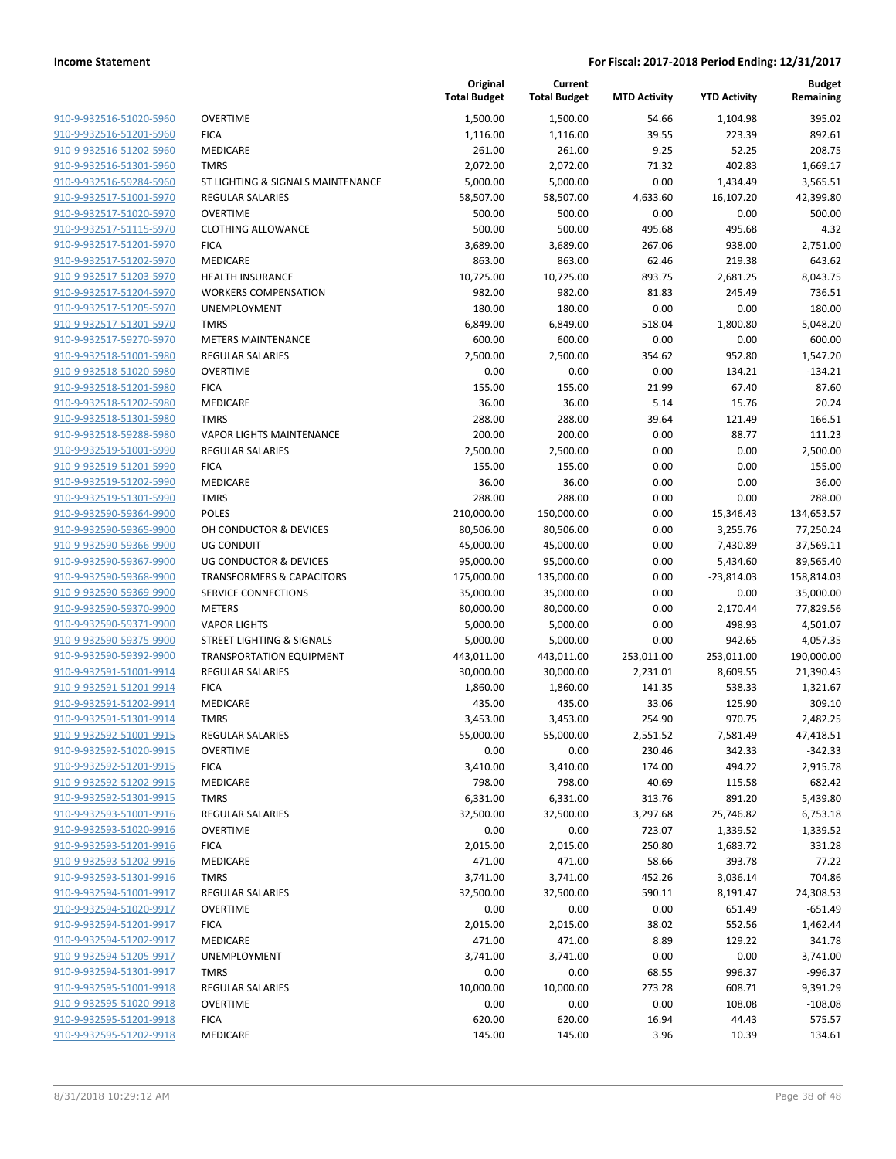| 910-9-932516-51020-5960 | OVERTIME               |
|-------------------------|------------------------|
| 910-9-932516-51201-5960 | FICA                   |
| 910-9-932516-51202-5960 | <b>MEDICARE</b>        |
| 910-9-932516-51301-5960 | TMRS                   |
| 910-9-932516-59284-5960 | ST LIGHTING & S        |
|                         |                        |
| 910-9-932517-51001-5970 | REGULAR SALAR          |
| 910-9-932517-51020-5970 | OVERTIME               |
| 910-9-932517-51115-5970 | <b>CLOTHING ALLO'</b>  |
| 910-9-932517-51201-5970 | <b>FICA</b>            |
| 910-9-932517-51202-5970 | <b>MEDICARE</b>        |
| 910-9-932517-51203-5970 | <b>HEALTH INSURA</b>   |
| 910-9-932517-51204-5970 | <b>WORKERS COMF</b>    |
| 910-9-932517-51205-5970 | UNEMPLOYMEN            |
| 910-9-932517-51301-5970 | TMRS                   |
| 910-9-932517-59270-5970 | <b>METERS MAINTE</b>   |
| 910-9-932518-51001-5980 | REGULAR SALAR          |
| 910-9-932518-51020-5980 | OVERTIME               |
| 910-9-932518-51201-5980 | <b>FICA</b>            |
| 910-9-932518-51202-5980 | <b>MEDICARE</b>        |
| 910-9-932518-51301-5980 | <b>TMRS</b>            |
| 910-9-932518-59288-5980 | VAPOR LIGHTS N         |
| 910-9-932519-51001-5990 | REGULAR SALAR          |
|                         |                        |
| 910-9-932519-51201-5990 | <b>FICA</b>            |
| 910-9-932519-51202-5990 | MEDICARE               |
| 910-9-932519-51301-5990 | <b>TMRS</b>            |
| 910-9-932590-59364-9900 | POLES                  |
| 910-9-932590-59365-9900 | OH CONDUCTOR           |
| 910-9-932590-59366-9900 | UG CONDUIT             |
| 910-9-932590-59367-9900 | <b>UG CONDUCTOR</b>    |
| 910-9-932590-59368-9900 | TRANSFORMERS           |
| 910-9-932590-59369-9900 | <b>SERVICE CONNE</b>   |
| 910-9-932590-59370-9900 | <b>METERS</b>          |
| 910-9-932590-59371-9900 | <b>VAPOR LIGHTS</b>    |
| 910-9-932590-59375-9900 | <b>STREET LIGHTING</b> |
| 910-9-932590-59392-9900 | TRANSPORTATIC          |
| 910-9-932591-51001-9914 | REGULAR SALAR          |
| 910-9-932591-51201-9914 | <b>FICA</b>            |
| 910-9-932591-51202-9914 | MEDICARE               |
| 910-9-932591-51301-9914 | <b>TMRS</b>            |
| 910-9-932592-51001-9915 | REGULAR SALAR          |
| 910-9-932592-51020-9915 | OVERTIME               |
| 910-9-932592-51201-9915 | <b>FICA</b>            |
| 910-9-932592-51202-9915 | MEDICARE               |
| 910-9-932592-51301-9915 |                        |
|                         | TMRS                   |
| 910-9-932593-51001-9916 | REGULAR SALAR          |
| 910-9-932593-51020-9916 | <b>OVERTIME</b>        |
| 910-9-932593-51201-9916 | <b>FICA</b>            |
| 910-9-932593-51202-9916 | MEDICARE               |
| 910-9-932593-51301-9916 | <b>TMRS</b>            |
| 910-9-932594-51001-9917 | REGULAR SALAR          |
| 910-9-932594-51020-9917 | <b>OVERTIME</b>        |
| 910-9-932594-51201-9917 | <b>FICA</b>            |
| 910-9-932594-51202-9917 | <b>MEDICARE</b>        |
| 910-9-932594-51205-9917 | <b>UNEMPLOYMEN</b>     |
| 910-9-932594-51301-9917 | TMRS                   |
| 910-9-932595-51001-9918 | REGULAR SALAR          |
| 910-9-932595-51020-9918 | <b>OVERTIME</b>        |
| 910-9-932595-51201-9918 | <b>FICA</b>            |
| 910-9-932595-51202-9918 | <b>MEDICARE</b>        |
|                         |                        |
|                         |                        |

|                                                    |                                                        | Original<br><b>Total Budget</b> | Current<br><b>Total Budget</b> | <b>MTD Activity</b> | <b>YTD Activity</b>      | <b>Budget</b><br>Remaining |
|----------------------------------------------------|--------------------------------------------------------|---------------------------------|--------------------------------|---------------------|--------------------------|----------------------------|
| 910-9-932516-51020-5960                            | <b>OVERTIME</b>                                        | 1,500.00                        | 1,500.00                       | 54.66               | 1,104.98                 | 395.02                     |
| 910-9-932516-51201-5960                            | <b>FICA</b>                                            | 1,116.00                        | 1,116.00                       | 39.55               | 223.39                   | 892.61                     |
| 910-9-932516-51202-5960                            | <b>MEDICARE</b>                                        | 261.00                          | 261.00                         | 9.25                | 52.25                    | 208.75                     |
| 910-9-932516-51301-5960                            | <b>TMRS</b>                                            | 2,072.00                        | 2,072.00                       | 71.32               | 402.83                   | 1,669.17                   |
| 910-9-932516-59284-5960                            | ST LIGHTING & SIGNALS MAINTENANCE                      | 5,000.00                        | 5,000.00                       | 0.00                | 1,434.49                 | 3,565.51                   |
| 910-9-932517-51001-5970                            | <b>REGULAR SALARIES</b>                                | 58,507.00                       | 58,507.00                      | 4,633.60            | 16,107.20                | 42,399.80                  |
| 910-9-932517-51020-5970                            | <b>OVERTIME</b>                                        | 500.00                          | 500.00                         | 0.00                | 0.00                     | 500.00                     |
| 910-9-932517-51115-5970                            | <b>CLOTHING ALLOWANCE</b>                              | 500.00                          | 500.00                         | 495.68              | 495.68                   | 4.32                       |
| 910-9-932517-51201-5970                            | <b>FICA</b>                                            | 3,689.00                        | 3,689.00                       | 267.06              | 938.00                   | 2,751.00                   |
| 910-9-932517-51202-5970                            | <b>MEDICARE</b>                                        | 863.00                          | 863.00                         | 62.46               | 219.38                   | 643.62                     |
| 910-9-932517-51203-5970                            | <b>HEALTH INSURANCE</b>                                | 10,725.00                       | 10,725.00                      | 893.75              | 2,681.25                 | 8,043.75                   |
| 910-9-932517-51204-5970                            | <b>WORKERS COMPENSATION</b>                            | 982.00                          | 982.00                         | 81.83               | 245.49                   | 736.51                     |
| 910-9-932517-51205-5970                            | UNEMPLOYMENT                                           | 180.00                          | 180.00                         | 0.00                | 0.00                     | 180.00                     |
| 910-9-932517-51301-5970                            | <b>TMRS</b>                                            | 6,849.00                        | 6,849.00                       | 518.04              | 1,800.80                 | 5,048.20                   |
| 910-9-932517-59270-5970                            | <b>METERS MAINTENANCE</b>                              | 600.00                          | 600.00                         | 0.00                | 0.00                     | 600.00                     |
| 910-9-932518-51001-5980                            | <b>REGULAR SALARIES</b>                                | 2,500.00                        | 2,500.00                       | 354.62              | 952.80                   | 1,547.20                   |
| 910-9-932518-51020-5980                            | <b>OVERTIME</b>                                        | 0.00                            | 0.00                           | 0.00                | 134.21                   | $-134.21$                  |
| 910-9-932518-51201-5980                            | <b>FICA</b>                                            | 155.00                          | 155.00                         | 21.99               | 67.40                    | 87.60                      |
| 910-9-932518-51202-5980                            | <b>MEDICARE</b>                                        | 36.00                           | 36.00                          | 5.14                | 15.76                    | 20.24                      |
| 910-9-932518-51301-5980                            | <b>TMRS</b>                                            | 288.00                          | 288.00                         | 39.64               | 121.49                   | 166.51                     |
| 910-9-932518-59288-5980                            | <b>VAPOR LIGHTS MAINTENANCE</b>                        | 200.00                          | 200.00                         | 0.00                | 88.77                    | 111.23                     |
| 910-9-932519-51001-5990                            | <b>REGULAR SALARIES</b>                                | 2,500.00                        | 2,500.00                       | 0.00                | 0.00                     | 2,500.00                   |
| 910-9-932519-51201-5990                            | <b>FICA</b>                                            | 155.00                          | 155.00                         | 0.00                | 0.00                     | 155.00                     |
| 910-9-932519-51202-5990                            | <b>MEDICARE</b>                                        | 36.00                           | 36.00                          | 0.00                | 0.00                     | 36.00                      |
| 910-9-932519-51301-5990                            | <b>TMRS</b>                                            | 288.00                          | 288.00                         | 0.00                | 0.00                     | 288.00                     |
| 910-9-932590-59364-9900<br>910-9-932590-59365-9900 | <b>POLES</b>                                           | 210,000.00                      | 150,000.00                     | 0.00                | 15,346.43                | 134,653.57                 |
| 910-9-932590-59366-9900                            | OH CONDUCTOR & DEVICES                                 | 80,506.00                       | 80,506.00                      | 0.00                | 3,255.76                 | 77,250.24                  |
| 910-9-932590-59367-9900                            | <b>UG CONDUIT</b><br><b>UG CONDUCTOR &amp; DEVICES</b> | 45,000.00                       | 45,000.00                      | 0.00<br>0.00        | 7,430.89                 | 37,569.11                  |
| 910-9-932590-59368-9900                            | <b>TRANSFORMERS &amp; CAPACITORS</b>                   | 95,000.00<br>175,000.00         | 95,000.00<br>135,000.00        | 0.00                | 5,434.60<br>$-23,814.03$ | 89,565.40<br>158,814.03    |
| 910-9-932590-59369-9900                            | SERVICE CONNECTIONS                                    | 35,000.00                       | 35,000.00                      | 0.00                | 0.00                     | 35,000.00                  |
| 910-9-932590-59370-9900                            | <b>METERS</b>                                          | 80,000.00                       | 80,000.00                      | 0.00                | 2,170.44                 | 77,829.56                  |
| 910-9-932590-59371-9900                            | <b>VAPOR LIGHTS</b>                                    | 5,000.00                        | 5,000.00                       | 0.00                | 498.93                   | 4,501.07                   |
| 910-9-932590-59375-9900                            | <b>STREET LIGHTING &amp; SIGNALS</b>                   | 5,000.00                        | 5,000.00                       | 0.00                | 942.65                   | 4,057.35                   |
| 910-9-932590-59392-9900                            | <b>TRANSPORTATION EQUIPMENT</b>                        | 443,011.00                      | 443,011.00                     | 253,011.00          | 253,011.00               | 190,000.00                 |
| 910-9-932591-51001-9914                            | <b>REGULAR SALARIES</b>                                | 30,000.00                       | 30,000.00                      | 2,231.01            | 8,609.55                 | 21,390.45                  |
| 910-9-932591-51201-9914                            | <b>FICA</b>                                            | 1,860.00                        | 1,860.00                       | 141.35              | 538.33                   | 1,321.67                   |
| 910-9-932591-51202-9914                            | MEDICARE                                               | 435.00                          | 435.00                         | 33.06               | 125.90                   | 309.10                     |
| 910-9-932591-51301-9914                            | <b>TMRS</b>                                            | 3,453.00                        | 3,453.00                       | 254.90              | 970.75                   | 2,482.25                   |
| 910-9-932592-51001-9915                            | REGULAR SALARIES                                       | 55,000.00                       | 55,000.00                      | 2,551.52            | 7,581.49                 | 47,418.51                  |
| 910-9-932592-51020-9915                            | <b>OVERTIME</b>                                        | 0.00                            | 0.00                           | 230.46              | 342.33                   | $-342.33$                  |
| 910-9-932592-51201-9915                            | <b>FICA</b>                                            | 3,410.00                        | 3,410.00                       | 174.00              | 494.22                   | 2,915.78                   |
| 910-9-932592-51202-9915                            | MEDICARE                                               | 798.00                          | 798.00                         | 40.69               | 115.58                   | 682.42                     |
| 910-9-932592-51301-9915                            | <b>TMRS</b>                                            | 6,331.00                        | 6,331.00                       | 313.76              | 891.20                   | 5,439.80                   |
| 910-9-932593-51001-9916                            | <b>REGULAR SALARIES</b>                                | 32,500.00                       | 32,500.00                      | 3,297.68            | 25,746.82                | 6,753.18                   |
| 910-9-932593-51020-9916                            | <b>OVERTIME</b>                                        | 0.00                            | 0.00                           | 723.07              | 1,339.52                 | $-1,339.52$                |
| 910-9-932593-51201-9916                            | <b>FICA</b>                                            | 2,015.00                        | 2,015.00                       | 250.80              | 1,683.72                 | 331.28                     |
| 910-9-932593-51202-9916                            | MEDICARE                                               | 471.00                          | 471.00                         | 58.66               | 393.78                   | 77.22                      |
| 910-9-932593-51301-9916                            | <b>TMRS</b>                                            | 3,741.00                        | 3,741.00                       | 452.26              | 3,036.14                 | 704.86                     |
| 910-9-932594-51001-9917                            | REGULAR SALARIES                                       | 32,500.00                       | 32,500.00                      | 590.11              | 8,191.47                 | 24,308.53                  |
| 910-9-932594-51020-9917                            | <b>OVERTIME</b>                                        | 0.00                            | 0.00                           | 0.00                | 651.49                   | $-651.49$                  |
| 910-9-932594-51201-9917                            | <b>FICA</b>                                            | 2,015.00                        | 2,015.00                       | 38.02               | 552.56                   | 1,462.44                   |
| 910-9-932594-51202-9917                            | MEDICARE                                               | 471.00                          | 471.00                         | 8.89                | 129.22                   | 341.78                     |
| 910-9-932594-51205-9917                            | UNEMPLOYMENT                                           | 3,741.00                        | 3,741.00                       | 0.00                | 0.00                     | 3,741.00                   |
| 910-9-932594-51301-9917                            | <b>TMRS</b>                                            | 0.00                            | 0.00                           | 68.55               | 996.37                   | $-996.37$                  |
| 910-9-932595-51001-9918                            | <b>REGULAR SALARIES</b>                                | 10,000.00                       | 10,000.00                      | 273.28              | 608.71                   | 9,391.29                   |
| 910-9-932595-51020-9918                            | <b>OVERTIME</b>                                        | 0.00                            | 0.00                           | 0.00                | 108.08                   | $-108.08$                  |
| 910-9-932595-51201-9918                            | <b>FICA</b>                                            | 620.00                          | 620.00                         | 16.94               | 44.43                    | 575.57                     |
| 910-9-932595-51202-9918                            | MEDICARE                                               | 145.00                          | 145.00                         | 3.96                | 10.39                    | 134.61                     |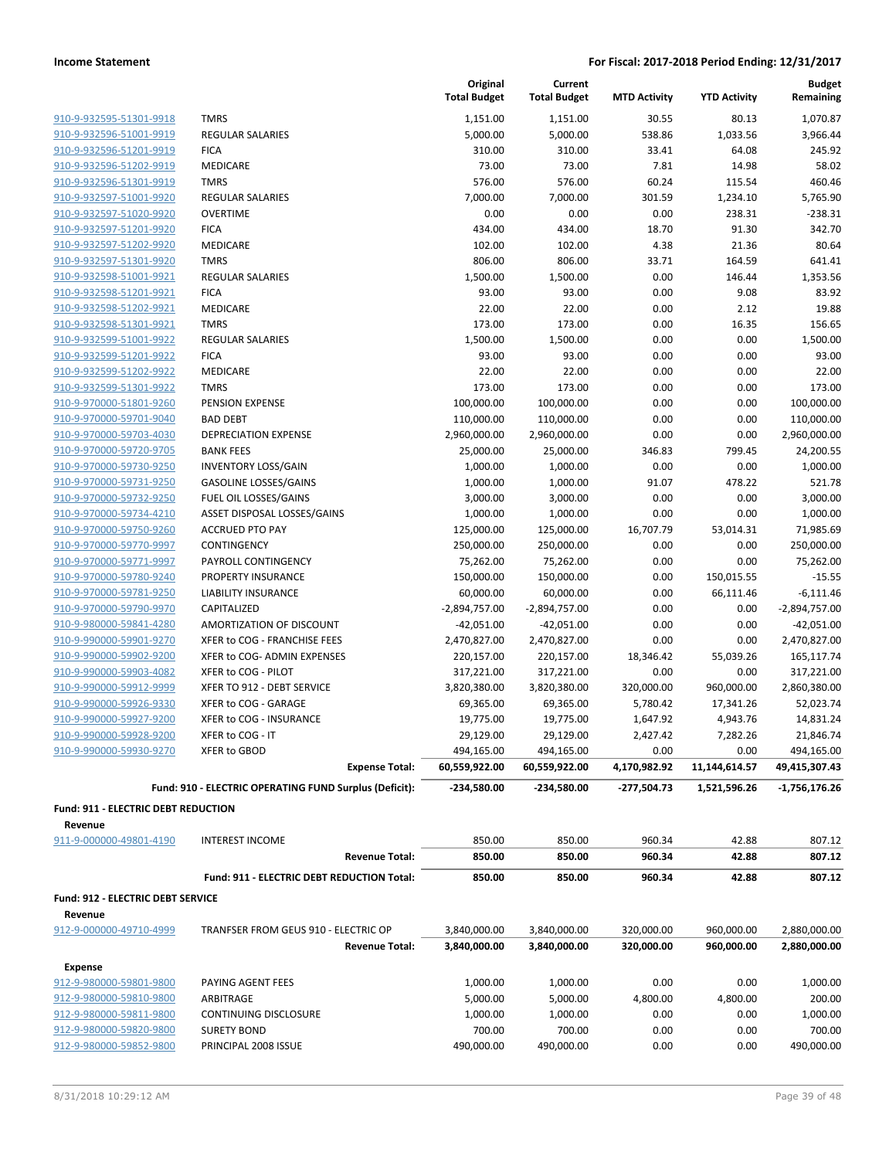| 910-9-932595-51301-9918 |   |
|-------------------------|---|
| 910-9-932596-51001-9919 | I |
| 910-9-932596-51201-9919 | ı |
| 910-9-932596-51202-9919 | I |
| 910-9-932596-51301-9919 |   |
| 910-9-932597-51001-9920 | ı |
| 910-9-932597-51020-9920 | I |
| 910-9-932597-51201-9920 | ı |
| 910-9-932597-51202-9920 | ı |
| 910-9-932597-51301-9920 |   |
| 910-9-932598-51001-9921 | I |
| 910-9-932598-51201-9921 | ı |
| 910-9-932598-51202-9921 | ı |
| 910-9-932598-51301-9921 |   |
| 910-9-932599-51001-9922 | ı |
| 910-9-932599-51201-9922 | ı |
| 910-9-932599-51202-9922 | I |
| 910-9-932599-51301-9922 |   |
| 910-9-970000-51801-9260 | I |
| 910-9-970000-59701-9040 | ı |
| 910-9-970000-59703-4030 | ı |
| 910-9-970000-59720-9705 |   |
| 910-9-970000-59730-9250 | ı |
| 910-9-970000-59731-9250 | I |
| 910-9-970000-59732-9250 | ı |
| 910-9-970000-59734-4210 |   |
| 910-9-970000-59750-9260 |   |
| 910-9-970000-59770-9997 |   |
| 910-9-970000-59771-9997 | I |
| 910-9-970000-59780-9240 | ı |
| 910-9-970000-59781-9250 | ı |
| 910-9-970000-59790-9970 | I |
| 910-9-980000-59841-4280 |   |
| 910-9-990000-59901-9270 |   |
| 910-9-990000-59902-9200 | j |
| 910-9-990000-59903-4082 | ì |
| 910-9-990000-59912-9999 | ì |
| 910-9-990000-59926-9330 | j |
| 910-9-990000-59927-9200 | ì |
| 910-9-990000-59928-9200 | j |
| 910-9-990000-59930-9270 | j |

|                                            |                                                        | Original<br><b>Total Budget</b> | Current<br><b>Total Budget</b> | <b>MTD Activity</b> | <b>YTD Activity</b> | <b>Budget</b><br>Remaining |
|--------------------------------------------|--------------------------------------------------------|---------------------------------|--------------------------------|---------------------|---------------------|----------------------------|
| 910-9-932595-51301-9918                    | <b>TMRS</b>                                            | 1,151.00                        | 1,151.00                       | 30.55               | 80.13               | 1,070.87                   |
| 910-9-932596-51001-9919                    | <b>REGULAR SALARIES</b>                                | 5,000.00                        | 5,000.00                       | 538.86              | 1,033.56            | 3,966.44                   |
| 910-9-932596-51201-9919                    | <b>FICA</b>                                            | 310.00                          | 310.00                         | 33.41               | 64.08               | 245.92                     |
| 910-9-932596-51202-9919                    | <b>MEDICARE</b>                                        | 73.00                           | 73.00                          | 7.81                | 14.98               | 58.02                      |
| 910-9-932596-51301-9919                    | <b>TMRS</b>                                            | 576.00                          | 576.00                         | 60.24               | 115.54              | 460.46                     |
| 910-9-932597-51001-9920                    | <b>REGULAR SALARIES</b>                                | 7,000.00                        | 7,000.00                       | 301.59              | 1,234.10            | 5,765.90                   |
| 910-9-932597-51020-9920                    | <b>OVERTIME</b>                                        | 0.00                            | 0.00                           | 0.00                | 238.31              | $-238.31$                  |
| 910-9-932597-51201-9920                    | <b>FICA</b>                                            | 434.00                          | 434.00                         | 18.70               | 91.30               | 342.70                     |
| 910-9-932597-51202-9920                    | <b>MEDICARE</b>                                        | 102.00                          | 102.00                         | 4.38                | 21.36               | 80.64                      |
| 910-9-932597-51301-9920                    | <b>TMRS</b>                                            | 806.00                          | 806.00                         | 33.71               | 164.59              | 641.41                     |
| 910-9-932598-51001-9921                    | <b>REGULAR SALARIES</b>                                | 1,500.00                        | 1,500.00                       | 0.00                | 146.44              | 1,353.56                   |
| 910-9-932598-51201-9921                    | <b>FICA</b>                                            | 93.00                           | 93.00                          | 0.00                | 9.08                | 83.92                      |
| 910-9-932598-51202-9921                    | MEDICARE                                               | 22.00                           | 22.00                          | 0.00                | 2.12                | 19.88                      |
| 910-9-932598-51301-9921                    | <b>TMRS</b>                                            | 173.00                          | 173.00                         | 0.00                | 16.35               | 156.65                     |
| 910-9-932599-51001-9922                    | <b>REGULAR SALARIES</b>                                | 1,500.00                        | 1,500.00                       | 0.00                | 0.00                | 1,500.00                   |
| 910-9-932599-51201-9922                    | <b>FICA</b>                                            | 93.00                           | 93.00                          | 0.00                | 0.00                | 93.00                      |
| 910-9-932599-51202-9922                    | <b>MEDICARE</b>                                        | 22.00                           | 22.00                          | 0.00                | 0.00                | 22.00                      |
| 910-9-932599-51301-9922                    | <b>TMRS</b>                                            | 173.00                          | 173.00                         | 0.00                | 0.00                | 173.00                     |
| 910-9-970000-51801-9260                    | PENSION EXPENSE                                        | 100,000.00                      | 100,000.00                     | 0.00                | 0.00                | 100,000.00                 |
| 910-9-970000-59701-9040                    | <b>BAD DEBT</b>                                        | 110,000.00                      | 110,000.00                     | 0.00                | 0.00                | 110,000.00                 |
| 910-9-970000-59703-4030                    | <b>DEPRECIATION EXPENSE</b>                            | 2,960,000.00                    | 2,960,000.00                   | 0.00                | 0.00                | 2,960,000.00               |
| 910-9-970000-59720-9705                    | <b>BANK FEES</b>                                       | 25,000.00                       | 25,000.00                      | 346.83              | 799.45              | 24,200.55                  |
| 910-9-970000-59730-9250                    | <b>INVENTORY LOSS/GAIN</b>                             | 1,000.00                        | 1,000.00                       | 0.00                | 0.00                | 1,000.00                   |
| 910-9-970000-59731-9250                    | GASOLINE LOSSES/GAINS                                  | 1,000.00                        | 1,000.00                       | 91.07               | 478.22              | 521.78                     |
| 910-9-970000-59732-9250                    | FUEL OIL LOSSES/GAINS                                  | 3,000.00                        | 3,000.00                       | 0.00                | 0.00                | 3,000.00                   |
| 910-9-970000-59734-4210                    | ASSET DISPOSAL LOSSES/GAINS                            | 1,000.00                        | 1,000.00                       | 0.00                | 0.00                | 1,000.00                   |
| 910-9-970000-59750-9260                    | <b>ACCRUED PTO PAY</b>                                 | 125,000.00                      | 125,000.00                     | 16,707.79           | 53,014.31           | 71,985.69                  |
| 910-9-970000-59770-9997                    | CONTINGENCY                                            | 250,000.00                      | 250,000.00                     | 0.00                | 0.00                | 250,000.00                 |
| 910-9-970000-59771-9997                    | PAYROLL CONTINGENCY                                    | 75,262.00                       | 75,262.00                      | 0.00                | 0.00                | 75,262.00                  |
| 910-9-970000-59780-9240                    | PROPERTY INSURANCE                                     | 150,000.00                      | 150,000.00                     | 0.00                | 150,015.55          | $-15.55$                   |
| 910-9-970000-59781-9250                    | LIABILITY INSURANCE                                    | 60,000.00                       | 60,000.00                      | 0.00                | 66,111.46           | $-6,111.46$                |
| 910-9-970000-59790-9970                    | CAPITALIZED                                            | $-2,894,757.00$                 | $-2,894,757.00$                | 0.00                | 0.00                | -2,894,757.00              |
| 910-9-980000-59841-4280                    | AMORTIZATION OF DISCOUNT                               | $-42,051.00$                    | $-42,051.00$                   | 0.00                | 0.00                | $-42,051.00$               |
| 910-9-990000-59901-9270                    | XFER to COG - FRANCHISE FEES                           | 2,470,827.00                    | 2,470,827.00                   | 0.00                | 0.00                | 2,470,827.00               |
| 910-9-990000-59902-9200                    | XFER to COG- ADMIN EXPENSES                            | 220,157.00                      | 220,157.00                     | 18,346.42           | 55,039.26           | 165,117.74                 |
| 910-9-990000-59903-4082                    | XFER to COG - PILOT                                    | 317,221.00                      | 317,221.00                     | 0.00                | 0.00                | 317,221.00                 |
| 910-9-990000-59912-9999                    | XFER TO 912 - DEBT SERVICE                             | 3,820,380.00                    | 3,820,380.00                   | 320,000.00          | 960,000.00          | 2,860,380.00               |
| 910-9-990000-59926-9330                    | XFER to COG - GARAGE                                   | 69,365.00                       | 69,365.00                      | 5,780.42            | 17,341.26           | 52,023.74                  |
| 910-9-990000-59927-9200                    | XFER to COG - INSURANCE                                | 19,775.00                       | 19,775.00                      | 1,647.92            | 4,943.76            | 14,831.24                  |
| 910-9-990000-59928-9200                    | XFER to COG - IT                                       | 29,129.00                       | 29,129.00                      | 2,427.42            | 7,282.26            | 21,846.74                  |
| 910-9-990000-59930-9270                    | XFER to GBOD                                           | 494,165.00                      | 494,165.00                     | 0.00                | 0.00                | 494,165.00                 |
|                                            | <b>Expense Total:</b>                                  | 60,559,922.00                   | 60,559,922.00                  | 4,170,982.92        | 11,144,614.57       | 49,415,307.43              |
|                                            | Fund: 910 - ELECTRIC OPERATING FUND Surplus (Deficit): | $-234,580.00$                   | -234,580.00                    | -277,504.73         | 1,521,596.26        | $-1,756,176.26$            |
| <b>Fund: 911 - ELECTRIC DEBT REDUCTION</b> |                                                        |                                 |                                |                     |                     |                            |
| Revenue<br>911-9-000000-49801-4190         | <b>INTEREST INCOME</b>                                 | 850.00                          | 850.00                         | 960.34              | 42.88               | 807.12                     |
|                                            | <b>Revenue Total:</b>                                  | 850.00                          | 850.00                         | 960.34              | 42.88               | 807.12                     |
|                                            | Fund: 911 - ELECTRIC DEBT REDUCTION Total:             | 850.00                          | 850.00                         | 960.34              | 42.88               | 807.12                     |
| <b>Fund: 912 - ELECTRIC DEBT SERVICE</b>   |                                                        |                                 |                                |                     |                     |                            |
| Revenue                                    |                                                        |                                 |                                |                     |                     |                            |
| 912-9-000000-49710-4999                    | TRANFSER FROM GEUS 910 - ELECTRIC OP                   | 3,840,000.00                    | 3,840,000.00                   | 320,000.00          | 960,000.00          | 2,880,000.00               |
|                                            | <b>Revenue Total:</b>                                  | 3,840,000.00                    | 3,840,000.00                   | 320,000.00          | 960,000.00          | 2,880,000.00               |
| <b>Expense</b>                             |                                                        |                                 |                                |                     |                     |                            |
| 912-9-980000-59801-9800                    | PAYING AGENT FEES                                      | 1,000.00                        | 1,000.00                       | 0.00                | 0.00                | 1,000.00                   |
| 912-9-980000-59810-9800                    | ARBITRAGE                                              | 5,000.00                        | 5,000.00                       | 4,800.00            | 4,800.00            | 200.00                     |
| 912-9-980000-59811-9800                    | CONTINUING DISCLOSURE                                  | 1,000.00                        | 1,000.00                       | 0.00                | 0.00                | 1,000.00                   |
| 912-9-980000-59820-9800                    | <b>SURETY BOND</b>                                     | 700.00                          | 700.00                         | 0.00                | 0.00                | 700.00                     |
| 912-9-980000-59852-9800                    | PRINCIPAL 2008 ISSUE                                   | 490,000.00                      | 490,000.00                     | 0.00                | 0.00                | 490,000.00                 |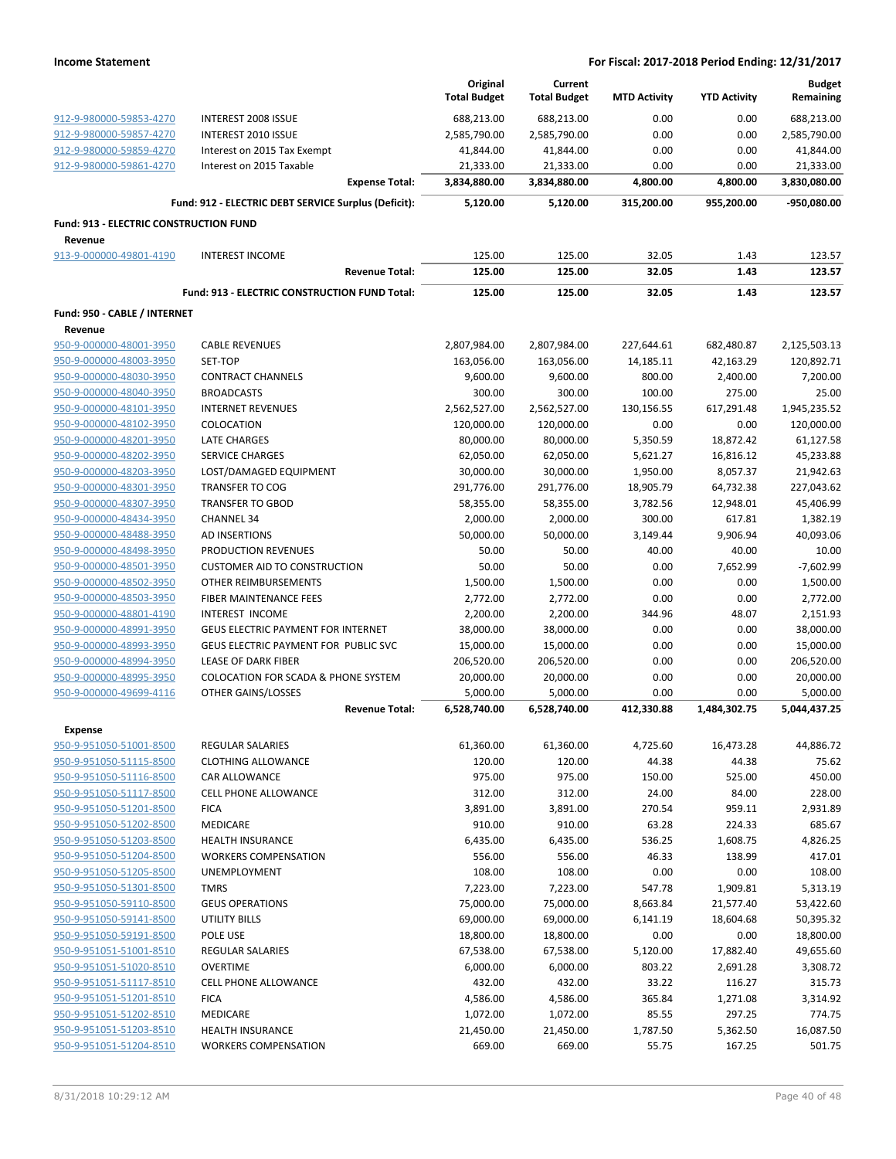|                                        |                                                      | Original<br><b>Total Budget</b> | Current<br><b>Total Budget</b> | <b>MTD Activity</b> | <b>YTD Activity</b> | <b>Budget</b><br>Remaining |
|----------------------------------------|------------------------------------------------------|---------------------------------|--------------------------------|---------------------|---------------------|----------------------------|
| 912-9-980000-59853-4270                | <b>INTEREST 2008 ISSUE</b>                           | 688,213.00                      | 688,213.00                     | 0.00                | 0.00                | 688,213.00                 |
| 912-9-980000-59857-4270                | <b>INTEREST 2010 ISSUE</b>                           | 2,585,790.00                    | 2,585,790.00                   | 0.00                | 0.00                | 2,585,790.00               |
| 912-9-980000-59859-4270                | Interest on 2015 Tax Exempt                          | 41,844.00                       | 41,844.00                      | 0.00                | 0.00                | 41,844.00                  |
| 912-9-980000-59861-4270                | Interest on 2015 Taxable                             | 21,333.00                       | 21,333.00                      | 0.00                | 0.00                | 21,333.00                  |
|                                        | <b>Expense Total:</b>                                | 3,834,880.00                    | 3,834,880.00                   | 4,800.00            | 4,800.00            | 3,830,080.00               |
|                                        | Fund: 912 - ELECTRIC DEBT SERVICE Surplus (Deficit): | 5,120.00                        | 5,120.00                       | 315,200.00          | 955,200.00          | -950,080.00                |
| Fund: 913 - ELECTRIC CONSTRUCTION FUND |                                                      |                                 |                                |                     |                     |                            |
| Revenue                                |                                                      |                                 |                                |                     |                     |                            |
| 913-9-000000-49801-4190                | <b>INTEREST INCOME</b>                               | 125.00                          | 125.00                         | 32.05               | 1.43                | 123.57                     |
|                                        | <b>Revenue Total:</b>                                | 125.00                          | 125.00                         | 32.05               | 1.43                | 123.57                     |
|                                        | Fund: 913 - ELECTRIC CONSTRUCTION FUND Total:        | 125.00                          | 125.00                         | 32.05               | 1.43                | 123.57                     |
| Fund: 950 - CABLE / INTERNET           |                                                      |                                 |                                |                     |                     |                            |
| Revenue                                |                                                      |                                 |                                |                     |                     |                            |
| 950-9-000000-48001-3950                | <b>CABLE REVENUES</b>                                | 2,807,984.00                    | 2,807,984.00                   | 227,644.61          | 682,480.87          | 2,125,503.13               |
| 950-9-000000-48003-3950                | SET-TOP                                              | 163,056.00                      | 163,056.00                     | 14,185.11           | 42,163.29           | 120,892.71                 |
| 950-9-000000-48030-3950                | <b>CONTRACT CHANNELS</b>                             | 9,600.00                        | 9,600.00                       | 800.00              | 2,400.00            | 7,200.00                   |
| 950-9-000000-48040-3950                | <b>BROADCASTS</b>                                    | 300.00                          | 300.00                         | 100.00              | 275.00              | 25.00                      |
| 950-9-000000-48101-3950                | <b>INTERNET REVENUES</b>                             | 2,562,527.00                    | 2,562,527.00                   | 130,156.55          | 617,291.48          | 1,945,235.52               |
| 950-9-000000-48102-3950                | COLOCATION                                           | 120,000.00                      | 120,000.00                     | 0.00                | 0.00                | 120,000.00                 |
| 950-9-000000-48201-3950                | <b>LATE CHARGES</b>                                  | 80,000.00                       | 80,000.00                      | 5,350.59            | 18,872.42           | 61,127.58                  |
| 950-9-000000-48202-3950                | <b>SERVICE CHARGES</b>                               | 62,050.00                       | 62,050.00                      | 5,621.27            | 16,816.12           | 45,233.88                  |
| 950-9-000000-48203-3950                | LOST/DAMAGED EQUIPMENT                               | 30,000.00                       | 30,000.00                      | 1,950.00            | 8,057.37            | 21,942.63                  |
| 950-9-000000-48301-3950                | <b>TRANSFER TO COG</b>                               | 291,776.00                      | 291,776.00                     | 18,905.79           | 64,732.38           | 227,043.62                 |
| 950-9-000000-48307-3950                | <b>TRANSFER TO GBOD</b>                              | 58,355.00                       | 58,355.00                      | 3,782.56            | 12,948.01           | 45,406.99                  |
| 950-9-000000-48434-3950                | <b>CHANNEL 34</b>                                    | 2,000.00                        | 2,000.00                       | 300.00              | 617.81              | 1,382.19                   |
| 950-9-000000-48488-3950                | AD INSERTIONS                                        | 50,000.00                       | 50,000.00                      | 3,149.44            | 9,906.94            | 40,093.06                  |
| 950-9-000000-48498-3950                | PRODUCTION REVENUES                                  | 50.00                           | 50.00                          | 40.00               | 40.00               | 10.00                      |
| 950-9-000000-48501-3950                | <b>CUSTOMER AID TO CONSTRUCTION</b>                  | 50.00                           | 50.00                          | 0.00                | 7,652.99            | $-7,602.99$                |
| 950-9-000000-48502-3950                | OTHER REIMBURSEMENTS                                 | 1,500.00                        | 1,500.00                       | 0.00                | 0.00                | 1,500.00                   |
| 950-9-000000-48503-3950                | FIBER MAINTENANCE FEES                               | 2,772.00                        | 2,772.00                       | 0.00                | 0.00                | 2,772.00                   |
| 950-9-000000-48801-4190                | <b>INTEREST INCOME</b>                               | 2,200.00                        | 2,200.00                       | 344.96              | 48.07               | 2,151.93                   |
| 950-9-000000-48991-3950                | <b>GEUS ELECTRIC PAYMENT FOR INTERNET</b>            | 38,000.00                       | 38,000.00                      | 0.00                | 0.00                | 38,000.00                  |
| 950-9-000000-48993-3950                | GEUS ELECTRIC PAYMENT FOR PUBLIC SVC                 | 15,000.00                       | 15,000.00                      | 0.00                | 0.00                | 15,000.00                  |
| 950-9-000000-48994-3950                | LEASE OF DARK FIBER                                  | 206,520.00                      | 206,520.00                     | 0.00                | 0.00                | 206,520.00                 |
| 950-9-000000-48995-3950                | COLOCATION FOR SCADA & PHONE SYSTEM                  | 20,000.00                       | 20,000.00                      | 0.00                | 0.00                | 20,000.00                  |
| 950-9-000000-49699-4116                | OTHER GAINS/LOSSES                                   | 5,000.00                        | 5,000.00                       | 0.00                | 0.00                | 5,000.00                   |
|                                        | <b>Revenue Total:</b>                                | 6,528,740.00                    | 6,528,740.00                   | 412,330.88          | 1,484,302.75        | 5,044,437.25               |
| <b>Expense</b>                         |                                                      |                                 |                                |                     |                     |                            |
| 950-9-951050-51001-8500                | <b>REGULAR SALARIES</b>                              | 61,360.00                       | 61,360.00                      | 4,725.60            | 16,473.28           | 44,886.72                  |
| 950-9-951050-51115-8500                | <b>CLOTHING ALLOWANCE</b>                            | 120.00                          | 120.00                         | 44.38               | 44.38               | 75.62                      |
| 950-9-951050-51116-8500                | CAR ALLOWANCE                                        | 975.00                          | 975.00                         | 150.00              | 525.00              | 450.00                     |
| 950-9-951050-51117-8500                | <b>CELL PHONE ALLOWANCE</b>                          | 312.00                          | 312.00                         | 24.00               | 84.00               | 228.00                     |
| 950-9-951050-51201-8500                | <b>FICA</b>                                          | 3,891.00                        | 3,891.00                       | 270.54              | 959.11              | 2,931.89                   |
| 950-9-951050-51202-8500                | MEDICARE                                             | 910.00                          | 910.00                         | 63.28               | 224.33              | 685.67                     |
| 950-9-951050-51203-8500                | <b>HEALTH INSURANCE</b>                              | 6,435.00                        | 6,435.00                       | 536.25              | 1,608.75            | 4,826.25                   |
| 950-9-951050-51204-8500                | <b>WORKERS COMPENSATION</b>                          | 556.00                          | 556.00                         | 46.33               | 138.99              | 417.01                     |
| 950-9-951050-51205-8500                | UNEMPLOYMENT                                         | 108.00                          | 108.00                         | 0.00                | 0.00                | 108.00                     |
| 950-9-951050-51301-8500                | <b>TMRS</b>                                          | 7,223.00                        | 7,223.00                       | 547.78              | 1,909.81            | 5,313.19                   |
| 950-9-951050-59110-8500                | <b>GEUS OPERATIONS</b>                               | 75,000.00                       | 75,000.00                      | 8,663.84            | 21,577.40           | 53,422.60                  |
| 950-9-951050-59141-8500                | UTILITY BILLS                                        | 69,000.00                       | 69,000.00                      | 6,141.19            | 18,604.68           | 50,395.32                  |
| 950-9-951050-59191-8500                | POLE USE                                             | 18,800.00                       | 18,800.00                      | 0.00                | 0.00                | 18,800.00                  |
| 950-9-951051-51001-8510                | REGULAR SALARIES                                     | 67,538.00                       | 67,538.00                      | 5,120.00            | 17,882.40           | 49,655.60                  |
| 950-9-951051-51020-8510                | <b>OVERTIME</b>                                      | 6,000.00                        | 6,000.00                       | 803.22              | 2,691.28            | 3,308.72                   |
| 950-9-951051-51117-8510                | <b>CELL PHONE ALLOWANCE</b>                          | 432.00                          | 432.00                         | 33.22               | 116.27              | 315.73                     |
| 950-9-951051-51201-8510                | <b>FICA</b>                                          | 4,586.00                        | 4,586.00                       | 365.84              | 1,271.08            | 3,314.92                   |
| 950-9-951051-51202-8510                | MEDICARE                                             | 1,072.00                        | 1,072.00                       | 85.55               | 297.25              | 774.75                     |
| 950-9-951051-51203-8510                | <b>HEALTH INSURANCE</b>                              | 21,450.00                       |                                |                     |                     | 16,087.50                  |
| 950-9-951051-51204-8510                | <b>WORKERS COMPENSATION</b>                          | 669.00                          | 21,450.00<br>669.00            | 1,787.50<br>55.75   | 5,362.50<br>167.25  | 501.75                     |
|                                        |                                                      |                                 |                                |                     |                     |                            |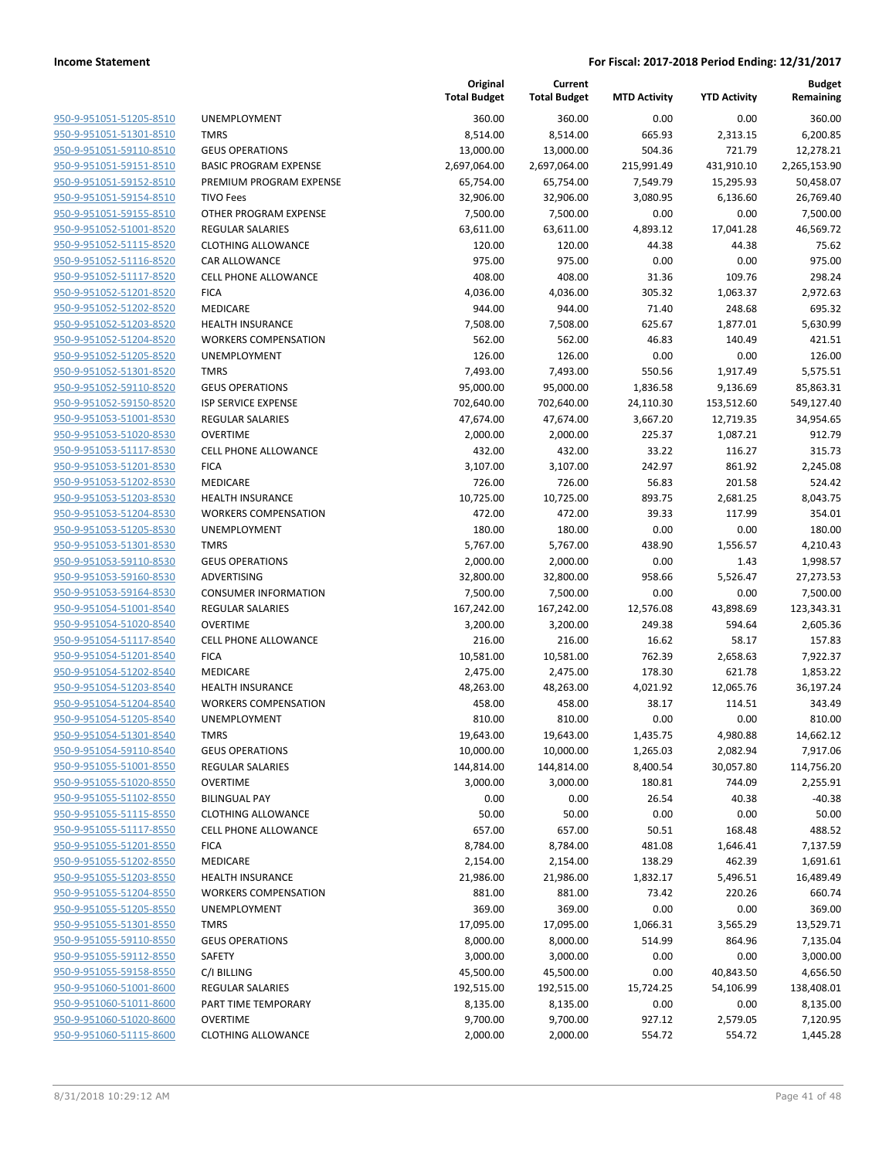**Current**

**Original**

|                                                    |                                         | Original<br><b>Total Budget</b> | Current<br><b>Total Budget</b> | <b>MTD Activity</b> | <b>YTD Activity</b> | <b>Budget</b><br>Remaining |
|----------------------------------------------------|-----------------------------------------|---------------------------------|--------------------------------|---------------------|---------------------|----------------------------|
| 950-9-951051-51205-8510                            | <b>UNEMPLOYMENT</b>                     | 360.00                          | 360.00                         | 0.00                | 0.00                | 360.00                     |
| 950-9-951051-51301-8510                            | <b>TMRS</b>                             | 8,514.00                        | 8,514.00                       | 665.93              | 2,313.15            | 6,200.85                   |
| 950-9-951051-59110-8510                            | <b>GEUS OPERATIONS</b>                  | 13,000.00                       | 13,000.00                      | 504.36              | 721.79              | 12,278.21                  |
| 950-9-951051-59151-8510                            | <b>BASIC PROGRAM EXPENSE</b>            | 2,697,064.00                    | 2,697,064.00                   | 215,991.49          | 431,910.10          | 2,265,153.90               |
| 950-9-951051-59152-8510                            | PREMIUM PROGRAM EXPENSE                 | 65,754.00                       | 65,754.00                      | 7,549.79            | 15,295.93           | 50,458.07                  |
| 950-9-951051-59154-8510                            | <b>TIVO Fees</b>                        | 32,906.00                       | 32,906.00                      | 3,080.95            | 6,136.60            | 26,769.40                  |
| 950-9-951051-59155-8510                            | OTHER PROGRAM EXPENSE                   | 7,500.00                        | 7,500.00                       | 0.00                | 0.00                | 7,500.00                   |
| 950-9-951052-51001-8520                            | <b>REGULAR SALARIES</b>                 | 63,611.00                       | 63,611.00                      | 4,893.12            | 17,041.28           | 46,569.72                  |
| 950-9-951052-51115-8520                            | <b>CLOTHING ALLOWANCE</b>               | 120.00                          | 120.00                         | 44.38               | 44.38               | 75.62                      |
| 950-9-951052-51116-8520                            | CAR ALLOWANCE                           | 975.00                          | 975.00                         | 0.00                | 0.00                | 975.00                     |
| 950-9-951052-51117-8520                            | <b>CELL PHONE ALLOWANCE</b>             | 408.00                          | 408.00                         | 31.36               | 109.76              | 298.24                     |
| 950-9-951052-51201-8520                            | <b>FICA</b>                             | 4,036.00                        | 4,036.00                       | 305.32              | 1,063.37            | 2,972.63                   |
| 950-9-951052-51202-8520                            | MEDICARE                                | 944.00                          | 944.00                         | 71.40               | 248.68              | 695.32                     |
| 950-9-951052-51203-8520                            | <b>HEALTH INSURANCE</b>                 | 7,508.00                        | 7,508.00                       | 625.67              | 1,877.01            | 5,630.99                   |
| 950-9-951052-51204-8520                            | <b>WORKERS COMPENSATION</b>             | 562.00                          | 562.00                         | 46.83               | 140.49              | 421.51                     |
| 950-9-951052-51205-8520                            | UNEMPLOYMENT                            | 126.00                          | 126.00                         | 0.00                | 0.00                | 126.00                     |
| 950-9-951052-51301-8520                            | <b>TMRS</b>                             | 7,493.00                        | 7,493.00                       | 550.56              | 1,917.49            | 5,575.51                   |
| 950-9-951052-59110-8520                            | <b>GEUS OPERATIONS</b>                  | 95,000.00                       | 95,000.00                      | 1,836.58            | 9,136.69            | 85,863.31                  |
| 950-9-951052-59150-8520                            | <b>ISP SERVICE EXPENSE</b>              | 702,640.00                      | 702,640.00                     | 24,110.30           | 153,512.60          | 549,127.40                 |
| 950-9-951053-51001-8530                            | <b>REGULAR SALARIES</b>                 | 47,674.00                       | 47,674.00                      | 3,667.20            | 12,719.35           | 34,954.65                  |
| 950-9-951053-51020-8530                            | <b>OVERTIME</b>                         | 2,000.00                        | 2,000.00                       | 225.37              | 1,087.21            | 912.79                     |
| 950-9-951053-51117-8530                            | <b>CELL PHONE ALLOWANCE</b>             | 432.00                          | 432.00                         | 33.22               | 116.27              | 315.73                     |
| 950-9-951053-51201-8530                            | <b>FICA</b>                             | 3,107.00                        | 3,107.00                       | 242.97              | 861.92              | 2,245.08                   |
| 950-9-951053-51202-8530                            | <b>MEDICARE</b>                         | 726.00                          | 726.00                         | 56.83               | 201.58              | 524.42                     |
| 950-9-951053-51203-8530                            | <b>HEALTH INSURANCE</b>                 | 10,725.00                       | 10,725.00                      | 893.75              | 2,681.25            | 8,043.75                   |
| 950-9-951053-51204-8530                            | <b>WORKERS COMPENSATION</b>             | 472.00                          | 472.00                         | 39.33               | 117.99              | 354.01                     |
| 950-9-951053-51205-8530                            | UNEMPLOYMENT                            | 180.00                          | 180.00                         | 0.00                | 0.00                | 180.00                     |
| 950-9-951053-51301-8530                            | <b>TMRS</b>                             | 5,767.00                        | 5,767.00                       | 438.90              | 1,556.57            | 4,210.43                   |
| 950-9-951053-59110-8530                            | <b>GEUS OPERATIONS</b>                  | 2,000.00                        | 2,000.00                       | 0.00                | 1.43                | 1,998.57                   |
| 950-9-951053-59160-8530                            | ADVERTISING                             | 32,800.00                       | 32,800.00                      | 958.66              | 5,526.47            | 27,273.53                  |
| 950-9-951053-59164-8530                            | <b>CONSUMER INFORMATION</b>             | 7,500.00                        | 7,500.00                       | 0.00                | 0.00                | 7,500.00                   |
| 950-9-951054-51001-8540                            | REGULAR SALARIES                        | 167,242.00                      | 167,242.00                     | 12,576.08           | 43,898.69           | 123,343.31                 |
| 950-9-951054-51020-8540                            | <b>OVERTIME</b>                         | 3,200.00                        | 3,200.00                       | 249.38              | 594.64              | 2,605.36                   |
| 950-9-951054-51117-8540                            | <b>CELL PHONE ALLOWANCE</b>             | 216.00                          | 216.00                         | 16.62               | 58.17               | 157.83                     |
| 950-9-951054-51201-8540                            | <b>FICA</b>                             | 10,581.00                       | 10,581.00                      | 762.39              | 2,658.63            | 7,922.37                   |
| 950-9-951054-51202-8540                            | <b>MEDICARE</b>                         | 2,475.00                        | 2,475.00                       | 178.30              | 621.78              | 1,853.22                   |
| 950-9-951054-51203-8540                            | <b>HEALTH INSURANCE</b>                 | 48,263.00                       | 48,263.00                      | 4,021.92            | 12,065.76           | 36,197.24                  |
| 950-9-951054-51204-8540                            | <b>WORKERS COMPENSATION</b>             | 458.00                          | 458.00                         | 38.17               | 114.51              | 343.49                     |
| 950-9-951054-51205-8540                            | UNEMPLOYMENT                            | 810.00                          | 810.00                         | 0.00                | 0.00                | 810.00                     |
| 950-9-951054-51301-8540                            | <b>TMRS</b>                             | 19,643.00                       | 19,643.00                      | 1,435.75            | 4,980.88            | 14,662.12                  |
| 950-9-951054-59110-8540                            | <b>GEUS OPERATIONS</b>                  | 10,000.00                       | 10,000.00                      | 1,265.03            | 2,082.94            | 7,917.06                   |
| 950-9-951055-51001-8550                            | REGULAR SALARIES                        | 144,814.00                      | 144,814.00                     | 8,400.54            | 30,057.80           | 114,756.20                 |
| 950-9-951055-51020-8550                            | <b>OVERTIME</b>                         | 3,000.00                        | 3,000.00                       | 180.81              | 744.09              | 2,255.91                   |
| 950-9-951055-51102-8550                            | <b>BILINGUAL PAY</b>                    | 0.00                            | 0.00                           | 26.54               | 40.38               | $-40.38$                   |
| 950-9-951055-51115-8550                            | <b>CLOTHING ALLOWANCE</b>               | 50.00                           | 50.00                          | 0.00                | 0.00                | 50.00                      |
| 950-9-951055-51117-8550                            | <b>CELL PHONE ALLOWANCE</b>             | 657.00                          | 657.00                         | 50.51               | 168.48              | 488.52                     |
| 950-9-951055-51201-8550                            | <b>FICA</b>                             | 8,784.00                        | 8,784.00                       | 481.08              | 1,646.41            | 7,137.59                   |
| 950-9-951055-51202-8550                            | MEDICARE                                | 2,154.00                        | 2,154.00                       | 138.29              | 462.39              | 1,691.61                   |
| 950-9-951055-51203-8550                            | <b>HEALTH INSURANCE</b>                 | 21,986.00                       | 21,986.00                      | 1,832.17            | 5,496.51            | 16,489.49                  |
| 950-9-951055-51204-8550                            | <b>WORKERS COMPENSATION</b>             | 881.00                          | 881.00                         | 73.42               | 220.26              | 660.74                     |
| 950-9-951055-51205-8550                            | <b>UNEMPLOYMENT</b>                     | 369.00                          | 369.00                         | 0.00                | 0.00                | 369.00                     |
| 950-9-951055-51301-8550                            | <b>TMRS</b>                             | 17,095.00                       | 17,095.00                      | 1,066.31            | 3,565.29            | 13,529.71                  |
| 950-9-951055-59110-8550                            | <b>GEUS OPERATIONS</b>                  | 8,000.00                        | 8,000.00                       | 514.99              | 864.96              | 7,135.04                   |
| 950-9-951055-59112-8550                            | SAFETY                                  | 3,000.00                        | 3,000.00                       | 0.00                | 0.00                | 3,000.00                   |
| 950-9-951055-59158-8550                            | C/I BILLING                             | 45,500.00                       | 45,500.00                      | 0.00                | 40,843.50           | 4,656.50                   |
| 950-9-951060-51001-8600                            | REGULAR SALARIES<br>PART TIME TEMPORARY | 192,515.00                      | 192,515.00                     | 15,724.25           | 54,106.99           | 138,408.01                 |
| 950-9-951060-51011-8600                            |                                         | 8,135.00                        | 8,135.00                       | 0.00                | 0.00                | 8,135.00                   |
| 950-9-951060-51020-8600<br>950-9-951060-51115-8600 | <b>OVERTIME</b>                         | 9,700.00                        | 9,700.00                       | 927.12              | 2,579.05            | 7,120.95                   |
|                                                    | <b>CLOTHING ALLOWANCE</b>               | 2,000.00                        | 2,000.00                       | 554.72              | 554.72              | 1,445.28                   |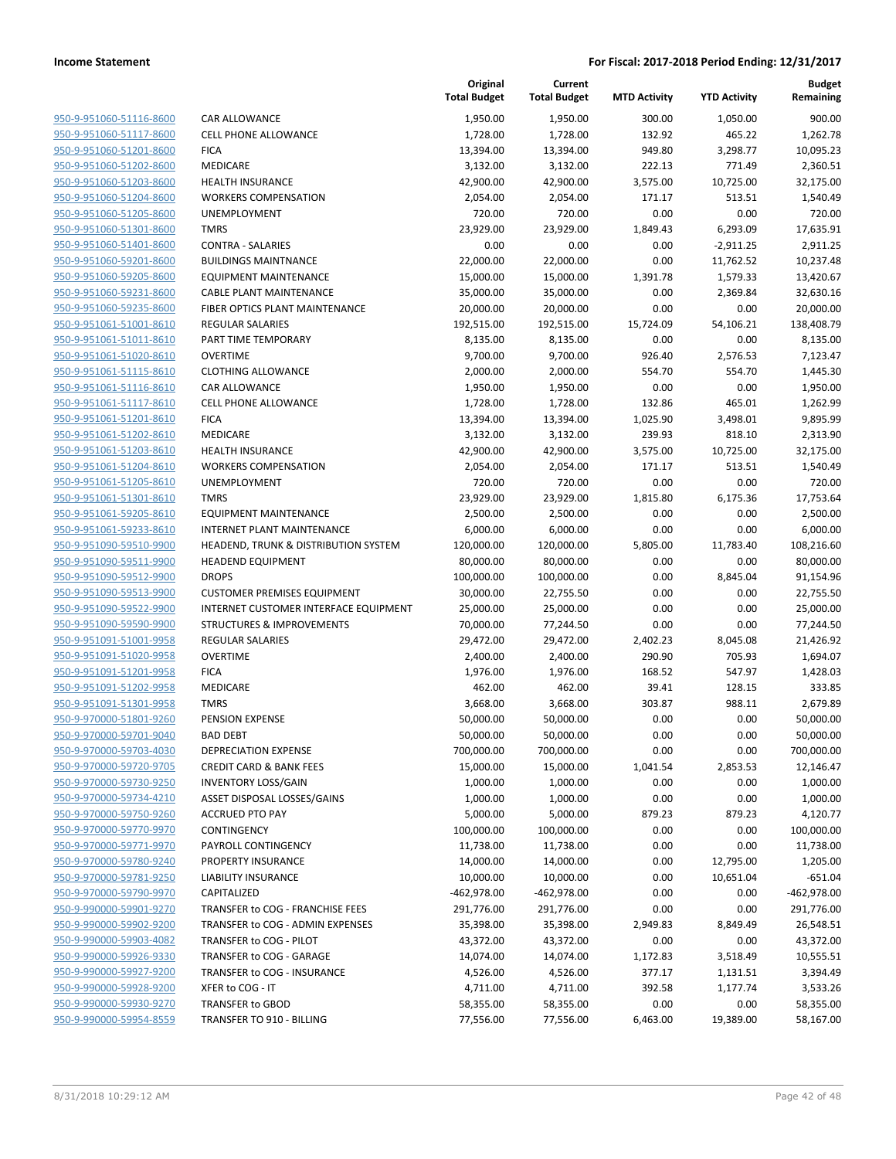| 950-9-951060-51116-8600        |
|--------------------------------|
| 950-9-951060-51117-8600        |
| 950-9-951060-51201-8600        |
| <u>950-9-951060-51202-8600</u> |
| <u>950-9-951060-51203-8600</u> |
| 950-9-951060-51204-8600        |
| 950-9-951060-51205-8600        |
| 950-9-951060-51301-8600        |
| <u>950-9-951060-51401-8600</u> |
| 950-9-951060-59201-8600        |
| 950-9-951060-59205-8600        |
| 950-9-951060-59231-8600        |
| 950-9-951060-59235-8600        |
| <u>950-9-951061-51001-8610</u> |
| <u>950-9-951061-51011-8610</u> |
| 950-9-951061-51020-8610        |
| 950-9-951061-51115-8610        |
| 950-9-951061-51116-8610        |
| 950-9-951061-51117-8610        |
| 950-9-951061-51201-8610        |
| 950-9-951061-51202-8610        |
| 950-9-951061-51203-8610        |
| 950-9-951061-51204-8610        |
| <u>950-9-951061-51205-8610</u> |
| <u>950-9-951061-51301-8610</u> |
| 950-9-951061-59205-8610        |
| 950-9-951061-59233-8610        |
| 950-9-951090-59510-9900        |
| 950-9-951090-59511-9900        |
| 950-9-951090-59512-9900        |
| 950-9-951090-59513-9900        |
| 950-9-951090-59522-9900        |
| 950-9-951090-59590-9900        |
| <u>950-9-951091-51001-9958</u> |
| <u>950-9-951091-51020-9958</u> |
| 950-9-951091-51201-9958        |
| 950-9-951091-51202-9958        |
| 950-9-951091-51301-9958        |
| <u>950-9-970000-51801-9260</u> |
| 950-9-970000-59701-9040        |
| <u>950-9-970000-59703-4030</u> |
| 950-9-970000-59720-9705        |
| 950-9-970000-59730-9250        |
| 950-9-970000-59734-4210        |
| 950-9-970000-59750-9260        |
| 950-9-970000-59770-9970        |
| 950-9-970000-59771-9970        |
| 950-9-970000-59780-9240        |
| 950-9-970000-59781-9250        |
| 950-9-970000-59790-9970        |
| 950-9-990000-59901-9270        |
| 950-9-990000-59902-9200        |
| 950-9-990000-59903-4082        |
| 950-9-990000-59926-9330        |
| 950-9-990000-59927-9200        |
| 950-9-990000-59928-9200        |
| 950-9-990000-59930-9270        |
| 950-9-990000-59954-8559        |
|                                |

|                         |                                       | Original<br><b>Total Budget</b> | Current<br><b>Total Budget</b> | <b>MTD Activity</b> | <b>YTD Activity</b> | <b>Budget</b><br>Remaining |
|-------------------------|---------------------------------------|---------------------------------|--------------------------------|---------------------|---------------------|----------------------------|
| 950-9-951060-51116-8600 | <b>CAR ALLOWANCE</b>                  | 1,950.00                        | 1,950.00                       | 300.00              | 1,050.00            | 900.00                     |
| 950-9-951060-51117-8600 | <b>CELL PHONE ALLOWANCE</b>           | 1,728.00                        | 1,728.00                       | 132.92              | 465.22              | 1,262.78                   |
| 950-9-951060-51201-8600 | <b>FICA</b>                           | 13,394.00                       | 13,394.00                      | 949.80              | 3,298.77            | 10,095.23                  |
| 950-9-951060-51202-8600 | MEDICARE                              | 3,132.00                        | 3,132.00                       | 222.13              | 771.49              | 2,360.51                   |
| 950-9-951060-51203-8600 | <b>HEALTH INSURANCE</b>               | 42,900.00                       | 42,900.00                      | 3,575.00            | 10,725.00           | 32,175.00                  |
| 950-9-951060-51204-8600 | <b>WORKERS COMPENSATION</b>           | 2,054.00                        | 2,054.00                       | 171.17              | 513.51              | 1,540.49                   |
| 950-9-951060-51205-8600 | UNEMPLOYMENT                          | 720.00                          | 720.00                         | 0.00                | 0.00                | 720.00                     |
| 950-9-951060-51301-8600 | <b>TMRS</b>                           | 23,929.00                       | 23,929.00                      | 1,849.43            | 6,293.09            | 17,635.91                  |
| 950-9-951060-51401-8600 | <b>CONTRA - SALARIES</b>              | 0.00                            | 0.00                           | 0.00                | $-2,911.25$         | 2,911.25                   |
| 950-9-951060-59201-8600 | <b>BUILDINGS MAINTNANCE</b>           | 22,000.00                       | 22,000.00                      | 0.00                | 11,762.52           | 10,237.48                  |
| 950-9-951060-59205-8600 | <b>EQUIPMENT MAINTENANCE</b>          | 15,000.00                       | 15,000.00                      | 1,391.78            | 1,579.33            | 13,420.67                  |
| 950-9-951060-59231-8600 | <b>CABLE PLANT MAINTENANCE</b>        | 35,000.00                       | 35,000.00                      | 0.00                | 2,369.84            | 32,630.16                  |
| 950-9-951060-59235-8600 | FIBER OPTICS PLANT MAINTENANCE        | 20,000.00                       | 20,000.00                      | 0.00                | 0.00                | 20,000.00                  |
| 950-9-951061-51001-8610 | <b>REGULAR SALARIES</b>               | 192,515.00                      | 192,515.00                     | 15,724.09           | 54,106.21           | 138,408.79                 |
| 950-9-951061-51011-8610 | PART TIME TEMPORARY                   | 8,135.00                        | 8,135.00                       | 0.00                | 0.00                | 8,135.00                   |
| 950-9-951061-51020-8610 | <b>OVERTIME</b>                       | 9,700.00                        | 9,700.00                       | 926.40              | 2,576.53            | 7,123.47                   |
| 950-9-951061-51115-8610 | <b>CLOTHING ALLOWANCE</b>             | 2,000.00                        | 2,000.00                       | 554.70              | 554.70              | 1,445.30                   |
| 950-9-951061-51116-8610 | <b>CAR ALLOWANCE</b>                  | 1,950.00                        | 1,950.00                       | 0.00                | 0.00                | 1,950.00                   |
| 950-9-951061-51117-8610 | <b>CELL PHONE ALLOWANCE</b>           | 1,728.00                        | 1,728.00                       | 132.86              | 465.01              | 1,262.99                   |
| 950-9-951061-51201-8610 | <b>FICA</b>                           | 13,394.00                       | 13,394.00                      | 1,025.90            | 3,498.01            | 9,895.99                   |
| 950-9-951061-51202-8610 | MEDICARE                              | 3,132.00                        | 3,132.00                       | 239.93              | 818.10              | 2,313.90                   |
| 950-9-951061-51203-8610 | <b>HEALTH INSURANCE</b>               | 42,900.00                       | 42,900.00                      | 3,575.00            | 10,725.00           | 32,175.00                  |
| 950-9-951061-51204-8610 | <b>WORKERS COMPENSATION</b>           | 2,054.00                        | 2,054.00                       | 171.17              | 513.51              | 1,540.49                   |
| 950-9-951061-51205-8610 | <b>UNEMPLOYMENT</b>                   | 720.00                          | 720.00                         | 0.00                | 0.00                | 720.00                     |
| 950-9-951061-51301-8610 | <b>TMRS</b>                           | 23,929.00                       | 23,929.00                      | 1,815.80            | 6,175.36            | 17,753.64                  |
| 950-9-951061-59205-8610 | <b>EQUIPMENT MAINTENANCE</b>          | 2,500.00                        | 2,500.00                       | 0.00                | 0.00                | 2,500.00                   |
| 950-9-951061-59233-8610 | INTERNET PLANT MAINTENANCE            | 6,000.00                        | 6,000.00                       | 0.00                | 0.00                | 6,000.00                   |
| 950-9-951090-59510-9900 | HEADEND, TRUNK & DISTRIBUTION SYSTEM  | 120,000.00                      | 120,000.00                     | 5,805.00            | 11,783.40           | 108,216.60                 |
| 950-9-951090-59511-9900 | <b>HEADEND EQUIPMENT</b>              | 80,000.00                       | 80,000.00                      | 0.00                | 0.00                | 80,000.00                  |
| 950-9-951090-59512-9900 | <b>DROPS</b>                          | 100,000.00                      | 100,000.00                     | 0.00                | 8,845.04            | 91,154.96                  |
| 950-9-951090-59513-9900 | <b>CUSTOMER PREMISES EQUIPMENT</b>    | 30,000.00                       | 22,755.50                      | 0.00                | 0.00                | 22,755.50                  |
| 950-9-951090-59522-9900 | INTERNET CUSTOMER INTERFACE EQUIPMENT | 25,000.00                       | 25,000.00                      | 0.00                | 0.00                | 25,000.00                  |
| 950-9-951090-59590-9900 | <b>STRUCTURES &amp; IMPROVEMENTS</b>  | 70,000.00                       | 77,244.50                      | 0.00                | 0.00                | 77,244.50                  |
| 950-9-951091-51001-9958 | <b>REGULAR SALARIES</b>               | 29,472.00                       | 29,472.00                      | 2,402.23            | 8,045.08            | 21,426.92                  |
| 950-9-951091-51020-9958 | <b>OVERTIME</b>                       | 2,400.00                        | 2,400.00                       | 290.90              | 705.93              | 1,694.07                   |
| 950-9-951091-51201-9958 | <b>FICA</b>                           | 1,976.00                        | 1,976.00                       | 168.52              | 547.97              | 1,428.03                   |
| 950-9-951091-51202-9958 | <b>MEDICARE</b>                       | 462.00                          | 462.00                         | 39.41               | 128.15              | 333.85                     |
| 950-9-951091-51301-9958 | <b>TMRS</b>                           | 3,668.00                        | 3,668.00                       | 303.87              | 988.11              | 2,679.89                   |
| 950-9-970000-51801-9260 | PENSION EXPENSE                       | 50,000.00                       | 50,000.00                      | 0.00                | 0.00                | 50,000.00                  |
| 950-9-970000-59701-9040 | <b>BAD DEBT</b>                       | 50,000.00                       | 50,000.00                      | 0.00                | 0.00                | 50,000.00                  |
| 950-9-970000-59703-4030 | DEPRECIATION EXPENSE                  | 700,000.00                      | 700,000.00                     | 0.00                | 0.00                | 700,000.00                 |
| 950-9-970000-59720-9705 | <b>CREDIT CARD &amp; BANK FEES</b>    | 15,000.00                       | 15,000.00                      | 1,041.54            | 2,853.53            | 12,146.47                  |
| 950-9-970000-59730-9250 | <b>INVENTORY LOSS/GAIN</b>            | 1,000.00                        | 1,000.00                       | 0.00                | 0.00                | 1,000.00                   |
| 950-9-970000-59734-4210 | ASSET DISPOSAL LOSSES/GAINS           | 1,000.00                        | 1,000.00                       | 0.00                | 0.00                | 1,000.00                   |
| 950-9-970000-59750-9260 | <b>ACCRUED PTO PAY</b>                | 5,000.00                        | 5,000.00                       | 879.23              | 879.23              | 4,120.77                   |
| 950-9-970000-59770-9970 | CONTINGENCY                           | 100,000.00                      | 100,000.00                     | 0.00                | 0.00                | 100,000.00                 |
| 950-9-970000-59771-9970 | PAYROLL CONTINGENCY                   | 11,738.00                       | 11,738.00                      | 0.00                | 0.00                | 11,738.00                  |
| 950-9-970000-59780-9240 | PROPERTY INSURANCE                    | 14,000.00                       | 14,000.00                      | 0.00                | 12,795.00           | 1,205.00                   |
| 950-9-970000-59781-9250 | LIABILITY INSURANCE                   | 10,000.00                       | 10,000.00                      | 0.00                | 10,651.04           | $-651.04$                  |
| 950-9-970000-59790-9970 | CAPITALIZED                           | $-462,978.00$                   | -462,978.00                    | 0.00                | 0.00                | $-462,978.00$              |
| 950-9-990000-59901-9270 | TRANSFER to COG - FRANCHISE FEES      | 291,776.00                      | 291,776.00                     | 0.00                | 0.00                | 291,776.00                 |
| 950-9-990000-59902-9200 | TRANSFER to COG - ADMIN EXPENSES      | 35,398.00                       | 35,398.00                      | 2,949.83            | 8,849.49            | 26,548.51                  |
| 950-9-990000-59903-4082 | TRANSFER to COG - PILOT               | 43,372.00                       | 43,372.00                      | 0.00                | 0.00                | 43,372.00                  |
| 950-9-990000-59926-9330 | TRANSFER to COG - GARAGE              | 14,074.00                       | 14,074.00                      | 1,172.83            | 3,518.49            | 10,555.51                  |
| 950-9-990000-59927-9200 | TRANSFER to COG - INSURANCE           | 4,526.00                        | 4,526.00                       | 377.17              | 1,131.51            | 3,394.49                   |
| 950-9-990000-59928-9200 | XFER to COG - IT                      | 4,711.00                        | 4,711.00                       | 392.58              | 1,177.74            | 3,533.26                   |
| 950-9-990000-59930-9270 | TRANSFER to GBOD                      | 58,355.00                       | 58,355.00                      | 0.00                | 0.00                | 58,355.00                  |
| 950-9-990000-59954-8559 | TRANSFER TO 910 - BILLING             | 77,556.00                       | 77,556.00                      | 6,463.00            | 19,389.00           | 58,167.00                  |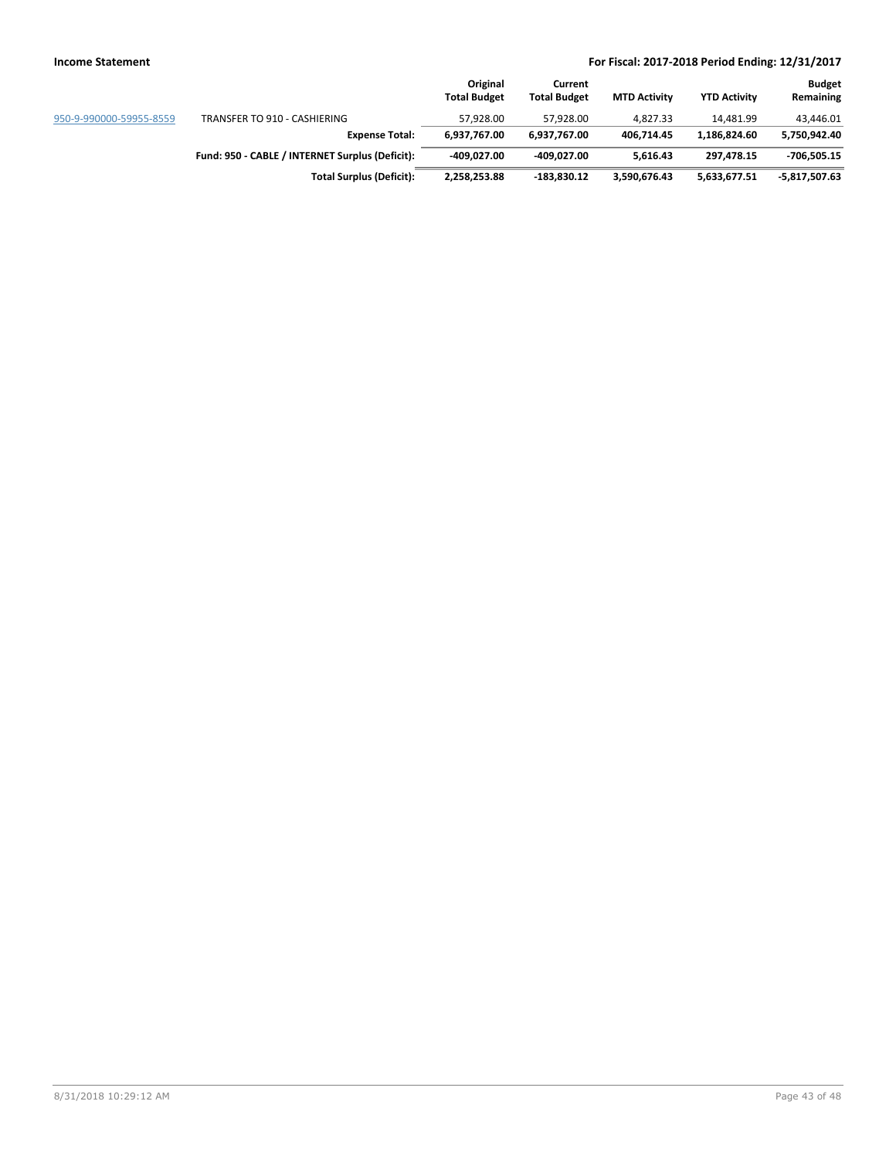|                         |                                                 | Original<br><b>Total Budget</b> | Current<br><b>Total Budget</b> | <b>MTD Activity</b> | <b>YTD Activity</b> | <b>Budget</b><br>Remaining |
|-------------------------|-------------------------------------------------|---------------------------------|--------------------------------|---------------------|---------------------|----------------------------|
| 950-9-990000-59955-8559 | TRANSFER TO 910 - CASHIERING                    | 57.928.00                       | 57.928.00                      | 4.827.33            | 14.481.99           | 43.446.01                  |
|                         | <b>Expense Total:</b>                           | 6.937.767.00                    | 6.937.767.00                   | 406.714.45          | 1.186.824.60        | 5,750,942.40               |
|                         | Fund: 950 - CABLE / INTERNET Surplus (Deficit): | -409.027.00                     | -409.027.00                    | 5.616.43            | 297.478.15          | -706,505.15                |
|                         | <b>Total Surplus (Deficit):</b>                 | 2,258,253.88                    | $-183,830.12$                  | 3,590,676.43        | 5,633,677.51        | -5,817,507.63              |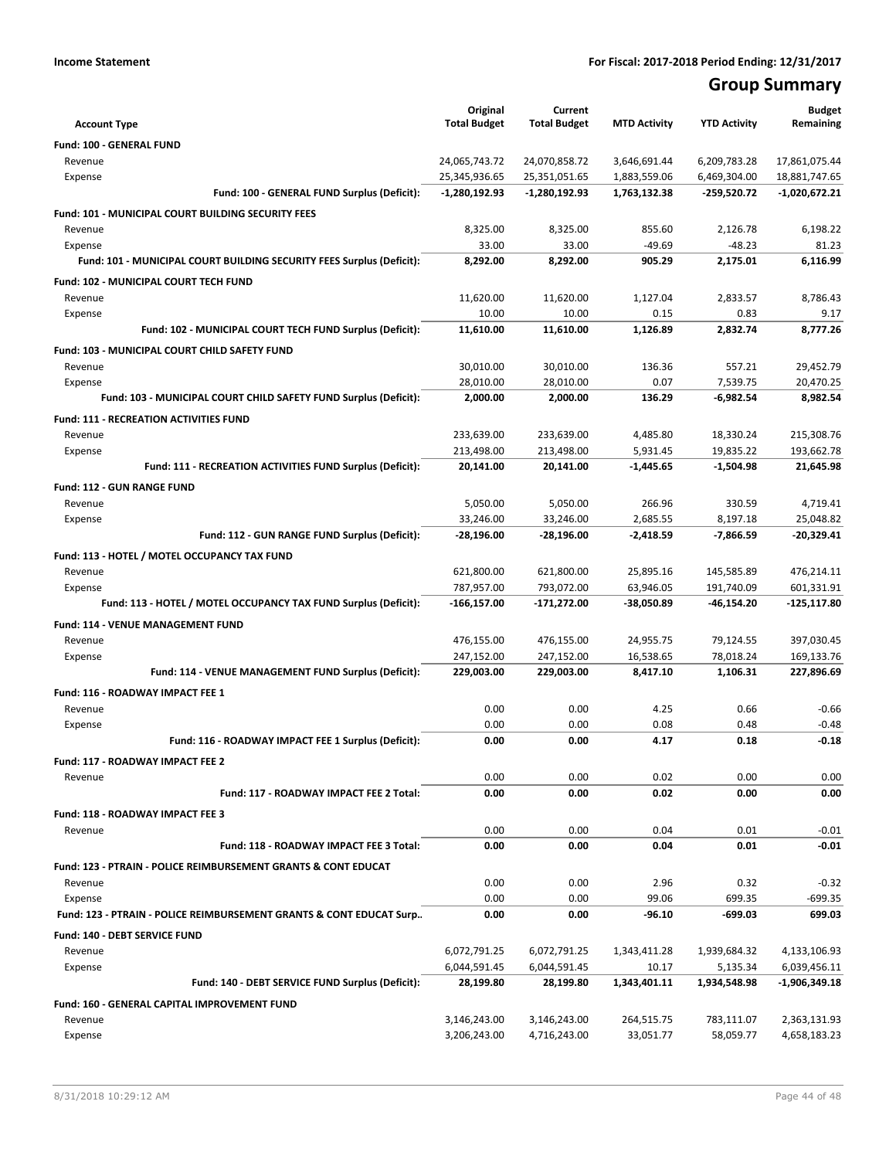# **Group Summary**

|                                                                                  | Original            | Current             |                     |                      | <b>Budget</b>          |
|----------------------------------------------------------------------------------|---------------------|---------------------|---------------------|----------------------|------------------------|
| <b>Account Type</b>                                                              | <b>Total Budget</b> | <b>Total Budget</b> | <b>MTD Activity</b> | <b>YTD Activity</b>  | Remaining              |
| Fund: 100 - GENERAL FUND                                                         |                     |                     |                     |                      |                        |
| Revenue                                                                          | 24,065,743.72       | 24,070,858.72       | 3,646,691.44        | 6,209,783.28         | 17,861,075.44          |
| Expense                                                                          | 25,345,936.65       | 25,351,051.65       | 1,883,559.06        | 6,469,304.00         | 18,881,747.65          |
| Fund: 100 - GENERAL FUND Surplus (Deficit):                                      | -1,280,192.93       | -1,280,192.93       | 1,763,132.38        | $-259,520.72$        | -1,020,672.21          |
| Fund: 101 - MUNICIPAL COURT BUILDING SECURITY FEES                               |                     |                     |                     |                      |                        |
| Revenue                                                                          | 8,325.00            | 8,325.00            | 855.60              | 2,126.78             | 6,198.22               |
| Expense<br>Fund: 101 - MUNICIPAL COURT BUILDING SECURITY FEES Surplus (Deficit): | 33.00<br>8,292.00   | 33.00<br>8,292.00   | $-49.69$<br>905.29  | $-48.23$<br>2,175.01 | 81.23<br>6,116.99      |
|                                                                                  |                     |                     |                     |                      |                        |
| Fund: 102 - MUNICIPAL COURT TECH FUND                                            |                     |                     |                     |                      |                        |
| Revenue<br>Expense                                                               | 11,620.00<br>10.00  | 11,620.00<br>10.00  | 1,127.04<br>0.15    | 2,833.57<br>0.83     | 8,786.43<br>9.17       |
| Fund: 102 - MUNICIPAL COURT TECH FUND Surplus (Deficit):                         | 11,610.00           | 11,610.00           | 1,126.89            | 2,832.74             | 8,777.26               |
|                                                                                  |                     |                     |                     |                      |                        |
| Fund: 103 - MUNICIPAL COURT CHILD SAFETY FUND                                    | 30,010.00           | 30,010.00           | 136.36              | 557.21               |                        |
| Revenue<br>Expense                                                               | 28,010.00           | 28,010.00           | 0.07                | 7,539.75             | 29,452.79<br>20,470.25 |
| Fund: 103 - MUNICIPAL COURT CHILD SAFETY FUND Surplus (Deficit):                 | 2,000.00            | 2,000.00            | 136.29              | $-6,982.54$          | 8,982.54               |
| <b>Fund: 111 - RECREATION ACTIVITIES FUND</b>                                    |                     |                     |                     |                      |                        |
| Revenue                                                                          | 233,639.00          | 233,639.00          | 4,485.80            | 18,330.24            | 215,308.76             |
| Expense                                                                          | 213,498.00          | 213,498.00          | 5,931.45            | 19,835.22            | 193,662.78             |
| Fund: 111 - RECREATION ACTIVITIES FUND Surplus (Deficit):                        | 20,141.00           | 20,141.00           | $-1,445.65$         | $-1,504.98$          | 21,645.98              |
| <b>Fund: 112 - GUN RANGE FUND</b>                                                |                     |                     |                     |                      |                        |
| Revenue                                                                          | 5,050.00            | 5,050.00            | 266.96              | 330.59               | 4,719.41               |
| Expense                                                                          | 33,246.00           | 33,246.00           | 2.685.55            | 8,197.18             | 25.048.82              |
| Fund: 112 - GUN RANGE FUND Surplus (Deficit):                                    | -28,196.00          | -28,196.00          | -2,418.59           | -7,866.59            | $-20,329.41$           |
| Fund: 113 - HOTEL / MOTEL OCCUPANCY TAX FUND                                     |                     |                     |                     |                      |                        |
| Revenue                                                                          | 621,800.00          | 621,800.00          | 25,895.16           | 145,585.89           | 476,214.11             |
| Expense                                                                          | 787,957.00          | 793,072.00          | 63,946.05           | 191,740.09           | 601,331.91             |
| Fund: 113 - HOTEL / MOTEL OCCUPANCY TAX FUND Surplus (Deficit):                  | -166,157.00         | -171,272.00         | -38,050.89          | -46,154.20           | -125,117.80            |
| Fund: 114 - VENUE MANAGEMENT FUND                                                |                     |                     |                     |                      |                        |
| Revenue                                                                          | 476,155.00          | 476,155.00          | 24,955.75           | 79,124.55            | 397,030.45             |
| Expense                                                                          | 247,152.00          | 247,152.00          | 16,538.65           | 78,018.24            | 169,133.76             |
| Fund: 114 - VENUE MANAGEMENT FUND Surplus (Deficit):                             | 229,003.00          | 229,003.00          | 8,417.10            | 1,106.31             | 227,896.69             |
| Fund: 116 - ROADWAY IMPACT FEE 1                                                 |                     |                     |                     |                      |                        |
| Revenue                                                                          | 0.00                | 0.00                | 4.25                | 0.66                 | $-0.66$                |
| Expense                                                                          | 0.00                | 0.00                | 0.08                | 0.48                 | $-0.48$                |
| Fund: 116 - ROADWAY IMPACT FEE 1 Surplus (Deficit):                              | 0.00                | 0.00                | 4.17                | 0.18                 | $-0.18$                |
| Fund: 117 - ROADWAY IMPACT FEE 2                                                 |                     |                     |                     |                      |                        |
| Revenue                                                                          | 0.00                | 0.00                | 0.02                | 0.00                 | 0.00                   |
| Fund: 117 - ROADWAY IMPACT FEE 2 Total:                                          | 0.00                | 0.00                | 0.02                | 0.00                 | 0.00                   |
| Fund: 118 - ROADWAY IMPACT FEE 3                                                 |                     |                     |                     |                      |                        |
| Revenue                                                                          | 0.00                | 0.00                | 0.04                | 0.01                 | $-0.01$                |
| Fund: 118 - ROADWAY IMPACT FEE 3 Total:                                          | 0.00                | 0.00                | 0.04                | 0.01                 | $-0.01$                |
| Fund: 123 - PTRAIN - POLICE REIMBURSEMENT GRANTS & CONT EDUCAT                   |                     |                     |                     |                      |                        |
| Revenue                                                                          | 0.00                | 0.00                | 2.96                | 0.32                 | $-0.32$                |
| Expense                                                                          | 0.00                | 0.00                | 99.06               | 699.35               | $-699.35$              |
| Fund: 123 - PTRAIN - POLICE REIMBURSEMENT GRANTS & CONT EDUCAT Surp              | 0.00                | 0.00                | $-96.10$            | -699.03              | 699.03                 |
| <b>Fund: 140 - DEBT SERVICE FUND</b>                                             |                     |                     |                     |                      |                        |
| Revenue                                                                          | 6,072,791.25        | 6,072,791.25        | 1,343,411.28        | 1,939,684.32         | 4,133,106.93           |
| Expense                                                                          | 6,044,591.45        | 6,044,591.45        | 10.17               | 5,135.34             | 6,039,456.11           |
| Fund: 140 - DEBT SERVICE FUND Surplus (Deficit):                                 | 28,199.80           | 28,199.80           | 1,343,401.11        | 1,934,548.98         | -1,906,349.18          |
| Fund: 160 - GENERAL CAPITAL IMPROVEMENT FUND                                     |                     |                     |                     |                      |                        |
| Revenue                                                                          | 3,146,243.00        | 3,146,243.00        | 264,515.75          | 783,111.07           | 2,363,131.93           |
| Expense                                                                          | 3,206,243.00        | 4,716,243.00        | 33,051.77           | 58,059.77            | 4,658,183.23           |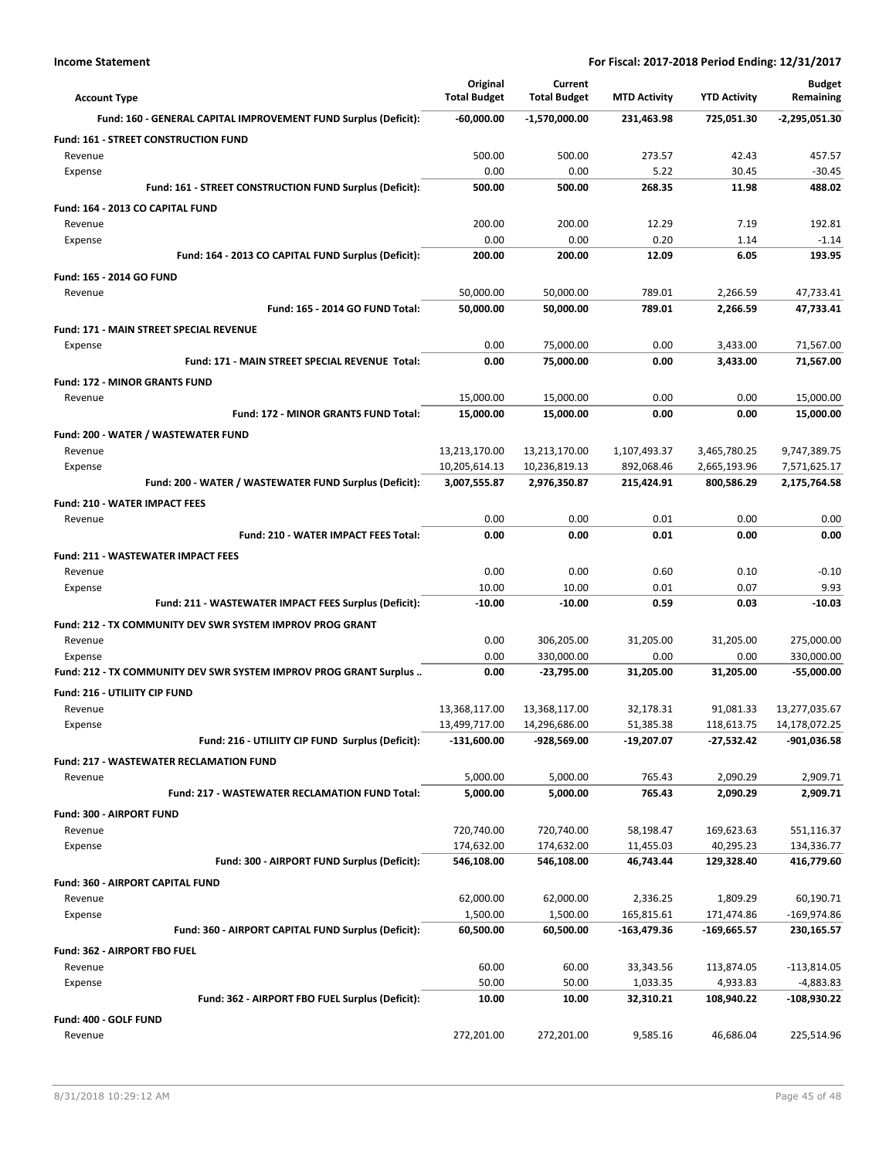| <b>Account Type</b>                                               | Original<br><b>Total Budget</b> | Current<br><b>Total Budget</b> | <b>MTD Activity</b>       | <b>YTD Activity</b>      | <b>Budget</b><br>Remaining   |
|-------------------------------------------------------------------|---------------------------------|--------------------------------|---------------------------|--------------------------|------------------------------|
| Fund: 160 - GENERAL CAPITAL IMPROVEMENT FUND Surplus (Deficit):   | $-60,000.00$                    | $-1,570,000.00$                | 231,463.98                | 725,051.30               | -2,295,051.30                |
| Fund: 161 - STREET CONSTRUCTION FUND                              |                                 |                                |                           |                          |                              |
| Revenue                                                           | 500.00                          | 500.00                         | 273.57                    | 42.43                    | 457.57                       |
| Expense                                                           | 0.00                            | 0.00                           | 5.22                      | 30.45                    | $-30.45$                     |
| Fund: 161 - STREET CONSTRUCTION FUND Surplus (Deficit):           | 500.00                          | 500.00                         | 268.35                    | 11.98                    | 488.02                       |
| Fund: 164 - 2013 CO CAPITAL FUND                                  |                                 |                                |                           |                          |                              |
| Revenue<br>Expense                                                | 200.00<br>0.00                  | 200.00<br>0.00                 | 12.29<br>0.20             | 7.19<br>1.14             | 192.81<br>$-1.14$            |
| Fund: 164 - 2013 CO CAPITAL FUND Surplus (Deficit):               | 200.00                          | 200.00                         | 12.09                     | 6.05                     | 193.95                       |
| Fund: 165 - 2014 GO FUND                                          |                                 |                                |                           |                          |                              |
| Revenue                                                           | 50,000.00                       | 50,000.00                      | 789.01                    | 2,266.59                 | 47,733.41                    |
| <b>Fund: 165 - 2014 GO FUND Total:</b>                            | 50,000.00                       | 50,000.00                      | 789.01                    | 2,266.59                 | 47,733.41                    |
| Fund: 171 - MAIN STREET SPECIAL REVENUE                           |                                 |                                |                           |                          |                              |
| Expense                                                           | 0.00                            | 75,000.00                      | 0.00                      | 3,433.00                 | 71,567.00                    |
| Fund: 171 - MAIN STREET SPECIAL REVENUE Total:                    | 0.00                            | 75,000.00                      | 0.00                      | 3,433.00                 | 71.567.00                    |
| <b>Fund: 172 - MINOR GRANTS FUND</b>                              |                                 |                                |                           |                          |                              |
| Revenue                                                           | 15,000.00                       | 15,000.00                      | 0.00                      | 0.00                     | 15,000.00                    |
| <b>Fund: 172 - MINOR GRANTS FUND Total:</b>                       | 15,000.00                       | 15,000.00                      | 0.00                      | 0.00                     | 15.000.00                    |
| Fund: 200 - WATER / WASTEWATER FUND                               |                                 |                                |                           |                          |                              |
| Revenue                                                           | 13,213,170.00                   | 13,213,170.00                  | 1,107,493.37              | 3,465,780.25             | 9,747,389.75                 |
| Expense                                                           | 10,205,614.13                   | 10,236,819.13                  | 892,068.46                | 2,665,193.96             | 7,571,625.17                 |
| Fund: 200 - WATER / WASTEWATER FUND Surplus (Deficit):            | 3,007,555.87                    | 2,976,350.87                   | 215,424.91                | 800,586.29               | 2,175,764.58                 |
| <b>Fund: 210 - WATER IMPACT FEES</b><br>Revenue                   | 0.00                            | 0.00                           | 0.01                      | 0.00                     | 0.00                         |
| Fund: 210 - WATER IMPACT FEES Total:                              | 0.00                            | 0.00                           | 0.01                      | 0.00                     | 0.00                         |
| <b>Fund: 211 - WASTEWATER IMPACT FEES</b>                         |                                 |                                |                           |                          |                              |
| Revenue                                                           | 0.00                            | 0.00                           | 0.60                      | 0.10                     | $-0.10$                      |
| Expense                                                           | 10.00                           | 10.00                          | 0.01                      | 0.07                     | 9.93                         |
| Fund: 211 - WASTEWATER IMPACT FEES Surplus (Deficit):             | $-10.00$                        | $-10.00$                       | 0.59                      | 0.03                     | $-10.03$                     |
| Fund: 212 - TX COMMUNITY DEV SWR SYSTEM IMPROV PROG GRANT         |                                 |                                |                           |                          |                              |
| Revenue                                                           | 0.00                            | 306,205.00                     | 31,205.00                 | 31,205.00                | 275,000.00                   |
| Expense                                                           | 0.00                            | 330,000.00                     | 0.00                      | 0.00                     | 330,000.00                   |
| Fund: 212 - TX COMMUNITY DEV SWR SYSTEM IMPROV PROG GRANT Surplus | 0.00                            | $-23,795.00$                   | 31,205.00                 | 31,205.00                | $-55,000.00$                 |
| Fund: 216 - UTILIITY CIP FUND                                     |                                 |                                |                           |                          |                              |
| Revenue                                                           | 13,368,117.00                   | 13,368,117.00                  | 32,178.31                 | 91,081.33                | 13,277,035.67                |
| Expense<br>Fund: 216 - UTILIITY CIP FUND Surplus (Deficit):       | 13,499,717.00<br>$-131,600.00$  | 14,296,686.00<br>-928,569.00   | 51,385.38<br>$-19,207.07$ | 118,613.75<br>-27,532.42 | 14,178,072.25<br>-901,036.58 |
| <b>Fund: 217 - WASTEWATER RECLAMATION FUND</b>                    |                                 |                                |                           |                          |                              |
| Revenue                                                           | 5,000.00                        | 5,000.00                       | 765.43                    | 2,090.29                 | 2,909.71                     |
| Fund: 217 - WASTEWATER RECLAMATION FUND Total:                    | 5,000.00                        | 5,000.00                       | 765.43                    | 2,090.29                 | 2,909.71                     |
| Fund: 300 - AIRPORT FUND                                          |                                 |                                |                           |                          |                              |
| Revenue                                                           | 720,740.00                      | 720,740.00                     | 58,198.47                 | 169,623.63               | 551,116.37                   |
| Expense                                                           | 174,632.00                      | 174,632.00                     | 11,455.03                 | 40,295.23                | 134,336.77                   |
| Fund: 300 - AIRPORT FUND Surplus (Deficit):                       | 546,108.00                      | 546,108.00                     | 46,743.44                 | 129,328.40               | 416,779.60                   |
| Fund: 360 - AIRPORT CAPITAL FUND                                  |                                 |                                |                           |                          |                              |
| Revenue                                                           | 62,000.00                       | 62,000.00                      | 2,336.25                  | 1,809.29                 | 60,190.71                    |
| Expense                                                           | 1,500.00                        | 1,500.00                       | 165,815.61                | 171,474.86               | $-169,974.86$                |
| Fund: 360 - AIRPORT CAPITAL FUND Surplus (Deficit):               | 60,500.00                       | 60,500.00                      | -163,479.36               | $-169,665.57$            | 230,165.57                   |
| Fund: 362 - AIRPORT FBO FUEL                                      |                                 |                                |                           |                          |                              |
| Revenue<br>Expense                                                | 60.00<br>50.00                  | 60.00<br>50.00                 | 33,343.56<br>1,033.35     | 113,874.05<br>4,933.83   | -113,814.05<br>$-4,883.83$   |
| Fund: 362 - AIRPORT FBO FUEL Surplus (Deficit):                   | 10.00                           | 10.00                          | 32,310.21                 | 108,940.22               | -108,930.22                  |
| Fund: 400 - GOLF FUND                                             |                                 |                                |                           |                          |                              |
| Revenue                                                           | 272,201.00                      | 272,201.00                     | 9,585.16                  | 46,686.04                | 225,514.96                   |
|                                                                   |                                 |                                |                           |                          |                              |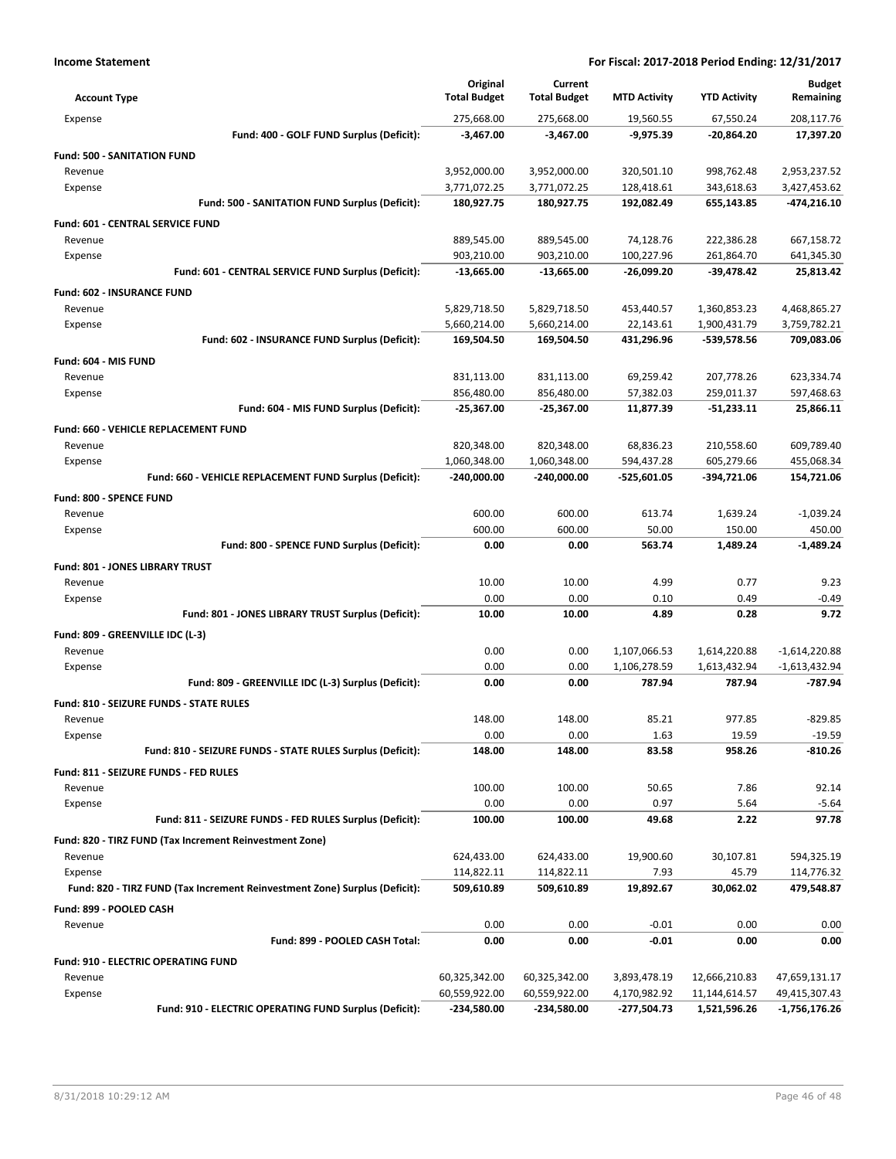| <b>Account Type</b>                        |                                                                            | Original<br><b>Total Budget</b> | Current<br><b>Total Budget</b> | <b>MTD Activity</b>         | <b>YTD Activity</b>           | <b>Budget</b><br>Remaining     |
|--------------------------------------------|----------------------------------------------------------------------------|---------------------------------|--------------------------------|-----------------------------|-------------------------------|--------------------------------|
| Expense                                    |                                                                            | 275,668.00                      | 275,668.00                     | 19,560.55                   | 67,550.24                     | 208,117.76                     |
|                                            | Fund: 400 - GOLF FUND Surplus (Deficit):                                   | $-3,467.00$                     | $-3,467.00$                    | $-9,975.39$                 | -20,864.20                    | 17,397.20                      |
| <b>Fund: 500 - SANITATION FUND</b>         |                                                                            |                                 |                                |                             |                               |                                |
| Revenue                                    |                                                                            | 3,952,000.00                    | 3,952,000.00                   | 320,501.10                  | 998,762.48                    | 2,953,237.52                   |
| Expense                                    |                                                                            | 3,771,072.25                    | 3,771,072.25                   | 128,418.61                  | 343,618.63                    | 3,427,453.62                   |
|                                            | Fund: 500 - SANITATION FUND Surplus (Deficit):                             | 180,927.75                      | 180,927.75                     | 192,082.49                  | 655,143.85                    | -474,216.10                    |
| <b>Fund: 601 - CENTRAL SERVICE FUND</b>    |                                                                            |                                 |                                |                             |                               |                                |
| Revenue                                    |                                                                            | 889,545.00                      | 889,545.00                     | 74,128.76                   | 222,386.28                    | 667,158.72                     |
| Expense                                    |                                                                            | 903,210.00                      | 903,210.00                     | 100,227.96                  | 261,864.70                    | 641,345.30                     |
|                                            | Fund: 601 - CENTRAL SERVICE FUND Surplus (Deficit):                        | $-13,665.00$                    | $-13,665.00$                   | $-26,099.20$                | -39,478.42                    | 25,813.42                      |
| <b>Fund: 602 - INSURANCE FUND</b>          |                                                                            |                                 |                                |                             |                               |                                |
| Revenue                                    |                                                                            | 5,829,718.50                    | 5,829,718.50                   | 453,440.57                  | 1,360,853.23                  | 4,468,865.27                   |
| Expense                                    |                                                                            | 5,660,214.00                    | 5,660,214.00                   | 22,143.61                   | 1,900,431.79                  | 3,759,782.21                   |
|                                            | Fund: 602 - INSURANCE FUND Surplus (Deficit):                              | 169,504.50                      | 169,504.50                     | 431,296.96                  | -539,578.56                   | 709,083.06                     |
|                                            |                                                                            |                                 |                                |                             |                               |                                |
| Fund: 604 - MIS FUND                       |                                                                            |                                 |                                |                             |                               |                                |
| Revenue<br>Expense                         |                                                                            | 831,113.00<br>856,480.00        | 831,113.00<br>856,480.00       | 69,259.42<br>57,382.03      | 207,778.26<br>259,011.37      | 623,334.74<br>597,468.63       |
|                                            | Fund: 604 - MIS FUND Surplus (Deficit):                                    | $-25,367.00$                    | $-25,367.00$                   | 11,877.39                   | $-51,233.11$                  | 25,866.11                      |
|                                            |                                                                            |                                 |                                |                             |                               |                                |
| Fund: 660 - VEHICLE REPLACEMENT FUND       |                                                                            |                                 |                                |                             |                               |                                |
| Revenue                                    |                                                                            | 820,348.00                      | 820,348.00                     | 68,836.23                   | 210,558.60                    | 609,789.40                     |
| Expense                                    | Fund: 660 - VEHICLE REPLACEMENT FUND Surplus (Deficit):                    | 1,060,348.00                    | 1,060,348.00                   | 594,437.28                  | 605,279.66                    | 455,068.34                     |
|                                            |                                                                            | $-240,000.00$                   | $-240,000.00$                  | -525,601.05                 | -394,721.06                   | 154,721.06                     |
| Fund: 800 - SPENCE FUND                    |                                                                            |                                 |                                |                             |                               |                                |
| Revenue                                    |                                                                            | 600.00                          | 600.00                         | 613.74                      | 1,639.24                      | $-1,039.24$                    |
| Expense                                    |                                                                            | 600.00                          | 600.00                         | 50.00                       | 150.00                        | 450.00                         |
|                                            | Fund: 800 - SPENCE FUND Surplus (Deficit):                                 | 0.00                            | 0.00                           | 563.74                      | 1,489.24                      | $-1,489.24$                    |
| Fund: 801 - JONES LIBRARY TRUST            |                                                                            |                                 |                                |                             |                               |                                |
| Revenue                                    |                                                                            | 10.00                           | 10.00                          | 4.99                        | 0.77                          | 9.23                           |
| Expense                                    |                                                                            | 0.00                            | 0.00                           | 0.10                        | 0.49                          | $-0.49$                        |
|                                            | Fund: 801 - JONES LIBRARY TRUST Surplus (Deficit):                         | 10.00                           | 10.00                          | 4.89                        | 0.28                          | 9.72                           |
| Fund: 809 - GREENVILLE IDC (L-3)           |                                                                            |                                 |                                |                             |                               |                                |
| Revenue                                    |                                                                            | 0.00                            | 0.00                           | 1,107,066.53                | 1,614,220.88                  | $-1,614,220.88$                |
| Expense                                    |                                                                            | 0.00                            | 0.00                           | 1,106,278.59                | 1,613,432.94                  | $-1,613,432.94$                |
|                                            | Fund: 809 - GREENVILLE IDC (L-3) Surplus (Deficit):                        | 0.00                            | 0.00                           | 787.94                      | 787.94                        | -787.94                        |
| Fund: 810 - SEIZURE FUNDS - STATE RULES    |                                                                            |                                 |                                |                             |                               |                                |
| Revenue                                    |                                                                            | 148.00                          | 148.00                         | 85.21                       | 977.85                        | $-829.85$                      |
| Expense                                    |                                                                            | 0.00                            | 0.00                           | 1.63                        | 19.59                         | $-19.59$                       |
|                                            | Fund: 810 - SEIZURE FUNDS - STATE RULES Surplus (Deficit):                 | 148.00                          | 148.00                         | 83.58                       | 958.26                        | $-810.26$                      |
| Fund: 811 - SEIZURE FUNDS - FED RULES      |                                                                            |                                 |                                |                             |                               |                                |
| Revenue                                    |                                                                            | 100.00                          | 100.00                         | 50.65                       | 7.86                          | 92.14                          |
| Expense                                    |                                                                            | 0.00                            | 0.00                           | 0.97                        | 5.64                          | $-5.64$                        |
|                                            | Fund: 811 - SEIZURE FUNDS - FED RULES Surplus (Deficit):                   | 100.00                          | 100.00                         | 49.68                       | 2.22                          | 97.78                          |
|                                            | Fund: 820 - TIRZ FUND (Tax Increment Reinvestment Zone)                    |                                 |                                |                             |                               |                                |
| Revenue                                    |                                                                            | 624,433.00                      | 624,433.00                     | 19,900.60                   | 30,107.81                     | 594,325.19                     |
| Expense                                    |                                                                            | 114,822.11                      | 114,822.11                     | 7.93                        | 45.79                         | 114,776.32                     |
|                                            | Fund: 820 - TIRZ FUND (Tax Increment Reinvestment Zone) Surplus (Deficit): | 509,610.89                      | 509,610.89                     | 19,892.67                   | 30,062.02                     | 479,548.87                     |
| Fund: 899 - POOLED CASH                    |                                                                            |                                 |                                |                             |                               |                                |
| Revenue                                    |                                                                            | 0.00                            | 0.00                           | $-0.01$                     | 0.00                          | 0.00                           |
|                                            | Fund: 899 - POOLED CASH Total:                                             | 0.00                            | 0.00                           | $-0.01$                     | 0.00                          | 0.00                           |
|                                            |                                                                            |                                 |                                |                             |                               |                                |
| <b>Fund: 910 - ELECTRIC OPERATING FUND</b> |                                                                            |                                 |                                |                             |                               |                                |
| Revenue                                    |                                                                            | 60,325,342.00<br>60,559,922.00  | 60,325,342.00<br>60,559,922.00 | 3,893,478.19                | 12,666,210.83                 | 47,659,131.17                  |
| Expense                                    | Fund: 910 - ELECTRIC OPERATING FUND Surplus (Deficit):                     | -234,580.00                     | -234,580.00                    | 4,170,982.92<br>-277,504.73 | 11,144,614.57<br>1,521,596.26 | 49,415,307.43<br>-1,756,176.26 |
|                                            |                                                                            |                                 |                                |                             |                               |                                |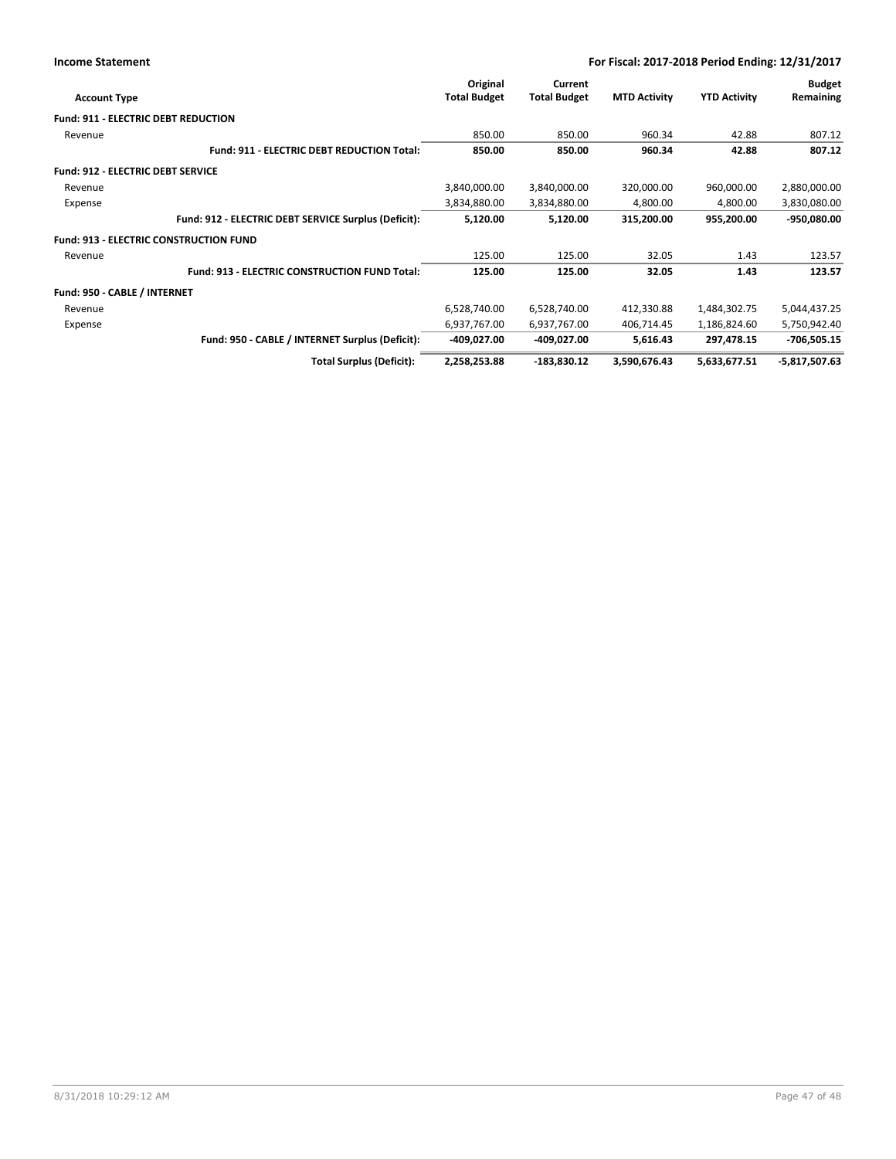| <b>Account Type</b>                           |                                                      | Original<br><b>Total Budget</b> | Current<br><b>Total Budget</b> | <b>MTD Activity</b> | <b>YTD Activity</b> | <b>Budget</b><br>Remaining |
|-----------------------------------------------|------------------------------------------------------|---------------------------------|--------------------------------|---------------------|---------------------|----------------------------|
|                                               |                                                      |                                 |                                |                     |                     |                            |
| <b>Fund: 911 - ELECTRIC DEBT REDUCTION</b>    |                                                      |                                 |                                |                     |                     |                            |
| Revenue                                       |                                                      | 850.00                          | 850.00                         | 960.34              | 42.88               | 807.12                     |
|                                               | <b>Fund: 911 - ELECTRIC DEBT REDUCTION Total:</b>    | 850.00                          | 850.00                         | 960.34              | 42.88               | 807.12                     |
| <b>Fund: 912 - ELECTRIC DEBT SERVICE</b>      |                                                      |                                 |                                |                     |                     |                            |
| Revenue                                       |                                                      | 3,840,000.00                    | 3,840,000.00                   | 320,000.00          | 960,000.00          | 2,880,000.00               |
| Expense                                       |                                                      | 3,834,880.00                    | 3,834,880.00                   | 4,800.00            | 4,800.00            | 3,830,080.00               |
|                                               | Fund: 912 - ELECTRIC DEBT SERVICE Surplus (Deficit): | 5,120.00                        | 5,120.00                       | 315,200.00          | 955,200.00          | -950,080.00                |
| <b>Fund: 913 - ELECTRIC CONSTRUCTION FUND</b> |                                                      |                                 |                                |                     |                     |                            |
| Revenue                                       |                                                      | 125.00                          | 125.00                         | 32.05               | 1.43                | 123.57                     |
|                                               | <b>Fund: 913 - ELECTRIC CONSTRUCTION FUND Total:</b> | 125.00                          | 125.00                         | 32.05               | 1.43                | 123.57                     |
| Fund: 950 - CABLE / INTERNET                  |                                                      |                                 |                                |                     |                     |                            |
| Revenue                                       |                                                      | 6,528,740.00                    | 6,528,740.00                   | 412,330.88          | 1,484,302.75        | 5,044,437.25               |
| Expense                                       |                                                      | 6,937,767.00                    | 6,937,767.00                   | 406,714.45          | 1,186,824.60        | 5,750,942.40               |
|                                               | Fund: 950 - CABLE / INTERNET Surplus (Deficit):      | -409,027.00                     | -409,027.00                    | 5,616.43            | 297,478.15          | $-706,505.15$              |
|                                               | <b>Total Surplus (Deficit):</b>                      | 2,258,253.88                    | -183,830.12                    | 3,590,676.43        | 5,633,677.51        | $-5,817,507.63$            |